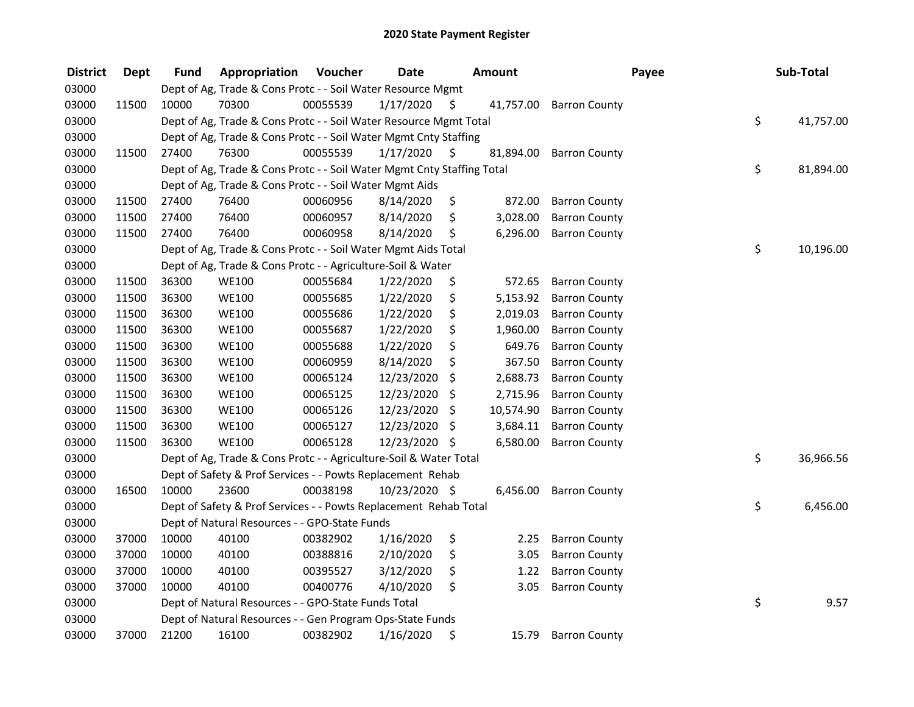| <b>District</b> | <b>Dept</b> | <b>Fund</b> | Appropriation                                                          | Voucher  | <b>Date</b>   |     | Amount    |                         | Payee | Sub-Total |           |
|-----------------|-------------|-------------|------------------------------------------------------------------------|----------|---------------|-----|-----------|-------------------------|-------|-----------|-----------|
| 03000           |             |             | Dept of Ag, Trade & Cons Protc - - Soil Water Resource Mgmt            |          |               |     |           |                         |       |           |           |
| 03000           | 11500       | 10000       | 70300                                                                  | 00055539 | 1/17/2020     | \$  |           | 41,757.00 Barron County |       |           |           |
| 03000           |             |             | Dept of Ag, Trade & Cons Protc - - Soil Water Resource Mgmt Total      |          |               |     |           |                         | \$    |           | 41,757.00 |
| 03000           |             |             | Dept of Ag, Trade & Cons Protc - - Soil Water Mgmt Cnty Staffing       |          |               |     |           |                         |       |           |           |
| 03000           | 11500       | 27400       | 76300                                                                  | 00055539 | 1/17/2020     | \$. | 81,894.00 | <b>Barron County</b>    |       |           |           |
| 03000           |             |             | Dept of Ag, Trade & Cons Protc - - Soil Water Mgmt Cnty Staffing Total |          |               |     |           |                         | \$    |           | 81,894.00 |
| 03000           |             |             | Dept of Ag, Trade & Cons Protc - - Soil Water Mgmt Aids                |          |               |     |           |                         |       |           |           |
| 03000           | 11500       | 27400       | 76400                                                                  | 00060956 | 8/14/2020     | \$  | 872.00    | <b>Barron County</b>    |       |           |           |
| 03000           | 11500       | 27400       | 76400                                                                  | 00060957 | 8/14/2020     | \$  | 3,028.00  | <b>Barron County</b>    |       |           |           |
| 03000           | 11500       | 27400       | 76400                                                                  | 00060958 | 8/14/2020     | \$  | 6,296.00  | <b>Barron County</b>    |       |           |           |
| 03000           |             |             | Dept of Ag, Trade & Cons Protc - - Soil Water Mgmt Aids Total          |          |               |     |           |                         | \$    |           | 10,196.00 |
| 03000           |             |             | Dept of Ag, Trade & Cons Protc - - Agriculture-Soil & Water            |          |               |     |           |                         |       |           |           |
| 03000           | 11500       | 36300       | <b>WE100</b>                                                           | 00055684 | 1/22/2020     | \$  | 572.65    | <b>Barron County</b>    |       |           |           |
| 03000           | 11500       | 36300       | <b>WE100</b>                                                           | 00055685 | 1/22/2020     | \$  | 5,153.92  | <b>Barron County</b>    |       |           |           |
| 03000           | 11500       | 36300       | <b>WE100</b>                                                           | 00055686 | 1/22/2020     | \$  | 2,019.03  | <b>Barron County</b>    |       |           |           |
| 03000           | 11500       | 36300       | <b>WE100</b>                                                           | 00055687 | 1/22/2020     | \$  | 1,960.00  | <b>Barron County</b>    |       |           |           |
| 03000           | 11500       | 36300       | <b>WE100</b>                                                           | 00055688 | 1/22/2020     | \$  | 649.76    | <b>Barron County</b>    |       |           |           |
| 03000           | 11500       | 36300       | <b>WE100</b>                                                           | 00060959 | 8/14/2020     | \$  | 367.50    | <b>Barron County</b>    |       |           |           |
| 03000           | 11500       | 36300       | <b>WE100</b>                                                           | 00065124 | 12/23/2020    | \$  | 2,688.73  | <b>Barron County</b>    |       |           |           |
| 03000           | 11500       | 36300       | <b>WE100</b>                                                           | 00065125 | 12/23/2020    | \$  | 2,715.96  | <b>Barron County</b>    |       |           |           |
| 03000           | 11500       | 36300       | <b>WE100</b>                                                           | 00065126 | 12/23/2020    | \$  | 10,574.90 | <b>Barron County</b>    |       |           |           |
| 03000           | 11500       | 36300       | <b>WE100</b>                                                           | 00065127 | 12/23/2020    | \$  | 3,684.11  | <b>Barron County</b>    |       |           |           |
| 03000           | 11500       | 36300       | <b>WE100</b>                                                           | 00065128 | 12/23/2020 \$ |     | 6,580.00  | <b>Barron County</b>    |       |           |           |
| 03000           |             |             | Dept of Ag, Trade & Cons Protc - - Agriculture-Soil & Water Total      |          |               |     |           |                         | \$    |           | 36,966.56 |
| 03000           |             |             | Dept of Safety & Prof Services - - Powts Replacement Rehab             |          |               |     |           |                         |       |           |           |
| 03000           | 16500       | 10000       | 23600                                                                  | 00038198 | 10/23/2020 \$ |     | 6,456.00  | <b>Barron County</b>    |       |           |           |
| 03000           |             |             | Dept of Safety & Prof Services - - Powts Replacement Rehab Total       |          |               |     |           |                         | \$    |           | 6,456.00  |
| 03000           |             |             | Dept of Natural Resources - - GPO-State Funds                          |          |               |     |           |                         |       |           |           |
| 03000           | 37000       | 10000       | 40100                                                                  | 00382902 | 1/16/2020     | \$  | 2.25      | <b>Barron County</b>    |       |           |           |
| 03000           | 37000       | 10000       | 40100                                                                  | 00388816 | 2/10/2020     | \$  | 3.05      | <b>Barron County</b>    |       |           |           |
| 03000           | 37000       | 10000       | 40100                                                                  | 00395527 | 3/12/2020     | \$  | 1.22      | <b>Barron County</b>    |       |           |           |
| 03000           | 37000       | 10000       | 40100                                                                  | 00400776 | 4/10/2020     | \$  | 3.05      | <b>Barron County</b>    |       |           |           |
| 03000           |             |             | Dept of Natural Resources - - GPO-State Funds Total                    |          |               |     |           |                         | \$    |           | 9.57      |
| 03000           |             |             | Dept of Natural Resources - - Gen Program Ops-State Funds              |          |               |     |           |                         |       |           |           |
| 03000           | 37000       | 21200       | 16100                                                                  | 00382902 | 1/16/2020     | \$  | 15.79     | <b>Barron County</b>    |       |           |           |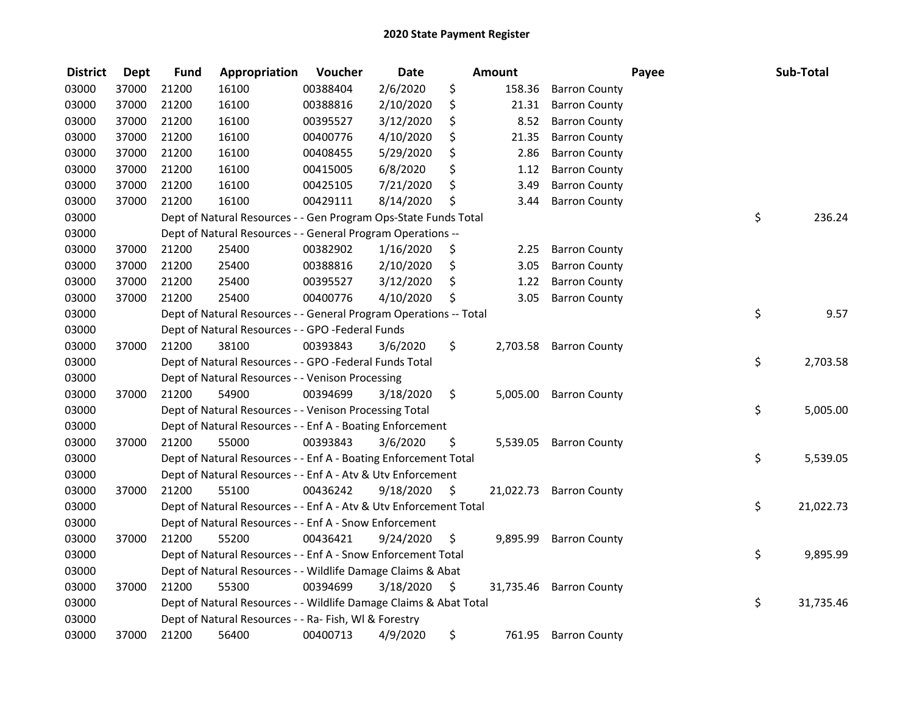| <b>District</b> | <b>Dept</b> | <b>Fund</b> | Appropriation                                                     | Voucher  | <b>Date</b> |         | <b>Amount</b> |                      | Payee | Sub-Total |
|-----------------|-------------|-------------|-------------------------------------------------------------------|----------|-------------|---------|---------------|----------------------|-------|-----------|
| 03000           | 37000       | 21200       | 16100                                                             | 00388404 | 2/6/2020    | \$      | 158.36        | <b>Barron County</b> |       |           |
| 03000           | 37000       | 21200       | 16100                                                             | 00388816 | 2/10/2020   | \$      | 21.31         | <b>Barron County</b> |       |           |
| 03000           | 37000       | 21200       | 16100                                                             | 00395527 | 3/12/2020   | \$      | 8.52          | <b>Barron County</b> |       |           |
| 03000           | 37000       | 21200       | 16100                                                             | 00400776 | 4/10/2020   | \$      | 21.35         | <b>Barron County</b> |       |           |
| 03000           | 37000       | 21200       | 16100                                                             | 00408455 | 5/29/2020   | \$      | 2.86          | <b>Barron County</b> |       |           |
| 03000           | 37000       | 21200       | 16100                                                             | 00415005 | 6/8/2020    | \$      | 1.12          | <b>Barron County</b> |       |           |
| 03000           | 37000       | 21200       | 16100                                                             | 00425105 | 7/21/2020   | \$      | 3.49          | <b>Barron County</b> |       |           |
| 03000           | 37000       | 21200       | 16100                                                             | 00429111 | 8/14/2020   | \$      | 3.44          | <b>Barron County</b> |       |           |
| 03000           |             |             | Dept of Natural Resources - - Gen Program Ops-State Funds Total   |          |             |         |               |                      | \$    | 236.24    |
| 03000           |             |             | Dept of Natural Resources - - General Program Operations --       |          |             |         |               |                      |       |           |
| 03000           | 37000       | 21200       | 25400                                                             | 00382902 | 1/16/2020   | \$      | 2.25          | <b>Barron County</b> |       |           |
| 03000           | 37000       | 21200       | 25400                                                             | 00388816 | 2/10/2020   | \$      | 3.05          | <b>Barron County</b> |       |           |
| 03000           | 37000       | 21200       | 25400                                                             | 00395527 | 3/12/2020   | \$      | 1.22          | <b>Barron County</b> |       |           |
| 03000           | 37000       | 21200       | 25400                                                             | 00400776 | 4/10/2020   | \$      | 3.05          | <b>Barron County</b> |       |           |
| 03000           |             |             | Dept of Natural Resources - - General Program Operations -- Total |          |             |         |               |                      | \$    | 9.57      |
| 03000           |             |             | Dept of Natural Resources - - GPO -Federal Funds                  |          |             |         |               |                      |       |           |
| 03000           | 37000       | 21200       | 38100                                                             | 00393843 | 3/6/2020    | \$      | 2,703.58      | <b>Barron County</b> |       |           |
| 03000           |             |             | Dept of Natural Resources - - GPO -Federal Funds Total            |          |             |         |               |                      | \$    | 2,703.58  |
| 03000           |             |             | Dept of Natural Resources - - Venison Processing                  |          |             |         |               |                      |       |           |
| 03000           | 37000       | 21200       | 54900                                                             | 00394699 | 3/18/2020   | \$      | 5,005.00      | <b>Barron County</b> |       |           |
| 03000           |             |             | Dept of Natural Resources - - Venison Processing Total            |          |             |         |               |                      | \$    | 5,005.00  |
| 03000           |             |             | Dept of Natural Resources - - Enf A - Boating Enforcement         |          |             |         |               |                      |       |           |
| 03000           | 37000       | 21200       | 55000                                                             | 00393843 | 3/6/2020    | \$      | 5,539.05      | <b>Barron County</b> |       |           |
| 03000           |             |             | Dept of Natural Resources - - Enf A - Boating Enforcement Total   |          |             |         |               |                      | \$    | 5,539.05  |
| 03000           |             |             | Dept of Natural Resources - - Enf A - Atv & Utv Enforcement       |          |             |         |               |                      |       |           |
| 03000           | 37000       | 21200       | 55100                                                             | 00436242 | 9/18/2020   | $\zeta$ | 21,022.73     | <b>Barron County</b> |       |           |
| 03000           |             |             | Dept of Natural Resources - - Enf A - Atv & Utv Enforcement Total |          |             |         |               |                      | \$    | 21,022.73 |
| 03000           |             |             | Dept of Natural Resources - - Enf A - Snow Enforcement            |          |             |         |               |                      |       |           |
| 03000           | 37000       | 21200       | 55200                                                             | 00436421 | 9/24/2020   | \$      | 9,895.99      | <b>Barron County</b> |       |           |
| 03000           |             |             | Dept of Natural Resources - - Enf A - Snow Enforcement Total      |          |             |         |               |                      | \$    | 9,895.99  |
| 03000           |             |             | Dept of Natural Resources - - Wildlife Damage Claims & Abat       |          |             |         |               |                      |       |           |
| 03000           | 37000       | 21200       | 55300                                                             | 00394699 | 3/18/2020   | \$      | 31,735.46     | <b>Barron County</b> |       |           |
| 03000           |             |             | Dept of Natural Resources - - Wildlife Damage Claims & Abat Total |          |             |         |               |                      | \$    | 31,735.46 |
| 03000           |             |             | Dept of Natural Resources - - Ra- Fish, WI & Forestry             |          |             |         |               |                      |       |           |
| 03000           | 37000       | 21200       | 56400                                                             | 00400713 | 4/9/2020    | \$      | 761.95        | <b>Barron County</b> |       |           |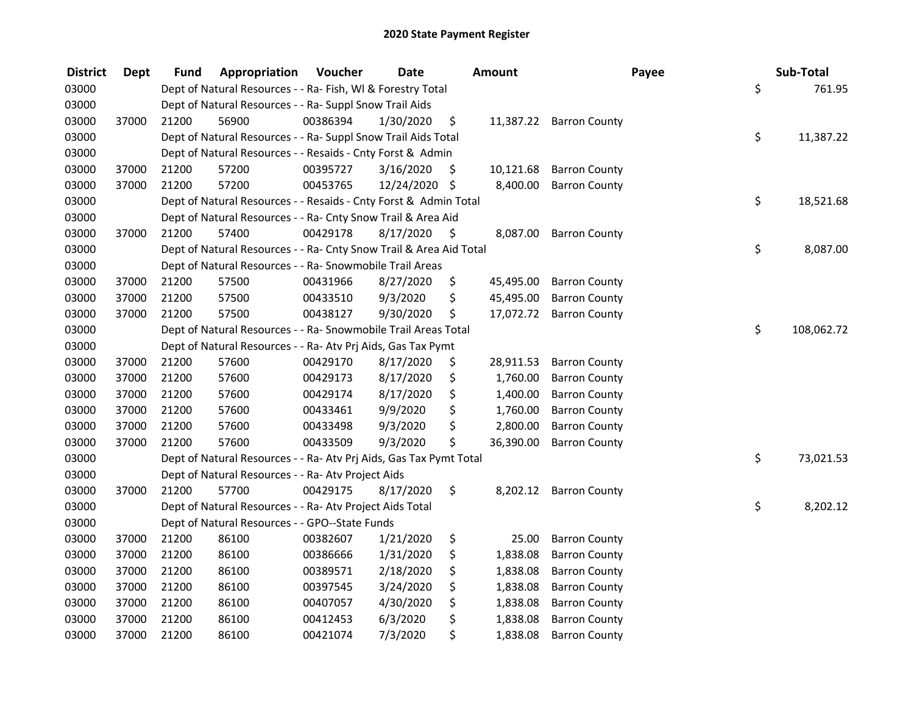| <b>District</b> | <b>Dept</b> | Fund  | Appropriation                                                      | Voucher  | <b>Date</b>   |     | Amount    |                         | Payee | Sub-Total  |
|-----------------|-------------|-------|--------------------------------------------------------------------|----------|---------------|-----|-----------|-------------------------|-------|------------|
| 03000           |             |       | Dept of Natural Resources - - Ra- Fish, WI & Forestry Total        |          |               |     |           |                         | \$    | 761.95     |
| 03000           |             |       | Dept of Natural Resources - - Ra- Suppl Snow Trail Aids            |          |               |     |           |                         |       |            |
| 03000           | 37000       | 21200 | 56900                                                              | 00386394 | 1/30/2020     | \$  |           | 11,387.22 Barron County |       |            |
| 03000           |             |       | Dept of Natural Resources - - Ra- Suppl Snow Trail Aids Total      |          |               |     |           |                         | \$    | 11,387.22  |
| 03000           |             |       | Dept of Natural Resources - - Resaids - Cnty Forst & Admin         |          |               |     |           |                         |       |            |
| 03000           | 37000       | 21200 | 57200                                                              | 00395727 | 3/16/2020     | \$  | 10,121.68 | <b>Barron County</b>    |       |            |
| 03000           | 37000       | 21200 | 57200                                                              | 00453765 | 12/24/2020 \$ |     | 8,400.00  | <b>Barron County</b>    |       |            |
| 03000           |             |       | Dept of Natural Resources - - Resaids - Cnty Forst & Admin Total   |          |               |     |           |                         | \$    | 18,521.68  |
| 03000           |             |       | Dept of Natural Resources - - Ra- Cnty Snow Trail & Area Aid       |          |               |     |           |                         |       |            |
| 03000           | 37000       | 21200 | 57400                                                              | 00429178 | 8/17/2020     | -\$ | 8,087.00  | <b>Barron County</b>    |       |            |
| 03000           |             |       | Dept of Natural Resources - - Ra- Cnty Snow Trail & Area Aid Total |          |               |     |           |                         | \$    | 8,087.00   |
| 03000           |             |       | Dept of Natural Resources - - Ra- Snowmobile Trail Areas           |          |               |     |           |                         |       |            |
| 03000           | 37000       | 21200 | 57500                                                              | 00431966 | 8/27/2020     | \$  | 45,495.00 | <b>Barron County</b>    |       |            |
| 03000           | 37000       | 21200 | 57500                                                              | 00433510 | 9/3/2020      | \$  | 45,495.00 | <b>Barron County</b>    |       |            |
| 03000           | 37000       | 21200 | 57500                                                              | 00438127 | 9/30/2020     | \$  | 17,072.72 | <b>Barron County</b>    |       |            |
| 03000           |             |       | Dept of Natural Resources - - Ra- Snowmobile Trail Areas Total     |          |               |     |           |                         | \$    | 108,062.72 |
| 03000           |             |       | Dept of Natural Resources - - Ra- Atv Prj Aids, Gas Tax Pymt       |          |               |     |           |                         |       |            |
| 03000           | 37000       | 21200 | 57600                                                              | 00429170 | 8/17/2020     | \$  | 28,911.53 | <b>Barron County</b>    |       |            |
| 03000           | 37000       | 21200 | 57600                                                              | 00429173 | 8/17/2020     | \$  | 1,760.00  | <b>Barron County</b>    |       |            |
| 03000           | 37000       | 21200 | 57600                                                              | 00429174 | 8/17/2020     | \$  | 1,400.00  | <b>Barron County</b>    |       |            |
| 03000           | 37000       | 21200 | 57600                                                              | 00433461 | 9/9/2020      | \$  | 1,760.00  | <b>Barron County</b>    |       |            |
| 03000           | 37000       | 21200 | 57600                                                              | 00433498 | 9/3/2020      | \$  | 2,800.00  | <b>Barron County</b>    |       |            |
| 03000           | 37000       | 21200 | 57600                                                              | 00433509 | 9/3/2020      | \$  | 36,390.00 | <b>Barron County</b>    |       |            |
| 03000           |             |       | Dept of Natural Resources - - Ra- Atv Prj Aids, Gas Tax Pymt Total |          |               |     |           |                         | \$    | 73,021.53  |
| 03000           |             |       | Dept of Natural Resources - - Ra- Atv Project Aids                 |          |               |     |           |                         |       |            |
| 03000           | 37000       | 21200 | 57700                                                              | 00429175 | 8/17/2020     | \$  | 8,202.12  | <b>Barron County</b>    |       |            |
| 03000           |             |       | Dept of Natural Resources - - Ra- Atv Project Aids Total           |          |               |     |           |                         | \$    | 8,202.12   |
| 03000           |             |       | Dept of Natural Resources - - GPO--State Funds                     |          |               |     |           |                         |       |            |
| 03000           | 37000       | 21200 | 86100                                                              | 00382607 | 1/21/2020     | \$  | 25.00     | <b>Barron County</b>    |       |            |
| 03000           | 37000       | 21200 | 86100                                                              | 00386666 | 1/31/2020     | \$  | 1,838.08  | <b>Barron County</b>    |       |            |
| 03000           | 37000       | 21200 | 86100                                                              | 00389571 | 2/18/2020     | \$  | 1,838.08  | <b>Barron County</b>    |       |            |
| 03000           | 37000       | 21200 | 86100                                                              | 00397545 | 3/24/2020     | \$  | 1,838.08  | <b>Barron County</b>    |       |            |
| 03000           | 37000       | 21200 | 86100                                                              | 00407057 | 4/30/2020     | \$  | 1,838.08  | <b>Barron County</b>    |       |            |
| 03000           | 37000       | 21200 | 86100                                                              | 00412453 | 6/3/2020      | \$  | 1,838.08  | <b>Barron County</b>    |       |            |
| 03000           | 37000       | 21200 | 86100                                                              | 00421074 | 7/3/2020      | \$  | 1,838.08  | <b>Barron County</b>    |       |            |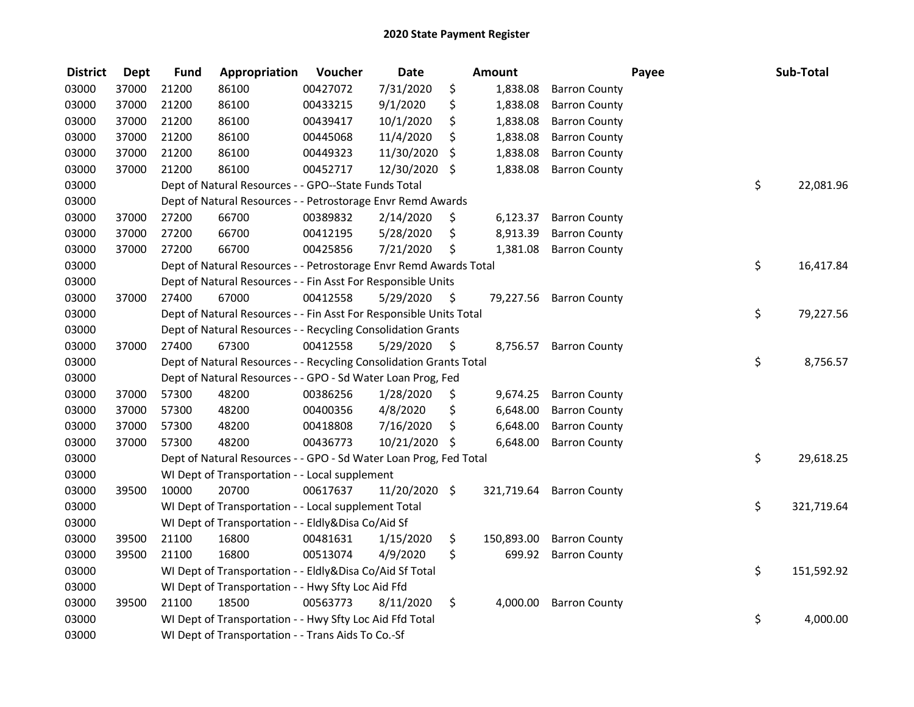| <b>District</b> | <b>Dept</b> | <b>Fund</b> | Appropriation                                                      | Voucher  | <b>Date</b>   |     | Amount     |                      | Payee | Sub-Total  |
|-----------------|-------------|-------------|--------------------------------------------------------------------|----------|---------------|-----|------------|----------------------|-------|------------|
| 03000           | 37000       | 21200       | 86100                                                              | 00427072 | 7/31/2020     | \$  | 1,838.08   | <b>Barron County</b> |       |            |
| 03000           | 37000       | 21200       | 86100                                                              | 00433215 | 9/1/2020      | \$  | 1,838.08   | <b>Barron County</b> |       |            |
| 03000           | 37000       | 21200       | 86100                                                              | 00439417 | 10/1/2020     | \$  | 1,838.08   | <b>Barron County</b> |       |            |
| 03000           | 37000       | 21200       | 86100                                                              | 00445068 | 11/4/2020     | \$  | 1,838.08   | <b>Barron County</b> |       |            |
| 03000           | 37000       | 21200       | 86100                                                              | 00449323 | 11/30/2020    | \$  | 1,838.08   | <b>Barron County</b> |       |            |
| 03000           | 37000       | 21200       | 86100                                                              | 00452717 | 12/30/2020    | \$  | 1,838.08   | <b>Barron County</b> |       |            |
| 03000           |             |             | Dept of Natural Resources - - GPO--State Funds Total               |          |               |     |            |                      | \$    | 22,081.96  |
| 03000           |             |             | Dept of Natural Resources - - Petrostorage Envr Remd Awards        |          |               |     |            |                      |       |            |
| 03000           | 37000       | 27200       | 66700                                                              | 00389832 | 2/14/2020     | \$. | 6,123.37   | <b>Barron County</b> |       |            |
| 03000           | 37000       | 27200       | 66700                                                              | 00412195 | 5/28/2020     | \$  | 8,913.39   | <b>Barron County</b> |       |            |
| 03000           | 37000       | 27200       | 66700                                                              | 00425856 | 7/21/2020     | \$  | 1,381.08   | <b>Barron County</b> |       |            |
| 03000           |             |             | Dept of Natural Resources - - Petrostorage Envr Remd Awards Total  |          |               |     |            |                      | \$    | 16,417.84  |
| 03000           |             |             | Dept of Natural Resources - - Fin Asst For Responsible Units       |          |               |     |            |                      |       |            |
| 03000           | 37000       | 27400       | 67000                                                              | 00412558 | 5/29/2020     | -\$ | 79,227.56  | <b>Barron County</b> |       |            |
| 03000           |             |             | Dept of Natural Resources - - Fin Asst For Responsible Units Total |          |               |     |            |                      | \$    | 79,227.56  |
| 03000           |             |             | Dept of Natural Resources - - Recycling Consolidation Grants       |          |               |     |            |                      |       |            |
| 03000           | 37000       | 27400       | 67300                                                              | 00412558 | 5/29/2020     | \$  | 8,756.57   | <b>Barron County</b> |       |            |
| 03000           |             |             | Dept of Natural Resources - - Recycling Consolidation Grants Total |          |               |     |            |                      | \$    | 8,756.57   |
| 03000           |             |             | Dept of Natural Resources - - GPO - Sd Water Loan Prog, Fed        |          |               |     |            |                      |       |            |
| 03000           | 37000       | 57300       | 48200                                                              | 00386256 | 1/28/2020     | \$  | 9,674.25   | <b>Barron County</b> |       |            |
| 03000           | 37000       | 57300       | 48200                                                              | 00400356 | 4/8/2020      | \$  | 6,648.00   | <b>Barron County</b> |       |            |
| 03000           | 37000       | 57300       | 48200                                                              | 00418808 | 7/16/2020     | \$  | 6,648.00   | <b>Barron County</b> |       |            |
| 03000           | 37000       | 57300       | 48200                                                              | 00436773 | 10/21/2020 \$ |     | 6,648.00   | <b>Barron County</b> |       |            |
| 03000           |             |             | Dept of Natural Resources - - GPO - Sd Water Loan Prog, Fed Total  |          |               |     |            |                      | \$    | 29,618.25  |
| 03000           |             |             | WI Dept of Transportation - - Local supplement                     |          |               |     |            |                      |       |            |
| 03000           | 39500       | 10000       | 20700                                                              | 00617637 | 11/20/2020    | \$  | 321,719.64 | <b>Barron County</b> |       |            |
| 03000           |             |             | WI Dept of Transportation - - Local supplement Total               |          |               |     |            |                      | \$    | 321,719.64 |
| 03000           |             |             | WI Dept of Transportation - - Eldly&Disa Co/Aid Sf                 |          |               |     |            |                      |       |            |
| 03000           | 39500       | 21100       | 16800                                                              | 00481631 | 1/15/2020     | \$  | 150,893.00 | <b>Barron County</b> |       |            |
| 03000           | 39500       | 21100       | 16800                                                              | 00513074 | 4/9/2020      | \$  | 699.92     | <b>Barron County</b> |       |            |
| 03000           |             |             | WI Dept of Transportation - - Eldly&Disa Co/Aid Sf Total           |          |               |     |            |                      | \$    | 151,592.92 |
| 03000           |             |             | WI Dept of Transportation - - Hwy Sfty Loc Aid Ffd                 |          |               |     |            |                      |       |            |
| 03000           | 39500       | 21100       | 18500                                                              | 00563773 | 8/11/2020     | \$  | 4,000.00   | <b>Barron County</b> |       |            |
| 03000           |             |             | WI Dept of Transportation - - Hwy Sfty Loc Aid Ffd Total           |          |               |     |            |                      | \$    | 4,000.00   |
| 03000           |             |             | WI Dept of Transportation - - Trans Aids To Co.-Sf                 |          |               |     |            |                      |       |            |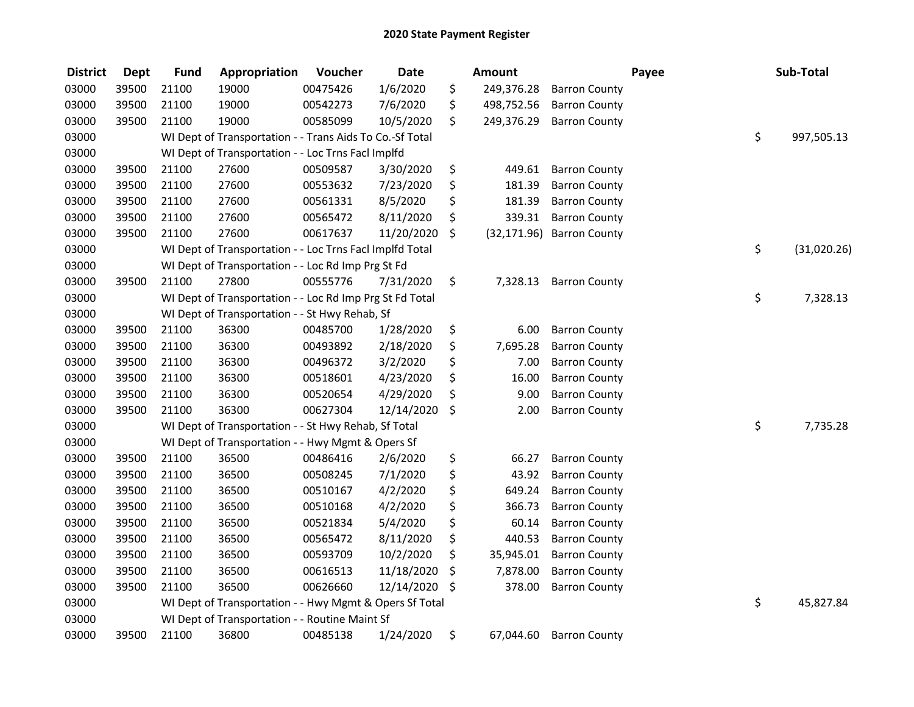| <b>District</b> | <b>Dept</b> | <b>Fund</b> | Appropriation                                            | Voucher  | <b>Date</b> | Amount             |                      | Payee | Sub-Total         |
|-----------------|-------------|-------------|----------------------------------------------------------|----------|-------------|--------------------|----------------------|-------|-------------------|
| 03000           | 39500       | 21100       | 19000                                                    | 00475426 | 1/6/2020    | \$<br>249,376.28   | <b>Barron County</b> |       |                   |
| 03000           | 39500       | 21100       | 19000                                                    | 00542273 | 7/6/2020    | \$<br>498,752.56   | <b>Barron County</b> |       |                   |
| 03000           | 39500       | 21100       | 19000                                                    | 00585099 | 10/5/2020   | \$<br>249,376.29   | <b>Barron County</b> |       |                   |
| 03000           |             |             | WI Dept of Transportation - - Trans Aids To Co.-Sf Total |          |             |                    |                      |       | \$<br>997,505.13  |
| 03000           |             |             | WI Dept of Transportation - - Loc Trns FacI Implfd       |          |             |                    |                      |       |                   |
| 03000           | 39500       | 21100       | 27600                                                    | 00509587 | 3/30/2020   | \$<br>449.61       | <b>Barron County</b> |       |                   |
| 03000           | 39500       | 21100       | 27600                                                    | 00553632 | 7/23/2020   | \$<br>181.39       | <b>Barron County</b> |       |                   |
| 03000           | 39500       | 21100       | 27600                                                    | 00561331 | 8/5/2020    | \$<br>181.39       | <b>Barron County</b> |       |                   |
| 03000           | 39500       | 21100       | 27600                                                    | 00565472 | 8/11/2020   | \$<br>339.31       | <b>Barron County</b> |       |                   |
| 03000           | 39500       | 21100       | 27600                                                    | 00617637 | 11/20/2020  | \$<br>(32, 171.96) | <b>Barron County</b> |       |                   |
| 03000           |             |             | WI Dept of Transportation - - Loc Trns Facl Implfd Total |          |             |                    |                      |       | \$<br>(31,020.26) |
| 03000           |             |             | WI Dept of Transportation - - Loc Rd Imp Prg St Fd       |          |             |                    |                      |       |                   |
| 03000           | 39500       | 21100       | 27800                                                    | 00555776 | 7/31/2020   | \$<br>7,328.13     | <b>Barron County</b> |       |                   |
| 03000           |             |             | WI Dept of Transportation - - Loc Rd Imp Prg St Fd Total |          |             |                    |                      |       | \$<br>7,328.13    |
| 03000           |             |             | WI Dept of Transportation - - St Hwy Rehab, Sf           |          |             |                    |                      |       |                   |
| 03000           | 39500       | 21100       | 36300                                                    | 00485700 | 1/28/2020   | \$<br>6.00         | <b>Barron County</b> |       |                   |
| 03000           | 39500       | 21100       | 36300                                                    | 00493892 | 2/18/2020   | \$<br>7,695.28     | <b>Barron County</b> |       |                   |
| 03000           | 39500       | 21100       | 36300                                                    | 00496372 | 3/2/2020    | \$<br>7.00         | <b>Barron County</b> |       |                   |
| 03000           | 39500       | 21100       | 36300                                                    | 00518601 | 4/23/2020   | \$<br>16.00        | <b>Barron County</b> |       |                   |
| 03000           | 39500       | 21100       | 36300                                                    | 00520654 | 4/29/2020   | \$<br>9.00         | <b>Barron County</b> |       |                   |
| 03000           | 39500       | 21100       | 36300                                                    | 00627304 | 12/14/2020  | \$<br>2.00         | <b>Barron County</b> |       |                   |
| 03000           |             |             | WI Dept of Transportation - - St Hwy Rehab, Sf Total     |          |             |                    |                      |       | \$<br>7,735.28    |
| 03000           |             |             | WI Dept of Transportation - - Hwy Mgmt & Opers Sf        |          |             |                    |                      |       |                   |
| 03000           | 39500       | 21100       | 36500                                                    | 00486416 | 2/6/2020    | \$<br>66.27        | <b>Barron County</b> |       |                   |
| 03000           | 39500       | 21100       | 36500                                                    | 00508245 | 7/1/2020    | \$<br>43.92        | <b>Barron County</b> |       |                   |
| 03000           | 39500       | 21100       | 36500                                                    | 00510167 | 4/2/2020    | \$<br>649.24       | <b>Barron County</b> |       |                   |
| 03000           | 39500       | 21100       | 36500                                                    | 00510168 | 4/2/2020    | \$<br>366.73       | <b>Barron County</b> |       |                   |
| 03000           | 39500       | 21100       | 36500                                                    | 00521834 | 5/4/2020    | \$<br>60.14        | <b>Barron County</b> |       |                   |
| 03000           | 39500       | 21100       | 36500                                                    | 00565472 | 8/11/2020   | \$<br>440.53       | <b>Barron County</b> |       |                   |
| 03000           | 39500       | 21100       | 36500                                                    | 00593709 | 10/2/2020   | \$<br>35,945.01    | <b>Barron County</b> |       |                   |
| 03000           | 39500       | 21100       | 36500                                                    | 00616513 | 11/18/2020  | \$<br>7,878.00     | <b>Barron County</b> |       |                   |
| 03000           | 39500       | 21100       | 36500                                                    | 00626660 | 12/14/2020  | \$<br>378.00       | <b>Barron County</b> |       |                   |
| 03000           |             |             | WI Dept of Transportation - - Hwy Mgmt & Opers Sf Total  |          |             |                    |                      |       | \$<br>45,827.84   |
| 03000           |             |             | WI Dept of Transportation - - Routine Maint Sf           |          |             |                    |                      |       |                   |
| 03000           | 39500       | 21100       | 36800                                                    | 00485138 | 1/24/2020   | \$<br>67,044.60    | <b>Barron County</b> |       |                   |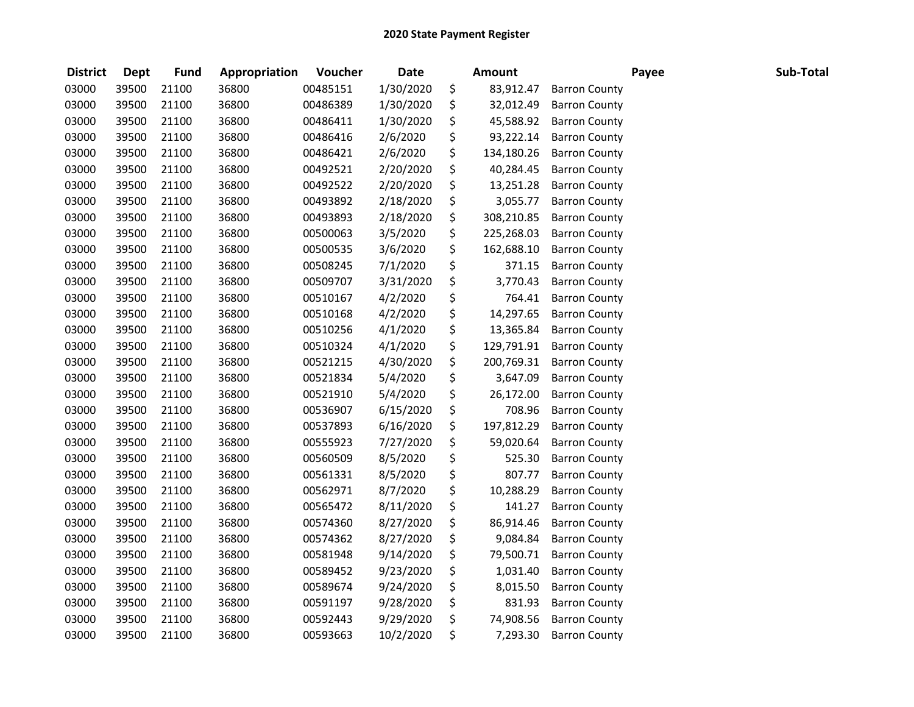| <b>District</b> | <b>Dept</b> | <b>Fund</b> | Appropriation | Voucher  | <b>Date</b> | <b>Amount</b>    |                      | Payee | Sub-Total |
|-----------------|-------------|-------------|---------------|----------|-------------|------------------|----------------------|-------|-----------|
| 03000           | 39500       | 21100       | 36800         | 00485151 | 1/30/2020   | \$<br>83,912.47  | <b>Barron County</b> |       |           |
| 03000           | 39500       | 21100       | 36800         | 00486389 | 1/30/2020   | \$<br>32,012.49  | <b>Barron County</b> |       |           |
| 03000           | 39500       | 21100       | 36800         | 00486411 | 1/30/2020   | \$<br>45,588.92  | <b>Barron County</b> |       |           |
| 03000           | 39500       | 21100       | 36800         | 00486416 | 2/6/2020    | \$<br>93,222.14  | <b>Barron County</b> |       |           |
| 03000           | 39500       | 21100       | 36800         | 00486421 | 2/6/2020    | \$<br>134,180.26 | <b>Barron County</b> |       |           |
| 03000           | 39500       | 21100       | 36800         | 00492521 | 2/20/2020   | \$<br>40,284.45  | <b>Barron County</b> |       |           |
| 03000           | 39500       | 21100       | 36800         | 00492522 | 2/20/2020   | \$<br>13,251.28  | <b>Barron County</b> |       |           |
| 03000           | 39500       | 21100       | 36800         | 00493892 | 2/18/2020   | \$<br>3,055.77   | <b>Barron County</b> |       |           |
| 03000           | 39500       | 21100       | 36800         | 00493893 | 2/18/2020   | \$<br>308,210.85 | <b>Barron County</b> |       |           |
| 03000           | 39500       | 21100       | 36800         | 00500063 | 3/5/2020    | \$<br>225,268.03 | <b>Barron County</b> |       |           |
| 03000           | 39500       | 21100       | 36800         | 00500535 | 3/6/2020    | \$<br>162,688.10 | <b>Barron County</b> |       |           |
| 03000           | 39500       | 21100       | 36800         | 00508245 | 7/1/2020    | \$<br>371.15     | <b>Barron County</b> |       |           |
| 03000           | 39500       | 21100       | 36800         | 00509707 | 3/31/2020   | \$<br>3,770.43   | <b>Barron County</b> |       |           |
| 03000           | 39500       | 21100       | 36800         | 00510167 | 4/2/2020    | \$<br>764.41     | <b>Barron County</b> |       |           |
| 03000           | 39500       | 21100       | 36800         | 00510168 | 4/2/2020    | \$<br>14,297.65  | <b>Barron County</b> |       |           |
| 03000           | 39500       | 21100       | 36800         | 00510256 | 4/1/2020    | \$<br>13,365.84  | <b>Barron County</b> |       |           |
| 03000           | 39500       | 21100       | 36800         | 00510324 | 4/1/2020    | \$<br>129,791.91 | <b>Barron County</b> |       |           |
| 03000           | 39500       | 21100       | 36800         | 00521215 | 4/30/2020   | \$<br>200,769.31 | <b>Barron County</b> |       |           |
| 03000           | 39500       | 21100       | 36800         | 00521834 | 5/4/2020    | \$<br>3,647.09   | <b>Barron County</b> |       |           |
| 03000           | 39500       | 21100       | 36800         | 00521910 | 5/4/2020    | \$<br>26,172.00  | <b>Barron County</b> |       |           |
| 03000           | 39500       | 21100       | 36800         | 00536907 | 6/15/2020   | \$<br>708.96     | <b>Barron County</b> |       |           |
| 03000           | 39500       | 21100       | 36800         | 00537893 | 6/16/2020   | \$<br>197,812.29 | <b>Barron County</b> |       |           |
| 03000           | 39500       | 21100       | 36800         | 00555923 | 7/27/2020   | \$<br>59,020.64  | <b>Barron County</b> |       |           |
| 03000           | 39500       | 21100       | 36800         | 00560509 | 8/5/2020    | \$<br>525.30     | <b>Barron County</b> |       |           |
| 03000           | 39500       | 21100       | 36800         | 00561331 | 8/5/2020    | \$<br>807.77     | <b>Barron County</b> |       |           |
| 03000           | 39500       | 21100       | 36800         | 00562971 | 8/7/2020    | \$<br>10,288.29  | <b>Barron County</b> |       |           |
| 03000           | 39500       | 21100       | 36800         | 00565472 | 8/11/2020   | \$<br>141.27     | <b>Barron County</b> |       |           |
| 03000           | 39500       | 21100       | 36800         | 00574360 | 8/27/2020   | \$<br>86,914.46  | <b>Barron County</b> |       |           |
| 03000           | 39500       | 21100       | 36800         | 00574362 | 8/27/2020   | \$<br>9,084.84   | <b>Barron County</b> |       |           |
| 03000           | 39500       | 21100       | 36800         | 00581948 | 9/14/2020   | \$<br>79,500.71  | <b>Barron County</b> |       |           |
| 03000           | 39500       | 21100       | 36800         | 00589452 | 9/23/2020   | \$<br>1,031.40   | <b>Barron County</b> |       |           |
| 03000           | 39500       | 21100       | 36800         | 00589674 | 9/24/2020   | \$<br>8,015.50   | <b>Barron County</b> |       |           |
| 03000           | 39500       | 21100       | 36800         | 00591197 | 9/28/2020   | \$<br>831.93     | <b>Barron County</b> |       |           |
| 03000           | 39500       | 21100       | 36800         | 00592443 | 9/29/2020   | \$<br>74,908.56  | <b>Barron County</b> |       |           |
| 03000           | 39500       | 21100       | 36800         | 00593663 | 10/2/2020   | \$<br>7,293.30   | <b>Barron County</b> |       |           |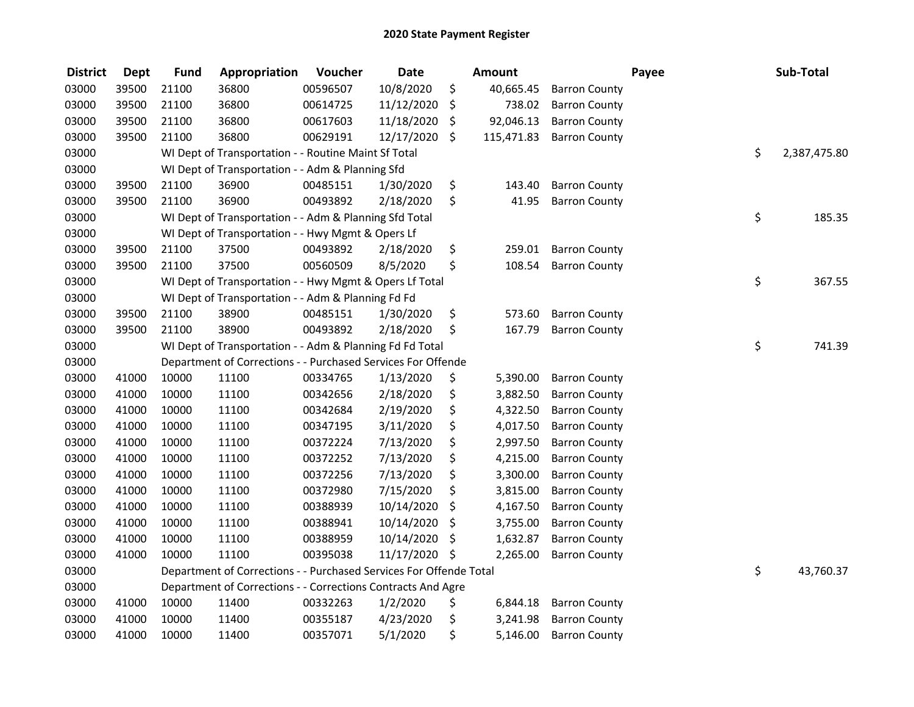| <b>District</b> | <b>Dept</b> | <b>Fund</b> | Appropriation                                                      | Voucher  | <b>Date</b>   | <b>Amount</b>    |                      | Payee | Sub-Total    |
|-----------------|-------------|-------------|--------------------------------------------------------------------|----------|---------------|------------------|----------------------|-------|--------------|
| 03000           | 39500       | 21100       | 36800                                                              | 00596507 | 10/8/2020     | \$<br>40,665.45  | <b>Barron County</b> |       |              |
| 03000           | 39500       | 21100       | 36800                                                              | 00614725 | 11/12/2020    | \$<br>738.02     | <b>Barron County</b> |       |              |
| 03000           | 39500       | 21100       | 36800                                                              | 00617603 | 11/18/2020    | \$<br>92,046.13  | <b>Barron County</b> |       |              |
| 03000           | 39500       | 21100       | 36800                                                              | 00629191 | 12/17/2020    | \$<br>115,471.83 | <b>Barron County</b> |       |              |
| 03000           |             |             | WI Dept of Transportation - - Routine Maint Sf Total               |          |               |                  |                      | \$    | 2,387,475.80 |
| 03000           |             |             | WI Dept of Transportation - - Adm & Planning Sfd                   |          |               |                  |                      |       |              |
| 03000           | 39500       | 21100       | 36900                                                              | 00485151 | 1/30/2020     | \$<br>143.40     | <b>Barron County</b> |       |              |
| 03000           | 39500       | 21100       | 36900                                                              | 00493892 | 2/18/2020     | \$<br>41.95      | <b>Barron County</b> |       |              |
| 03000           |             |             | WI Dept of Transportation - - Adm & Planning Sfd Total             |          |               |                  |                      | \$    | 185.35       |
| 03000           |             |             | WI Dept of Transportation - - Hwy Mgmt & Opers Lf                  |          |               |                  |                      |       |              |
| 03000           | 39500       | 21100       | 37500                                                              | 00493892 | 2/18/2020     | \$<br>259.01     | <b>Barron County</b> |       |              |
| 03000           | 39500       | 21100       | 37500                                                              | 00560509 | 8/5/2020      | \$<br>108.54     | <b>Barron County</b> |       |              |
| 03000           |             |             | WI Dept of Transportation - - Hwy Mgmt & Opers Lf Total            |          |               |                  |                      | \$    | 367.55       |
| 03000           |             |             | WI Dept of Transportation - - Adm & Planning Fd Fd                 |          |               |                  |                      |       |              |
| 03000           | 39500       | 21100       | 38900                                                              | 00485151 | 1/30/2020     | \$<br>573.60     | <b>Barron County</b> |       |              |
| 03000           | 39500       | 21100       | 38900                                                              | 00493892 | 2/18/2020     | \$<br>167.79     | <b>Barron County</b> |       |              |
| 03000           |             |             | WI Dept of Transportation - - Adm & Planning Fd Fd Total           |          |               |                  |                      | \$    | 741.39       |
| 03000           |             |             | Department of Corrections - - Purchased Services For Offende       |          |               |                  |                      |       |              |
| 03000           | 41000       | 10000       | 11100                                                              | 00334765 | 1/13/2020     | \$<br>5,390.00   | <b>Barron County</b> |       |              |
| 03000           | 41000       | 10000       | 11100                                                              | 00342656 | 2/18/2020     | \$<br>3,882.50   | <b>Barron County</b> |       |              |
| 03000           | 41000       | 10000       | 11100                                                              | 00342684 | 2/19/2020     | \$<br>4,322.50   | <b>Barron County</b> |       |              |
| 03000           | 41000       | 10000       | 11100                                                              | 00347195 | 3/11/2020     | \$<br>4,017.50   | <b>Barron County</b> |       |              |
| 03000           | 41000       | 10000       | 11100                                                              | 00372224 | 7/13/2020     | \$<br>2,997.50   | <b>Barron County</b> |       |              |
| 03000           | 41000       | 10000       | 11100                                                              | 00372252 | 7/13/2020     | \$<br>4,215.00   | <b>Barron County</b> |       |              |
| 03000           | 41000       | 10000       | 11100                                                              | 00372256 | 7/13/2020     | \$<br>3,300.00   | <b>Barron County</b> |       |              |
| 03000           | 41000       | 10000       | 11100                                                              | 00372980 | 7/15/2020     | \$<br>3,815.00   | <b>Barron County</b> |       |              |
| 03000           | 41000       | 10000       | 11100                                                              | 00388939 | 10/14/2020    | \$<br>4,167.50   | <b>Barron County</b> |       |              |
| 03000           | 41000       | 10000       | 11100                                                              | 00388941 | 10/14/2020    | \$<br>3,755.00   | <b>Barron County</b> |       |              |
| 03000           | 41000       | 10000       | 11100                                                              | 00388959 | 10/14/2020    | \$<br>1,632.87   | <b>Barron County</b> |       |              |
| 03000           | 41000       | 10000       | 11100                                                              | 00395038 | 11/17/2020 \$ | 2,265.00         | <b>Barron County</b> |       |              |
| 03000           |             |             | Department of Corrections - - Purchased Services For Offende Total |          |               |                  |                      | \$    | 43,760.37    |
| 03000           |             |             | Department of Corrections - - Corrections Contracts And Agre       |          |               |                  |                      |       |              |
| 03000           | 41000       | 10000       | 11400                                                              | 00332263 | 1/2/2020      | \$<br>6,844.18   | <b>Barron County</b> |       |              |
| 03000           | 41000       | 10000       | 11400                                                              | 00355187 | 4/23/2020     | \$<br>3,241.98   | <b>Barron County</b> |       |              |
| 03000           | 41000       | 10000       | 11400                                                              | 00357071 | 5/1/2020      | \$<br>5,146.00   | <b>Barron County</b> |       |              |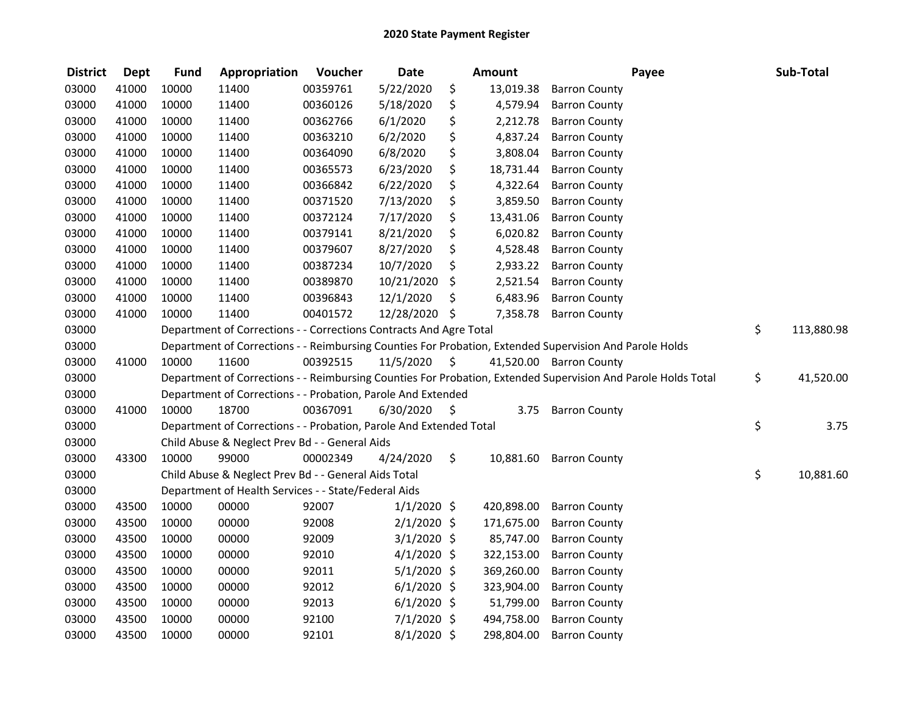| <b>District</b> | <b>Dept</b> | <b>Fund</b> | Appropriation                                                      | Voucher  | <b>Date</b>   |                     | <b>Amount</b> | Payee                                                                                                         | Sub-Total        |
|-----------------|-------------|-------------|--------------------------------------------------------------------|----------|---------------|---------------------|---------------|---------------------------------------------------------------------------------------------------------------|------------------|
| 03000           | 41000       | 10000       | 11400                                                              | 00359761 | 5/22/2020     | \$                  | 13,019.38     | <b>Barron County</b>                                                                                          |                  |
| 03000           | 41000       | 10000       | 11400                                                              | 00360126 | 5/18/2020     | \$                  | 4,579.94      | <b>Barron County</b>                                                                                          |                  |
| 03000           | 41000       | 10000       | 11400                                                              | 00362766 | 6/1/2020      | \$                  | 2,212.78      | <b>Barron County</b>                                                                                          |                  |
| 03000           | 41000       | 10000       | 11400                                                              | 00363210 | 6/2/2020      | \$                  | 4,837.24      | <b>Barron County</b>                                                                                          |                  |
| 03000           | 41000       | 10000       | 11400                                                              | 00364090 | 6/8/2020      | \$                  | 3,808.04      | <b>Barron County</b>                                                                                          |                  |
| 03000           | 41000       | 10000       | 11400                                                              | 00365573 | 6/23/2020     | \$                  | 18,731.44     | <b>Barron County</b>                                                                                          |                  |
| 03000           | 41000       | 10000       | 11400                                                              | 00366842 | 6/22/2020     | \$                  | 4,322.64      | <b>Barron County</b>                                                                                          |                  |
| 03000           | 41000       | 10000       | 11400                                                              | 00371520 | 7/13/2020     | \$                  | 3,859.50      | <b>Barron County</b>                                                                                          |                  |
| 03000           | 41000       | 10000       | 11400                                                              | 00372124 | 7/17/2020     | \$                  | 13,431.06     | <b>Barron County</b>                                                                                          |                  |
| 03000           | 41000       | 10000       | 11400                                                              | 00379141 | 8/21/2020     | \$                  | 6,020.82      | <b>Barron County</b>                                                                                          |                  |
| 03000           | 41000       | 10000       | 11400                                                              | 00379607 | 8/27/2020     | \$                  | 4,528.48      | <b>Barron County</b>                                                                                          |                  |
| 03000           | 41000       | 10000       | 11400                                                              | 00387234 | 10/7/2020     | \$                  | 2,933.22      | <b>Barron County</b>                                                                                          |                  |
| 03000           | 41000       | 10000       | 11400                                                              | 00389870 | 10/21/2020    | \$                  | 2,521.54      | <b>Barron County</b>                                                                                          |                  |
| 03000           | 41000       | 10000       | 11400                                                              | 00396843 | 12/1/2020     | \$                  | 6,483.96      | <b>Barron County</b>                                                                                          |                  |
| 03000           | 41000       | 10000       | 11400                                                              | 00401572 | 12/28/2020 \$ |                     | 7,358.78      | <b>Barron County</b>                                                                                          |                  |
| 03000           |             |             | Department of Corrections - - Corrections Contracts And Agre Total |          |               |                     |               |                                                                                                               | \$<br>113,880.98 |
| 03000           |             |             |                                                                    |          |               |                     |               | Department of Corrections - - Reimbursing Counties For Probation, Extended Supervision And Parole Holds       |                  |
| 03000           | 41000       | 10000       | 11600                                                              | 00392515 | 11/5/2020     | - \$                |               | 41,520.00 Barron County                                                                                       |                  |
| 03000           |             |             |                                                                    |          |               |                     |               | Department of Corrections - - Reimbursing Counties For Probation, Extended Supervision And Parole Holds Total | \$<br>41,520.00  |
| 03000           |             |             | Department of Corrections - - Probation, Parole And Extended       |          |               |                     |               |                                                                                                               |                  |
| 03000           | 41000       | 10000       | 18700                                                              | 00367091 | 6/30/2020     | $\ddot{\mathsf{s}}$ | 3.75          | <b>Barron County</b>                                                                                          |                  |
| 03000           |             |             | Department of Corrections - - Probation, Parole And Extended Total |          |               |                     |               |                                                                                                               | \$<br>3.75       |
| 03000           |             |             | Child Abuse & Neglect Prev Bd - - General Aids                     |          |               |                     |               |                                                                                                               |                  |
| 03000           | 43300       | 10000       | 99000                                                              | 00002349 | 4/24/2020     | \$.                 | 10,881.60     | <b>Barron County</b>                                                                                          |                  |
| 03000           |             |             | Child Abuse & Neglect Prev Bd - - General Aids Total               |          |               |                     |               |                                                                                                               | \$<br>10,881.60  |
| 03000           |             |             | Department of Health Services - - State/Federal Aids               |          |               |                     |               |                                                                                                               |                  |
| 03000           | 43500       | 10000       | 00000                                                              | 92007    | $1/1/2020$ \$ |                     | 420,898.00    | <b>Barron County</b>                                                                                          |                  |
| 03000           | 43500       | 10000       | 00000                                                              | 92008    | $2/1/2020$ \$ |                     | 171,675.00    | <b>Barron County</b>                                                                                          |                  |
| 03000           | 43500       | 10000       | 00000                                                              | 92009    | $3/1/2020$ \$ |                     | 85,747.00     | <b>Barron County</b>                                                                                          |                  |
| 03000           | 43500       | 10000       | 00000                                                              | 92010    | $4/1/2020$ \$ |                     | 322,153.00    | <b>Barron County</b>                                                                                          |                  |
| 03000           | 43500       | 10000       | 00000                                                              | 92011    | $5/1/2020$ \$ |                     | 369,260.00    | <b>Barron County</b>                                                                                          |                  |
| 03000           | 43500       | 10000       | 00000                                                              | 92012    | $6/1/2020$ \$ |                     | 323,904.00    | <b>Barron County</b>                                                                                          |                  |
| 03000           | 43500       | 10000       | 00000                                                              | 92013    | $6/1/2020$ \$ |                     | 51,799.00     | <b>Barron County</b>                                                                                          |                  |
| 03000           | 43500       | 10000       | 00000                                                              | 92100    | $7/1/2020$ \$ |                     | 494,758.00    | <b>Barron County</b>                                                                                          |                  |
| 03000           | 43500       | 10000       | 00000                                                              | 92101    | $8/1/2020$ \$ |                     | 298,804.00    | <b>Barron County</b>                                                                                          |                  |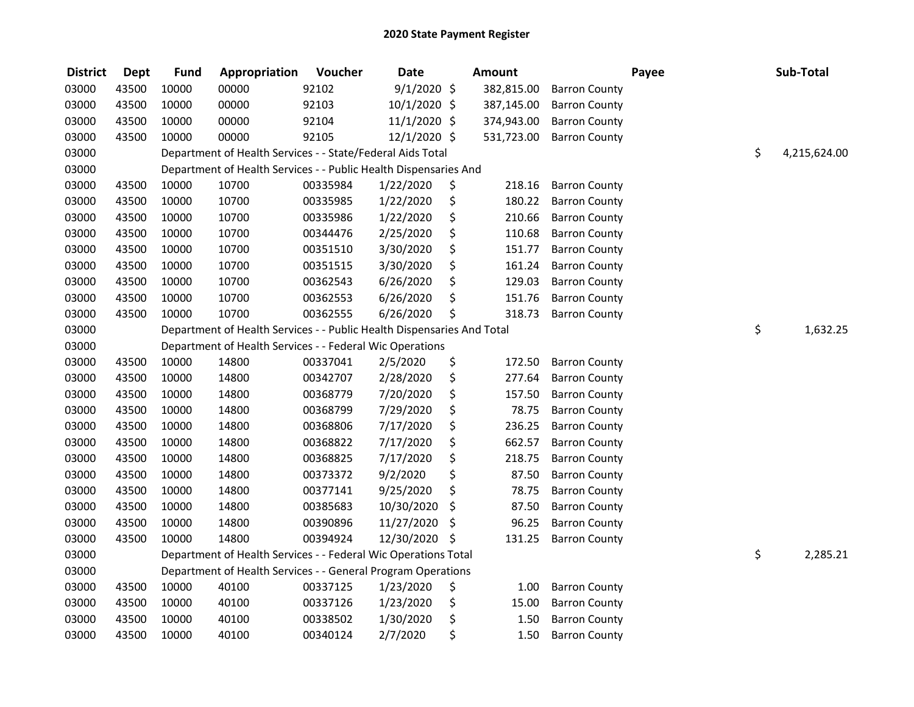| <b>District</b> | <b>Dept</b> | <b>Fund</b> | Appropriation                                                          | Voucher  | <b>Date</b>   | <b>Amount</b> |                      | Payee | Sub-Total          |
|-----------------|-------------|-------------|------------------------------------------------------------------------|----------|---------------|---------------|----------------------|-------|--------------------|
| 03000           | 43500       | 10000       | 00000                                                                  | 92102    | $9/1/2020$ \$ | 382,815.00    | <b>Barron County</b> |       |                    |
| 03000           | 43500       | 10000       | 00000                                                                  | 92103    | 10/1/2020 \$  | 387,145.00    | <b>Barron County</b> |       |                    |
| 03000           | 43500       | 10000       | 00000                                                                  | 92104    | 11/1/2020 \$  | 374,943.00    | <b>Barron County</b> |       |                    |
| 03000           | 43500       | 10000       | 00000                                                                  | 92105    | 12/1/2020 \$  | 531,723.00    | <b>Barron County</b> |       |                    |
| 03000           |             |             | Department of Health Services - - State/Federal Aids Total             |          |               |               |                      |       | \$<br>4,215,624.00 |
| 03000           |             |             | Department of Health Services - - Public Health Dispensaries And       |          |               |               |                      |       |                    |
| 03000           | 43500       | 10000       | 10700                                                                  | 00335984 | 1/22/2020     | \$<br>218.16  | <b>Barron County</b> |       |                    |
| 03000           | 43500       | 10000       | 10700                                                                  | 00335985 | 1/22/2020     | \$<br>180.22  | <b>Barron County</b> |       |                    |
| 03000           | 43500       | 10000       | 10700                                                                  | 00335986 | 1/22/2020     | \$<br>210.66  | <b>Barron County</b> |       |                    |
| 03000           | 43500       | 10000       | 10700                                                                  | 00344476 | 2/25/2020     | \$<br>110.68  | <b>Barron County</b> |       |                    |
| 03000           | 43500       | 10000       | 10700                                                                  | 00351510 | 3/30/2020     | \$<br>151.77  | <b>Barron County</b> |       |                    |
| 03000           | 43500       | 10000       | 10700                                                                  | 00351515 | 3/30/2020     | \$<br>161.24  | <b>Barron County</b> |       |                    |
| 03000           | 43500       | 10000       | 10700                                                                  | 00362543 | 6/26/2020     | \$<br>129.03  | <b>Barron County</b> |       |                    |
| 03000           | 43500       | 10000       | 10700                                                                  | 00362553 | 6/26/2020     | \$<br>151.76  | <b>Barron County</b> |       |                    |
| 03000           | 43500       | 10000       | 10700                                                                  | 00362555 | 6/26/2020     | \$<br>318.73  | <b>Barron County</b> |       |                    |
| 03000           |             |             | Department of Health Services - - Public Health Dispensaries And Total |          |               |               |                      |       | \$<br>1,632.25     |
| 03000           |             |             | Department of Health Services - - Federal Wic Operations               |          |               |               |                      |       |                    |
| 03000           | 43500       | 10000       | 14800                                                                  | 00337041 | 2/5/2020      | \$<br>172.50  | <b>Barron County</b> |       |                    |
| 03000           | 43500       | 10000       | 14800                                                                  | 00342707 | 2/28/2020     | \$<br>277.64  | <b>Barron County</b> |       |                    |
| 03000           | 43500       | 10000       | 14800                                                                  | 00368779 | 7/20/2020     | \$<br>157.50  | <b>Barron County</b> |       |                    |
| 03000           | 43500       | 10000       | 14800                                                                  | 00368799 | 7/29/2020     | \$<br>78.75   | <b>Barron County</b> |       |                    |
| 03000           | 43500       | 10000       | 14800                                                                  | 00368806 | 7/17/2020     | \$<br>236.25  | <b>Barron County</b> |       |                    |
| 03000           | 43500       | 10000       | 14800                                                                  | 00368822 | 7/17/2020     | \$<br>662.57  | <b>Barron County</b> |       |                    |
| 03000           | 43500       | 10000       | 14800                                                                  | 00368825 | 7/17/2020     | \$<br>218.75  | <b>Barron County</b> |       |                    |
| 03000           | 43500       | 10000       | 14800                                                                  | 00373372 | 9/2/2020      | \$<br>87.50   | <b>Barron County</b> |       |                    |
| 03000           | 43500       | 10000       | 14800                                                                  | 00377141 | 9/25/2020     | \$<br>78.75   | <b>Barron County</b> |       |                    |
| 03000           | 43500       | 10000       | 14800                                                                  | 00385683 | 10/30/2020    | \$<br>87.50   | <b>Barron County</b> |       |                    |
| 03000           | 43500       | 10000       | 14800                                                                  | 00390896 | 11/27/2020    | \$<br>96.25   | <b>Barron County</b> |       |                    |
| 03000           | 43500       | 10000       | 14800                                                                  | 00394924 | 12/30/2020    | \$<br>131.25  | <b>Barron County</b> |       |                    |
| 03000           |             |             | Department of Health Services - - Federal Wic Operations Total         |          |               |               |                      |       | \$<br>2,285.21     |
| 03000           |             |             | Department of Health Services - - General Program Operations           |          |               |               |                      |       |                    |
| 03000           | 43500       | 10000       | 40100                                                                  | 00337125 | 1/23/2020     | \$<br>1.00    | <b>Barron County</b> |       |                    |
| 03000           | 43500       | 10000       | 40100                                                                  | 00337126 | 1/23/2020     | \$<br>15.00   | <b>Barron County</b> |       |                    |
| 03000           | 43500       | 10000       | 40100                                                                  | 00338502 | 1/30/2020     | \$<br>1.50    | <b>Barron County</b> |       |                    |
| 03000           | 43500       | 10000       | 40100                                                                  | 00340124 | 2/7/2020      | \$<br>1.50    | <b>Barron County</b> |       |                    |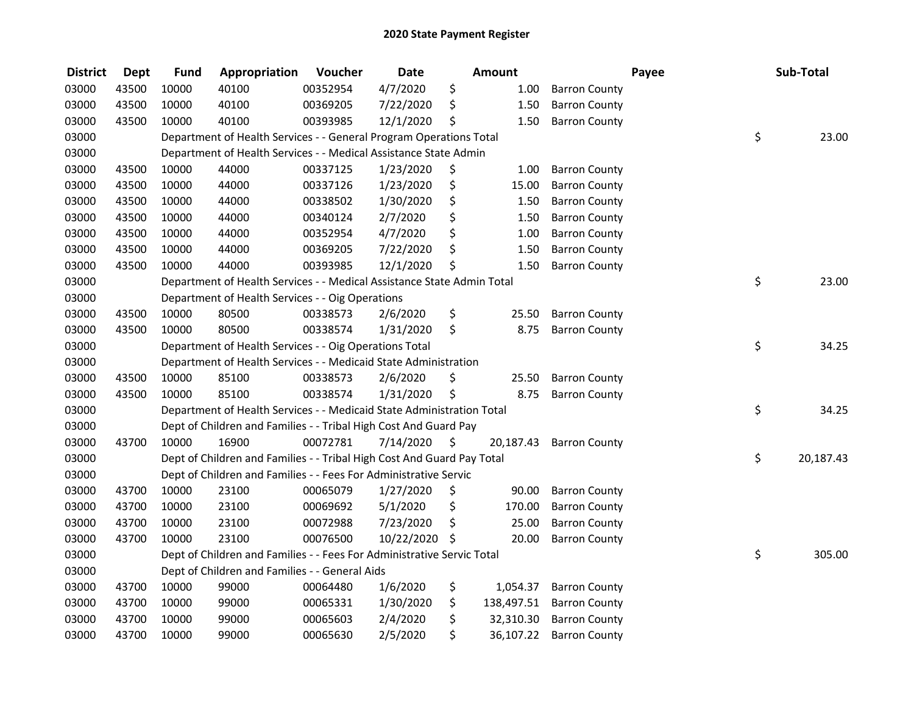| <b>District</b> | <b>Dept</b> | <b>Fund</b> | Appropriation                                                          | Voucher  | <b>Date</b>   |      | <b>Amount</b> |                      | Payee | Sub-Total |
|-----------------|-------------|-------------|------------------------------------------------------------------------|----------|---------------|------|---------------|----------------------|-------|-----------|
| 03000           | 43500       | 10000       | 40100                                                                  | 00352954 | 4/7/2020      | \$   | 1.00          | <b>Barron County</b> |       |           |
| 03000           | 43500       | 10000       | 40100                                                                  | 00369205 | 7/22/2020     | \$   | 1.50          | <b>Barron County</b> |       |           |
| 03000           | 43500       | 10000       | 40100                                                                  | 00393985 | 12/1/2020     | \$   | 1.50          | <b>Barron County</b> |       |           |
| 03000           |             |             | Department of Health Services - - General Program Operations Total     |          |               |      |               |                      | \$    | 23.00     |
| 03000           |             |             | Department of Health Services - - Medical Assistance State Admin       |          |               |      |               |                      |       |           |
| 03000           | 43500       | 10000       | 44000                                                                  | 00337125 | 1/23/2020     | \$   | 1.00          | <b>Barron County</b> |       |           |
| 03000           | 43500       | 10000       | 44000                                                                  | 00337126 | 1/23/2020     | \$   | 15.00         | <b>Barron County</b> |       |           |
| 03000           | 43500       | 10000       | 44000                                                                  | 00338502 | 1/30/2020     | \$   | 1.50          | <b>Barron County</b> |       |           |
| 03000           | 43500       | 10000       | 44000                                                                  | 00340124 | 2/7/2020      | \$   | 1.50          | <b>Barron County</b> |       |           |
| 03000           | 43500       | 10000       | 44000                                                                  | 00352954 | 4/7/2020      | \$   | 1.00          | <b>Barron County</b> |       |           |
| 03000           | 43500       | 10000       | 44000                                                                  | 00369205 | 7/22/2020     | \$   | 1.50          | <b>Barron County</b> |       |           |
| 03000           | 43500       | 10000       | 44000                                                                  | 00393985 | 12/1/2020     | \$   | 1.50          | <b>Barron County</b> |       |           |
| 03000           |             |             | Department of Health Services - - Medical Assistance State Admin Total |          |               |      |               |                      | \$    | 23.00     |
| 03000           |             |             | Department of Health Services - - Oig Operations                       |          |               |      |               |                      |       |           |
| 03000           | 43500       | 10000       | 80500                                                                  | 00338573 | 2/6/2020      | \$   | 25.50         | <b>Barron County</b> |       |           |
| 03000           | 43500       | 10000       | 80500                                                                  | 00338574 | 1/31/2020     | \$   | 8.75          | <b>Barron County</b> |       |           |
| 03000           |             |             | Department of Health Services - - Oig Operations Total                 |          |               |      |               |                      | \$    | 34.25     |
| 03000           |             |             | Department of Health Services - - Medicaid State Administration        |          |               |      |               |                      |       |           |
| 03000           | 43500       | 10000       | 85100                                                                  | 00338573 | 2/6/2020      | \$   | 25.50         | <b>Barron County</b> |       |           |
| 03000           | 43500       | 10000       | 85100                                                                  | 00338574 | 1/31/2020     | \$   | 8.75          | <b>Barron County</b> |       |           |
| 03000           |             |             | Department of Health Services - - Medicaid State Administration Total  |          |               |      |               |                      | \$    | 34.25     |
| 03000           |             |             | Dept of Children and Families - - Tribal High Cost And Guard Pay       |          |               |      |               |                      |       |           |
| 03000           | 43700       | 10000       | 16900                                                                  | 00072781 | 7/14/2020     | - \$ | 20,187.43     | <b>Barron County</b> |       |           |
| 03000           |             |             | Dept of Children and Families - - Tribal High Cost And Guard Pay Total |          |               |      |               |                      | \$    | 20,187.43 |
| 03000           |             |             | Dept of Children and Families - - Fees For Administrative Servic       |          |               |      |               |                      |       |           |
| 03000           | 43700       | 10000       | 23100                                                                  | 00065079 | 1/27/2020     | \$   | 90.00         | <b>Barron County</b> |       |           |
| 03000           | 43700       | 10000       | 23100                                                                  | 00069692 | 5/1/2020      | \$   | 170.00        | <b>Barron County</b> |       |           |
| 03000           | 43700       | 10000       | 23100                                                                  | 00072988 | 7/23/2020     | \$   | 25.00         | <b>Barron County</b> |       |           |
| 03000           | 43700       | 10000       | 23100                                                                  | 00076500 | 10/22/2020 \$ |      | 20.00         | <b>Barron County</b> |       |           |
| 03000           |             |             | Dept of Children and Families - - Fees For Administrative Servic Total |          |               |      |               |                      | \$    | 305.00    |
| 03000           |             |             | Dept of Children and Families - - General Aids                         |          |               |      |               |                      |       |           |
| 03000           | 43700       | 10000       | 99000                                                                  | 00064480 | 1/6/2020      | \$   | 1,054.37      | <b>Barron County</b> |       |           |
| 03000           | 43700       | 10000       | 99000                                                                  | 00065331 | 1/30/2020     | \$   | 138,497.51    | <b>Barron County</b> |       |           |
| 03000           | 43700       | 10000       | 99000                                                                  | 00065603 | 2/4/2020      | \$   | 32,310.30     | <b>Barron County</b> |       |           |
| 03000           | 43700       | 10000       | 99000                                                                  | 00065630 | 2/5/2020      | \$   | 36,107.22     | <b>Barron County</b> |       |           |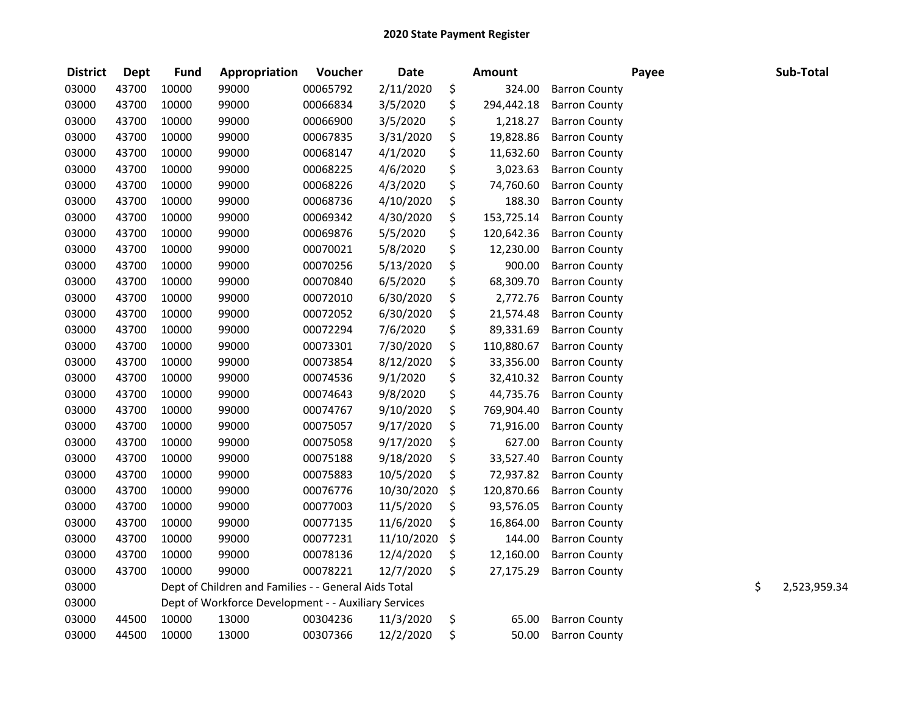| <b>District</b> | <b>Dept</b> | <b>Fund</b> | Appropriation                                        | Voucher  | <b>Date</b> | <b>Amount</b>    |                      | Payee | Sub-Total          |
|-----------------|-------------|-------------|------------------------------------------------------|----------|-------------|------------------|----------------------|-------|--------------------|
| 03000           | 43700       | 10000       | 99000                                                | 00065792 | 2/11/2020   | \$<br>324.00     | <b>Barron County</b> |       |                    |
| 03000           | 43700       | 10000       | 99000                                                | 00066834 | 3/5/2020    | \$<br>294,442.18 | <b>Barron County</b> |       |                    |
| 03000           | 43700       | 10000       | 99000                                                | 00066900 | 3/5/2020    | \$<br>1,218.27   | <b>Barron County</b> |       |                    |
| 03000           | 43700       | 10000       | 99000                                                | 00067835 | 3/31/2020   | \$<br>19,828.86  | <b>Barron County</b> |       |                    |
| 03000           | 43700       | 10000       | 99000                                                | 00068147 | 4/1/2020    | \$<br>11,632.60  | <b>Barron County</b> |       |                    |
| 03000           | 43700       | 10000       | 99000                                                | 00068225 | 4/6/2020    | \$<br>3,023.63   | <b>Barron County</b> |       |                    |
| 03000           | 43700       | 10000       | 99000                                                | 00068226 | 4/3/2020    | \$<br>74,760.60  | <b>Barron County</b> |       |                    |
| 03000           | 43700       | 10000       | 99000                                                | 00068736 | 4/10/2020   | \$<br>188.30     | <b>Barron County</b> |       |                    |
| 03000           | 43700       | 10000       | 99000                                                | 00069342 | 4/30/2020   | \$<br>153,725.14 | <b>Barron County</b> |       |                    |
| 03000           | 43700       | 10000       | 99000                                                | 00069876 | 5/5/2020    | \$<br>120,642.36 | <b>Barron County</b> |       |                    |
| 03000           | 43700       | 10000       | 99000                                                | 00070021 | 5/8/2020    | \$<br>12,230.00  | <b>Barron County</b> |       |                    |
| 03000           | 43700       | 10000       | 99000                                                | 00070256 | 5/13/2020   | \$<br>900.00     | <b>Barron County</b> |       |                    |
| 03000           | 43700       | 10000       | 99000                                                | 00070840 | 6/5/2020    | \$<br>68,309.70  | <b>Barron County</b> |       |                    |
| 03000           | 43700       | 10000       | 99000                                                | 00072010 | 6/30/2020   | \$<br>2,772.76   | <b>Barron County</b> |       |                    |
| 03000           | 43700       | 10000       | 99000                                                | 00072052 | 6/30/2020   | \$<br>21,574.48  | <b>Barron County</b> |       |                    |
| 03000           | 43700       | 10000       | 99000                                                | 00072294 | 7/6/2020    | \$<br>89,331.69  | <b>Barron County</b> |       |                    |
| 03000           | 43700       | 10000       | 99000                                                | 00073301 | 7/30/2020   | \$<br>110,880.67 | <b>Barron County</b> |       |                    |
| 03000           | 43700       | 10000       | 99000                                                | 00073854 | 8/12/2020   | \$<br>33,356.00  | <b>Barron County</b> |       |                    |
| 03000           | 43700       | 10000       | 99000                                                | 00074536 | 9/1/2020    | \$<br>32,410.32  | <b>Barron County</b> |       |                    |
| 03000           | 43700       | 10000       | 99000                                                | 00074643 | 9/8/2020    | \$<br>44,735.76  | <b>Barron County</b> |       |                    |
| 03000           | 43700       | 10000       | 99000                                                | 00074767 | 9/10/2020   | \$<br>769,904.40 | <b>Barron County</b> |       |                    |
| 03000           | 43700       | 10000       | 99000                                                | 00075057 | 9/17/2020   | \$<br>71,916.00  | <b>Barron County</b> |       |                    |
| 03000           | 43700       | 10000       | 99000                                                | 00075058 | 9/17/2020   | \$<br>627.00     | <b>Barron County</b> |       |                    |
| 03000           | 43700       | 10000       | 99000                                                | 00075188 | 9/18/2020   | \$<br>33,527.40  | <b>Barron County</b> |       |                    |
| 03000           | 43700       | 10000       | 99000                                                | 00075883 | 10/5/2020   | \$<br>72,937.82  | <b>Barron County</b> |       |                    |
| 03000           | 43700       | 10000       | 99000                                                | 00076776 | 10/30/2020  | \$<br>120,870.66 | <b>Barron County</b> |       |                    |
| 03000           | 43700       | 10000       | 99000                                                | 00077003 | 11/5/2020   | \$<br>93,576.05  | <b>Barron County</b> |       |                    |
| 03000           | 43700       | 10000       | 99000                                                | 00077135 | 11/6/2020   | \$<br>16,864.00  | <b>Barron County</b> |       |                    |
| 03000           | 43700       | 10000       | 99000                                                | 00077231 | 11/10/2020  | \$<br>144.00     | <b>Barron County</b> |       |                    |
| 03000           | 43700       | 10000       | 99000                                                | 00078136 | 12/4/2020   | \$<br>12,160.00  | <b>Barron County</b> |       |                    |
| 03000           | 43700       | 10000       | 99000                                                | 00078221 | 12/7/2020   | \$<br>27,175.29  | <b>Barron County</b> |       |                    |
| 03000           |             |             | Dept of Children and Families - - General Aids Total |          |             |                  |                      |       | \$<br>2,523,959.34 |
| 03000           |             |             | Dept of Workforce Development - - Auxiliary Services |          |             |                  |                      |       |                    |
| 03000           | 44500       | 10000       | 13000                                                | 00304236 | 11/3/2020   | \$<br>65.00      | <b>Barron County</b> |       |                    |
| 03000           | 44500       | 10000       | 13000                                                | 00307366 | 12/2/2020   | \$<br>50.00      | <b>Barron County</b> |       |                    |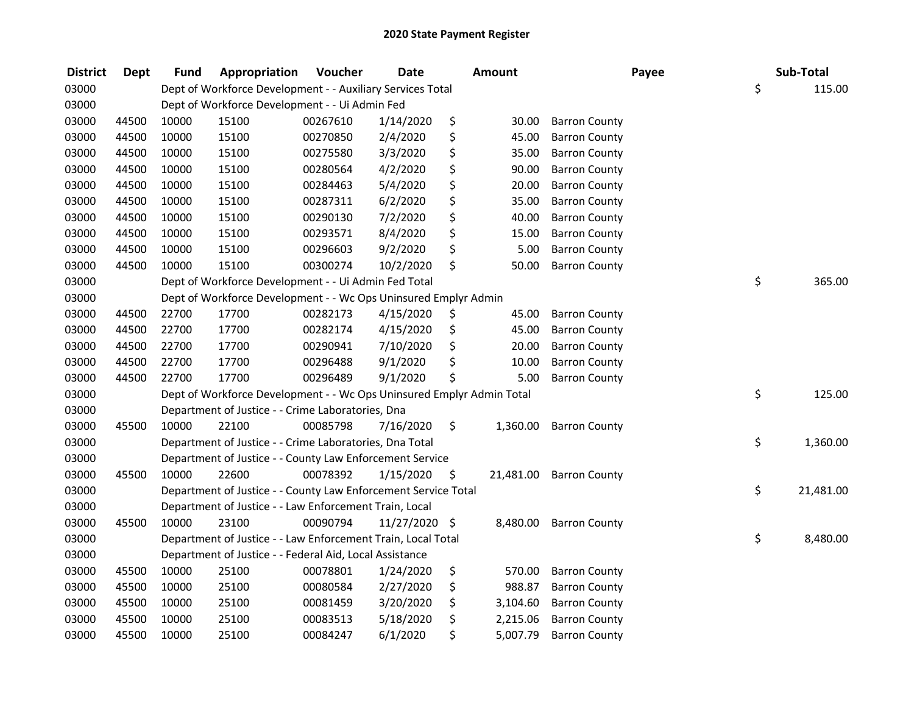| <b>District</b> | <b>Dept</b> | <b>Fund</b> | Appropriation                                                         | Voucher  | <b>Date</b>   |     | <b>Amount</b> |                      | Payee | Sub-Total       |
|-----------------|-------------|-------------|-----------------------------------------------------------------------|----------|---------------|-----|---------------|----------------------|-------|-----------------|
| 03000           |             |             | Dept of Workforce Development - - Auxiliary Services Total            |          |               |     |               |                      |       | \$<br>115.00    |
| 03000           |             |             | Dept of Workforce Development - - Ui Admin Fed                        |          |               |     |               |                      |       |                 |
| 03000           | 44500       | 10000       | 15100                                                                 | 00267610 | 1/14/2020     | \$  | 30.00         | <b>Barron County</b> |       |                 |
| 03000           | 44500       | 10000       | 15100                                                                 | 00270850 | 2/4/2020      | \$  | 45.00         | <b>Barron County</b> |       |                 |
| 03000           | 44500       | 10000       | 15100                                                                 | 00275580 | 3/3/2020      | \$  | 35.00         | <b>Barron County</b> |       |                 |
| 03000           | 44500       | 10000       | 15100                                                                 | 00280564 | 4/2/2020      | \$  | 90.00         | <b>Barron County</b> |       |                 |
| 03000           | 44500       | 10000       | 15100                                                                 | 00284463 | 5/4/2020      | \$  | 20.00         | <b>Barron County</b> |       |                 |
| 03000           | 44500       | 10000       | 15100                                                                 | 00287311 | 6/2/2020      | \$  | 35.00         | <b>Barron County</b> |       |                 |
| 03000           | 44500       | 10000       | 15100                                                                 | 00290130 | 7/2/2020      | \$  | 40.00         | <b>Barron County</b> |       |                 |
| 03000           | 44500       | 10000       | 15100                                                                 | 00293571 | 8/4/2020      | \$  | 15.00         | <b>Barron County</b> |       |                 |
| 03000           | 44500       | 10000       | 15100                                                                 | 00296603 | 9/2/2020      | \$  | 5.00          | <b>Barron County</b> |       |                 |
| 03000           | 44500       | 10000       | 15100                                                                 | 00300274 | 10/2/2020     | \$  | 50.00         | <b>Barron County</b> |       |                 |
| 03000           |             |             | Dept of Workforce Development - - Ui Admin Fed Total                  |          |               |     |               |                      |       | \$<br>365.00    |
| 03000           |             |             | Dept of Workforce Development - - Wc Ops Uninsured Emplyr Admin       |          |               |     |               |                      |       |                 |
| 03000           | 44500       | 22700       | 17700                                                                 | 00282173 | 4/15/2020     | \$  | 45.00         | <b>Barron County</b> |       |                 |
| 03000           | 44500       | 22700       | 17700                                                                 | 00282174 | 4/15/2020     | \$  | 45.00         | <b>Barron County</b> |       |                 |
| 03000           | 44500       | 22700       | 17700                                                                 | 00290941 | 7/10/2020     | \$  | 20.00         | <b>Barron County</b> |       |                 |
| 03000           | 44500       | 22700       | 17700                                                                 | 00296488 | 9/1/2020      | \$  | 10.00         | <b>Barron County</b> |       |                 |
| 03000           | 44500       | 22700       | 17700                                                                 | 00296489 | 9/1/2020      | Ś   | 5.00          | <b>Barron County</b> |       |                 |
| 03000           |             |             | Dept of Workforce Development - - Wc Ops Uninsured Emplyr Admin Total |          |               |     |               |                      |       | \$<br>125.00    |
| 03000           |             |             | Department of Justice - - Crime Laboratories, Dna                     |          |               |     |               |                      |       |                 |
| 03000           | 45500       | 10000       | 22100                                                                 | 00085798 | 7/16/2020     | \$  | 1,360.00      | <b>Barron County</b> |       |                 |
| 03000           |             |             | Department of Justice - - Crime Laboratories, Dna Total               |          |               |     |               |                      |       | \$<br>1,360.00  |
| 03000           |             |             | Department of Justice - - County Law Enforcement Service              |          |               |     |               |                      |       |                 |
| 03000           | 45500       | 10000       | 22600                                                                 | 00078392 | 1/15/2020     | -\$ | 21,481.00     | <b>Barron County</b> |       |                 |
| 03000           |             |             | Department of Justice - - County Law Enforcement Service Total        |          |               |     |               |                      |       | \$<br>21,481.00 |
| 03000           |             |             | Department of Justice - - Law Enforcement Train, Local                |          |               |     |               |                      |       |                 |
| 03000           | 45500       | 10000       | 23100                                                                 | 00090794 | 11/27/2020 \$ |     | 8,480.00      | <b>Barron County</b> |       |                 |
| 03000           |             |             | Department of Justice - - Law Enforcement Train, Local Total          |          |               |     |               |                      |       | \$<br>8,480.00  |
| 03000           |             |             | Department of Justice - - Federal Aid, Local Assistance               |          |               |     |               |                      |       |                 |
| 03000           | 45500       | 10000       | 25100                                                                 | 00078801 | 1/24/2020     | \$  | 570.00        | <b>Barron County</b> |       |                 |
| 03000           | 45500       | 10000       | 25100                                                                 | 00080584 | 2/27/2020     | \$  | 988.87        | <b>Barron County</b> |       |                 |
| 03000           | 45500       | 10000       | 25100                                                                 | 00081459 | 3/20/2020     | \$  | 3,104.60      | <b>Barron County</b> |       |                 |
| 03000           | 45500       | 10000       | 25100                                                                 | 00083513 | 5/18/2020     | \$  | 2,215.06      | <b>Barron County</b> |       |                 |
| 03000           | 45500       | 10000       | 25100                                                                 | 00084247 | 6/1/2020      | \$  | 5,007.79      | <b>Barron County</b> |       |                 |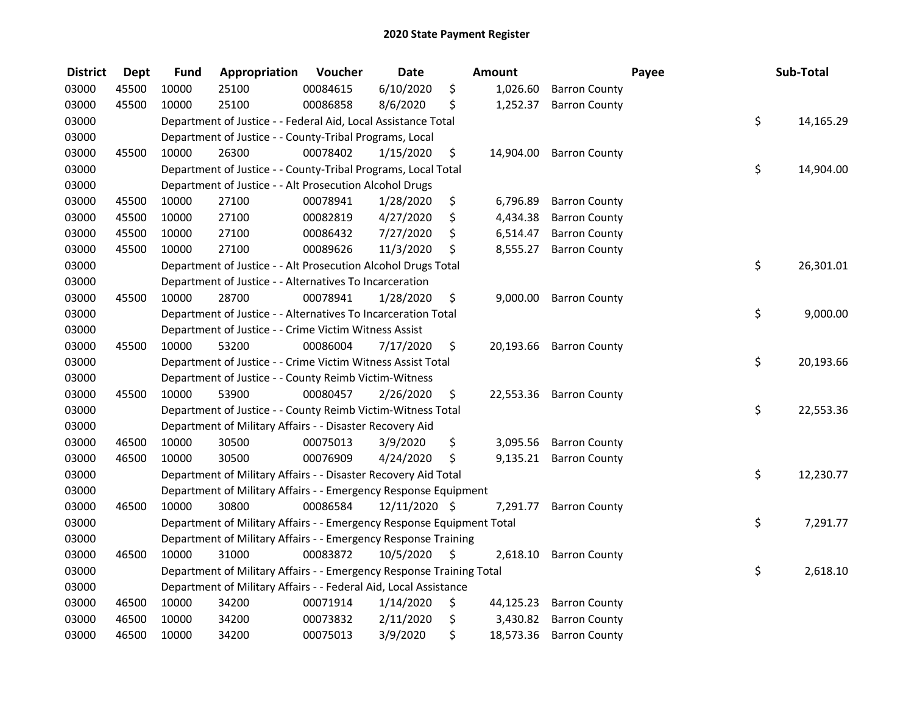| <b>District</b> | <b>Dept</b> | <b>Fund</b> | Appropriation                                                         | Voucher  | <b>Date</b>   | <b>Amount</b>   |                      | Payee | Sub-Total       |
|-----------------|-------------|-------------|-----------------------------------------------------------------------|----------|---------------|-----------------|----------------------|-------|-----------------|
| 03000           | 45500       | 10000       | 25100                                                                 | 00084615 | 6/10/2020     | \$<br>1,026.60  | <b>Barron County</b> |       |                 |
| 03000           | 45500       | 10000       | 25100                                                                 | 00086858 | 8/6/2020      | \$<br>1,252.37  | <b>Barron County</b> |       |                 |
| 03000           |             |             | Department of Justice - - Federal Aid, Local Assistance Total         |          |               |                 |                      |       | \$<br>14,165.29 |
| 03000           |             |             | Department of Justice - - County-Tribal Programs, Local               |          |               |                 |                      |       |                 |
| 03000           | 45500       | 10000       | 26300                                                                 | 00078402 | 1/15/2020     | \$<br>14,904.00 | <b>Barron County</b> |       |                 |
| 03000           |             |             | Department of Justice - - County-Tribal Programs, Local Total         |          |               |                 |                      |       | \$<br>14,904.00 |
| 03000           |             |             | Department of Justice - - Alt Prosecution Alcohol Drugs               |          |               |                 |                      |       |                 |
| 03000           | 45500       | 10000       | 27100                                                                 | 00078941 | 1/28/2020     | \$<br>6,796.89  | <b>Barron County</b> |       |                 |
| 03000           | 45500       | 10000       | 27100                                                                 | 00082819 | 4/27/2020     | \$<br>4,434.38  | <b>Barron County</b> |       |                 |
| 03000           | 45500       | 10000       | 27100                                                                 | 00086432 | 7/27/2020     | \$<br>6,514.47  | <b>Barron County</b> |       |                 |
| 03000           | 45500       | 10000       | 27100                                                                 | 00089626 | 11/3/2020     | \$<br>8,555.27  | <b>Barron County</b> |       |                 |
| 03000           |             |             | Department of Justice - - Alt Prosecution Alcohol Drugs Total         |          |               |                 |                      |       | \$<br>26,301.01 |
| 03000           |             |             | Department of Justice - - Alternatives To Incarceration               |          |               |                 |                      |       |                 |
| 03000           | 45500       | 10000       | 28700                                                                 | 00078941 | 1/28/2020     | \$<br>9,000.00  | <b>Barron County</b> |       |                 |
| 03000           |             |             | Department of Justice - - Alternatives To Incarceration Total         |          |               |                 |                      |       | \$<br>9,000.00  |
| 03000           |             |             | Department of Justice - - Crime Victim Witness Assist                 |          |               |                 |                      |       |                 |
| 03000           | 45500       | 10000       | 53200                                                                 | 00086004 | 7/17/2020     | \$<br>20,193.66 | <b>Barron County</b> |       |                 |
| 03000           |             |             | Department of Justice - - Crime Victim Witness Assist Total           |          |               |                 |                      |       | \$<br>20,193.66 |
| 03000           |             |             | Department of Justice - - County Reimb Victim-Witness                 |          |               |                 |                      |       |                 |
| 03000           | 45500       | 10000       | 53900                                                                 | 00080457 | 2/26/2020     | \$<br>22,553.36 | <b>Barron County</b> |       |                 |
| 03000           |             |             | Department of Justice - - County Reimb Victim-Witness Total           |          |               |                 |                      |       | \$<br>22,553.36 |
| 03000           |             |             | Department of Military Affairs - - Disaster Recovery Aid              |          |               |                 |                      |       |                 |
| 03000           | 46500       | 10000       | 30500                                                                 | 00075013 | 3/9/2020      | \$<br>3,095.56  | <b>Barron County</b> |       |                 |
| 03000           | 46500       | 10000       | 30500                                                                 | 00076909 | 4/24/2020     | \$<br>9,135.21  | <b>Barron County</b> |       |                 |
| 03000           |             |             | Department of Military Affairs - - Disaster Recovery Aid Total        |          |               |                 |                      |       | \$<br>12,230.77 |
| 03000           |             |             | Department of Military Affairs - - Emergency Response Equipment       |          |               |                 |                      |       |                 |
| 03000           | 46500       | 10000       | 30800                                                                 | 00086584 | 12/11/2020 \$ | 7,291.77        | <b>Barron County</b> |       |                 |
| 03000           |             |             | Department of Military Affairs - - Emergency Response Equipment Total |          |               |                 |                      |       | \$<br>7,291.77  |
| 03000           |             |             | Department of Military Affairs - - Emergency Response Training        |          |               |                 |                      |       |                 |
| 03000           | 46500       | 10000       | 31000                                                                 | 00083872 | 10/5/2020     | \$<br>2,618.10  | <b>Barron County</b> |       |                 |
| 03000           |             |             | Department of Military Affairs - - Emergency Response Training Total  |          |               |                 |                      |       | \$<br>2,618.10  |
| 03000           |             |             | Department of Military Affairs - - Federal Aid, Local Assistance      |          |               |                 |                      |       |                 |
| 03000           | 46500       | 10000       | 34200                                                                 | 00071914 | 1/14/2020     | \$<br>44,125.23 | <b>Barron County</b> |       |                 |
| 03000           | 46500       | 10000       | 34200                                                                 | 00073832 | 2/11/2020     | \$<br>3,430.82  | <b>Barron County</b> |       |                 |
| 03000           | 46500       | 10000       | 34200                                                                 | 00075013 | 3/9/2020      | \$<br>18,573.36 | <b>Barron County</b> |       |                 |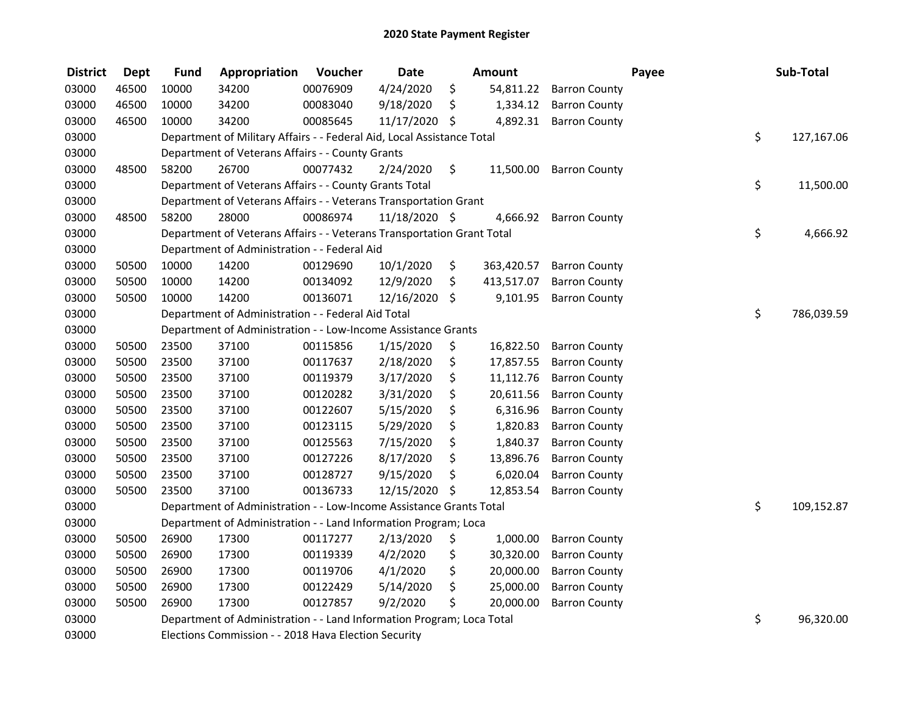| <b>District</b> | <b>Dept</b> | <b>Fund</b> | Appropriation                                                          | Voucher  | <b>Date</b>   | <b>Amount</b>    |                      | Payee | Sub-Total        |
|-----------------|-------------|-------------|------------------------------------------------------------------------|----------|---------------|------------------|----------------------|-------|------------------|
| 03000           | 46500       | 10000       | 34200                                                                  | 00076909 | 4/24/2020     | \$<br>54,811.22  | <b>Barron County</b> |       |                  |
| 03000           | 46500       | 10000       | 34200                                                                  | 00083040 | 9/18/2020     | \$<br>1,334.12   | <b>Barron County</b> |       |                  |
| 03000           | 46500       | 10000       | 34200                                                                  | 00085645 | 11/17/2020 \$ | 4,892.31         | <b>Barron County</b> |       |                  |
| 03000           |             |             | Department of Military Affairs - - Federal Aid, Local Assistance Total |          |               |                  |                      |       | \$<br>127,167.06 |
| 03000           |             |             | Department of Veterans Affairs - - County Grants                       |          |               |                  |                      |       |                  |
| 03000           | 48500       | 58200       | 26700                                                                  | 00077432 | 2/24/2020     | \$<br>11,500.00  | <b>Barron County</b> |       |                  |
| 03000           |             |             | Department of Veterans Affairs - - County Grants Total                 |          |               |                  |                      |       | \$<br>11,500.00  |
| 03000           |             |             | Department of Veterans Affairs - - Veterans Transportation Grant       |          |               |                  |                      |       |                  |
| 03000           | 48500       | 58200       | 28000                                                                  | 00086974 | 11/18/2020 \$ | 4,666.92         | <b>Barron County</b> |       |                  |
| 03000           |             |             | Department of Veterans Affairs - - Veterans Transportation Grant Total |          |               |                  |                      |       | \$<br>4,666.92   |
| 03000           |             |             | Department of Administration - - Federal Aid                           |          |               |                  |                      |       |                  |
| 03000           | 50500       | 10000       | 14200                                                                  | 00129690 | 10/1/2020     | \$<br>363,420.57 | <b>Barron County</b> |       |                  |
| 03000           | 50500       | 10000       | 14200                                                                  | 00134092 | 12/9/2020     | \$<br>413,517.07 | <b>Barron County</b> |       |                  |
| 03000           | 50500       | 10000       | 14200                                                                  | 00136071 | 12/16/2020    | \$<br>9,101.95   | <b>Barron County</b> |       |                  |
| 03000           |             |             | Department of Administration - - Federal Aid Total                     |          |               |                  |                      |       | \$<br>786,039.59 |
| 03000           |             |             | Department of Administration - - Low-Income Assistance Grants          |          |               |                  |                      |       |                  |
| 03000           | 50500       | 23500       | 37100                                                                  | 00115856 | 1/15/2020     | \$<br>16,822.50  | <b>Barron County</b> |       |                  |
| 03000           | 50500       | 23500       | 37100                                                                  | 00117637 | 2/18/2020     | \$<br>17,857.55  | <b>Barron County</b> |       |                  |
| 03000           | 50500       | 23500       | 37100                                                                  | 00119379 | 3/17/2020     | \$<br>11,112.76  | <b>Barron County</b> |       |                  |
| 03000           | 50500       | 23500       | 37100                                                                  | 00120282 | 3/31/2020     | \$<br>20,611.56  | <b>Barron County</b> |       |                  |
| 03000           | 50500       | 23500       | 37100                                                                  | 00122607 | 5/15/2020     | \$<br>6,316.96   | <b>Barron County</b> |       |                  |
| 03000           | 50500       | 23500       | 37100                                                                  | 00123115 | 5/29/2020     | \$<br>1,820.83   | <b>Barron County</b> |       |                  |
| 03000           | 50500       | 23500       | 37100                                                                  | 00125563 | 7/15/2020     | \$<br>1,840.37   | <b>Barron County</b> |       |                  |
| 03000           | 50500       | 23500       | 37100                                                                  | 00127226 | 8/17/2020     | \$<br>13,896.76  | <b>Barron County</b> |       |                  |
| 03000           | 50500       | 23500       | 37100                                                                  | 00128727 | 9/15/2020     | \$<br>6,020.04   | <b>Barron County</b> |       |                  |
| 03000           | 50500       | 23500       | 37100                                                                  | 00136733 | 12/15/2020    | \$<br>12,853.54  | <b>Barron County</b> |       |                  |
| 03000           |             |             | Department of Administration - - Low-Income Assistance Grants Total    |          |               |                  |                      |       | \$<br>109,152.87 |
| 03000           |             |             | Department of Administration - - Land Information Program; Loca        |          |               |                  |                      |       |                  |
| 03000           | 50500       | 26900       | 17300                                                                  | 00117277 | 2/13/2020     | \$<br>1,000.00   | <b>Barron County</b> |       |                  |
| 03000           | 50500       | 26900       | 17300                                                                  | 00119339 | 4/2/2020      | \$<br>30,320.00  | <b>Barron County</b> |       |                  |
| 03000           | 50500       | 26900       | 17300                                                                  | 00119706 | 4/1/2020      | \$<br>20,000.00  | <b>Barron County</b> |       |                  |
| 03000           | 50500       | 26900       | 17300                                                                  | 00122429 | 5/14/2020     | \$<br>25,000.00  | <b>Barron County</b> |       |                  |
| 03000           | 50500       | 26900       | 17300                                                                  | 00127857 | 9/2/2020      | \$<br>20,000.00  | <b>Barron County</b> |       |                  |
| 03000           |             |             | Department of Administration - - Land Information Program; Loca Total  |          |               |                  |                      |       | \$<br>96,320.00  |
| 03000           |             |             | Elections Commission - - 2018 Hava Election Security                   |          |               |                  |                      |       |                  |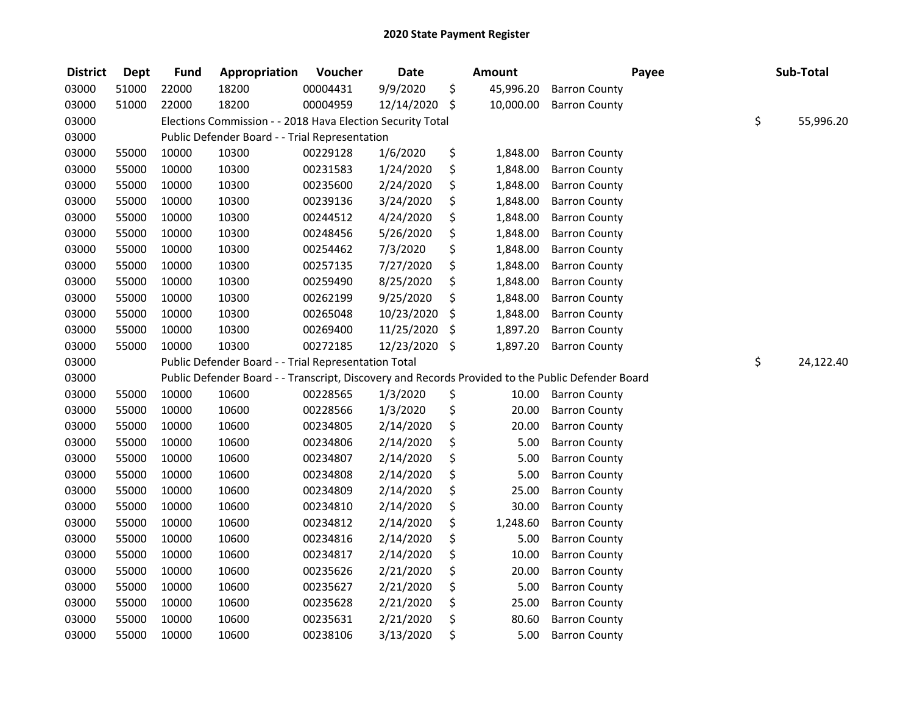| <b>District</b> | <b>Dept</b> | <b>Fund</b> | Appropriation                                              | Voucher  | <b>Date</b> | <b>Amount</b>   |                                                                                                   | Payee | Sub-Total       |
|-----------------|-------------|-------------|------------------------------------------------------------|----------|-------------|-----------------|---------------------------------------------------------------------------------------------------|-------|-----------------|
| 03000           | 51000       | 22000       | 18200                                                      | 00004431 | 9/9/2020    | \$<br>45,996.20 | <b>Barron County</b>                                                                              |       |                 |
| 03000           | 51000       | 22000       | 18200                                                      | 00004959 | 12/14/2020  | \$<br>10,000.00 | <b>Barron County</b>                                                                              |       |                 |
| 03000           |             |             | Elections Commission - - 2018 Hava Election Security Total |          |             |                 |                                                                                                   |       | \$<br>55,996.20 |
| 03000           |             |             | Public Defender Board - - Trial Representation             |          |             |                 |                                                                                                   |       |                 |
| 03000           | 55000       | 10000       | 10300                                                      | 00229128 | 1/6/2020    | \$<br>1,848.00  | <b>Barron County</b>                                                                              |       |                 |
| 03000           | 55000       | 10000       | 10300                                                      | 00231583 | 1/24/2020   | \$<br>1,848.00  | <b>Barron County</b>                                                                              |       |                 |
| 03000           | 55000       | 10000       | 10300                                                      | 00235600 | 2/24/2020   | \$<br>1,848.00  | <b>Barron County</b>                                                                              |       |                 |
| 03000           | 55000       | 10000       | 10300                                                      | 00239136 | 3/24/2020   | \$<br>1,848.00  | <b>Barron County</b>                                                                              |       |                 |
| 03000           | 55000       | 10000       | 10300                                                      | 00244512 | 4/24/2020   | \$<br>1,848.00  | <b>Barron County</b>                                                                              |       |                 |
| 03000           | 55000       | 10000       | 10300                                                      | 00248456 | 5/26/2020   | \$<br>1,848.00  | <b>Barron County</b>                                                                              |       |                 |
| 03000           | 55000       | 10000       | 10300                                                      | 00254462 | 7/3/2020    | \$<br>1,848.00  | <b>Barron County</b>                                                                              |       |                 |
| 03000           | 55000       | 10000       | 10300                                                      | 00257135 | 7/27/2020   | \$<br>1,848.00  | <b>Barron County</b>                                                                              |       |                 |
| 03000           | 55000       | 10000       | 10300                                                      | 00259490 | 8/25/2020   | \$<br>1,848.00  | <b>Barron County</b>                                                                              |       |                 |
| 03000           | 55000       | 10000       | 10300                                                      | 00262199 | 9/25/2020   | \$<br>1,848.00  | <b>Barron County</b>                                                                              |       |                 |
| 03000           | 55000       | 10000       | 10300                                                      | 00265048 | 10/23/2020  | \$<br>1,848.00  | <b>Barron County</b>                                                                              |       |                 |
| 03000           | 55000       | 10000       | 10300                                                      | 00269400 | 11/25/2020  | \$<br>1,897.20  | <b>Barron County</b>                                                                              |       |                 |
| 03000           | 55000       | 10000       | 10300                                                      | 00272185 | 12/23/2020  | \$<br>1,897.20  | <b>Barron County</b>                                                                              |       |                 |
| 03000           |             |             | Public Defender Board - - Trial Representation Total       |          |             |                 |                                                                                                   |       | \$<br>24,122.40 |
| 03000           |             |             |                                                            |          |             |                 | Public Defender Board - - Transcript, Discovery and Records Provided to the Public Defender Board |       |                 |
| 03000           | 55000       | 10000       | 10600                                                      | 00228565 | 1/3/2020    | \$<br>10.00     | <b>Barron County</b>                                                                              |       |                 |
| 03000           | 55000       | 10000       | 10600                                                      | 00228566 | 1/3/2020    | \$<br>20.00     | <b>Barron County</b>                                                                              |       |                 |
| 03000           | 55000       | 10000       | 10600                                                      | 00234805 | 2/14/2020   | \$<br>20.00     | <b>Barron County</b>                                                                              |       |                 |
| 03000           | 55000       | 10000       | 10600                                                      | 00234806 | 2/14/2020   | \$<br>5.00      | <b>Barron County</b>                                                                              |       |                 |
| 03000           | 55000       | 10000       | 10600                                                      | 00234807 | 2/14/2020   | \$<br>5.00      | <b>Barron County</b>                                                                              |       |                 |
| 03000           | 55000       | 10000       | 10600                                                      | 00234808 | 2/14/2020   | \$<br>5.00      | <b>Barron County</b>                                                                              |       |                 |
| 03000           | 55000       | 10000       | 10600                                                      | 00234809 | 2/14/2020   | \$<br>25.00     | <b>Barron County</b>                                                                              |       |                 |
| 03000           | 55000       | 10000       | 10600                                                      | 00234810 | 2/14/2020   | \$<br>30.00     | <b>Barron County</b>                                                                              |       |                 |
| 03000           | 55000       | 10000       | 10600                                                      | 00234812 | 2/14/2020   | \$<br>1,248.60  | <b>Barron County</b>                                                                              |       |                 |
| 03000           | 55000       | 10000       | 10600                                                      | 00234816 | 2/14/2020   | \$<br>5.00      | <b>Barron County</b>                                                                              |       |                 |
| 03000           | 55000       | 10000       | 10600                                                      | 00234817 | 2/14/2020   | \$<br>10.00     | <b>Barron County</b>                                                                              |       |                 |
| 03000           | 55000       | 10000       | 10600                                                      | 00235626 | 2/21/2020   | \$<br>20.00     | <b>Barron County</b>                                                                              |       |                 |
| 03000           | 55000       | 10000       | 10600                                                      | 00235627 | 2/21/2020   | \$<br>5.00      | <b>Barron County</b>                                                                              |       |                 |
| 03000           | 55000       | 10000       | 10600                                                      | 00235628 | 2/21/2020   | \$<br>25.00     | <b>Barron County</b>                                                                              |       |                 |
| 03000           | 55000       | 10000       | 10600                                                      | 00235631 | 2/21/2020   | \$<br>80.60     | <b>Barron County</b>                                                                              |       |                 |
| 03000           | 55000       | 10000       | 10600                                                      | 00238106 | 3/13/2020   | \$<br>5.00      | <b>Barron County</b>                                                                              |       |                 |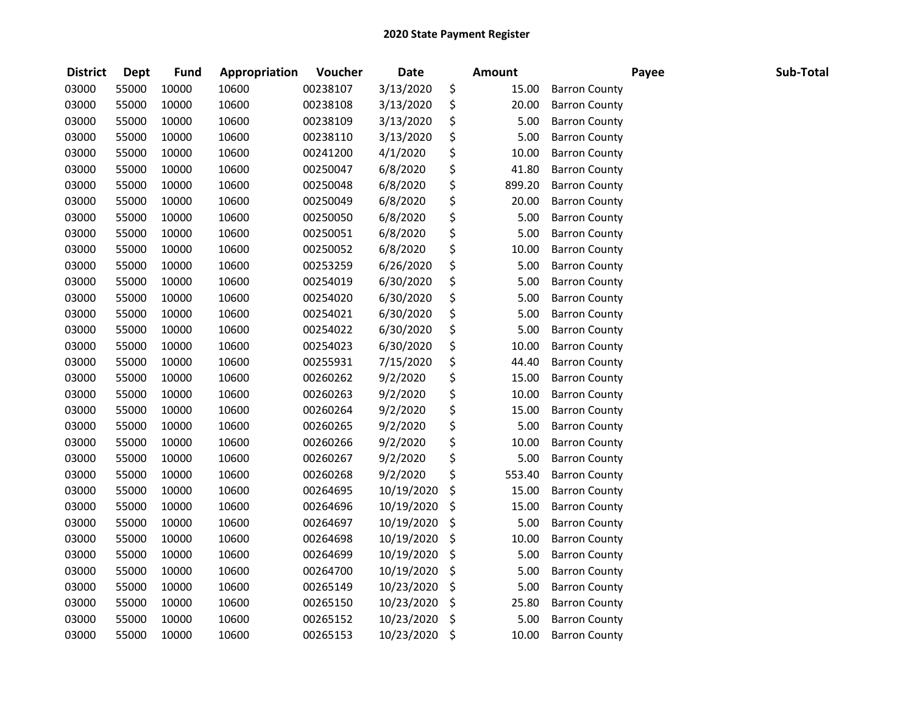| <b>District</b> | <b>Dept</b> | <b>Fund</b> | Appropriation | Voucher  | <b>Date</b> | <b>Amount</b> |                      | Payee | Sub-Total |
|-----------------|-------------|-------------|---------------|----------|-------------|---------------|----------------------|-------|-----------|
| 03000           | 55000       | 10000       | 10600         | 00238107 | 3/13/2020   | \$<br>15.00   | <b>Barron County</b> |       |           |
| 03000           | 55000       | 10000       | 10600         | 00238108 | 3/13/2020   | \$<br>20.00   | <b>Barron County</b> |       |           |
| 03000           | 55000       | 10000       | 10600         | 00238109 | 3/13/2020   | \$<br>5.00    | <b>Barron County</b> |       |           |
| 03000           | 55000       | 10000       | 10600         | 00238110 | 3/13/2020   | \$<br>5.00    | <b>Barron County</b> |       |           |
| 03000           | 55000       | 10000       | 10600         | 00241200 | 4/1/2020    | \$<br>10.00   | <b>Barron County</b> |       |           |
| 03000           | 55000       | 10000       | 10600         | 00250047 | 6/8/2020    | \$<br>41.80   | <b>Barron County</b> |       |           |
| 03000           | 55000       | 10000       | 10600         | 00250048 | 6/8/2020    | \$<br>899.20  | <b>Barron County</b> |       |           |
| 03000           | 55000       | 10000       | 10600         | 00250049 | 6/8/2020    | \$<br>20.00   | <b>Barron County</b> |       |           |
| 03000           | 55000       | 10000       | 10600         | 00250050 | 6/8/2020    | \$<br>5.00    | <b>Barron County</b> |       |           |
| 03000           | 55000       | 10000       | 10600         | 00250051 | 6/8/2020    | \$<br>5.00    | <b>Barron County</b> |       |           |
| 03000           | 55000       | 10000       | 10600         | 00250052 | 6/8/2020    | \$<br>10.00   | <b>Barron County</b> |       |           |
| 03000           | 55000       | 10000       | 10600         | 00253259 | 6/26/2020   | \$<br>5.00    | <b>Barron County</b> |       |           |
| 03000           | 55000       | 10000       | 10600         | 00254019 | 6/30/2020   | \$<br>5.00    | <b>Barron County</b> |       |           |
| 03000           | 55000       | 10000       | 10600         | 00254020 | 6/30/2020   | \$<br>5.00    | <b>Barron County</b> |       |           |
| 03000           | 55000       | 10000       | 10600         | 00254021 | 6/30/2020   | \$<br>5.00    | <b>Barron County</b> |       |           |
| 03000           | 55000       | 10000       | 10600         | 00254022 | 6/30/2020   | \$<br>5.00    | <b>Barron County</b> |       |           |
| 03000           | 55000       | 10000       | 10600         | 00254023 | 6/30/2020   | \$<br>10.00   | <b>Barron County</b> |       |           |
| 03000           | 55000       | 10000       | 10600         | 00255931 | 7/15/2020   | \$<br>44.40   | <b>Barron County</b> |       |           |
| 03000           | 55000       | 10000       | 10600         | 00260262 | 9/2/2020    | \$<br>15.00   | <b>Barron County</b> |       |           |
| 03000           | 55000       | 10000       | 10600         | 00260263 | 9/2/2020    | \$<br>10.00   | <b>Barron County</b> |       |           |
| 03000           | 55000       | 10000       | 10600         | 00260264 | 9/2/2020    | \$<br>15.00   | <b>Barron County</b> |       |           |
| 03000           | 55000       | 10000       | 10600         | 00260265 | 9/2/2020    | \$<br>5.00    | <b>Barron County</b> |       |           |
| 03000           | 55000       | 10000       | 10600         | 00260266 | 9/2/2020    | \$<br>10.00   | <b>Barron County</b> |       |           |
| 03000           | 55000       | 10000       | 10600         | 00260267 | 9/2/2020    | \$<br>5.00    | <b>Barron County</b> |       |           |
| 03000           | 55000       | 10000       | 10600         | 00260268 | 9/2/2020    | \$<br>553.40  | <b>Barron County</b> |       |           |
| 03000           | 55000       | 10000       | 10600         | 00264695 | 10/19/2020  | \$<br>15.00   | <b>Barron County</b> |       |           |
| 03000           | 55000       | 10000       | 10600         | 00264696 | 10/19/2020  | \$<br>15.00   | <b>Barron County</b> |       |           |
| 03000           | 55000       | 10000       | 10600         | 00264697 | 10/19/2020  | \$<br>5.00    | <b>Barron County</b> |       |           |
| 03000           | 55000       | 10000       | 10600         | 00264698 | 10/19/2020  | \$<br>10.00   | <b>Barron County</b> |       |           |
| 03000           | 55000       | 10000       | 10600         | 00264699 | 10/19/2020  | \$<br>5.00    | <b>Barron County</b> |       |           |
| 03000           | 55000       | 10000       | 10600         | 00264700 | 10/19/2020  | \$<br>5.00    | <b>Barron County</b> |       |           |
| 03000           | 55000       | 10000       | 10600         | 00265149 | 10/23/2020  | \$<br>5.00    | <b>Barron County</b> |       |           |
| 03000           | 55000       | 10000       | 10600         | 00265150 | 10/23/2020  | \$<br>25.80   | <b>Barron County</b> |       |           |
| 03000           | 55000       | 10000       | 10600         | 00265152 | 10/23/2020  | \$<br>5.00    | <b>Barron County</b> |       |           |
| 03000           | 55000       | 10000       | 10600         | 00265153 | 10/23/2020  | \$<br>10.00   | <b>Barron County</b> |       |           |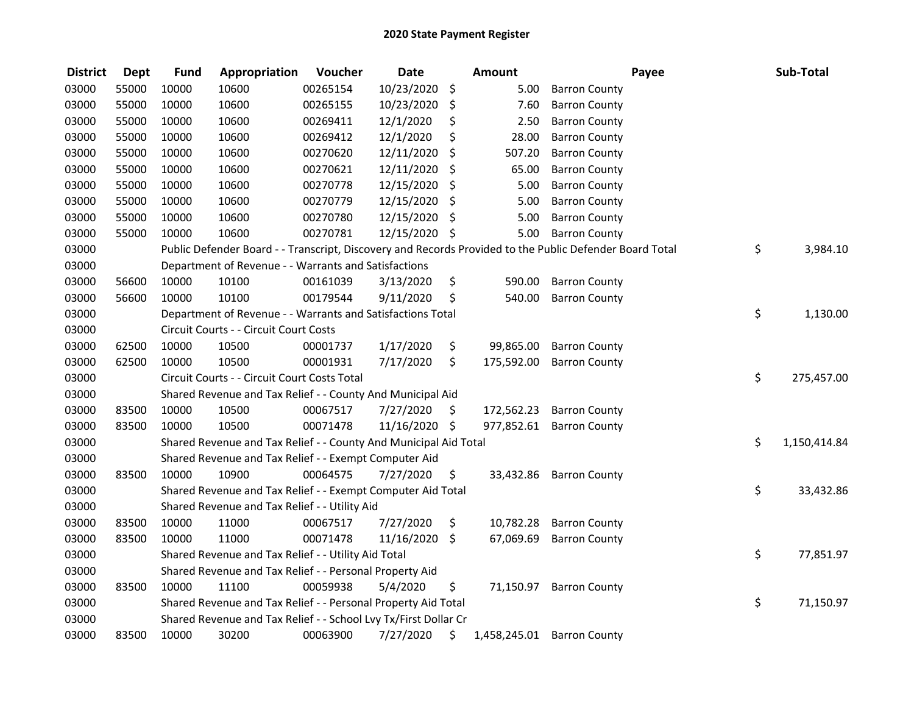| <b>District</b> | <b>Dept</b> | <b>Fund</b> | Appropriation                                                    | Voucher  | <b>Date</b>   |                     | <b>Amount</b> |                                                                                                         | Payee | Sub-Total          |
|-----------------|-------------|-------------|------------------------------------------------------------------|----------|---------------|---------------------|---------------|---------------------------------------------------------------------------------------------------------|-------|--------------------|
| 03000           | 55000       | 10000       | 10600                                                            | 00265154 | 10/23/2020    | \$                  | 5.00          | <b>Barron County</b>                                                                                    |       |                    |
| 03000           | 55000       | 10000       | 10600                                                            | 00265155 | 10/23/2020    | \$                  | 7.60          | <b>Barron County</b>                                                                                    |       |                    |
| 03000           | 55000       | 10000       | 10600                                                            | 00269411 | 12/1/2020     | \$                  | 2.50          | <b>Barron County</b>                                                                                    |       |                    |
| 03000           | 55000       | 10000       | 10600                                                            | 00269412 | 12/1/2020     | \$                  | 28.00         | <b>Barron County</b>                                                                                    |       |                    |
| 03000           | 55000       | 10000       | 10600                                                            | 00270620 | 12/11/2020    | \$                  | 507.20        | <b>Barron County</b>                                                                                    |       |                    |
| 03000           | 55000       | 10000       | 10600                                                            | 00270621 | 12/11/2020    | \$                  | 65.00         | <b>Barron County</b>                                                                                    |       |                    |
| 03000           | 55000       | 10000       | 10600                                                            | 00270778 | 12/15/2020    | \$                  | 5.00          | <b>Barron County</b>                                                                                    |       |                    |
| 03000           | 55000       | 10000       | 10600                                                            | 00270779 | 12/15/2020    | \$                  | 5.00          | <b>Barron County</b>                                                                                    |       |                    |
| 03000           | 55000       | 10000       | 10600                                                            | 00270780 | 12/15/2020    | \$                  | 5.00          | <b>Barron County</b>                                                                                    |       |                    |
| 03000           | 55000       | 10000       | 10600                                                            | 00270781 | 12/15/2020 \$ |                     | 5.00          | <b>Barron County</b>                                                                                    |       |                    |
| 03000           |             |             |                                                                  |          |               |                     |               | Public Defender Board - - Transcript, Discovery and Records Provided to the Public Defender Board Total |       | \$<br>3,984.10     |
| 03000           |             |             | Department of Revenue - - Warrants and Satisfactions             |          |               |                     |               |                                                                                                         |       |                    |
| 03000           | 56600       | 10000       | 10100                                                            | 00161039 | 3/13/2020     | \$                  | 590.00        | <b>Barron County</b>                                                                                    |       |                    |
| 03000           | 56600       | 10000       | 10100                                                            | 00179544 | 9/11/2020     | \$                  | 540.00        | <b>Barron County</b>                                                                                    |       |                    |
| 03000           |             |             | Department of Revenue - - Warrants and Satisfactions Total       |          |               |                     |               |                                                                                                         |       | \$<br>1,130.00     |
| 03000           |             |             | Circuit Courts - - Circuit Court Costs                           |          |               |                     |               |                                                                                                         |       |                    |
| 03000           | 62500       | 10000       | 10500                                                            | 00001737 | 1/17/2020     | \$                  | 99,865.00     | <b>Barron County</b>                                                                                    |       |                    |
| 03000           | 62500       | 10000       | 10500                                                            | 00001931 | 7/17/2020     | \$                  | 175,592.00    | <b>Barron County</b>                                                                                    |       |                    |
| 03000           |             |             | Circuit Courts - - Circuit Court Costs Total                     |          |               |                     |               |                                                                                                         |       | \$<br>275,457.00   |
| 03000           |             |             | Shared Revenue and Tax Relief - - County And Municipal Aid       |          |               |                     |               |                                                                                                         |       |                    |
| 03000           | 83500       | 10000       | 10500                                                            | 00067517 | 7/27/2020     | \$                  | 172,562.23    | <b>Barron County</b>                                                                                    |       |                    |
| 03000           | 83500       | 10000       | 10500                                                            | 00071478 | 11/16/2020 \$ |                     | 977,852.61    | <b>Barron County</b>                                                                                    |       |                    |
| 03000           |             |             | Shared Revenue and Tax Relief - - County And Municipal Aid Total |          |               |                     |               |                                                                                                         |       | \$<br>1,150,414.84 |
| 03000           |             |             | Shared Revenue and Tax Relief - - Exempt Computer Aid            |          |               |                     |               |                                                                                                         |       |                    |
| 03000           | 83500       | 10000       | 10900                                                            | 00064575 | 7/27/2020     | \$.                 | 33,432.86     | <b>Barron County</b>                                                                                    |       |                    |
| 03000           |             |             | Shared Revenue and Tax Relief - - Exempt Computer Aid Total      |          |               |                     |               |                                                                                                         |       | \$<br>33,432.86    |
| 03000           |             |             | Shared Revenue and Tax Relief - - Utility Aid                    |          |               |                     |               |                                                                                                         |       |                    |
| 03000           | 83500       | 10000       | 11000                                                            | 00067517 | 7/27/2020     | \$                  | 10,782.28     | <b>Barron County</b>                                                                                    |       |                    |
| 03000           | 83500       | 10000       | 11000                                                            | 00071478 | 11/16/2020    | $\ddot{\mathsf{S}}$ | 67,069.69     | <b>Barron County</b>                                                                                    |       |                    |
| 03000           |             |             | Shared Revenue and Tax Relief - - Utility Aid Total              |          |               |                     |               |                                                                                                         |       | \$<br>77,851.97    |
| 03000           |             |             | Shared Revenue and Tax Relief - - Personal Property Aid          |          |               |                     |               |                                                                                                         |       |                    |
| 03000           | 83500       | 10000       | 11100                                                            | 00059938 | 5/4/2020      | \$                  | 71,150.97     | <b>Barron County</b>                                                                                    |       |                    |
| 03000           |             |             | Shared Revenue and Tax Relief - - Personal Property Aid Total    |          |               |                     |               |                                                                                                         |       | \$<br>71,150.97    |
| 03000           |             |             | Shared Revenue and Tax Relief - - School Lvy Tx/First Dollar Cr  |          |               |                     |               |                                                                                                         |       |                    |
| 03000           | 83500       | 10000       | 30200                                                            | 00063900 | 7/27/2020     | \$                  |               | 1,458,245.01 Barron County                                                                              |       |                    |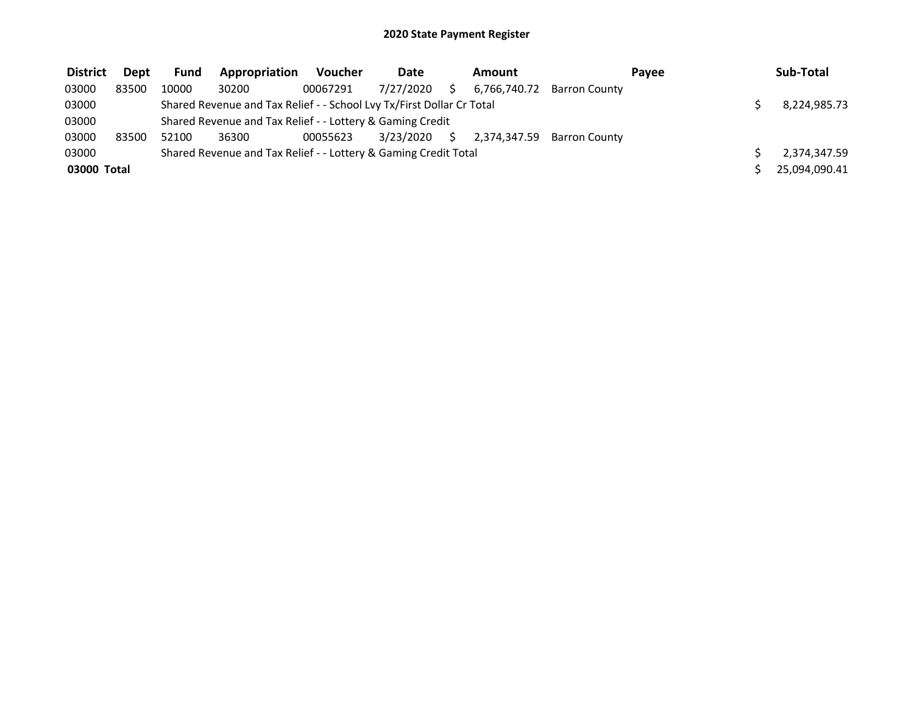| <b>District</b> | <b>Dept</b> | <b>Fund</b> | Appropriation                                                         | Voucher  | <b>Date</b> |    | Amount |                            | Payee | Sub-Total     |
|-----------------|-------------|-------------|-----------------------------------------------------------------------|----------|-------------|----|--------|----------------------------|-------|---------------|
| 03000           | 83500       | 10000       | 30200                                                                 | 00067291 | 7/27/2020   |    |        | 6.766.740.72 Barron County |       |               |
| 03000           |             |             | Shared Revenue and Tax Relief - - School Lvy Tx/First Dollar Cr Total |          |             |    |        |                            |       | 8,224,985.73  |
| 03000           |             |             | Shared Revenue and Tax Relief - - Lottery & Gaming Credit             |          |             |    |        |                            |       |               |
| 03000           | 83500       | 52100       | 36300                                                                 | 00055623 | 3/23/2020   | S. |        | 2.374.347.59 Barron County |       |               |
| 03000           |             |             | Shared Revenue and Tax Relief - - Lottery & Gaming Credit Total       |          |             |    |        |                            |       | 2,374,347.59  |
| 03000 Total     |             |             |                                                                       |          |             |    |        |                            |       | 25,094,090.41 |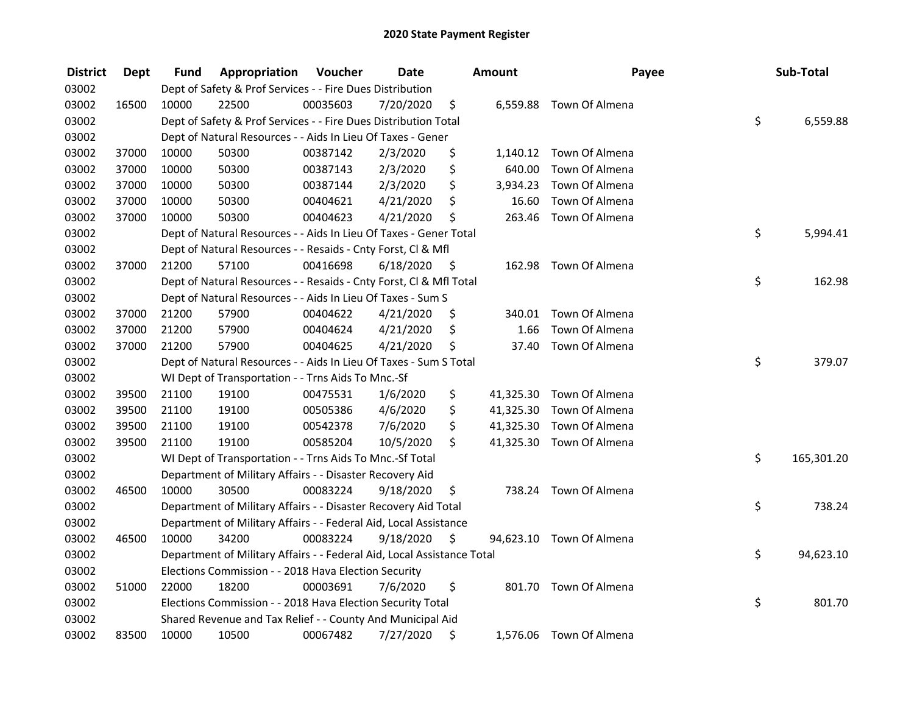| <b>District</b> | <b>Dept</b> | Fund  | Appropriation                                                          | Voucher  | <b>Date</b> |      | Amount | Payee                    | Sub-Total        |
|-----------------|-------------|-------|------------------------------------------------------------------------|----------|-------------|------|--------|--------------------------|------------------|
| 03002           |             |       | Dept of Safety & Prof Services - - Fire Dues Distribution              |          |             |      |        |                          |                  |
| 03002           | 16500       | 10000 | 22500                                                                  | 00035603 | 7/20/2020   | \$   |        | 6,559.88 Town Of Almena  |                  |
| 03002           |             |       | Dept of Safety & Prof Services - - Fire Dues Distribution Total        |          |             |      |        |                          | \$<br>6,559.88   |
| 03002           |             |       | Dept of Natural Resources - - Aids In Lieu Of Taxes - Gener            |          |             |      |        |                          |                  |
| 03002           | 37000       | 10000 | 50300                                                                  | 00387142 | 2/3/2020    | \$   |        | 1,140.12 Town Of Almena  |                  |
| 03002           | 37000       | 10000 | 50300                                                                  | 00387143 | 2/3/2020    | \$   | 640.00 | Town Of Almena           |                  |
| 03002           | 37000       | 10000 | 50300                                                                  | 00387144 | 2/3/2020    | \$   |        | 3,934.23 Town Of Almena  |                  |
| 03002           | 37000       | 10000 | 50300                                                                  | 00404621 | 4/21/2020   | \$   | 16.60  | Town Of Almena           |                  |
| 03002           | 37000       | 10000 | 50300                                                                  | 00404623 | 4/21/2020   | \$   | 263.46 | Town Of Almena           |                  |
| 03002           |             |       | Dept of Natural Resources - - Aids In Lieu Of Taxes - Gener Total      |          |             |      |        |                          | \$<br>5,994.41   |
| 03002           |             |       | Dept of Natural Resources - - Resaids - Cnty Forst, CI & Mfl           |          |             |      |        |                          |                  |
| 03002           | 37000       | 21200 | 57100                                                                  | 00416698 | 6/18/2020   | - \$ | 162.98 | Town Of Almena           |                  |
| 03002           |             |       | Dept of Natural Resources - - Resaids - Cnty Forst, Cl & Mfl Total     |          |             |      |        |                          | \$<br>162.98     |
| 03002           |             |       | Dept of Natural Resources - - Aids In Lieu Of Taxes - Sum S            |          |             |      |        |                          |                  |
| 03002           | 37000       | 21200 | 57900                                                                  | 00404622 | 4/21/2020   | \$   |        | 340.01 Town Of Almena    |                  |
| 03002           | 37000       | 21200 | 57900                                                                  | 00404624 | 4/21/2020   | \$   | 1.66   | Town Of Almena           |                  |
| 03002           | 37000       | 21200 | 57900                                                                  | 00404625 | 4/21/2020   | \$   | 37.40  | Town Of Almena           |                  |
| 03002           |             |       | Dept of Natural Resources - - Aids In Lieu Of Taxes - Sum S Total      |          |             |      |        |                          | \$<br>379.07     |
| 03002           |             |       | WI Dept of Transportation - - Trns Aids To Mnc.-Sf                     |          |             |      |        |                          |                  |
| 03002           | 39500       | 21100 | 19100                                                                  | 00475531 | 1/6/2020    | \$   |        | 41,325.30 Town Of Almena |                  |
| 03002           | 39500       | 21100 | 19100                                                                  | 00505386 | 4/6/2020    | \$   |        | 41,325.30 Town Of Almena |                  |
| 03002           | 39500       | 21100 | 19100                                                                  | 00542378 | 7/6/2020    | \$   |        | 41,325.30 Town Of Almena |                  |
| 03002           | 39500       | 21100 | 19100                                                                  | 00585204 | 10/5/2020   | \$   |        | 41,325.30 Town Of Almena |                  |
| 03002           |             |       | WI Dept of Transportation - - Trns Aids To Mnc.-Sf Total               |          |             |      |        |                          | \$<br>165,301.20 |
| 03002           |             |       | Department of Military Affairs - - Disaster Recovery Aid               |          |             |      |        |                          |                  |
| 03002           | 46500       | 10000 | 30500                                                                  | 00083224 | 9/18/2020   | \$   |        | 738.24 Town Of Almena    |                  |
| 03002           |             |       | Department of Military Affairs - - Disaster Recovery Aid Total         |          |             |      |        |                          | \$<br>738.24     |
| 03002           |             |       | Department of Military Affairs - - Federal Aid, Local Assistance       |          |             |      |        |                          |                  |
| 03002           | 46500       | 10000 | 34200                                                                  | 00083224 | 9/18/2020   | \$   |        | 94,623.10 Town Of Almena |                  |
| 03002           |             |       | Department of Military Affairs - - Federal Aid, Local Assistance Total |          |             |      |        |                          | \$<br>94,623.10  |
| 03002           |             |       | Elections Commission - - 2018 Hava Election Security                   |          |             |      |        |                          |                  |
| 03002           | 51000       | 22000 | 18200                                                                  | 00003691 | 7/6/2020    | \$   |        | 801.70 Town Of Almena    |                  |
| 03002           |             |       | Elections Commission - - 2018 Hava Election Security Total             |          |             |      |        |                          | \$<br>801.70     |
| 03002           |             |       | Shared Revenue and Tax Relief - - County And Municipal Aid             |          |             |      |        |                          |                  |
| 03002           | 83500       | 10000 | 10500                                                                  | 00067482 | 7/27/2020   | \$   |        | 1,576.06 Town Of Almena  |                  |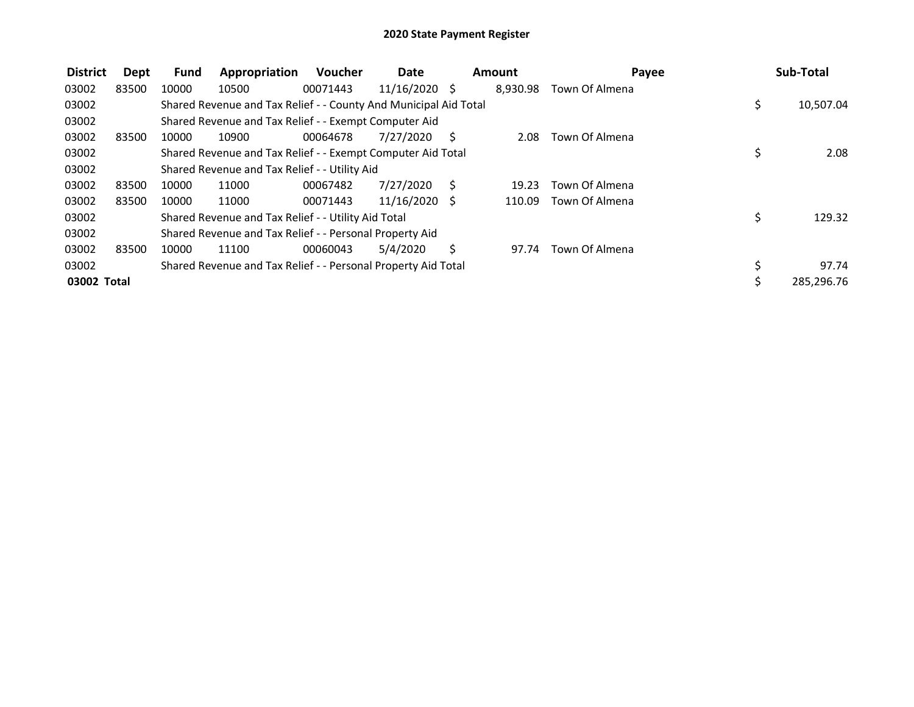| <b>District</b> | Dept  | <b>Fund</b> | Appropriation                                                    | <b>Voucher</b> | Date            |    | Amount   | Payee          |     | Sub-Total  |
|-----------------|-------|-------------|------------------------------------------------------------------|----------------|-----------------|----|----------|----------------|-----|------------|
| 03002           | 83500 | 10000       | 10500                                                            | 00071443       | $11/16/2020$ \$ |    | 8,930.98 | Town Of Almena |     |            |
| 03002           |       |             | Shared Revenue and Tax Relief - - County And Municipal Aid Total |                |                 |    |          |                | \$. | 10,507.04  |
| 03002           |       |             | Shared Revenue and Tax Relief - - Exempt Computer Aid            |                |                 |    |          |                |     |            |
| 03002           | 83500 | 10000       | 10900                                                            | 00064678       | 7/27/2020       | -S | 2.08     | Town Of Almena |     |            |
| 03002           |       |             | Shared Revenue and Tax Relief - - Exempt Computer Aid Total      |                |                 |    |          |                | \$  | 2.08       |
| 03002           |       |             | Shared Revenue and Tax Relief - - Utility Aid                    |                |                 |    |          |                |     |            |
| 03002           | 83500 | 10000       | 11000                                                            | 00067482       | 7/27/2020       | S  | 19.23    | Town Of Almena |     |            |
| 03002           | 83500 | 10000       | 11000                                                            | 00071443       | $11/16/2020$ \$ |    | 110.09   | Town Of Almena |     |            |
| 03002           |       |             | Shared Revenue and Tax Relief - - Utility Aid Total              |                |                 |    |          |                | \$  | 129.32     |
| 03002           |       |             | Shared Revenue and Tax Relief - - Personal Property Aid          |                |                 |    |          |                |     |            |
| 03002           | 83500 | 10000       | 11100                                                            | 00060043       | 5/4/2020        | S. | 97.74    | Town Of Almena |     |            |
| 03002           |       |             | Shared Revenue and Tax Relief - - Personal Property Aid Total    |                |                 |    |          |                | \$  | 97.74      |
| 03002 Total     |       |             |                                                                  |                |                 |    |          |                | \$  | 285,296.76 |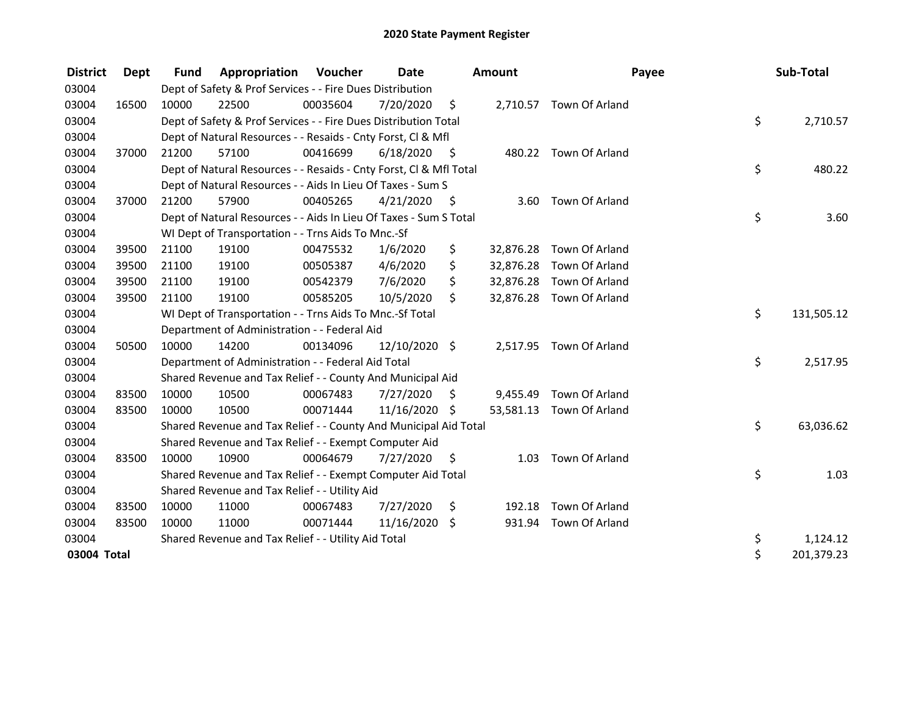| <b>District</b> | <b>Dept</b> | <b>Fund</b> | <b>Appropriation Voucher</b>                                       |          | Date          |      | Amount    |                          | Payee | Sub-Total  |
|-----------------|-------------|-------------|--------------------------------------------------------------------|----------|---------------|------|-----------|--------------------------|-------|------------|
| 03004           |             |             | Dept of Safety & Prof Services - - Fire Dues Distribution          |          |               |      |           |                          |       |            |
| 03004           | 16500       | 10000       | 22500                                                              | 00035604 | 7/20/2020     | \$   |           | 2,710.57 Town Of Arland  |       |            |
| 03004           |             |             | Dept of Safety & Prof Services - - Fire Dues Distribution Total    |          |               |      |           |                          | \$    | 2,710.57   |
| 03004           |             |             | Dept of Natural Resources - - Resaids - Cnty Forst, CI & Mfl       |          |               |      |           |                          |       |            |
| 03004           | 37000       | 21200       | 57100                                                              | 00416699 | 6/18/2020     | - \$ |           | 480.22 Town Of Arland    |       |            |
| 03004           |             |             | Dept of Natural Resources - - Resaids - Cnty Forst, CI & Mfl Total |          |               |      |           |                          | \$    | 480.22     |
| 03004           |             |             | Dept of Natural Resources - - Aids In Lieu Of Taxes - Sum S        |          |               |      |           |                          |       |            |
| 03004           | 37000       | 21200       | 57900                                                              | 00405265 | 4/21/2020     | - \$ | 3.60      | Town Of Arland           |       |            |
| 03004           |             |             | Dept of Natural Resources - - Aids In Lieu Of Taxes - Sum S Total  |          |               |      |           |                          | \$    | 3.60       |
| 03004           |             |             | WI Dept of Transportation - - Trns Aids To Mnc.-Sf                 |          |               |      |           |                          |       |            |
| 03004           | 39500       | 21100       | 19100                                                              | 00475532 | 1/6/2020      | \$   |           | 32,876.28 Town Of Arland |       |            |
| 03004           | 39500       | 21100       | 19100                                                              | 00505387 | 4/6/2020      | \$   | 32,876.28 | Town Of Arland           |       |            |
| 03004           | 39500       | 21100       | 19100                                                              | 00542379 | 7/6/2020      | \$   |           | 32,876.28 Town Of Arland |       |            |
| 03004           | 39500       | 21100       | 19100                                                              | 00585205 | 10/5/2020     | \$   |           | 32,876.28 Town Of Arland |       |            |
| 03004           |             |             | WI Dept of Transportation - - Trns Aids To Mnc.-Sf Total           |          |               |      |           |                          | \$    | 131,505.12 |
| 03004           |             |             | Department of Administration - - Federal Aid                       |          |               |      |           |                          |       |            |
| 03004           | 50500       | 10000       | 14200                                                              | 00134096 | 12/10/2020 \$ |      | 2,517.95  | Town Of Arland           |       |            |
| 03004           |             |             | Department of Administration - - Federal Aid Total                 |          |               |      |           |                          | \$    | 2,517.95   |
| 03004           |             |             | Shared Revenue and Tax Relief - - County And Municipal Aid         |          |               |      |           |                          |       |            |
| 03004           | 83500       | 10000       | 10500                                                              | 00067483 | 7/27/2020     | \$   | 9,455.49  | Town Of Arland           |       |            |
| 03004           | 83500       | 10000       | 10500                                                              | 00071444 | 11/16/2020    | S.   |           | 53,581.13 Town Of Arland |       |            |
| 03004           |             |             | Shared Revenue and Tax Relief - - County And Municipal Aid Total   |          |               |      |           |                          | \$    | 63,036.62  |
| 03004           |             |             | Shared Revenue and Tax Relief - - Exempt Computer Aid              |          |               |      |           |                          |       |            |
| 03004           | 83500       | 10000       | 10900                                                              | 00064679 | 7/27/2020     | \$   | 1.03      | Town Of Arland           |       |            |
| 03004           |             |             | Shared Revenue and Tax Relief - - Exempt Computer Aid Total        |          |               |      |           |                          | \$    | 1.03       |
| 03004           |             |             | Shared Revenue and Tax Relief - - Utility Aid                      |          |               |      |           |                          |       |            |
| 03004           | 83500       | 10000       | 11000                                                              | 00067483 | 7/27/2020     | \$   | 192.18    | Town Of Arland           |       |            |
| 03004           | 83500       | 10000       | 11000                                                              | 00071444 | 11/16/2020    | \$   | 931.94    | Town Of Arland           |       |            |
| 03004           |             |             | Shared Revenue and Tax Relief - - Utility Aid Total                |          |               |      |           |                          | \$    | 1,124.12   |
| 03004 Total     |             |             |                                                                    |          |               |      |           |                          | \$    | 201,379.23 |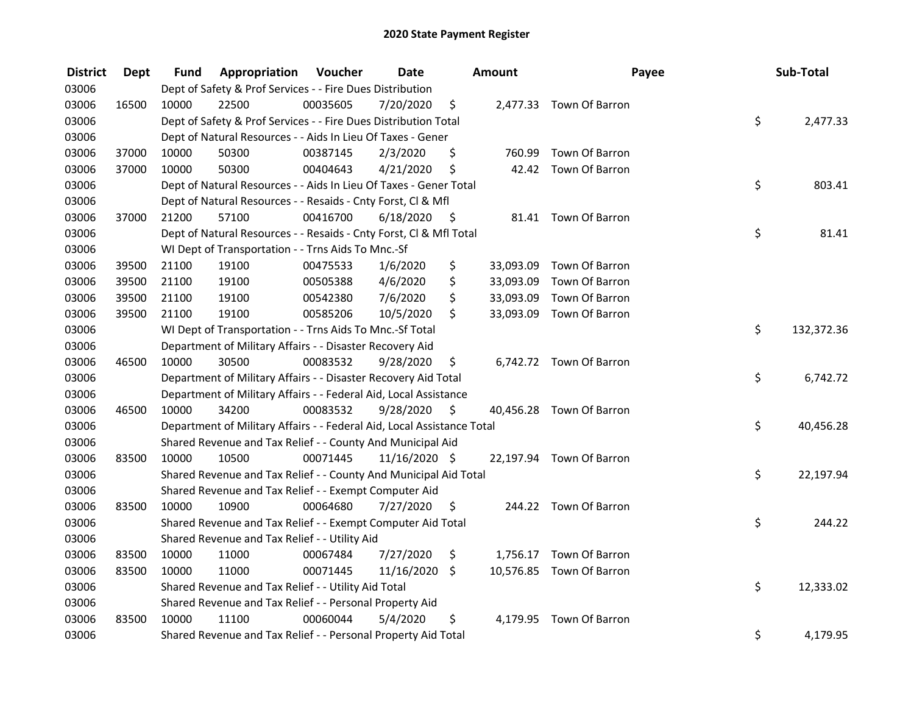| <b>District</b> | <b>Dept</b> | Fund  | Appropriation                                                          | Voucher  | <b>Date</b>   |         | <b>Amount</b> | Payee                    | Sub-Total        |
|-----------------|-------------|-------|------------------------------------------------------------------------|----------|---------------|---------|---------------|--------------------------|------------------|
| 03006           |             |       | Dept of Safety & Prof Services - - Fire Dues Distribution              |          |               |         |               |                          |                  |
| 03006           | 16500       | 10000 | 22500                                                                  | 00035605 | 7/20/2020     | \$      |               | 2,477.33 Town Of Barron  |                  |
| 03006           |             |       | Dept of Safety & Prof Services - - Fire Dues Distribution Total        |          |               |         |               |                          | \$<br>2,477.33   |
| 03006           |             |       | Dept of Natural Resources - - Aids In Lieu Of Taxes - Gener            |          |               |         |               |                          |                  |
| 03006           | 37000       | 10000 | 50300                                                                  | 00387145 | 2/3/2020      | \$      | 760.99        | Town Of Barron           |                  |
| 03006           | 37000       | 10000 | 50300                                                                  | 00404643 | 4/21/2020     | \$      | 42.42         | Town Of Barron           |                  |
| 03006           |             |       | Dept of Natural Resources - - Aids In Lieu Of Taxes - Gener Total      |          |               |         |               |                          | \$<br>803.41     |
| 03006           |             |       | Dept of Natural Resources - - Resaids - Cnty Forst, Cl & Mfl           |          |               |         |               |                          |                  |
| 03006           | 37000       | 21200 | 57100                                                                  | 00416700 | 6/18/2020     | - \$    |               | 81.41 Town Of Barron     |                  |
| 03006           |             |       | Dept of Natural Resources - - Resaids - Cnty Forst, Cl & Mfl Total     |          |               |         |               |                          | \$<br>81.41      |
| 03006           |             |       | WI Dept of Transportation - - Trns Aids To Mnc.-Sf                     |          |               |         |               |                          |                  |
| 03006           | 39500       | 21100 | 19100                                                                  | 00475533 | 1/6/2020      | \$      | 33,093.09     | Town Of Barron           |                  |
| 03006           | 39500       | 21100 | 19100                                                                  | 00505388 | 4/6/2020      | \$      | 33,093.09     | Town Of Barron           |                  |
| 03006           | 39500       | 21100 | 19100                                                                  | 00542380 | 7/6/2020      | \$      | 33,093.09     | Town Of Barron           |                  |
| 03006           | 39500       | 21100 | 19100                                                                  | 00585206 | 10/5/2020     | \$      |               | 33,093.09 Town Of Barron |                  |
| 03006           |             |       | WI Dept of Transportation - - Trns Aids To Mnc.-Sf Total               |          |               |         |               |                          | \$<br>132,372.36 |
| 03006           |             |       | Department of Military Affairs - - Disaster Recovery Aid               |          |               |         |               |                          |                  |
| 03006           | 46500       | 10000 | 30500                                                                  | 00083532 | 9/28/2020     | \$      |               | 6,742.72 Town Of Barron  |                  |
| 03006           |             |       | Department of Military Affairs - - Disaster Recovery Aid Total         |          |               |         |               |                          | \$<br>6,742.72   |
| 03006           |             |       | Department of Military Affairs - - Federal Aid, Local Assistance       |          |               |         |               |                          |                  |
| 03006           | 46500       | 10000 | 34200                                                                  | 00083532 | 9/28/2020     | - \$    |               | 40,456.28 Town Of Barron |                  |
| 03006           |             |       | Department of Military Affairs - - Federal Aid, Local Assistance Total |          |               |         |               |                          | \$<br>40,456.28  |
| 03006           |             |       | Shared Revenue and Tax Relief - - County And Municipal Aid             |          |               |         |               |                          |                  |
| 03006           | 83500       | 10000 | 10500                                                                  | 00071445 | 11/16/2020 \$ |         |               | 22,197.94 Town Of Barron |                  |
| 03006           |             |       | Shared Revenue and Tax Relief - - County And Municipal Aid Total       |          |               |         |               |                          | \$<br>22,197.94  |
| 03006           |             |       | Shared Revenue and Tax Relief - - Exempt Computer Aid                  |          |               |         |               |                          |                  |
| 03006           | 83500       | 10000 | 10900                                                                  | 00064680 | 7/27/2020     | \$      |               | 244.22 Town Of Barron    |                  |
| 03006           |             |       | Shared Revenue and Tax Relief - - Exempt Computer Aid Total            |          |               |         |               |                          | \$<br>244.22     |
| 03006           |             |       | Shared Revenue and Tax Relief - - Utility Aid                          |          |               |         |               |                          |                  |
| 03006           | 83500       | 10000 | 11000                                                                  | 00067484 | 7/27/2020     | \$      | 1,756.17      | Town Of Barron           |                  |
| 03006           | 83500       | 10000 | 11000                                                                  | 00071445 | 11/16/2020    | $\zeta$ |               | 10,576.85 Town Of Barron |                  |
| 03006           |             |       | Shared Revenue and Tax Relief - - Utility Aid Total                    |          |               |         |               |                          | \$<br>12,333.02  |
| 03006           |             |       | Shared Revenue and Tax Relief - - Personal Property Aid                |          |               |         |               |                          |                  |
| 03006           | 83500       | 10000 | 11100                                                                  | 00060044 | 5/4/2020      | \$      | 4,179.95      | Town Of Barron           |                  |
| 03006           |             |       | Shared Revenue and Tax Relief - - Personal Property Aid Total          |          |               |         |               |                          | \$<br>4,179.95   |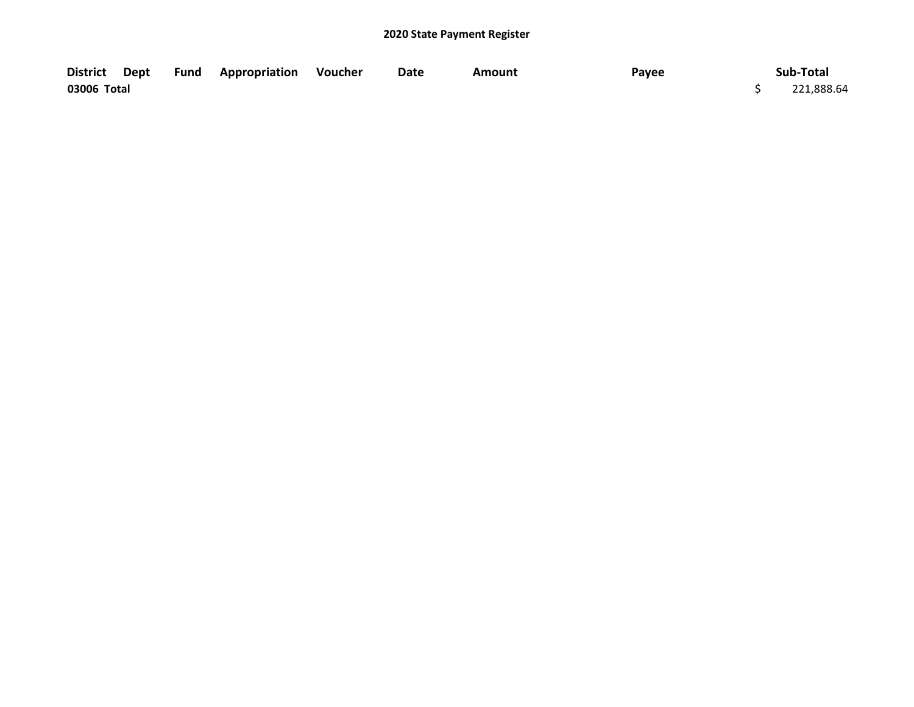| <b>District</b> | Dept | Fund | <b>Appropriation Voucher</b> | Date | Amount | Payee | Sub-Total  |
|-----------------|------|------|------------------------------|------|--------|-------|------------|
| 03006 Total     |      |      |                              |      |        |       | 221,888.64 |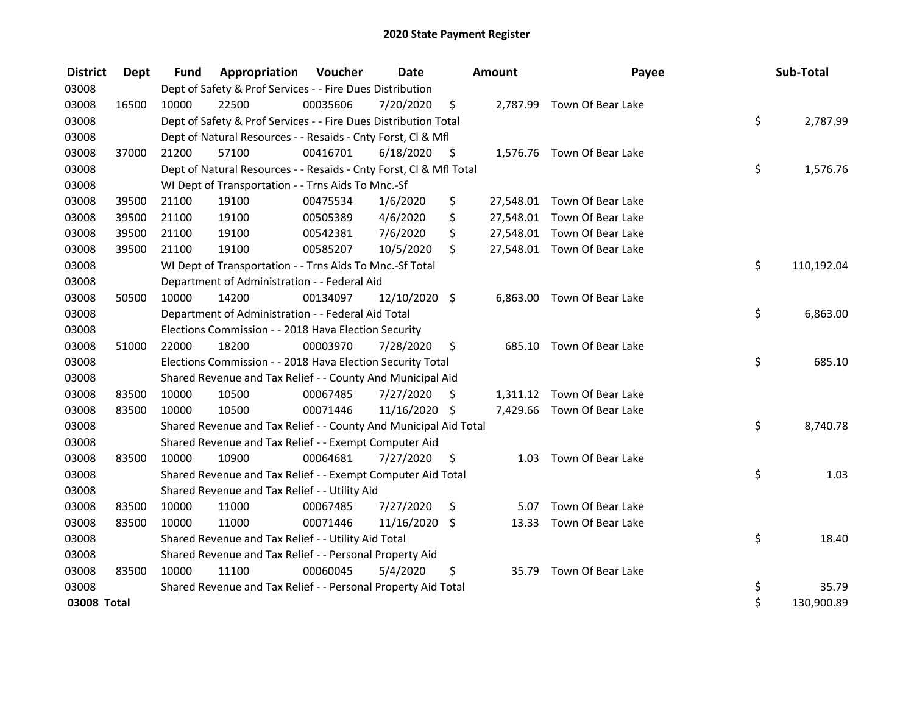| <b>District</b> | Dept  | <b>Fund</b> | Appropriation                                                      | Voucher  | Date          |    | Amount | Payee                       | Sub-Total        |
|-----------------|-------|-------------|--------------------------------------------------------------------|----------|---------------|----|--------|-----------------------------|------------------|
| 03008           |       |             | Dept of Safety & Prof Services - - Fire Dues Distribution          |          |               |    |        |                             |                  |
| 03008           | 16500 | 10000       | 22500                                                              | 00035606 | 7/20/2020     | \$ |        | 2,787.99 Town Of Bear Lake  |                  |
| 03008           |       |             | Dept of Safety & Prof Services - - Fire Dues Distribution Total    |          |               |    |        |                             | \$<br>2,787.99   |
| 03008           |       |             | Dept of Natural Resources - - Resaids - Cnty Forst, CI & Mfl       |          |               |    |        |                             |                  |
| 03008           | 37000 | 21200       | 57100                                                              | 00416701 | 6/18/2020     | \$ |        | 1,576.76 Town Of Bear Lake  |                  |
| 03008           |       |             | Dept of Natural Resources - - Resaids - Cnty Forst, Cl & Mfl Total |          |               |    |        |                             | \$<br>1,576.76   |
| 03008           |       |             | WI Dept of Transportation - - Trns Aids To Mnc.-Sf                 |          |               |    |        |                             |                  |
| 03008           | 39500 | 21100       | 19100                                                              | 00475534 | 1/6/2020      | \$ |        | 27,548.01 Town Of Bear Lake |                  |
| 03008           | 39500 | 21100       | 19100                                                              | 00505389 | 4/6/2020      | \$ |        | 27,548.01 Town Of Bear Lake |                  |
| 03008           | 39500 | 21100       | 19100                                                              | 00542381 | 7/6/2020      | \$ |        | 27,548.01 Town Of Bear Lake |                  |
| 03008           | 39500 | 21100       | 19100                                                              | 00585207 | 10/5/2020     | \$ |        | 27,548.01 Town Of Bear Lake |                  |
| 03008           |       |             | WI Dept of Transportation - - Trns Aids To Mnc.-Sf Total           |          |               |    |        |                             | \$<br>110,192.04 |
| 03008           |       |             | Department of Administration - - Federal Aid                       |          |               |    |        |                             |                  |
| 03008           | 50500 | 10000       | 14200                                                              | 00134097 | 12/10/2020 \$ |    |        | 6,863.00 Town Of Bear Lake  |                  |
| 03008           |       |             | Department of Administration - - Federal Aid Total                 |          |               |    |        |                             | \$<br>6,863.00   |
| 03008           |       |             | Elections Commission - - 2018 Hava Election Security               |          |               |    |        |                             |                  |
| 03008           | 51000 | 22000       | 18200                                                              | 00003970 | 7/28/2020     | \$ | 685.10 | Town Of Bear Lake           |                  |
| 03008           |       |             | Elections Commission - - 2018 Hava Election Security Total         |          |               |    |        |                             | \$<br>685.10     |
| 03008           |       |             | Shared Revenue and Tax Relief - - County And Municipal Aid         |          |               |    |        |                             |                  |
| 03008           | 83500 | 10000       | 10500                                                              | 00067485 | 7/27/2020     | Ŝ. |        | 1,311.12 Town Of Bear Lake  |                  |
| 03008           | 83500 | 10000       | 10500                                                              | 00071446 | 11/16/2020 \$ |    |        | 7,429.66 Town Of Bear Lake  |                  |
| 03008           |       |             | Shared Revenue and Tax Relief - - County And Municipal Aid Total   |          |               |    |        |                             | \$<br>8,740.78   |
| 03008           |       |             | Shared Revenue and Tax Relief - - Exempt Computer Aid              |          |               |    |        |                             |                  |
| 03008           | 83500 | 10000       | 10900                                                              | 00064681 | 7/27/2020     | \$ | 1.03   | Town Of Bear Lake           |                  |
| 03008           |       |             | Shared Revenue and Tax Relief - - Exempt Computer Aid Total        |          |               |    |        |                             | \$<br>1.03       |
| 03008           |       |             | Shared Revenue and Tax Relief - - Utility Aid                      |          |               |    |        |                             |                  |
| 03008           | 83500 | 10000       | 11000                                                              | 00067485 | 7/27/2020     | \$ | 5.07   | Town Of Bear Lake           |                  |
| 03008           | 83500 | 10000       | 11000                                                              | 00071446 | 11/16/2020    | \$ |        | 13.33 Town Of Bear Lake     |                  |
| 03008           |       |             | Shared Revenue and Tax Relief - - Utility Aid Total                |          |               |    |        |                             | \$<br>18.40      |
| 03008           |       |             | Shared Revenue and Tax Relief - - Personal Property Aid            |          |               |    |        |                             |                  |
| 03008           | 83500 | 10000       | 11100                                                              | 00060045 | 5/4/2020      | \$ | 35.79  | Town Of Bear Lake           |                  |
| 03008           |       |             | Shared Revenue and Tax Relief - - Personal Property Aid Total      |          |               |    |        |                             | \$<br>35.79      |
| 03008 Total     |       |             |                                                                    |          |               |    |        |                             | \$<br>130,900.89 |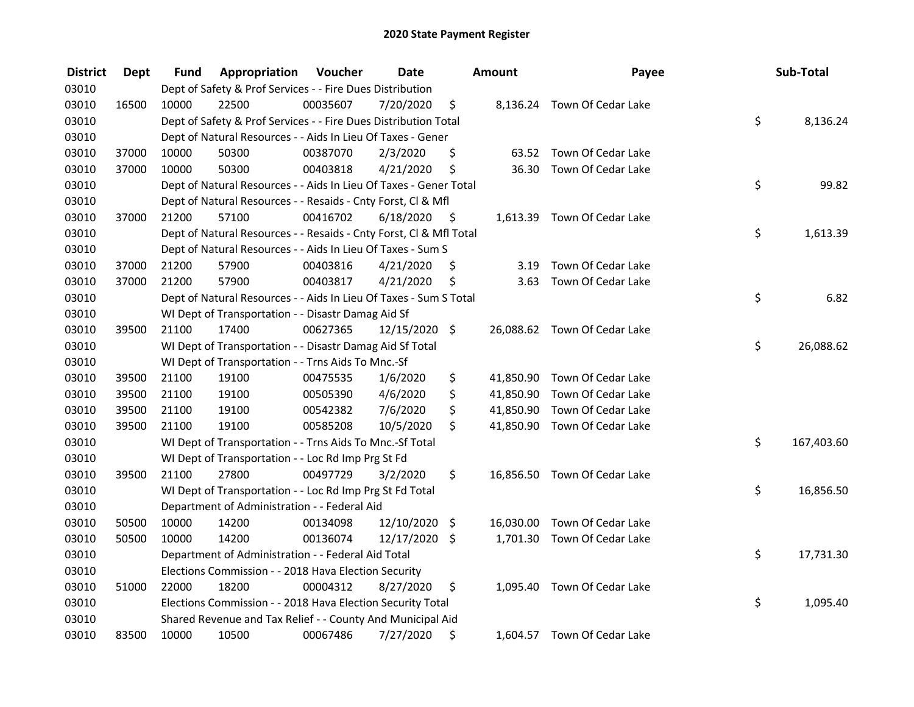| <b>District</b> | Dept  | Fund  | Appropriation                                                      | Voucher  | <b>Date</b>   |      | <b>Amount</b> | Payee                        | Sub-Total        |
|-----------------|-------|-------|--------------------------------------------------------------------|----------|---------------|------|---------------|------------------------------|------------------|
| 03010           |       |       | Dept of Safety & Prof Services - - Fire Dues Distribution          |          |               |      |               |                              |                  |
| 03010           | 16500 | 10000 | 22500                                                              | 00035607 | 7/20/2020     | \$   |               | 8,136.24 Town Of Cedar Lake  |                  |
| 03010           |       |       | Dept of Safety & Prof Services - - Fire Dues Distribution Total    |          |               |      |               |                              | \$<br>8,136.24   |
| 03010           |       |       | Dept of Natural Resources - - Aids In Lieu Of Taxes - Gener        |          |               |      |               |                              |                  |
| 03010           | 37000 | 10000 | 50300                                                              | 00387070 | 2/3/2020      | \$   |               | 63.52 Town Of Cedar Lake     |                  |
| 03010           | 37000 | 10000 | 50300                                                              | 00403818 | 4/21/2020     | \$   | 36.30         | Town Of Cedar Lake           |                  |
| 03010           |       |       | Dept of Natural Resources - - Aids In Lieu Of Taxes - Gener Total  |          |               |      |               |                              | \$<br>99.82      |
| 03010           |       |       | Dept of Natural Resources - - Resaids - Cnty Forst, Cl & Mfl       |          |               |      |               |                              |                  |
| 03010           | 37000 | 21200 | 57100                                                              | 00416702 | 6/18/2020     | - \$ |               | 1,613.39 Town Of Cedar Lake  |                  |
| 03010           |       |       | Dept of Natural Resources - - Resaids - Cnty Forst, Cl & Mfl Total |          |               |      |               |                              | \$<br>1,613.39   |
| 03010           |       |       | Dept of Natural Resources - - Aids In Lieu Of Taxes - Sum S        |          |               |      |               |                              |                  |
| 03010           | 37000 | 21200 | 57900                                                              | 00403816 | 4/21/2020     | \$   | 3.19          | Town Of Cedar Lake           |                  |
| 03010           | 37000 | 21200 | 57900                                                              | 00403817 | 4/21/2020     | \$   | 3.63          | Town Of Cedar Lake           |                  |
| 03010           |       |       | Dept of Natural Resources - - Aids In Lieu Of Taxes - Sum S Total  |          |               |      |               |                              | \$<br>6.82       |
| 03010           |       |       | WI Dept of Transportation - - Disastr Damag Aid Sf                 |          |               |      |               |                              |                  |
| 03010           | 39500 | 21100 | 17400                                                              | 00627365 | 12/15/2020 \$ |      |               | 26,088.62 Town Of Cedar Lake |                  |
| 03010           |       |       | WI Dept of Transportation - - Disastr Damag Aid Sf Total           |          |               |      |               |                              | \$<br>26,088.62  |
| 03010           |       |       | WI Dept of Transportation - - Trns Aids To Mnc.-Sf                 |          |               |      |               |                              |                  |
| 03010           | 39500 | 21100 | 19100                                                              | 00475535 | 1/6/2020      | \$   |               | 41,850.90 Town Of Cedar Lake |                  |
| 03010           | 39500 | 21100 | 19100                                                              | 00505390 | 4/6/2020      | \$   |               | 41,850.90 Town Of Cedar Lake |                  |
| 03010           | 39500 | 21100 | 19100                                                              | 00542382 | 7/6/2020      | \$   | 41,850.90     | Town Of Cedar Lake           |                  |
| 03010           | 39500 | 21100 | 19100                                                              | 00585208 | 10/5/2020     | \$   |               | 41,850.90 Town Of Cedar Lake |                  |
| 03010           |       |       | WI Dept of Transportation - - Trns Aids To Mnc.-Sf Total           |          |               |      |               |                              | \$<br>167,403.60 |
| 03010           |       |       | WI Dept of Transportation - - Loc Rd Imp Prg St Fd                 |          |               |      |               |                              |                  |
| 03010           | 39500 | 21100 | 27800                                                              | 00497729 | 3/2/2020      | \$   |               | 16,856.50 Town Of Cedar Lake |                  |
| 03010           |       |       | WI Dept of Transportation - - Loc Rd Imp Prg St Fd Total           |          |               |      |               |                              | \$<br>16,856.50  |
| 03010           |       |       | Department of Administration - - Federal Aid                       |          |               |      |               |                              |                  |
| 03010           | 50500 | 10000 | 14200                                                              | 00134098 | 12/10/2020 \$ |      |               | 16,030.00 Town Of Cedar Lake |                  |
| 03010           | 50500 | 10000 | 14200                                                              | 00136074 | 12/17/2020 \$ |      |               | 1,701.30 Town Of Cedar Lake  |                  |
| 03010           |       |       | Department of Administration - - Federal Aid Total                 |          |               |      |               |                              | \$<br>17,731.30  |
| 03010           |       |       | Elections Commission - - 2018 Hava Election Security               |          |               |      |               |                              |                  |
| 03010           | 51000 | 22000 | 18200                                                              | 00004312 | 8/27/2020     | \$   |               | 1,095.40 Town Of Cedar Lake  |                  |
| 03010           |       |       | Elections Commission - - 2018 Hava Election Security Total         |          |               |      |               |                              | \$<br>1,095.40   |
| 03010           |       |       | Shared Revenue and Tax Relief - - County And Municipal Aid         |          |               |      |               |                              |                  |
| 03010           | 83500 | 10000 | 10500                                                              | 00067486 | 7/27/2020     | Ŝ.   |               | 1,604.57 Town Of Cedar Lake  |                  |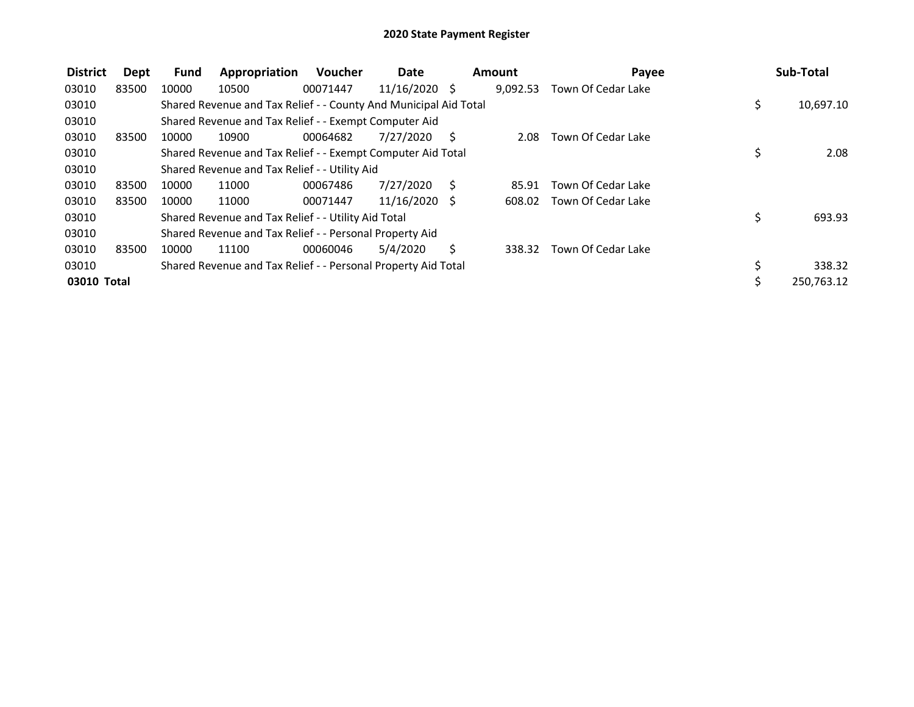| <b>District</b> | Dept  | <b>Fund</b> | Appropriation                                                    | Voucher  | <b>Date</b>     |     | <b>Amount</b> | Payee              | Sub-Total        |
|-----------------|-------|-------------|------------------------------------------------------------------|----------|-----------------|-----|---------------|--------------------|------------------|
| 03010           | 83500 | 10000       | 10500                                                            | 00071447 | $11/16/2020$ \$ |     | 9,092.53      | Town Of Cedar Lake |                  |
| 03010           |       |             | Shared Revenue and Tax Relief - - County And Municipal Aid Total |          |                 |     |               |                    | \$<br>10,697.10  |
| 03010           |       |             | Shared Revenue and Tax Relief - - Exempt Computer Aid            |          |                 |     |               |                    |                  |
| 03010           | 83500 | 10000       | 10900                                                            | 00064682 | 7/27/2020       | - S | 2.08          | Town Of Cedar Lake |                  |
| 03010           |       |             | Shared Revenue and Tax Relief - - Exempt Computer Aid Total      |          |                 |     |               |                    | \$<br>2.08       |
| 03010           |       |             | Shared Revenue and Tax Relief - - Utility Aid                    |          |                 |     |               |                    |                  |
| 03010           | 83500 | 10000       | 11000                                                            | 00067486 | 7/27/2020       | - S | 85.91         | Town Of Cedar Lake |                  |
| 03010           | 83500 | 10000       | 11000                                                            | 00071447 | $11/16/2020$ \$ |     | 608.02        | Town Of Cedar Lake |                  |
| 03010           |       |             | Shared Revenue and Tax Relief - - Utility Aid Total              |          |                 |     |               |                    | \$<br>693.93     |
| 03010           |       |             | Shared Revenue and Tax Relief - - Personal Property Aid          |          |                 |     |               |                    |                  |
| 03010           | 83500 | 10000       | 11100                                                            | 00060046 | 5/4/2020        | S   | 338.32        | Town Of Cedar Lake |                  |
| 03010           |       |             | Shared Revenue and Tax Relief - - Personal Property Aid Total    |          |                 |     |               |                    | \$<br>338.32     |
| 03010 Total     |       |             |                                                                  |          |                 |     |               |                    | \$<br>250,763.12 |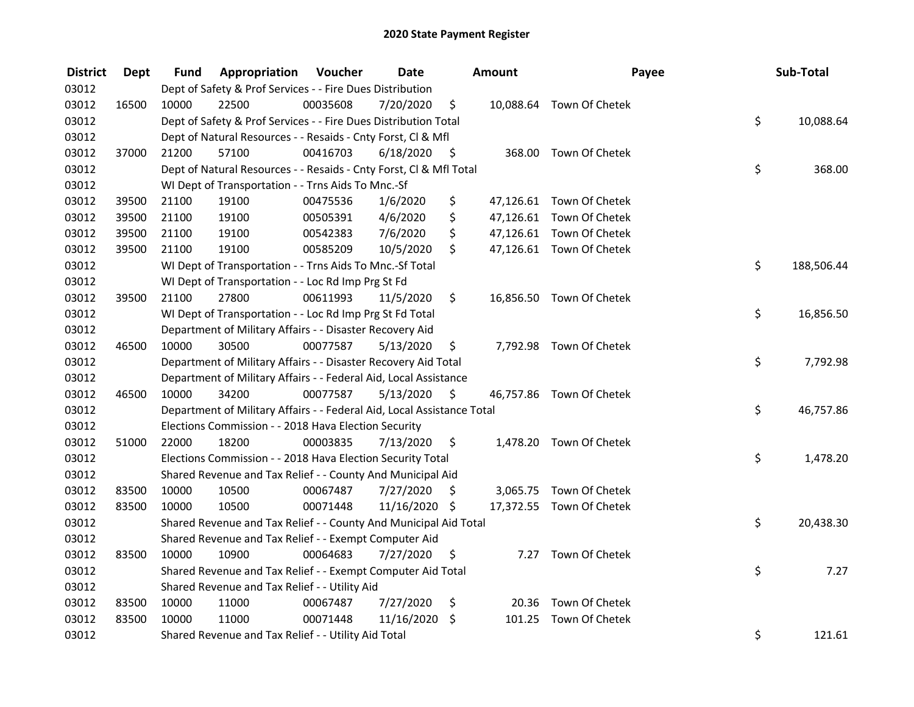| <b>District</b> | <b>Dept</b> | Fund  | Appropriation                                                          | Voucher  | <b>Date</b>   |      | Amount | Payee                    | Sub-Total        |
|-----------------|-------------|-------|------------------------------------------------------------------------|----------|---------------|------|--------|--------------------------|------------------|
| 03012           |             |       | Dept of Safety & Prof Services - - Fire Dues Distribution              |          |               |      |        |                          |                  |
| 03012           | 16500       | 10000 | 22500                                                                  | 00035608 | 7/20/2020     | \$   |        | 10,088.64 Town Of Chetek |                  |
| 03012           |             |       | Dept of Safety & Prof Services - - Fire Dues Distribution Total        |          |               |      |        |                          | \$<br>10,088.64  |
| 03012           |             |       | Dept of Natural Resources - - Resaids - Cnty Forst, Cl & Mfl           |          |               |      |        |                          |                  |
| 03012           | 37000       | 21200 | 57100                                                                  | 00416703 | 6/18/2020     | - \$ |        | 368.00 Town Of Chetek    |                  |
| 03012           |             |       | Dept of Natural Resources - - Resaids - Cnty Forst, CI & Mfl Total     |          |               |      |        |                          | \$<br>368.00     |
| 03012           |             |       | WI Dept of Transportation - - Trns Aids To Mnc.-Sf                     |          |               |      |        |                          |                  |
| 03012           | 39500       | 21100 | 19100                                                                  | 00475536 | 1/6/2020      | \$   |        | 47,126.61 Town Of Chetek |                  |
| 03012           | 39500       | 21100 | 19100                                                                  | 00505391 | 4/6/2020      | \$   |        | 47,126.61 Town Of Chetek |                  |
| 03012           | 39500       | 21100 | 19100                                                                  | 00542383 | 7/6/2020      | \$   |        | 47,126.61 Town Of Chetek |                  |
| 03012           | 39500       | 21100 | 19100                                                                  | 00585209 | 10/5/2020     | \$   |        | 47,126.61 Town Of Chetek |                  |
| 03012           |             |       | WI Dept of Transportation - - Trns Aids To Mnc.-Sf Total               |          |               |      |        |                          | \$<br>188,506.44 |
| 03012           |             |       | WI Dept of Transportation - - Loc Rd Imp Prg St Fd                     |          |               |      |        |                          |                  |
| 03012           | 39500       | 21100 | 27800                                                                  | 00611993 | 11/5/2020     | \$   |        | 16,856.50 Town Of Chetek |                  |
| 03012           |             |       | WI Dept of Transportation - - Loc Rd Imp Prg St Fd Total               |          |               |      |        |                          | \$<br>16,856.50  |
| 03012           |             |       | Department of Military Affairs - - Disaster Recovery Aid               |          |               |      |        |                          |                  |
| 03012           | 46500       | 10000 | 30500                                                                  | 00077587 | 5/13/2020     | \$   |        | 7,792.98 Town Of Chetek  |                  |
| 03012           |             |       | Department of Military Affairs - - Disaster Recovery Aid Total         |          |               |      |        |                          | \$<br>7,792.98   |
| 03012           |             |       | Department of Military Affairs - - Federal Aid, Local Assistance       |          |               |      |        |                          |                  |
| 03012           | 46500       | 10000 | 34200                                                                  | 00077587 | 5/13/2020     | - \$ |        | 46,757.86 Town Of Chetek |                  |
| 03012           |             |       | Department of Military Affairs - - Federal Aid, Local Assistance Total |          |               |      |        |                          | \$<br>46,757.86  |
| 03012           |             |       | Elections Commission - - 2018 Hava Election Security                   |          |               |      |        |                          |                  |
| 03012           | 51000       | 22000 | 18200                                                                  | 00003835 | 7/13/2020     | \$.  |        | 1,478.20 Town Of Chetek  |                  |
| 03012           |             |       | Elections Commission - - 2018 Hava Election Security Total             |          |               |      |        |                          | \$<br>1,478.20   |
| 03012           |             |       | Shared Revenue and Tax Relief - - County And Municipal Aid             |          |               |      |        |                          |                  |
| 03012           | 83500       | 10000 | 10500                                                                  | 00067487 | 7/27/2020     | S    |        | 3,065.75 Town Of Chetek  |                  |
| 03012           | 83500       | 10000 | 10500                                                                  | 00071448 | 11/16/2020 \$ |      |        | 17,372.55 Town Of Chetek |                  |
| 03012           |             |       | Shared Revenue and Tax Relief - - County And Municipal Aid Total       |          |               |      |        |                          | \$<br>20,438.30  |
| 03012           |             |       | Shared Revenue and Tax Relief - - Exempt Computer Aid                  |          |               |      |        |                          |                  |
| 03012           | 83500       | 10000 | 10900                                                                  | 00064683 | 7/27/2020     | \$   | 7.27   | Town Of Chetek           |                  |
| 03012           |             |       | Shared Revenue and Tax Relief - - Exempt Computer Aid Total            |          |               |      |        |                          | \$<br>7.27       |
| 03012           |             |       | Shared Revenue and Tax Relief - - Utility Aid                          |          |               |      |        |                          |                  |
| 03012           | 83500       | 10000 | 11000                                                                  | 00067487 | 7/27/2020     | \$   | 20.36  | Town Of Chetek           |                  |
| 03012           | 83500       | 10000 | 11000                                                                  | 00071448 | 11/16/2020    | \$   | 101.25 | Town Of Chetek           |                  |
| 03012           |             |       | Shared Revenue and Tax Relief - - Utility Aid Total                    |          |               |      |        |                          | \$<br>121.61     |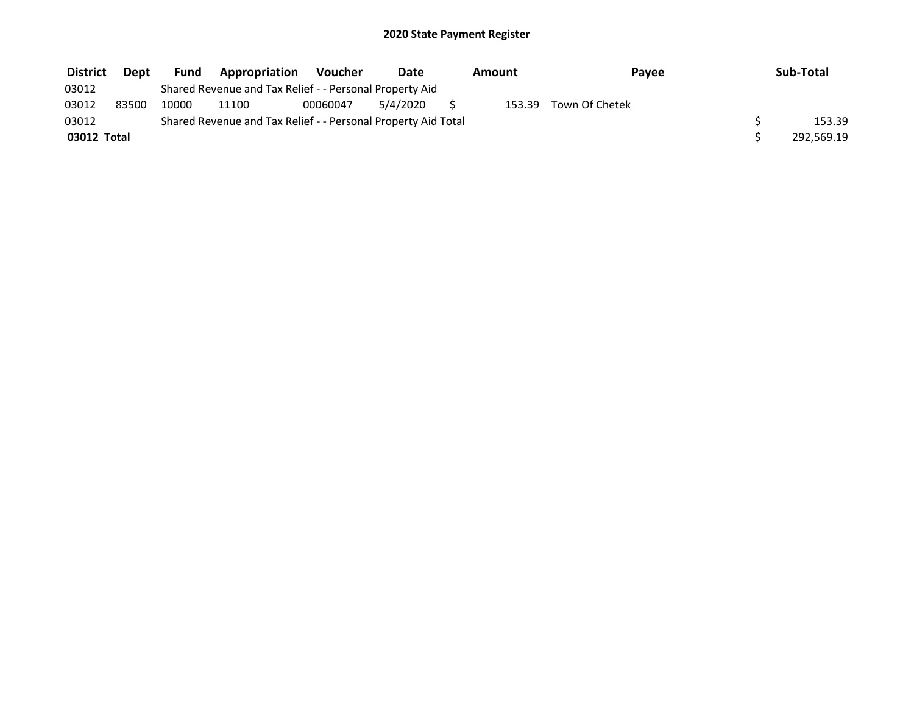| <b>District</b> | Dept  | Fund  | <b>Appropriation</b>                                          | Voucher  | Date     | Amount | Payee          | Sub-Total  |
|-----------------|-------|-------|---------------------------------------------------------------|----------|----------|--------|----------------|------------|
| 03012           |       |       | Shared Revenue and Tax Relief - - Personal Property Aid       |          |          |        |                |            |
| 03012           | 83500 | 10000 | 11100                                                         | 00060047 | 5/4/2020 | 153.39 | Town Of Chetek |            |
| 03012           |       |       | Shared Revenue and Tax Relief - - Personal Property Aid Total |          |          |        |                | 153.39     |
| 03012 Total     |       |       |                                                               |          |          |        |                | 292,569.19 |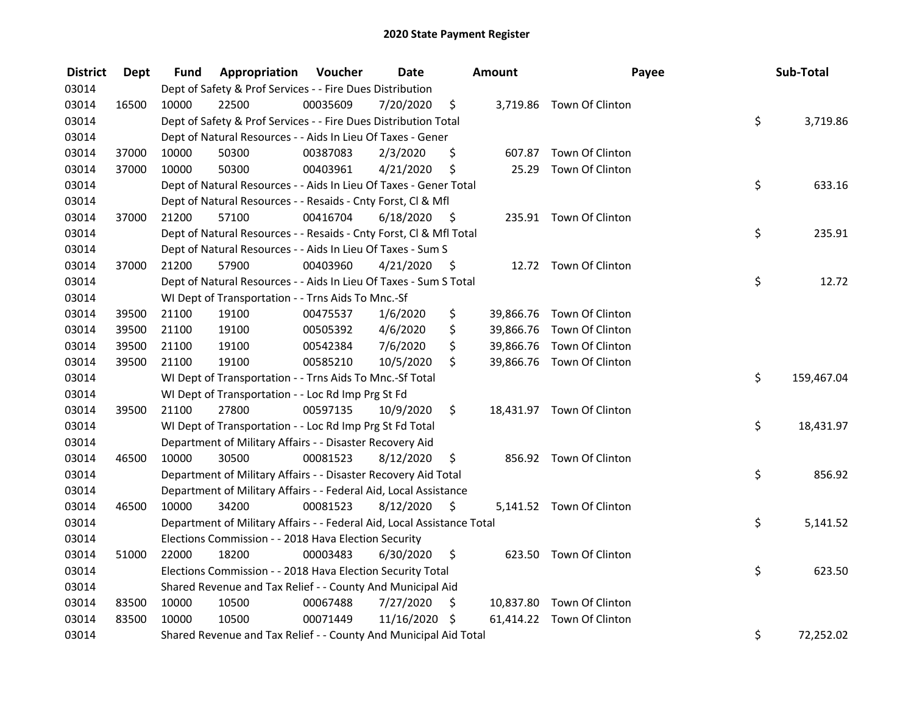| <b>District</b> | <b>Dept</b> | Fund  | Appropriation                                                          | Voucher  | <b>Date</b> |      | <b>Amount</b> | Payee                     | Sub-Total        |
|-----------------|-------------|-------|------------------------------------------------------------------------|----------|-------------|------|---------------|---------------------------|------------------|
| 03014           |             |       | Dept of Safety & Prof Services - - Fire Dues Distribution              |          |             |      |               |                           |                  |
| 03014           | 16500       | 10000 | 22500                                                                  | 00035609 | 7/20/2020   | \$   |               | 3,719.86 Town Of Clinton  |                  |
| 03014           |             |       | Dept of Safety & Prof Services - - Fire Dues Distribution Total        |          |             |      |               |                           | \$<br>3,719.86   |
| 03014           |             |       | Dept of Natural Resources - - Aids In Lieu Of Taxes - Gener            |          |             |      |               |                           |                  |
| 03014           | 37000       | 10000 | 50300                                                                  | 00387083 | 2/3/2020    | \$   |               | 607.87 Town Of Clinton    |                  |
| 03014           | 37000       | 10000 | 50300                                                                  | 00403961 | 4/21/2020   | \$   | 25.29         | Town Of Clinton           |                  |
| 03014           |             |       | Dept of Natural Resources - - Aids In Lieu Of Taxes - Gener Total      |          |             |      |               |                           | \$<br>633.16     |
| 03014           |             |       | Dept of Natural Resources - - Resaids - Cnty Forst, Cl & Mfl           |          |             |      |               |                           |                  |
| 03014           | 37000       | 21200 | 57100                                                                  | 00416704 | 6/18/2020   | - \$ |               | 235.91 Town Of Clinton    |                  |
| 03014           |             |       | Dept of Natural Resources - - Resaids - Cnty Forst, Cl & Mfl Total     |          |             |      |               |                           | \$<br>235.91     |
| 03014           |             |       | Dept of Natural Resources - - Aids In Lieu Of Taxes - Sum S            |          |             |      |               |                           |                  |
| 03014           | 37000       | 21200 | 57900                                                                  | 00403960 | 4/21/2020   | \$   |               | 12.72 Town Of Clinton     |                  |
| 03014           |             |       | Dept of Natural Resources - - Aids In Lieu Of Taxes - Sum S Total      |          |             |      |               |                           | \$<br>12.72      |
| 03014           |             |       | WI Dept of Transportation - - Trns Aids To Mnc.-Sf                     |          |             |      |               |                           |                  |
| 03014           | 39500       | 21100 | 19100                                                                  | 00475537 | 1/6/2020    | \$   |               | 39,866.76 Town Of Clinton |                  |
| 03014           | 39500       | 21100 | 19100                                                                  | 00505392 | 4/6/2020    | \$   |               | 39,866.76 Town Of Clinton |                  |
| 03014           | 39500       | 21100 | 19100                                                                  | 00542384 | 7/6/2020    | \$   |               | 39,866.76 Town Of Clinton |                  |
| 03014           | 39500       | 21100 | 19100                                                                  | 00585210 | 10/5/2020   | \$   |               | 39,866.76 Town Of Clinton |                  |
| 03014           |             |       | WI Dept of Transportation - - Trns Aids To Mnc.-Sf Total               |          |             |      |               |                           | \$<br>159,467.04 |
| 03014           |             |       | WI Dept of Transportation - - Loc Rd Imp Prg St Fd                     |          |             |      |               |                           |                  |
| 03014           | 39500       | 21100 | 27800                                                                  | 00597135 | 10/9/2020   | \$   |               | 18,431.97 Town Of Clinton |                  |
| 03014           |             |       | WI Dept of Transportation - - Loc Rd Imp Prg St Fd Total               |          |             |      |               |                           | \$<br>18,431.97  |
| 03014           |             |       | Department of Military Affairs - - Disaster Recovery Aid               |          |             |      |               |                           |                  |
| 03014           | 46500       | 10000 | 30500                                                                  | 00081523 | 8/12/2020   | \$   |               | 856.92 Town Of Clinton    |                  |
| 03014           |             |       | Department of Military Affairs - - Disaster Recovery Aid Total         |          |             |      |               |                           | \$<br>856.92     |
| 03014           |             |       | Department of Military Affairs - - Federal Aid, Local Assistance       |          |             |      |               |                           |                  |
| 03014           | 46500       | 10000 | 34200                                                                  | 00081523 | 8/12/2020   | - \$ |               | 5,141.52 Town Of Clinton  |                  |
| 03014           |             |       | Department of Military Affairs - - Federal Aid, Local Assistance Total |          |             |      |               |                           | \$<br>5,141.52   |
| 03014           |             |       | Elections Commission - - 2018 Hava Election Security                   |          |             |      |               |                           |                  |
| 03014           | 51000       | 22000 | 18200                                                                  | 00003483 | 6/30/2020   | \$   |               | 623.50 Town Of Clinton    |                  |
| 03014           |             |       | Elections Commission - - 2018 Hava Election Security Total             |          |             |      |               |                           | \$<br>623.50     |
| 03014           |             |       | Shared Revenue and Tax Relief - - County And Municipal Aid             |          |             |      |               |                           |                  |
| 03014           | 83500       | 10000 | 10500                                                                  | 00067488 | 7/27/2020   | \$   |               | 10,837.80 Town Of Clinton |                  |
| 03014           | 83500       | 10000 | 10500                                                                  | 00071449 | 11/16/2020  | - \$ |               | 61,414.22 Town Of Clinton |                  |
| 03014           |             |       | Shared Revenue and Tax Relief - - County And Municipal Aid Total       |          |             |      |               |                           | \$<br>72,252.02  |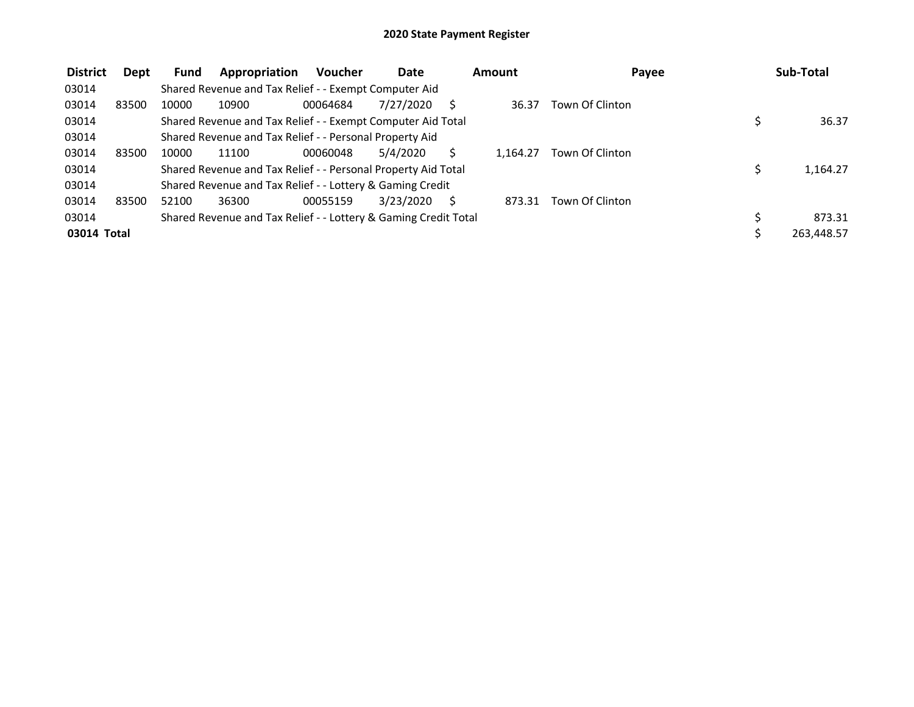| <b>District</b> | Dept  | <b>Fund</b> | Appropriation                                                   | <b>Voucher</b> | <b>Date</b> | Amount   | Payee           | Sub-Total  |
|-----------------|-------|-------------|-----------------------------------------------------------------|----------------|-------------|----------|-----------------|------------|
| 03014           |       |             | Shared Revenue and Tax Relief - - Exempt Computer Aid           |                |             |          |                 |            |
| 03014           | 83500 | 10000       | 10900                                                           | 00064684       | 7/27/2020   | 36.37    | Town Of Clinton |            |
| 03014           |       |             | Shared Revenue and Tax Relief - - Exempt Computer Aid Total     |                |             |          |                 | 36.37      |
| 03014           |       |             | Shared Revenue and Tax Relief - - Personal Property Aid         |                |             |          |                 |            |
| 03014           | 83500 | 10000       | 11100                                                           | 00060048       | 5/4/2020    | 1.164.27 | Town Of Clinton |            |
| 03014           |       |             | Shared Revenue and Tax Relief - - Personal Property Aid Total   |                |             |          |                 | 1,164.27   |
| 03014           |       |             | Shared Revenue and Tax Relief - - Lottery & Gaming Credit       |                |             |          |                 |            |
| 03014           | 83500 | 52100       | 36300                                                           | 00055159       | 3/23/2020   | 873.31   | Town Of Clinton |            |
| 03014           |       |             | Shared Revenue and Tax Relief - - Lottery & Gaming Credit Total |                |             |          |                 | 873.31     |
| 03014 Total     |       |             |                                                                 |                |             |          |                 | 263,448.57 |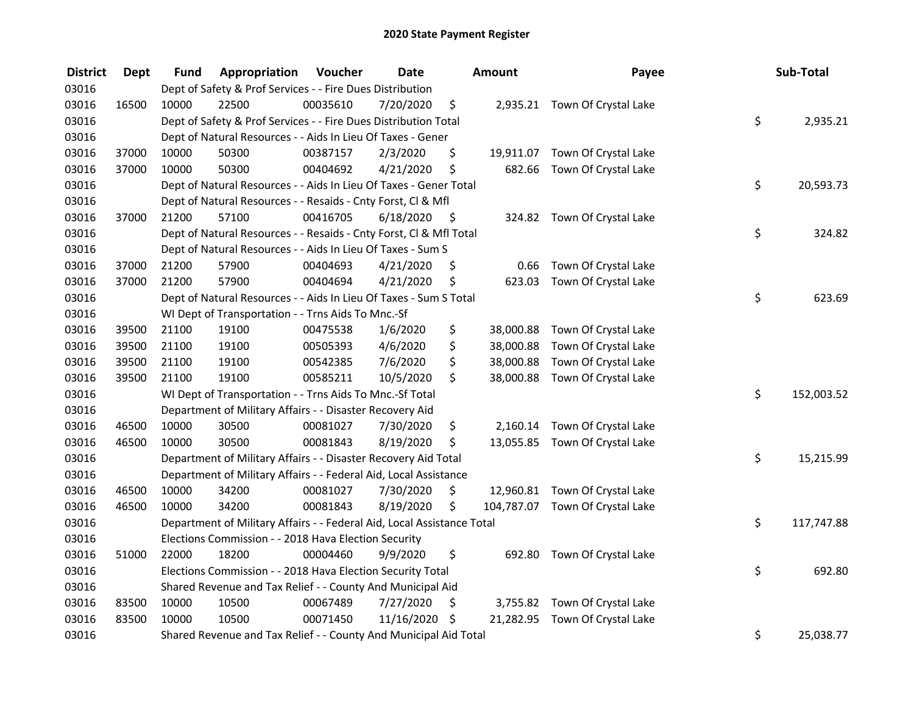| <b>District</b> | <b>Dept</b> | <b>Fund</b> | Appropriation                                                          | Voucher  | <b>Date</b> |      | <b>Amount</b> | Payee                           | Sub-Total        |
|-----------------|-------------|-------------|------------------------------------------------------------------------|----------|-------------|------|---------------|---------------------------------|------------------|
| 03016           |             |             | Dept of Safety & Prof Services - - Fire Dues Distribution              |          |             |      |               |                                 |                  |
| 03016           | 16500       | 10000       | 22500                                                                  | 00035610 | 7/20/2020   | \$   |               | 2,935.21 Town Of Crystal Lake   |                  |
| 03016           |             |             | Dept of Safety & Prof Services - - Fire Dues Distribution Total        |          |             |      |               |                                 | \$<br>2,935.21   |
| 03016           |             |             | Dept of Natural Resources - - Aids In Lieu Of Taxes - Gener            |          |             |      |               |                                 |                  |
| 03016           | 37000       | 10000       | 50300                                                                  | 00387157 | 2/3/2020    | \$   |               | 19,911.07 Town Of Crystal Lake  |                  |
| 03016           | 37000       | 10000       | 50300                                                                  | 00404692 | 4/21/2020   | \$   | 682.66        | Town Of Crystal Lake            |                  |
| 03016           |             |             | Dept of Natural Resources - - Aids In Lieu Of Taxes - Gener Total      |          |             |      |               |                                 | \$<br>20,593.73  |
| 03016           |             |             | Dept of Natural Resources - - Resaids - Cnty Forst, Cl & Mfl           |          |             |      |               |                                 |                  |
| 03016           | 37000       | 21200       | 57100                                                                  | 00416705 | 6/18/2020   | - \$ |               | 324.82 Town Of Crystal Lake     |                  |
| 03016           |             |             | Dept of Natural Resources - - Resaids - Cnty Forst, Cl & Mfl Total     |          |             |      |               |                                 | \$<br>324.82     |
| 03016           |             |             | Dept of Natural Resources - - Aids In Lieu Of Taxes - Sum S            |          |             |      |               |                                 |                  |
| 03016           | 37000       | 21200       | 57900                                                                  | 00404693 | 4/21/2020   | \$   | 0.66          | Town Of Crystal Lake            |                  |
| 03016           | 37000       | 21200       | 57900                                                                  | 00404694 | 4/21/2020   | \$   | 623.03        | Town Of Crystal Lake            |                  |
| 03016           |             |             | Dept of Natural Resources - - Aids In Lieu Of Taxes - Sum S Total      |          |             |      |               |                                 | \$<br>623.69     |
| 03016           |             |             | WI Dept of Transportation - - Trns Aids To Mnc.-Sf                     |          |             |      |               |                                 |                  |
| 03016           | 39500       | 21100       | 19100                                                                  | 00475538 | 1/6/2020    | \$   | 38,000.88     | Town Of Crystal Lake            |                  |
| 03016           | 39500       | 21100       | 19100                                                                  | 00505393 | 4/6/2020    | \$   | 38,000.88     | Town Of Crystal Lake            |                  |
| 03016           | 39500       | 21100       | 19100                                                                  | 00542385 | 7/6/2020    | \$   | 38,000.88     | Town Of Crystal Lake            |                  |
| 03016           | 39500       | 21100       | 19100                                                                  | 00585211 | 10/5/2020   | \$   | 38,000.88     | Town Of Crystal Lake            |                  |
| 03016           |             |             | WI Dept of Transportation - - Trns Aids To Mnc.-Sf Total               |          |             |      |               |                                 | \$<br>152,003.52 |
| 03016           |             |             | Department of Military Affairs - - Disaster Recovery Aid               |          |             |      |               |                                 |                  |
| 03016           | 46500       | 10000       | 30500                                                                  | 00081027 | 7/30/2020   | \$   |               | 2,160.14 Town Of Crystal Lake   |                  |
| 03016           | 46500       | 10000       | 30500                                                                  | 00081843 | 8/19/2020   | \$   |               | 13,055.85 Town Of Crystal Lake  |                  |
| 03016           |             |             | Department of Military Affairs - - Disaster Recovery Aid Total         |          |             |      |               |                                 | \$<br>15,215.99  |
| 03016           |             |             | Department of Military Affairs - - Federal Aid, Local Assistance       |          |             |      |               |                                 |                  |
| 03016           | 46500       | 10000       | 34200                                                                  | 00081027 | 7/30/2020   | \$   |               | 12,960.81 Town Of Crystal Lake  |                  |
| 03016           | 46500       | 10000       | 34200                                                                  | 00081843 | 8/19/2020   | \$   |               | 104,787.07 Town Of Crystal Lake |                  |
| 03016           |             |             | Department of Military Affairs - - Federal Aid, Local Assistance Total |          |             |      |               |                                 | \$<br>117,747.88 |
| 03016           |             |             | Elections Commission - - 2018 Hava Election Security                   |          |             |      |               |                                 |                  |
| 03016           | 51000       | 22000       | 18200                                                                  | 00004460 | 9/9/2020    | \$   | 692.80        | Town Of Crystal Lake            |                  |
| 03016           |             |             | Elections Commission - - 2018 Hava Election Security Total             |          |             |      |               |                                 | \$<br>692.80     |
| 03016           |             |             | Shared Revenue and Tax Relief - - County And Municipal Aid             |          |             |      |               |                                 |                  |
| 03016           | 83500       | 10000       | 10500                                                                  | 00067489 | 7/27/2020   | \$   |               | 3,755.82 Town Of Crystal Lake   |                  |
| 03016           | 83500       | 10000       | 10500                                                                  | 00071450 | 11/16/2020  | \$   |               | 21,282.95 Town Of Crystal Lake  |                  |
| 03016           |             |             | Shared Revenue and Tax Relief - - County And Municipal Aid Total       |          |             |      |               |                                 | \$<br>25,038.77  |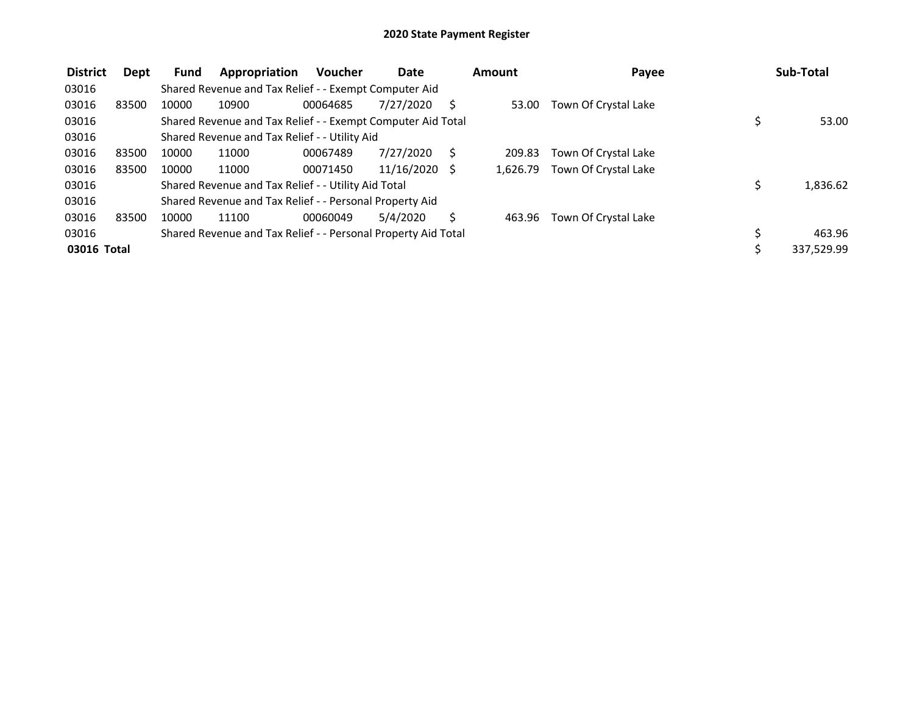| <b>District</b> | Dept  | Fund  | Appropriation                                                 | <b>Voucher</b> | Date            |          | Amount   | Payee                | Sub-Total  |
|-----------------|-------|-------|---------------------------------------------------------------|----------------|-----------------|----------|----------|----------------------|------------|
| 03016           |       |       | Shared Revenue and Tax Relief - - Exempt Computer Aid         |                |                 |          |          |                      |            |
| 03016           | 83500 | 10000 | 10900                                                         | 00064685       | 7/27/2020       |          | 53.00    | Town Of Crystal Lake |            |
| 03016           |       |       | Shared Revenue and Tax Relief - - Exempt Computer Aid Total   |                |                 |          |          |                      | 53.00      |
| 03016           |       |       | Shared Revenue and Tax Relief - - Utility Aid                 |                |                 |          |          |                      |            |
| 03016           | 83500 | 10000 | 11000                                                         | 00067489       | 7/27/2020       | <b>S</b> | 209.83   | Town Of Crystal Lake |            |
| 03016           | 83500 | 10000 | 11000                                                         | 00071450       | $11/16/2020$ \$ |          | 1.626.79 | Town Of Crystal Lake |            |
| 03016           |       |       | Shared Revenue and Tax Relief - - Utility Aid Total           |                |                 |          |          |                      | 1,836.62   |
| 03016           |       |       | Shared Revenue and Tax Relief - - Personal Property Aid       |                |                 |          |          |                      |            |
| 03016           | 83500 | 10000 | 11100                                                         | 00060049       | 5/4/2020        |          | 463.96   | Town Of Crystal Lake |            |
| 03016           |       |       | Shared Revenue and Tax Relief - - Personal Property Aid Total |                |                 |          |          |                      | 463.96     |
| 03016 Total     |       |       |                                                               |                |                 |          |          |                      | 337,529.99 |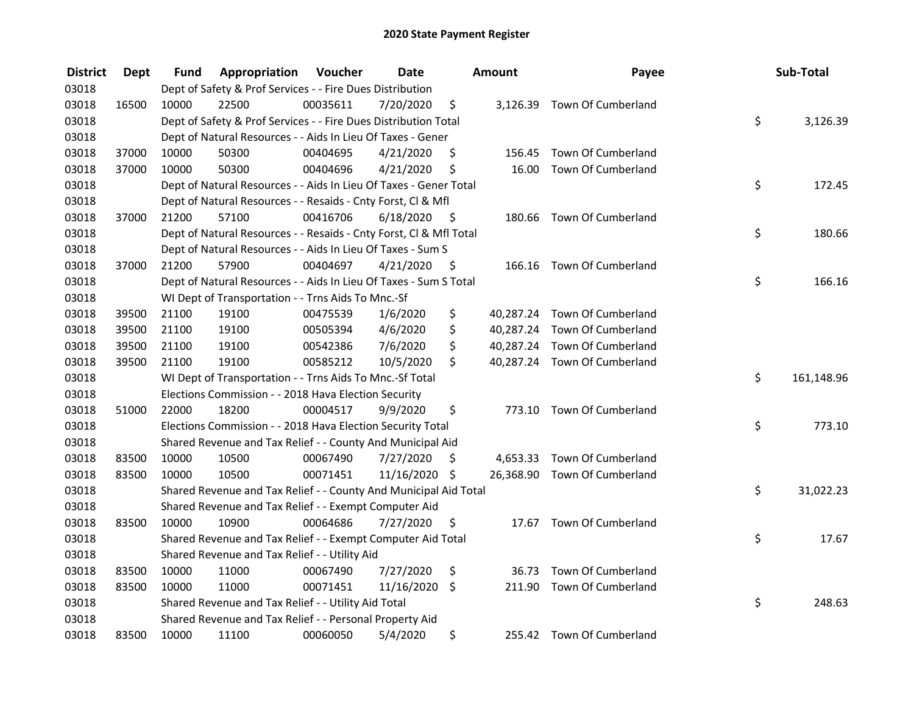| <b>District</b> | <b>Dept</b> | Fund  | Appropriation                                                      | Voucher  | <b>Date</b> |      | <b>Amount</b> | Payee                        | Sub-Total        |
|-----------------|-------------|-------|--------------------------------------------------------------------|----------|-------------|------|---------------|------------------------------|------------------|
| 03018           |             |       | Dept of Safety & Prof Services - - Fire Dues Distribution          |          |             |      |               |                              |                  |
| 03018           | 16500       | 10000 | 22500                                                              | 00035611 | 7/20/2020   | \$   |               | 3,126.39 Town Of Cumberland  |                  |
| 03018           |             |       | Dept of Safety & Prof Services - - Fire Dues Distribution Total    |          |             |      |               |                              | \$<br>3,126.39   |
| 03018           |             |       | Dept of Natural Resources - - Aids In Lieu Of Taxes - Gener        |          |             |      |               |                              |                  |
| 03018           | 37000       | 10000 | 50300                                                              | 00404695 | 4/21/2020   | \$   | 156.45        | Town Of Cumberland           |                  |
| 03018           | 37000       | 10000 | 50300                                                              | 00404696 | 4/21/2020   | \$   | 16.00         | Town Of Cumberland           |                  |
| 03018           |             |       | Dept of Natural Resources - - Aids In Lieu Of Taxes - Gener Total  |          |             |      |               |                              | \$<br>172.45     |
| 03018           |             |       | Dept of Natural Resources - - Resaids - Cnty Forst, Cl & Mfl       |          |             |      |               |                              |                  |
| 03018           | 37000       | 21200 | 57100                                                              | 00416706 | 6/18/2020   | - \$ |               | 180.66 Town Of Cumberland    |                  |
| 03018           |             |       | Dept of Natural Resources - - Resaids - Cnty Forst, Cl & Mfl Total |          |             |      |               |                              | \$<br>180.66     |
| 03018           |             |       | Dept of Natural Resources - - Aids In Lieu Of Taxes - Sum S        |          |             |      |               |                              |                  |
| 03018           | 37000       | 21200 | 57900                                                              | 00404697 | 4/21/2020   | -S   | 166.16        | Town Of Cumberland           |                  |
| 03018           |             |       | Dept of Natural Resources - - Aids In Lieu Of Taxes - Sum S Total  |          |             |      |               |                              | \$<br>166.16     |
| 03018           |             |       | WI Dept of Transportation - - Trns Aids To Mnc.-Sf                 |          |             |      |               |                              |                  |
| 03018           | 39500       | 21100 | 19100                                                              | 00475539 | 1/6/2020    | \$   |               | 40,287.24 Town Of Cumberland |                  |
| 03018           | 39500       | 21100 | 19100                                                              | 00505394 | 4/6/2020    | \$   |               | 40,287.24 Town Of Cumberland |                  |
| 03018           | 39500       | 21100 | 19100                                                              | 00542386 | 7/6/2020    | \$   |               | 40,287.24 Town Of Cumberland |                  |
| 03018           | 39500       | 21100 | 19100                                                              | 00585212 | 10/5/2020   | \$   |               | 40,287.24 Town Of Cumberland |                  |
| 03018           |             |       | WI Dept of Transportation - - Trns Aids To Mnc.-Sf Total           |          |             |      |               |                              | \$<br>161,148.96 |
| 03018           |             |       | Elections Commission - - 2018 Hava Election Security               |          |             |      |               |                              |                  |
| 03018           | 51000       | 22000 | 18200                                                              | 00004517 | 9/9/2020    | \$   |               | 773.10 Town Of Cumberland    |                  |
| 03018           |             |       | Elections Commission - - 2018 Hava Election Security Total         |          |             |      |               |                              | \$<br>773.10     |
| 03018           |             |       | Shared Revenue and Tax Relief - - County And Municipal Aid         |          |             |      |               |                              |                  |
| 03018           | 83500       | 10000 | 10500                                                              | 00067490 | 7/27/2020   | -S   |               | 4,653.33 Town Of Cumberland  |                  |
| 03018           | 83500       | 10000 | 10500                                                              | 00071451 | 11/16/2020  | -\$  |               | 26,368.90 Town Of Cumberland |                  |
| 03018           |             |       | Shared Revenue and Tax Relief - - County And Municipal Aid Total   |          |             |      |               |                              | \$<br>31,022.23  |
| 03018           |             |       | Shared Revenue and Tax Relief - - Exempt Computer Aid              |          |             |      |               |                              |                  |
| 03018           | 83500       | 10000 | 10900                                                              | 00064686 | 7/27/2020   | \$   |               | 17.67 Town Of Cumberland     |                  |
| 03018           |             |       | Shared Revenue and Tax Relief - - Exempt Computer Aid Total        |          |             |      |               |                              | \$<br>17.67      |
| 03018           |             |       | Shared Revenue and Tax Relief - - Utility Aid                      |          |             |      |               |                              |                  |
| 03018           | 83500       | 10000 | 11000                                                              | 00067490 | 7/27/2020   | \$   | 36.73         | Town Of Cumberland           |                  |
| 03018           | 83500       | 10000 | 11000                                                              | 00071451 | 11/16/2020  | \$   |               | 211.90 Town Of Cumberland    |                  |
| 03018           |             |       | Shared Revenue and Tax Relief - - Utility Aid Total                |          |             |      |               |                              | \$<br>248.63     |
| 03018           |             |       | Shared Revenue and Tax Relief - - Personal Property Aid            |          |             |      |               |                              |                  |
| 03018           | 83500       | 10000 | 11100                                                              | 00060050 | 5/4/2020    | \$   |               | 255.42 Town Of Cumberland    |                  |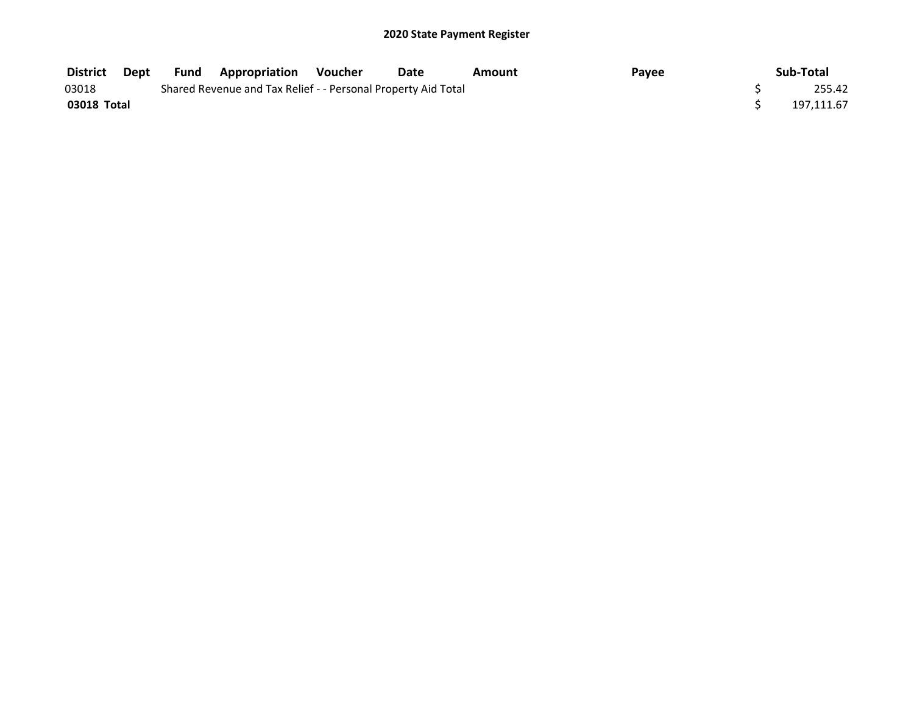| <b>District</b> | Dept | Fund | <b>Appropriation Voucher</b>                                  | Date | Amount | Payee | Sub-Total  |
|-----------------|------|------|---------------------------------------------------------------|------|--------|-------|------------|
| 03018           |      |      | Shared Revenue and Tax Relief - - Personal Property Aid Total |      |        |       | 255.42     |
| 03018 Total     |      |      |                                                               |      |        |       | 197.111.67 |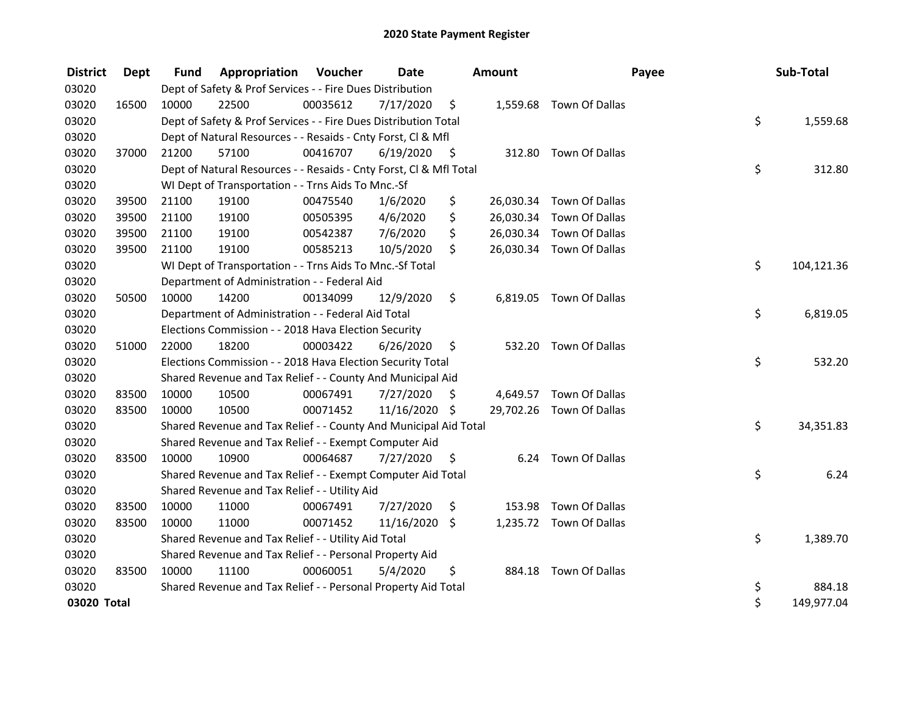| <b>District</b> | <b>Dept</b> | <b>Fund</b> | Appropriation                                                      | Voucher  | Date          |      | <b>Amount</b> |                          | Payee | Sub-Total  |
|-----------------|-------------|-------------|--------------------------------------------------------------------|----------|---------------|------|---------------|--------------------------|-------|------------|
| 03020           |             |             | Dept of Safety & Prof Services - - Fire Dues Distribution          |          |               |      |               |                          |       |            |
| 03020           | 16500       | 10000       | 22500                                                              | 00035612 | 7/17/2020     | \$   |               | 1,559.68 Town Of Dallas  |       |            |
| 03020           |             |             | Dept of Safety & Prof Services - - Fire Dues Distribution Total    |          |               |      |               |                          | \$    | 1,559.68   |
| 03020           |             |             | Dept of Natural Resources - - Resaids - Cnty Forst, CI & Mfl       |          |               |      |               |                          |       |            |
| 03020           | 37000       | 21200       | 57100                                                              | 00416707 | 6/19/2020     | - \$ |               | 312.80 Town Of Dallas    |       |            |
| 03020           |             |             | Dept of Natural Resources - - Resaids - Cnty Forst, Cl & Mfl Total |          |               |      |               |                          | \$    | 312.80     |
| 03020           |             |             | WI Dept of Transportation - - Trns Aids To Mnc.-Sf                 |          |               |      |               |                          |       |            |
| 03020           | 39500       | 21100       | 19100                                                              | 00475540 | 1/6/2020      | \$   |               | 26,030.34 Town Of Dallas |       |            |
| 03020           | 39500       | 21100       | 19100                                                              | 00505395 | 4/6/2020      | \$   |               | 26,030.34 Town Of Dallas |       |            |
| 03020           | 39500       | 21100       | 19100                                                              | 00542387 | 7/6/2020      | \$   |               | 26,030.34 Town Of Dallas |       |            |
| 03020           | 39500       | 21100       | 19100                                                              | 00585213 | 10/5/2020     | \$   |               | 26,030.34 Town Of Dallas |       |            |
| 03020           |             |             | WI Dept of Transportation - - Trns Aids To Mnc.-Sf Total           |          |               |      |               |                          | \$    | 104,121.36 |
| 03020           |             |             | Department of Administration - - Federal Aid                       |          |               |      |               |                          |       |            |
| 03020           | 50500       | 10000       | 14200                                                              | 00134099 | 12/9/2020     | \$   |               | 6,819.05 Town Of Dallas  |       |            |
| 03020           |             |             | Department of Administration - - Federal Aid Total                 |          |               |      |               |                          | \$    | 6,819.05   |
| 03020           |             |             | Elections Commission - - 2018 Hava Election Security               |          |               |      |               |                          |       |            |
| 03020           | 51000       | 22000       | 18200                                                              | 00003422 | 6/26/2020     | \$   | 532.20        | Town Of Dallas           |       |            |
| 03020           |             |             | Elections Commission - - 2018 Hava Election Security Total         |          |               |      |               |                          | \$    | 532.20     |
| 03020           |             |             | Shared Revenue and Tax Relief - - County And Municipal Aid         |          |               |      |               |                          |       |            |
| 03020           | 83500       | 10000       | 10500                                                              | 00067491 | 7/27/2020     | S    |               | 4,649.57 Town Of Dallas  |       |            |
| 03020           | 83500       | 10000       | 10500                                                              | 00071452 | 11/16/2020 \$ |      |               | 29,702.26 Town Of Dallas |       |            |
| 03020           |             |             | Shared Revenue and Tax Relief - - County And Municipal Aid Total   |          |               |      |               |                          | \$    | 34,351.83  |
| 03020           |             |             | Shared Revenue and Tax Relief - - Exempt Computer Aid              |          |               |      |               |                          |       |            |
| 03020           | 83500       | 10000       | 10900                                                              | 00064687 | 7/27/2020     | \$.  |               | 6.24 Town Of Dallas      |       |            |
| 03020           |             |             | Shared Revenue and Tax Relief - - Exempt Computer Aid Total        |          |               |      |               |                          | \$    | 6.24       |
| 03020           |             |             | Shared Revenue and Tax Relief - - Utility Aid                      |          |               |      |               |                          |       |            |
| 03020           | 83500       | 10000       | 11000                                                              | 00067491 | 7/27/2020     | \$   | 153.98        | Town Of Dallas           |       |            |
| 03020           | 83500       | 10000       | 11000                                                              | 00071452 | 11/16/2020 \$ |      |               | 1,235.72 Town Of Dallas  |       |            |
| 03020           |             |             | Shared Revenue and Tax Relief - - Utility Aid Total                |          |               |      |               |                          | \$    | 1,389.70   |
| 03020           |             |             | Shared Revenue and Tax Relief - - Personal Property Aid            |          |               |      |               |                          |       |            |
| 03020           | 83500       | 10000       | 11100                                                              | 00060051 | 5/4/2020      | \$   | 884.18        | Town Of Dallas           |       |            |
| 03020           |             |             | Shared Revenue and Tax Relief - - Personal Property Aid Total      |          |               |      |               |                          | \$    | 884.18     |
| 03020 Total     |             |             |                                                                    |          |               |      |               |                          | \$    | 149,977.04 |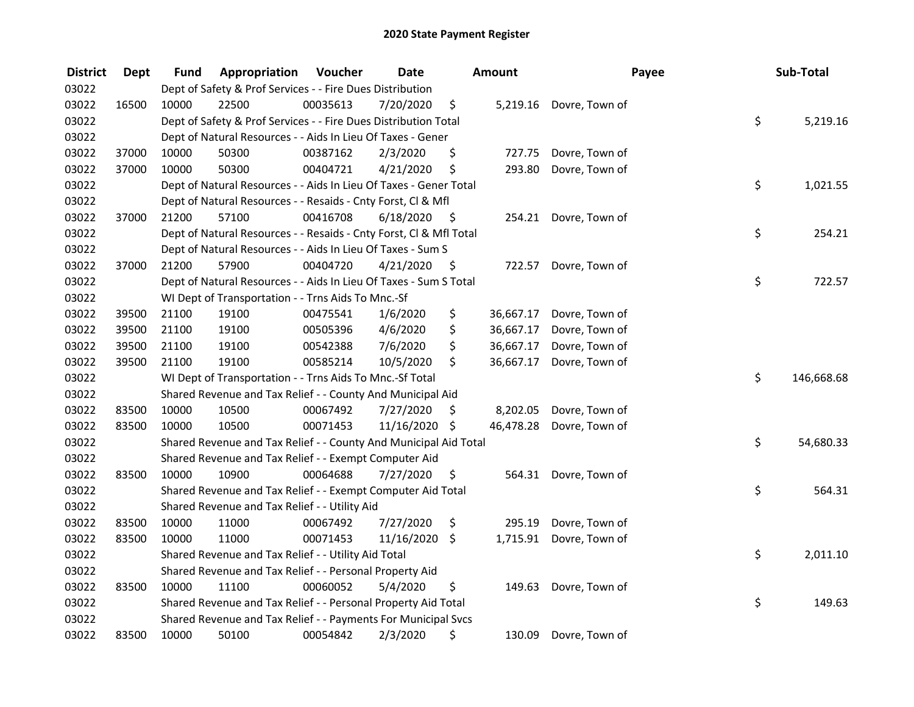| <b>District</b> | <b>Dept</b> | Fund  | Appropriation                                                      | Voucher  | <b>Date</b>   |      | Amount    |                       | Payee | Sub-Total  |
|-----------------|-------------|-------|--------------------------------------------------------------------|----------|---------------|------|-----------|-----------------------|-------|------------|
| 03022           |             |       | Dept of Safety & Prof Services - - Fire Dues Distribution          |          |               |      |           |                       |       |            |
| 03022           | 16500       | 10000 | 22500                                                              | 00035613 | 7/20/2020     | \$   | 5,219.16  | Dovre, Town of        |       |            |
| 03022           |             |       | Dept of Safety & Prof Services - - Fire Dues Distribution Total    |          |               |      |           |                       | \$    | 5,219.16   |
| 03022           |             |       | Dept of Natural Resources - - Aids In Lieu Of Taxes - Gener        |          |               |      |           |                       |       |            |
| 03022           | 37000       | 10000 | 50300                                                              | 00387162 | 2/3/2020      | \$   | 727.75    | Dovre, Town of        |       |            |
| 03022           | 37000       | 10000 | 50300                                                              | 00404721 | 4/21/2020     | \$   | 293.80    | Dovre, Town of        |       |            |
| 03022           |             |       | Dept of Natural Resources - - Aids In Lieu Of Taxes - Gener Total  |          |               |      |           |                       | \$    | 1,021.55   |
| 03022           |             |       | Dept of Natural Resources - - Resaids - Cnty Forst, Cl & Mfl       |          |               |      |           |                       |       |            |
| 03022           | 37000       | 21200 | 57100                                                              | 00416708 | 6/18/2020     | - \$ |           | 254.21 Dovre, Town of |       |            |
| 03022           |             |       | Dept of Natural Resources - - Resaids - Cnty Forst, Cl & Mfl Total |          |               |      |           |                       | \$    | 254.21     |
| 03022           |             |       | Dept of Natural Resources - - Aids In Lieu Of Taxes - Sum S        |          |               |      |           |                       |       |            |
| 03022           | 37000       | 21200 | 57900                                                              | 00404720 | 4/21/2020     | \$.  | 722.57    | Dovre, Town of        |       |            |
| 03022           |             |       | Dept of Natural Resources - - Aids In Lieu Of Taxes - Sum S Total  |          |               |      |           |                       | \$    | 722.57     |
| 03022           |             |       | WI Dept of Transportation - - Trns Aids To Mnc.-Sf                 |          |               |      |           |                       |       |            |
| 03022           | 39500       | 21100 | 19100                                                              | 00475541 | 1/6/2020      | \$   | 36,667.17 | Dovre, Town of        |       |            |
| 03022           | 39500       | 21100 | 19100                                                              | 00505396 | 4/6/2020      | \$   | 36,667.17 | Dovre, Town of        |       |            |
| 03022           | 39500       | 21100 | 19100                                                              | 00542388 | 7/6/2020      | \$   | 36,667.17 | Dovre, Town of        |       |            |
| 03022           | 39500       | 21100 | 19100                                                              | 00585214 | 10/5/2020     | \$   | 36,667.17 | Dovre, Town of        |       |            |
| 03022           |             |       | WI Dept of Transportation - - Trns Aids To Mnc.-Sf Total           |          |               |      |           |                       | \$    | 146,668.68 |
| 03022           |             |       | Shared Revenue and Tax Relief - - County And Municipal Aid         |          |               |      |           |                       |       |            |
| 03022           | 83500       | 10000 | 10500                                                              | 00067492 | 7/27/2020     | \$   | 8,202.05  | Dovre, Town of        |       |            |
| 03022           | 83500       | 10000 | 10500                                                              | 00071453 | 11/16/2020 \$ |      | 46,478.28 | Dovre, Town of        |       |            |
| 03022           |             |       | Shared Revenue and Tax Relief - - County And Municipal Aid Total   |          |               |      |           |                       | \$    | 54,680.33  |
| 03022           |             |       | Shared Revenue and Tax Relief - - Exempt Computer Aid              |          |               |      |           |                       |       |            |
| 03022           | 83500       | 10000 | 10900                                                              | 00064688 | 7/27/2020     | \$.  | 564.31    | Dovre, Town of        |       |            |
| 03022           |             |       | Shared Revenue and Tax Relief - - Exempt Computer Aid Total        |          |               |      |           |                       | \$    | 564.31     |
| 03022           |             |       | Shared Revenue and Tax Relief - - Utility Aid                      |          |               |      |           |                       |       |            |
| 03022           | 83500       | 10000 | 11000                                                              | 00067492 | 7/27/2020     | \$   | 295.19    | Dovre, Town of        |       |            |
| 03022           | 83500       | 10000 | 11000                                                              | 00071453 | 11/16/2020 \$ |      | 1,715.91  | Dovre, Town of        |       |            |
| 03022           |             |       | Shared Revenue and Tax Relief - - Utility Aid Total                |          |               |      |           |                       | \$    | 2,011.10   |
| 03022           |             |       | Shared Revenue and Tax Relief - - Personal Property Aid            |          |               |      |           |                       |       |            |
| 03022           | 83500       | 10000 | 11100                                                              | 00060052 | 5/4/2020      | \$   | 149.63    | Dovre, Town of        |       |            |
| 03022           |             |       | Shared Revenue and Tax Relief - - Personal Property Aid Total      |          |               |      |           |                       | \$    | 149.63     |
| 03022           |             |       | Shared Revenue and Tax Relief - - Payments For Municipal Svcs      |          |               |      |           |                       |       |            |
| 03022           | 83500       | 10000 | 50100                                                              | 00054842 | 2/3/2020      | \$   | 130.09    | Dovre, Town of        |       |            |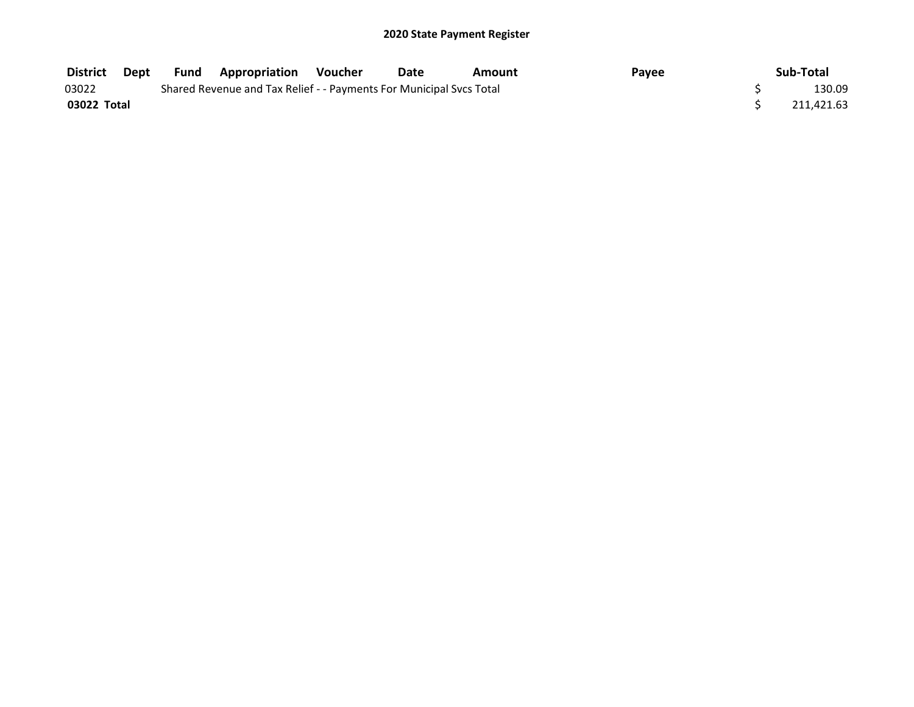| <b>District</b> | Dept | Fund | <b>Appropriation Voucher</b>                                        | Date | Amount | Payee | Sub-Total  |
|-----------------|------|------|---------------------------------------------------------------------|------|--------|-------|------------|
| 03022           |      |      | Shared Revenue and Tax Relief - - Payments For Municipal Svcs Total |      |        |       | 130.09     |
| 03022 Total     |      |      |                                                                     |      |        |       | 211.421.63 |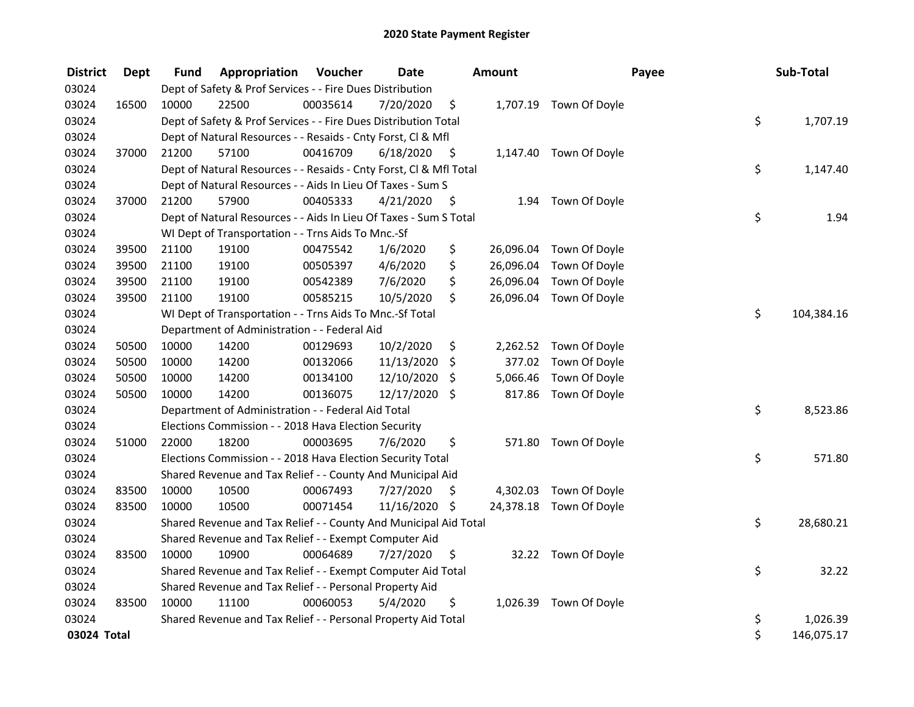| <b>District</b> | <b>Dept</b> | Fund  | Appropriation                                                      | Voucher  | <b>Date</b>   |      | Amount    |                         | Payee | Sub-Total  |
|-----------------|-------------|-------|--------------------------------------------------------------------|----------|---------------|------|-----------|-------------------------|-------|------------|
| 03024           |             |       | Dept of Safety & Prof Services - - Fire Dues Distribution          |          |               |      |           |                         |       |            |
| 03024           | 16500       | 10000 | 22500                                                              | 00035614 | 7/20/2020     | \$   |           | 1,707.19 Town Of Doyle  |       |            |
| 03024           |             |       | Dept of Safety & Prof Services - - Fire Dues Distribution Total    |          |               |      |           |                         | \$    | 1,707.19   |
| 03024           |             |       | Dept of Natural Resources - - Resaids - Cnty Forst, CI & Mfl       |          |               |      |           |                         |       |            |
| 03024           | 37000       | 21200 | 57100                                                              | 00416709 | 6/18/2020     | - \$ |           | 1,147.40 Town Of Doyle  |       |            |
| 03024           |             |       | Dept of Natural Resources - - Resaids - Cnty Forst, Cl & Mfl Total |          |               |      |           |                         | \$    | 1,147.40   |
| 03024           |             |       | Dept of Natural Resources - - Aids In Lieu Of Taxes - Sum S        |          |               |      |           |                         |       |            |
| 03024           | 37000       | 21200 | 57900                                                              | 00405333 | 4/21/2020     | - \$ |           | 1.94 Town Of Doyle      |       |            |
| 03024           |             |       | Dept of Natural Resources - - Aids In Lieu Of Taxes - Sum S Total  |          |               |      |           |                         | \$    | 1.94       |
| 03024           |             |       | WI Dept of Transportation - - Trns Aids To Mnc.-Sf                 |          |               |      |           |                         |       |            |
| 03024           | 39500       | 21100 | 19100                                                              | 00475542 | 1/6/2020      | \$   |           | 26,096.04 Town Of Doyle |       |            |
| 03024           | 39500       | 21100 | 19100                                                              | 00505397 | 4/6/2020      | \$   | 26,096.04 | Town Of Doyle           |       |            |
| 03024           | 39500       | 21100 | 19100                                                              | 00542389 | 7/6/2020      | \$   | 26,096.04 | Town Of Doyle           |       |            |
| 03024           | 39500       | 21100 | 19100                                                              | 00585215 | 10/5/2020     | \$   | 26,096.04 | Town Of Doyle           |       |            |
| 03024           |             |       | WI Dept of Transportation - - Trns Aids To Mnc.-Sf Total           |          |               |      |           |                         | \$    | 104,384.16 |
| 03024           |             |       | Department of Administration - - Federal Aid                       |          |               |      |           |                         |       |            |
| 03024           | 50500       | 10000 | 14200                                                              | 00129693 | 10/2/2020     | \$   |           | 2,262.52 Town Of Doyle  |       |            |
| 03024           | 50500       | 10000 | 14200                                                              | 00132066 | 11/13/2020    | \$   | 377.02    | Town Of Doyle           |       |            |
| 03024           | 50500       | 10000 | 14200                                                              | 00134100 | 12/10/2020    | \$   | 5,066.46  | Town Of Doyle           |       |            |
| 03024           | 50500       | 10000 | 14200                                                              | 00136075 | 12/17/2020    | \$   | 817.86    | Town Of Doyle           |       |            |
| 03024           |             |       | Department of Administration - - Federal Aid Total                 |          |               |      |           |                         | \$    | 8,523.86   |
| 03024           |             |       | Elections Commission - - 2018 Hava Election Security               |          |               |      |           |                         |       |            |
| 03024           | 51000       | 22000 | 18200                                                              | 00003695 | 7/6/2020      | \$   |           | 571.80 Town Of Doyle    |       |            |
| 03024           |             |       | Elections Commission - - 2018 Hava Election Security Total         |          |               |      |           |                         | \$    | 571.80     |
| 03024           |             |       | Shared Revenue and Tax Relief - - County And Municipal Aid         |          |               |      |           |                         |       |            |
| 03024           | 83500       | 10000 | 10500                                                              | 00067493 | 7/27/2020     | \$   | 4,302.03  | Town Of Doyle           |       |            |
| 03024           | 83500       | 10000 | 10500                                                              | 00071454 | 11/16/2020 \$ |      |           | 24,378.18 Town Of Doyle |       |            |
| 03024           |             |       | Shared Revenue and Tax Relief - - County And Municipal Aid Total   |          |               |      |           |                         | \$    | 28,680.21  |
| 03024           |             |       | Shared Revenue and Tax Relief - - Exempt Computer Aid              |          |               |      |           |                         |       |            |
| 03024           | 83500       | 10000 | 10900                                                              | 00064689 | 7/27/2020     | \$   |           | 32.22 Town Of Doyle     |       |            |
| 03024           |             |       | Shared Revenue and Tax Relief - - Exempt Computer Aid Total        |          |               |      |           |                         | \$    | 32.22      |
| 03024           |             |       | Shared Revenue and Tax Relief - - Personal Property Aid            |          |               |      |           |                         |       |            |
| 03024           | 83500       | 10000 | 11100                                                              | 00060053 | 5/4/2020      | \$   | 1,026.39  | Town Of Doyle           |       |            |
| 03024           |             |       | Shared Revenue and Tax Relief - - Personal Property Aid Total      |          |               |      |           |                         | \$    | 1,026.39   |
| 03024 Total     |             |       |                                                                    |          |               |      |           |                         | \$    | 146,075.17 |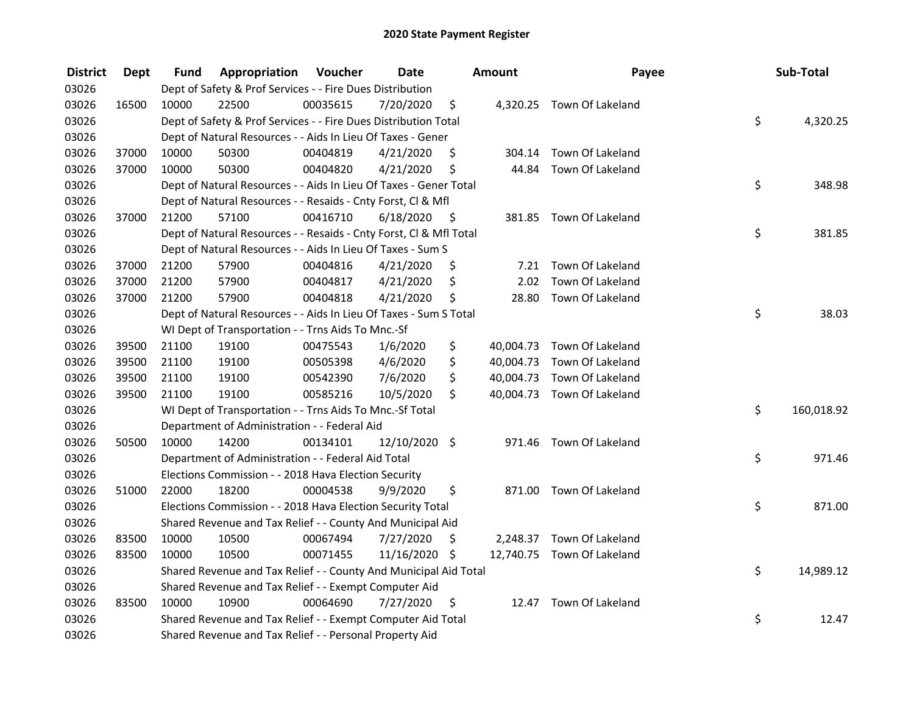| <b>District</b> | <b>Dept</b> | Fund  | Appropriation                                                      | Voucher  | <b>Date</b>   |      | Amount | Payee                      | Sub-Total        |
|-----------------|-------------|-------|--------------------------------------------------------------------|----------|---------------|------|--------|----------------------------|------------------|
| 03026           |             |       | Dept of Safety & Prof Services - - Fire Dues Distribution          |          |               |      |        |                            |                  |
| 03026           | 16500       | 10000 | 22500                                                              | 00035615 | 7/20/2020     | \$   |        | 4,320.25 Town Of Lakeland  |                  |
| 03026           |             |       | Dept of Safety & Prof Services - - Fire Dues Distribution Total    |          |               |      |        |                            | \$<br>4,320.25   |
| 03026           |             |       | Dept of Natural Resources - - Aids In Lieu Of Taxes - Gener        |          |               |      |        |                            |                  |
| 03026           | 37000       | 10000 | 50300                                                              | 00404819 | 4/21/2020     | \$   |        | 304.14 Town Of Lakeland    |                  |
| 03026           | 37000       | 10000 | 50300                                                              | 00404820 | 4/21/2020     | \$   |        | 44.84 Town Of Lakeland     |                  |
| 03026           |             |       | Dept of Natural Resources - - Aids In Lieu Of Taxes - Gener Total  |          |               |      |        |                            | \$<br>348.98     |
| 03026           |             |       | Dept of Natural Resources - - Resaids - Cnty Forst, Cl & Mfl       |          |               |      |        |                            |                  |
| 03026           | 37000       | 21200 | 57100                                                              | 00416710 | 6/18/2020     | - \$ |        | 381.85 Town Of Lakeland    |                  |
| 03026           |             |       | Dept of Natural Resources - - Resaids - Cnty Forst, Cl & Mfl Total |          |               |      |        |                            | \$<br>381.85     |
| 03026           |             |       | Dept of Natural Resources - - Aids In Lieu Of Taxes - Sum S        |          |               |      |        |                            |                  |
| 03026           | 37000       | 21200 | 57900                                                              | 00404816 | 4/21/2020     | \$.  |        | 7.21 Town Of Lakeland      |                  |
| 03026           | 37000       | 21200 | 57900                                                              | 00404817 | 4/21/2020     | \$   | 2.02   | Town Of Lakeland           |                  |
| 03026           | 37000       | 21200 | 57900                                                              | 00404818 | 4/21/2020     | \$   | 28.80  | Town Of Lakeland           |                  |
| 03026           |             |       | Dept of Natural Resources - - Aids In Lieu Of Taxes - Sum S Total  |          |               |      |        |                            | \$<br>38.03      |
| 03026           |             |       | WI Dept of Transportation - - Trns Aids To Mnc.-Sf                 |          |               |      |        |                            |                  |
| 03026           | 39500       | 21100 | 19100                                                              | 00475543 | 1/6/2020      | \$   |        | 40,004.73 Town Of Lakeland |                  |
| 03026           | 39500       | 21100 | 19100                                                              | 00505398 | 4/6/2020      | \$   |        | 40,004.73 Town Of Lakeland |                  |
| 03026           | 39500       | 21100 | 19100                                                              | 00542390 | 7/6/2020      | \$   |        | 40,004.73 Town Of Lakeland |                  |
| 03026           | 39500       | 21100 | 19100                                                              | 00585216 | 10/5/2020     | \$   |        | 40,004.73 Town Of Lakeland |                  |
| 03026           |             |       | WI Dept of Transportation - - Trns Aids To Mnc.-Sf Total           |          |               |      |        |                            | \$<br>160,018.92 |
| 03026           |             |       | Department of Administration - - Federal Aid                       |          |               |      |        |                            |                  |
| 03026           | 50500       | 10000 | 14200                                                              | 00134101 | 12/10/2020 \$ |      |        | 971.46 Town Of Lakeland    |                  |
| 03026           |             |       | Department of Administration - - Federal Aid Total                 |          |               |      |        |                            | \$<br>971.46     |
| 03026           |             |       | Elections Commission - - 2018 Hava Election Security               |          |               |      |        |                            |                  |
| 03026           | 51000       | 22000 | 18200                                                              | 00004538 | 9/9/2020      | \$   |        | 871.00 Town Of Lakeland    |                  |
| 03026           |             |       | Elections Commission - - 2018 Hava Election Security Total         |          |               |      |        |                            | \$<br>871.00     |
| 03026           |             |       | Shared Revenue and Tax Relief - - County And Municipal Aid         |          |               |      |        |                            |                  |
| 03026           | 83500       | 10000 | 10500                                                              | 00067494 | 7/27/2020     | \$   |        | 2,248.37 Town Of Lakeland  |                  |
| 03026           | 83500       | 10000 | 10500                                                              | 00071455 | 11/16/2020 \$ |      |        | 12,740.75 Town Of Lakeland |                  |
| 03026           |             |       | Shared Revenue and Tax Relief - - County And Municipal Aid Total   |          |               |      |        |                            | \$<br>14,989.12  |
| 03026           |             |       | Shared Revenue and Tax Relief - - Exempt Computer Aid              |          |               |      |        |                            |                  |
| 03026           | 83500       | 10000 | 10900                                                              | 00064690 | 7/27/2020     | \$   |        | 12.47 Town Of Lakeland     |                  |
| 03026           |             |       | Shared Revenue and Tax Relief - - Exempt Computer Aid Total        |          |               |      |        |                            | \$<br>12.47      |
| 03026           |             |       | Shared Revenue and Tax Relief - - Personal Property Aid            |          |               |      |        |                            |                  |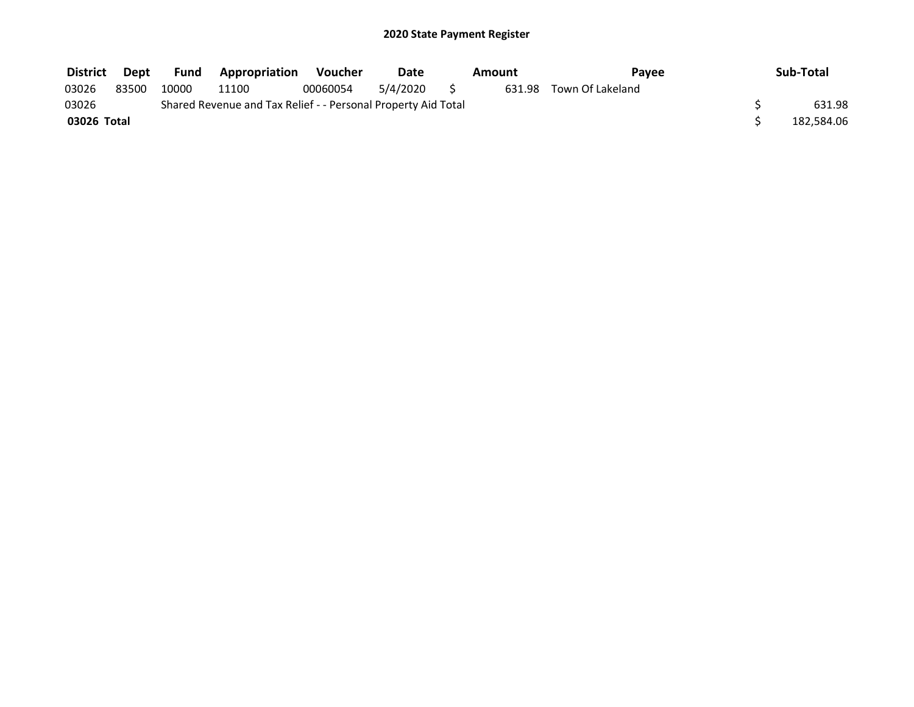| <b>District</b> | Dept  | <b>Fund</b> | <b>Appropriation</b>                                          | Voucher  | Date     | Amount | <b>Pavee</b>            | Sub-Total  |
|-----------------|-------|-------------|---------------------------------------------------------------|----------|----------|--------|-------------------------|------------|
| 03026           | 83500 | 10000       | 11100                                                         | 00060054 | 5/4/2020 |        | 631.98 Town Of Lakeland |            |
| 03026           |       |             | Shared Revenue and Tax Relief - - Personal Property Aid Total |          |          |        |                         | 631.98     |
| 03026 Total     |       |             |                                                               |          |          |        |                         | 182,584.06 |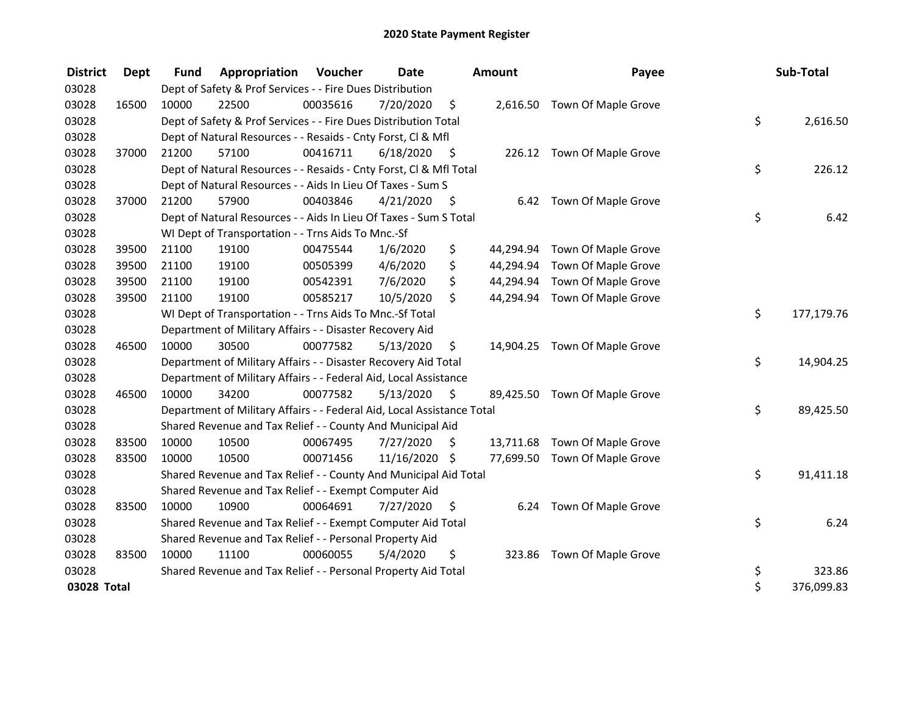| <b>District</b> | <b>Dept</b> | <b>Fund</b> | Appropriation                                                          | Voucher  | Date          |      | <b>Amount</b> | Payee                         | Sub-Total        |
|-----------------|-------------|-------------|------------------------------------------------------------------------|----------|---------------|------|---------------|-------------------------------|------------------|
| 03028           |             |             | Dept of Safety & Prof Services - - Fire Dues Distribution              |          |               |      |               |                               |                  |
| 03028           | 16500       | 10000       | 22500                                                                  | 00035616 | 7/20/2020     | \$   |               | 2,616.50 Town Of Maple Grove  |                  |
| 03028           |             |             | Dept of Safety & Prof Services - - Fire Dues Distribution Total        |          |               |      |               |                               | \$<br>2,616.50   |
| 03028           |             |             | Dept of Natural Resources - - Resaids - Cnty Forst, CI & Mfl           |          |               |      |               |                               |                  |
| 03028           | 37000       | 21200       | 57100                                                                  | 00416711 | 6/18/2020     | - \$ |               | 226.12 Town Of Maple Grove    |                  |
| 03028           |             |             | Dept of Natural Resources - - Resaids - Cnty Forst, Cl & Mfl Total     |          |               |      |               |                               | \$<br>226.12     |
| 03028           |             |             | Dept of Natural Resources - - Aids In Lieu Of Taxes - Sum S            |          |               |      |               |                               |                  |
| 03028           | 37000       | 21200       | 57900                                                                  | 00403846 | 4/21/2020     | - \$ |               | 6.42 Town Of Maple Grove      |                  |
| 03028           |             |             | Dept of Natural Resources - - Aids In Lieu Of Taxes - Sum S Total      |          |               |      |               |                               | \$<br>6.42       |
| 03028           |             |             | WI Dept of Transportation - - Trns Aids To Mnc.-Sf                     |          |               |      |               |                               |                  |
| 03028           | 39500       | 21100       | 19100                                                                  | 00475544 | 1/6/2020      | \$   | 44,294.94     | Town Of Maple Grove           |                  |
| 03028           | 39500       | 21100       | 19100                                                                  | 00505399 | 4/6/2020      | \$   | 44,294.94     | Town Of Maple Grove           |                  |
| 03028           | 39500       | 21100       | 19100                                                                  | 00542391 | 7/6/2020      | \$   | 44,294.94     | Town Of Maple Grove           |                  |
| 03028           | 39500       | 21100       | 19100                                                                  | 00585217 | 10/5/2020     | \$   | 44,294.94     | Town Of Maple Grove           |                  |
| 03028           |             |             | WI Dept of Transportation - - Trns Aids To Mnc.-Sf Total               |          |               |      |               |                               | \$<br>177,179.76 |
| 03028           |             |             | Department of Military Affairs - - Disaster Recovery Aid               |          |               |      |               |                               |                  |
| 03028           | 46500       | 10000       | 30500                                                                  | 00077582 | 5/13/2020     | \$   |               | 14,904.25 Town Of Maple Grove |                  |
| 03028           |             |             | Department of Military Affairs - - Disaster Recovery Aid Total         |          |               |      |               |                               | \$<br>14,904.25  |
| 03028           |             |             | Department of Military Affairs - - Federal Aid, Local Assistance       |          |               |      |               |                               |                  |
| 03028           | 46500       | 10000       | 34200                                                                  | 00077582 | 5/13/2020     | \$   |               | 89,425.50 Town Of Maple Grove |                  |
| 03028           |             |             | Department of Military Affairs - - Federal Aid, Local Assistance Total |          |               |      |               |                               | \$<br>89,425.50  |
| 03028           |             |             | Shared Revenue and Tax Relief - - County And Municipal Aid             |          |               |      |               |                               |                  |
| 03028           | 83500       | 10000       | 10500                                                                  | 00067495 | 7/27/2020     | \$   |               | 13,711.68 Town Of Maple Grove |                  |
| 03028           | 83500       | 10000       | 10500                                                                  | 00071456 | 11/16/2020 \$ |      |               | 77,699.50 Town Of Maple Grove |                  |
| 03028           |             |             | Shared Revenue and Tax Relief - - County And Municipal Aid Total       |          |               |      |               |                               | \$<br>91,411.18  |
| 03028           |             |             | Shared Revenue and Tax Relief - - Exempt Computer Aid                  |          |               |      |               |                               |                  |
| 03028           | 83500       | 10000       | 10900                                                                  | 00064691 | 7/27/2020     | \$   | 6.24          | Town Of Maple Grove           |                  |
| 03028           |             |             | Shared Revenue and Tax Relief - - Exempt Computer Aid Total            |          |               |      |               |                               | \$<br>6.24       |
| 03028           |             |             | Shared Revenue and Tax Relief - - Personal Property Aid                |          |               |      |               |                               |                  |
| 03028           | 83500       | 10000       | 11100                                                                  | 00060055 | 5/4/2020      | \$   | 323.86        | Town Of Maple Grove           |                  |
| 03028           |             |             | Shared Revenue and Tax Relief - - Personal Property Aid Total          |          |               |      |               |                               | \$<br>323.86     |
| 03028 Total     |             |             |                                                                        |          |               |      |               |                               | \$<br>376,099.83 |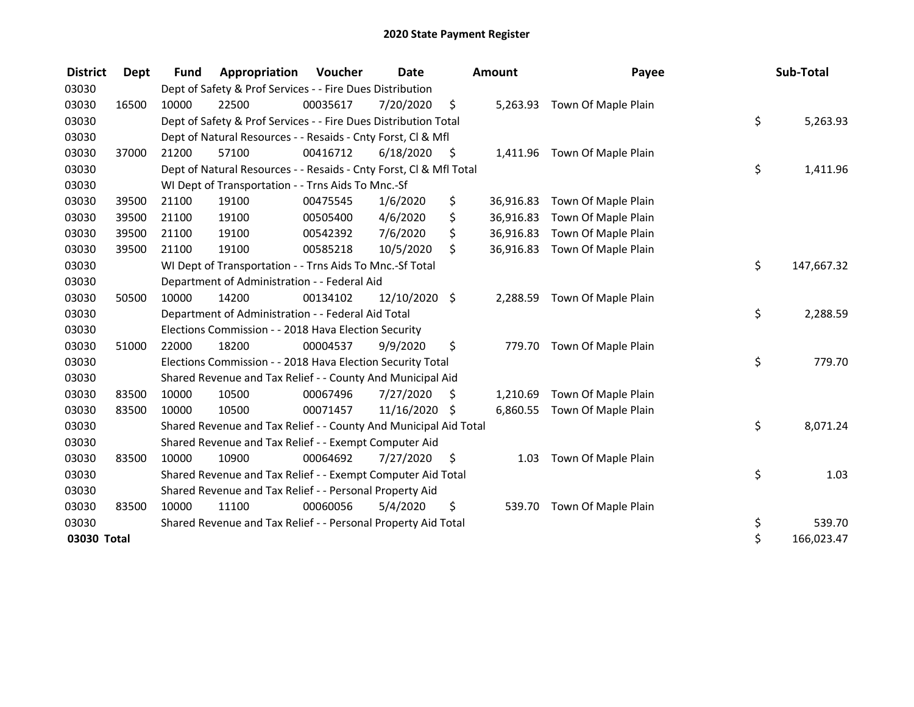| <b>District</b> | <b>Dept</b> | <b>Fund</b> | Appropriation                                                      | Voucher  | Date       |      | <b>Amount</b> | Payee                        | Sub-Total        |
|-----------------|-------------|-------------|--------------------------------------------------------------------|----------|------------|------|---------------|------------------------------|------------------|
| 03030           |             |             | Dept of Safety & Prof Services - - Fire Dues Distribution          |          |            |      |               |                              |                  |
| 03030           | 16500       | 10000       | 22500                                                              | 00035617 | 7/20/2020  | \$   | 5,263.93      | Town Of Maple Plain          |                  |
| 03030           |             |             | Dept of Safety & Prof Services - - Fire Dues Distribution Total    |          |            |      |               |                              | \$<br>5,263.93   |
| 03030           |             |             | Dept of Natural Resources - - Resaids - Cnty Forst, CI & Mfl       |          |            |      |               |                              |                  |
| 03030           | 37000       | 21200       | 57100                                                              | 00416712 | 6/18/2020  | - \$ |               | 1,411.96 Town Of Maple Plain |                  |
| 03030           |             |             | Dept of Natural Resources - - Resaids - Cnty Forst, CI & Mfl Total |          |            |      |               |                              | \$<br>1,411.96   |
| 03030           |             |             | WI Dept of Transportation - - Trns Aids To Mnc.-Sf                 |          |            |      |               |                              |                  |
| 03030           | 39500       | 21100       | 19100                                                              | 00475545 | 1/6/2020   | \$   | 36,916.83     | Town Of Maple Plain          |                  |
| 03030           | 39500       | 21100       | 19100                                                              | 00505400 | 4/6/2020   | \$   | 36,916.83     | Town Of Maple Plain          |                  |
| 03030           | 39500       | 21100       | 19100                                                              | 00542392 | 7/6/2020   | \$   | 36,916.83     | Town Of Maple Plain          |                  |
| 03030           | 39500       | 21100       | 19100                                                              | 00585218 | 10/5/2020  | \$   | 36,916.83     | Town Of Maple Plain          |                  |
| 03030           |             |             | WI Dept of Transportation - - Trns Aids To Mnc.-Sf Total           |          |            |      |               |                              | \$<br>147,667.32 |
| 03030           |             |             | Department of Administration - - Federal Aid                       |          |            |      |               |                              |                  |
| 03030           | 50500       | 10000       | 14200                                                              | 00134102 | 12/10/2020 | \$   | 2,288.59      | Town Of Maple Plain          |                  |
| 03030           |             |             | Department of Administration - - Federal Aid Total                 |          |            |      |               |                              | \$<br>2,288.59   |
| 03030           |             |             | Elections Commission - - 2018 Hava Election Security               |          |            |      |               |                              |                  |
| 03030           | 51000       | 22000       | 18200                                                              | 00004537 | 9/9/2020   | \$   | 779.70        | Town Of Maple Plain          |                  |
| 03030           |             |             | Elections Commission - - 2018 Hava Election Security Total         |          |            |      |               |                              | \$<br>779.70     |
| 03030           |             |             | Shared Revenue and Tax Relief - - County And Municipal Aid         |          |            |      |               |                              |                  |
| 03030           | 83500       | 10000       | 10500                                                              | 00067496 | 7/27/2020  | \$   | 1,210.69      | Town Of Maple Plain          |                  |
| 03030           | 83500       | 10000       | 10500                                                              | 00071457 | 11/16/2020 | \$   | 6,860.55      | Town Of Maple Plain          |                  |
| 03030           |             |             | Shared Revenue and Tax Relief - - County And Municipal Aid Total   |          |            |      |               |                              | \$<br>8,071.24   |
| 03030           |             |             | Shared Revenue and Tax Relief - - Exempt Computer Aid              |          |            |      |               |                              |                  |
| 03030           | 83500       | 10000       | 10900                                                              | 00064692 | 7/27/2020  | S    | 1.03          | Town Of Maple Plain          |                  |
| 03030           |             |             | Shared Revenue and Tax Relief - - Exempt Computer Aid Total        |          |            |      |               |                              | \$<br>1.03       |
| 03030           |             |             | Shared Revenue and Tax Relief - - Personal Property Aid            |          |            |      |               |                              |                  |
| 03030           | 83500       | 10000       | 11100                                                              | 00060056 | 5/4/2020   | \$   | 539.70        | Town Of Maple Plain          |                  |
| 03030           |             |             | Shared Revenue and Tax Relief - - Personal Property Aid Total      |          |            |      |               |                              | \$<br>539.70     |
| 03030 Total     |             |             |                                                                    |          |            |      |               |                              | \$<br>166,023.47 |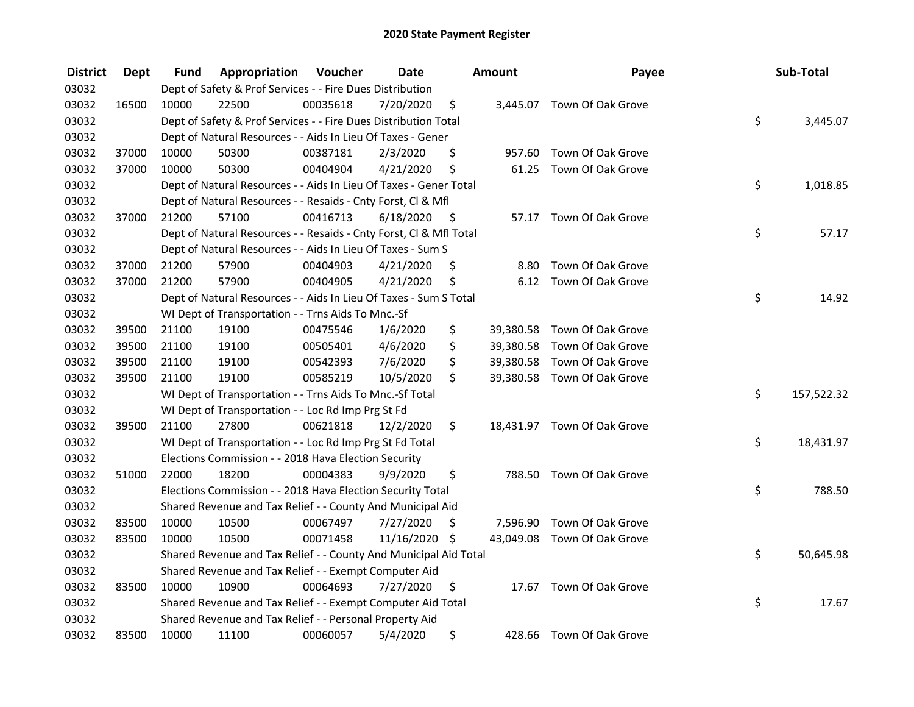| <b>District</b> | <b>Dept</b> | Fund  | Appropriation                                                      | Voucher  | <b>Date</b>   |      | <b>Amount</b> | Payee                       | Sub-Total        |
|-----------------|-------------|-------|--------------------------------------------------------------------|----------|---------------|------|---------------|-----------------------------|------------------|
| 03032           |             |       | Dept of Safety & Prof Services - - Fire Dues Distribution          |          |               |      |               |                             |                  |
| 03032           | 16500       | 10000 | 22500                                                              | 00035618 | 7/20/2020     | \$   |               | 3,445.07 Town Of Oak Grove  |                  |
| 03032           |             |       | Dept of Safety & Prof Services - - Fire Dues Distribution Total    |          |               |      |               |                             | \$<br>3,445.07   |
| 03032           |             |       | Dept of Natural Resources - - Aids In Lieu Of Taxes - Gener        |          |               |      |               |                             |                  |
| 03032           | 37000       | 10000 | 50300                                                              | 00387181 | 2/3/2020      | \$   | 957.60        | Town Of Oak Grove           |                  |
| 03032           | 37000       | 10000 | 50300                                                              | 00404904 | 4/21/2020     | \$   | 61.25         | Town Of Oak Grove           |                  |
| 03032           |             |       | Dept of Natural Resources - - Aids In Lieu Of Taxes - Gener Total  |          |               |      |               |                             | \$<br>1,018.85   |
| 03032           |             |       | Dept of Natural Resources - - Resaids - Cnty Forst, Cl & Mfl       |          |               |      |               |                             |                  |
| 03032           | 37000       | 21200 | 57100                                                              | 00416713 | 6/18/2020     | - \$ |               | 57.17 Town Of Oak Grove     |                  |
| 03032           |             |       | Dept of Natural Resources - - Resaids - Cnty Forst, Cl & Mfl Total |          |               |      |               |                             | \$<br>57.17      |
| 03032           |             |       | Dept of Natural Resources - - Aids In Lieu Of Taxes - Sum S        |          |               |      |               |                             |                  |
| 03032           | 37000       | 21200 | 57900                                                              | 00404903 | 4/21/2020     | S    | 8.80          | Town Of Oak Grove           |                  |
| 03032           | 37000       | 21200 | 57900                                                              | 00404905 | 4/21/2020     | \$   | 6.12          | Town Of Oak Grove           |                  |
| 03032           |             |       | Dept of Natural Resources - - Aids In Lieu Of Taxes - Sum S Total  |          |               |      |               |                             | \$<br>14.92      |
| 03032           |             |       | WI Dept of Transportation - - Trns Aids To Mnc.-Sf                 |          |               |      |               |                             |                  |
| 03032           | 39500       | 21100 | 19100                                                              | 00475546 | 1/6/2020      | \$   | 39,380.58     | Town Of Oak Grove           |                  |
| 03032           | 39500       | 21100 | 19100                                                              | 00505401 | 4/6/2020      | \$   | 39,380.58     | Town Of Oak Grove           |                  |
| 03032           | 39500       | 21100 | 19100                                                              | 00542393 | 7/6/2020      | \$   | 39,380.58     | Town Of Oak Grove           |                  |
| 03032           | 39500       | 21100 | 19100                                                              | 00585219 | 10/5/2020     | \$   |               | 39,380.58 Town Of Oak Grove |                  |
| 03032           |             |       | WI Dept of Transportation - - Trns Aids To Mnc.-Sf Total           |          |               |      |               |                             | \$<br>157,522.32 |
| 03032           |             |       | WI Dept of Transportation - - Loc Rd Imp Prg St Fd                 |          |               |      |               |                             |                  |
| 03032           | 39500       | 21100 | 27800                                                              | 00621818 | 12/2/2020     | \$.  |               | 18,431.97 Town Of Oak Grove |                  |
| 03032           |             |       | WI Dept of Transportation - - Loc Rd Imp Prg St Fd Total           |          |               |      |               |                             | \$<br>18,431.97  |
| 03032           |             |       | Elections Commission - - 2018 Hava Election Security               |          |               |      |               |                             |                  |
| 03032           | 51000       | 22000 | 18200                                                              | 00004383 | 9/9/2020      | \$   |               | 788.50 Town Of Oak Grove    |                  |
| 03032           |             |       | Elections Commission - - 2018 Hava Election Security Total         |          |               |      |               |                             | \$<br>788.50     |
| 03032           |             |       | Shared Revenue and Tax Relief - - County And Municipal Aid         |          |               |      |               |                             |                  |
| 03032           | 83500       | 10000 | 10500                                                              | 00067497 | 7/27/2020     | \$   |               | 7,596.90 Town Of Oak Grove  |                  |
| 03032           | 83500       | 10000 | 10500                                                              | 00071458 | 11/16/2020 \$ |      |               | 43,049.08 Town Of Oak Grove |                  |
| 03032           |             |       | Shared Revenue and Tax Relief - - County And Municipal Aid Total   |          |               |      |               |                             | \$<br>50,645.98  |
| 03032           |             |       | Shared Revenue and Tax Relief - - Exempt Computer Aid              |          |               |      |               |                             |                  |
| 03032           | 83500       | 10000 | 10900                                                              | 00064693 | 7/27/2020     | \$   |               | 17.67 Town Of Oak Grove     |                  |
| 03032           |             |       | Shared Revenue and Tax Relief - - Exempt Computer Aid Total        |          |               |      |               |                             | \$<br>17.67      |
| 03032           |             |       | Shared Revenue and Tax Relief - - Personal Property Aid            |          |               |      |               |                             |                  |
| 03032           | 83500       | 10000 | 11100                                                              | 00060057 | 5/4/2020      | \$   |               | 428.66 Town Of Oak Grove    |                  |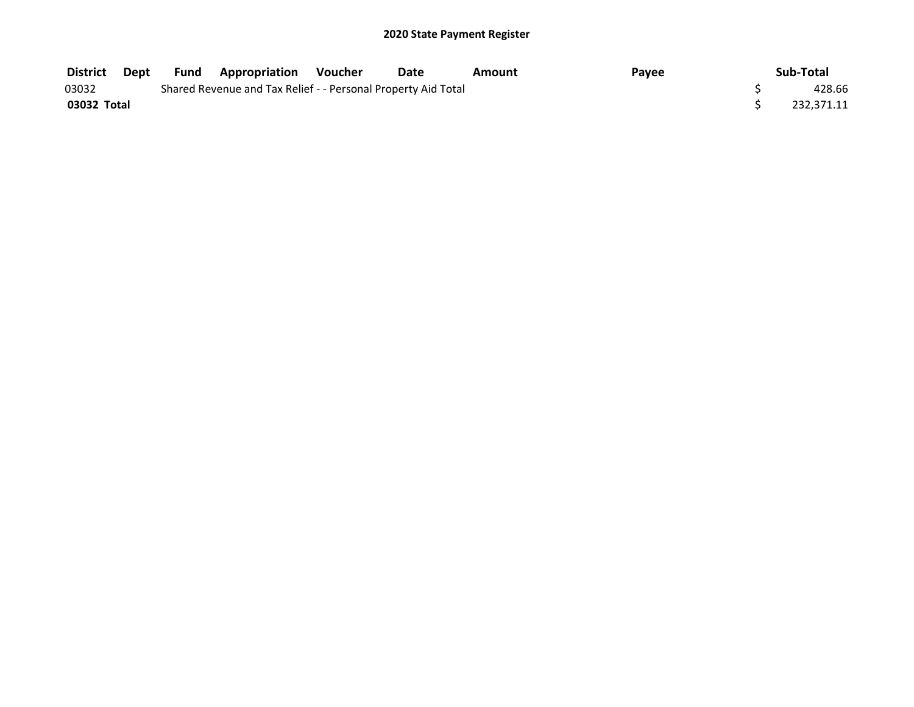| District    | Dept | Fund | <b>Appropriation Voucher</b>                                  | Date | Amount | Payee | Sub-Total  |
|-------------|------|------|---------------------------------------------------------------|------|--------|-------|------------|
| 03032       |      |      | Shared Revenue and Tax Relief - - Personal Property Aid Total |      |        |       | 428.66     |
| 03032 Total |      |      |                                                               |      |        |       | 232.371.11 |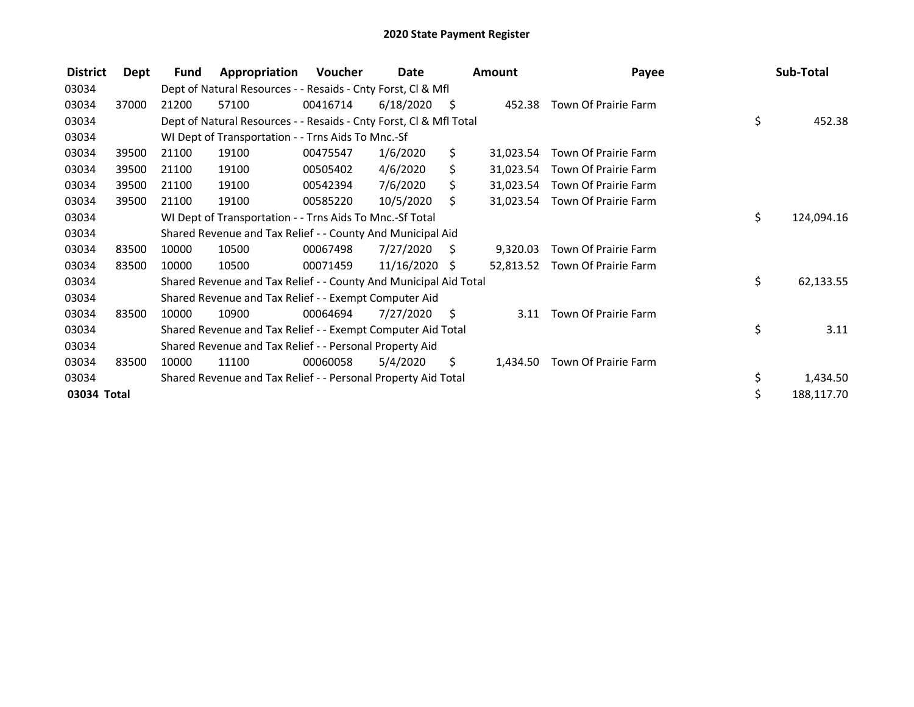| <b>District</b> | Dept  | <b>Fund</b> | Appropriation                                                      | Voucher  | Date       |      | <b>Amount</b> | Payee                          | Sub-Total        |
|-----------------|-------|-------------|--------------------------------------------------------------------|----------|------------|------|---------------|--------------------------------|------------------|
| 03034           |       |             | Dept of Natural Resources - - Resaids - Cnty Forst, CI & Mfl       |          |            |      |               |                                |                  |
| 03034           | 37000 | 21200       | 57100                                                              | 00416714 | 6/18/2020  | - \$ |               | 452.38 Town Of Prairie Farm    |                  |
| 03034           |       |             | Dept of Natural Resources - - Resaids - Cnty Forst, Cl & Mfl Total |          |            |      |               |                                | \$<br>452.38     |
| 03034           |       |             | WI Dept of Transportation - - Trns Aids To Mnc.-Sf                 |          |            |      |               |                                |                  |
| 03034           | 39500 | 21100       | 19100                                                              | 00475547 | 1/6/2020   | \$   | 31,023.54     | Town Of Prairie Farm           |                  |
| 03034           | 39500 | 21100       | 19100                                                              | 00505402 | 4/6/2020   | \$.  |               | 31,023.54 Town Of Prairie Farm |                  |
| 03034           | 39500 | 21100       | 19100                                                              | 00542394 | 7/6/2020   | \$   | 31,023.54     | Town Of Prairie Farm           |                  |
| 03034           | 39500 | 21100       | 19100                                                              | 00585220 | 10/5/2020  | S.   | 31,023.54     | Town Of Prairie Farm           |                  |
| 03034           |       |             | WI Dept of Transportation - - Trns Aids To Mnc.-Sf Total           |          |            |      |               |                                | \$<br>124,094.16 |
| 03034           |       |             | Shared Revenue and Tax Relief - - County And Municipal Aid         |          |            |      |               |                                |                  |
| 03034           | 83500 | 10000       | 10500                                                              | 00067498 | 7/27/2020  | S.   | 9,320.03      | Town Of Prairie Farm           |                  |
| 03034           | 83500 | 10000       | 10500                                                              | 00071459 | 11/16/2020 | S.   |               | 52,813.52 Town Of Prairie Farm |                  |
| 03034           |       |             | Shared Revenue and Tax Relief - - County And Municipal Aid Total   |          |            |      |               |                                | \$<br>62,133.55  |
| 03034           |       |             | Shared Revenue and Tax Relief - - Exempt Computer Aid              |          |            |      |               |                                |                  |
| 03034           | 83500 | 10000       | 10900                                                              | 00064694 | 7/27/2020  | - \$ | 3.11          | Town Of Prairie Farm           |                  |
| 03034           |       |             | Shared Revenue and Tax Relief - - Exempt Computer Aid Total        |          |            |      |               |                                | \$<br>3.11       |
| 03034           |       |             | Shared Revenue and Tax Relief - - Personal Property Aid            |          |            |      |               |                                |                  |
| 03034           | 83500 | 10000       | 11100                                                              | 00060058 | 5/4/2020   | \$.  | 1,434.50      | Town Of Prairie Farm           |                  |
| 03034           |       |             | Shared Revenue and Tax Relief - - Personal Property Aid Total      |          |            |      |               |                                | \$<br>1,434.50   |
| 03034 Total     |       |             |                                                                    |          |            |      |               |                                | \$<br>188,117.70 |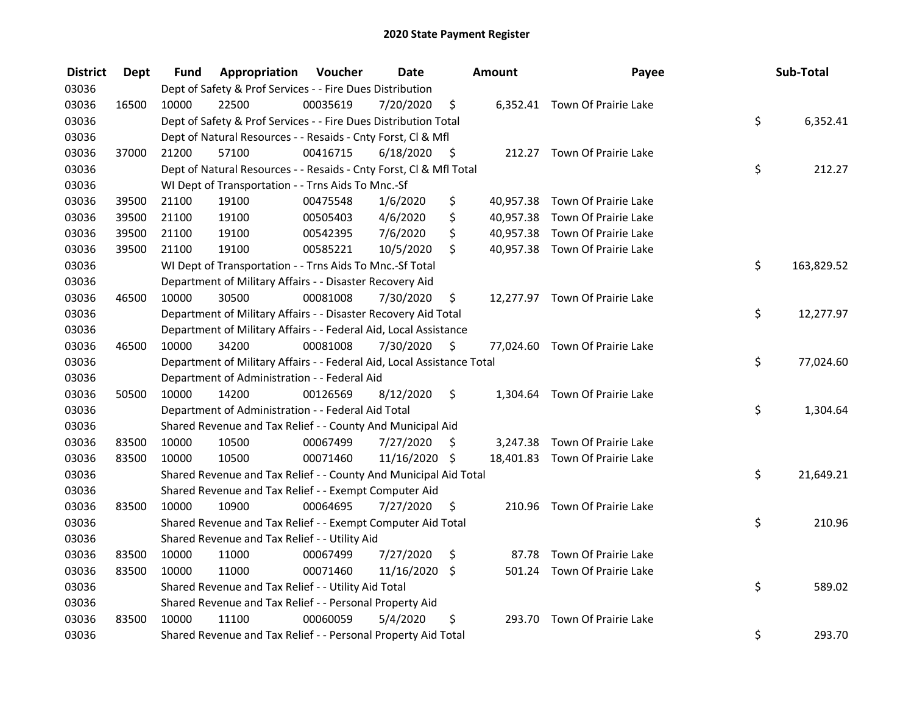| <b>District</b> | <b>Dept</b> | Fund  | Appropriation                                                          | Voucher  | <b>Date</b>   |      | <b>Amount</b> | Payee                          | Sub-Total        |
|-----------------|-------------|-------|------------------------------------------------------------------------|----------|---------------|------|---------------|--------------------------------|------------------|
| 03036           |             |       | Dept of Safety & Prof Services - - Fire Dues Distribution              |          |               |      |               |                                |                  |
| 03036           | 16500       | 10000 | 22500                                                                  | 00035619 | 7/20/2020     | \$   |               | 6,352.41 Town Of Prairie Lake  |                  |
| 03036           |             |       | Dept of Safety & Prof Services - - Fire Dues Distribution Total        |          |               |      |               |                                | \$<br>6,352.41   |
| 03036           |             |       | Dept of Natural Resources - - Resaids - Cnty Forst, Cl & Mfl           |          |               |      |               |                                |                  |
| 03036           | 37000       | 21200 | 57100                                                                  | 00416715 | 6/18/2020     | - \$ |               | 212.27 Town Of Prairie Lake    |                  |
| 03036           |             |       | Dept of Natural Resources - - Resaids - Cnty Forst, Cl & Mfl Total     |          |               |      |               |                                | \$<br>212.27     |
| 03036           |             |       | WI Dept of Transportation - - Trns Aids To Mnc.-Sf                     |          |               |      |               |                                |                  |
| 03036           | 39500       | 21100 | 19100                                                                  | 00475548 | 1/6/2020      | \$   |               | 40,957.38 Town Of Prairie Lake |                  |
| 03036           | 39500       | 21100 | 19100                                                                  | 00505403 | 4/6/2020      | \$   |               | 40,957.38 Town Of Prairie Lake |                  |
| 03036           | 39500       | 21100 | 19100                                                                  | 00542395 | 7/6/2020      | \$   |               | 40,957.38 Town Of Prairie Lake |                  |
| 03036           | 39500       | 21100 | 19100                                                                  | 00585221 | 10/5/2020     | \$   |               | 40,957.38 Town Of Prairie Lake |                  |
| 03036           |             |       | WI Dept of Transportation - - Trns Aids To Mnc.-Sf Total               |          |               |      |               |                                | \$<br>163,829.52 |
| 03036           |             |       | Department of Military Affairs - - Disaster Recovery Aid               |          |               |      |               |                                |                  |
| 03036           | 46500       | 10000 | 30500                                                                  | 00081008 | 7/30/2020     | \$   |               | 12,277.97 Town Of Prairie Lake |                  |
| 03036           |             |       | Department of Military Affairs - - Disaster Recovery Aid Total         |          |               |      |               |                                | \$<br>12,277.97  |
| 03036           |             |       | Department of Military Affairs - - Federal Aid, Local Assistance       |          |               |      |               |                                |                  |
| 03036           | 46500       | 10000 | 34200                                                                  | 00081008 | 7/30/2020     | \$   |               | 77,024.60 Town Of Prairie Lake |                  |
| 03036           |             |       | Department of Military Affairs - - Federal Aid, Local Assistance Total |          |               |      |               |                                | \$<br>77,024.60  |
| 03036           |             |       | Department of Administration - - Federal Aid                           |          |               |      |               |                                |                  |
| 03036           | 50500       | 10000 | 14200                                                                  | 00126569 | 8/12/2020     | \$   |               | 1,304.64 Town Of Prairie Lake  |                  |
| 03036           |             |       | Department of Administration - - Federal Aid Total                     |          |               |      |               |                                | \$<br>1,304.64   |
| 03036           |             |       | Shared Revenue and Tax Relief - - County And Municipal Aid             |          |               |      |               |                                |                  |
| 03036           | 83500       | 10000 | 10500                                                                  | 00067499 | 7/27/2020     | \$   |               | 3,247.38 Town Of Prairie Lake  |                  |
| 03036           | 83500       | 10000 | 10500                                                                  | 00071460 | 11/16/2020 \$ |      |               | 18,401.83 Town Of Prairie Lake |                  |
| 03036           |             |       | Shared Revenue and Tax Relief - - County And Municipal Aid Total       |          |               |      |               |                                | \$<br>21,649.21  |
| 03036           |             |       | Shared Revenue and Tax Relief - - Exempt Computer Aid                  |          |               |      |               |                                |                  |
| 03036           | 83500       | 10000 | 10900                                                                  | 00064695 | 7/27/2020     | S    |               | 210.96 Town Of Prairie Lake    |                  |
| 03036           |             |       | Shared Revenue and Tax Relief - - Exempt Computer Aid Total            |          |               |      |               |                                | \$<br>210.96     |
| 03036           |             |       | Shared Revenue and Tax Relief - - Utility Aid                          |          |               |      |               |                                |                  |
| 03036           | 83500       | 10000 | 11000                                                                  | 00067499 | 7/27/2020     | \$   |               | 87.78 Town Of Prairie Lake     |                  |
| 03036           | 83500       | 10000 | 11000                                                                  | 00071460 | 11/16/2020 \$ |      |               | 501.24 Town Of Prairie Lake    |                  |
| 03036           |             |       | Shared Revenue and Tax Relief - - Utility Aid Total                    |          |               |      |               |                                | \$<br>589.02     |
| 03036           |             |       | Shared Revenue and Tax Relief - - Personal Property Aid                |          |               |      |               |                                |                  |
| 03036           | 83500       | 10000 | 11100                                                                  | 00060059 | 5/4/2020      | \$   | 293.70        | Town Of Prairie Lake           |                  |
| 03036           |             |       | Shared Revenue and Tax Relief - - Personal Property Aid Total          |          |               |      |               |                                | \$<br>293.70     |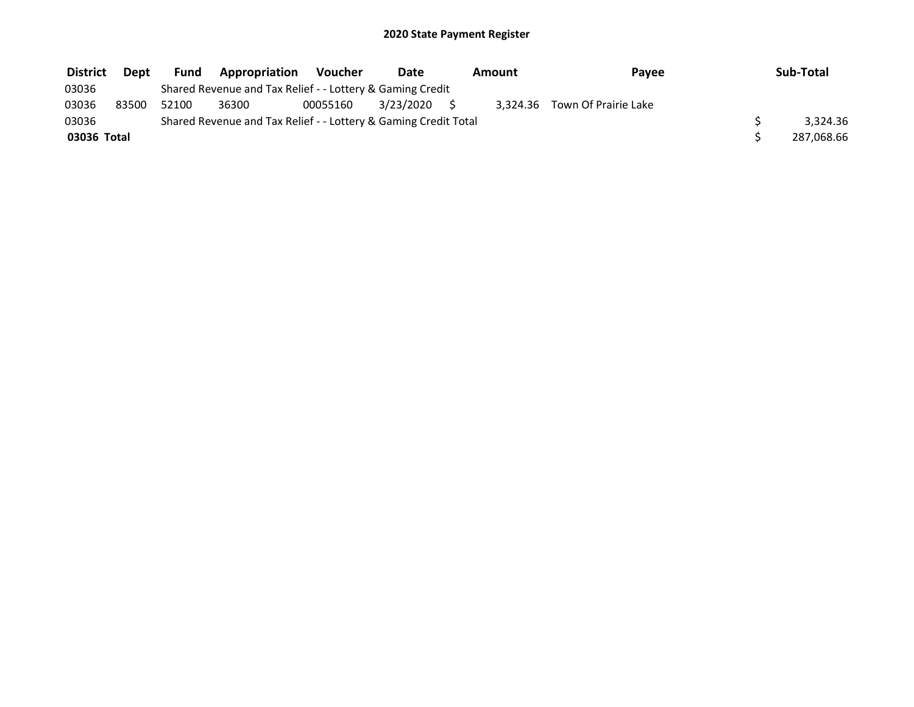| <b>District</b> | Dept  | Fund  | <b>Appropriation</b>                                            | <b>Voucher</b> | Date         | Amount | Payee                         | Sub-Total  |
|-----------------|-------|-------|-----------------------------------------------------------------|----------------|--------------|--------|-------------------------------|------------|
| 03036           |       |       | Shared Revenue and Tax Relief - - Lottery & Gaming Credit       |                |              |        |                               |            |
| 03036           | 83500 | 52100 | 36300                                                           | 00055160       | 3/23/2020 \$ |        | 3.324.36 Town Of Prairie Lake |            |
| 03036           |       |       | Shared Revenue and Tax Relief - - Lottery & Gaming Credit Total |                |              |        |                               | 3.324.36   |
| 03036 Total     |       |       |                                                                 |                |              |        |                               | 287,068.66 |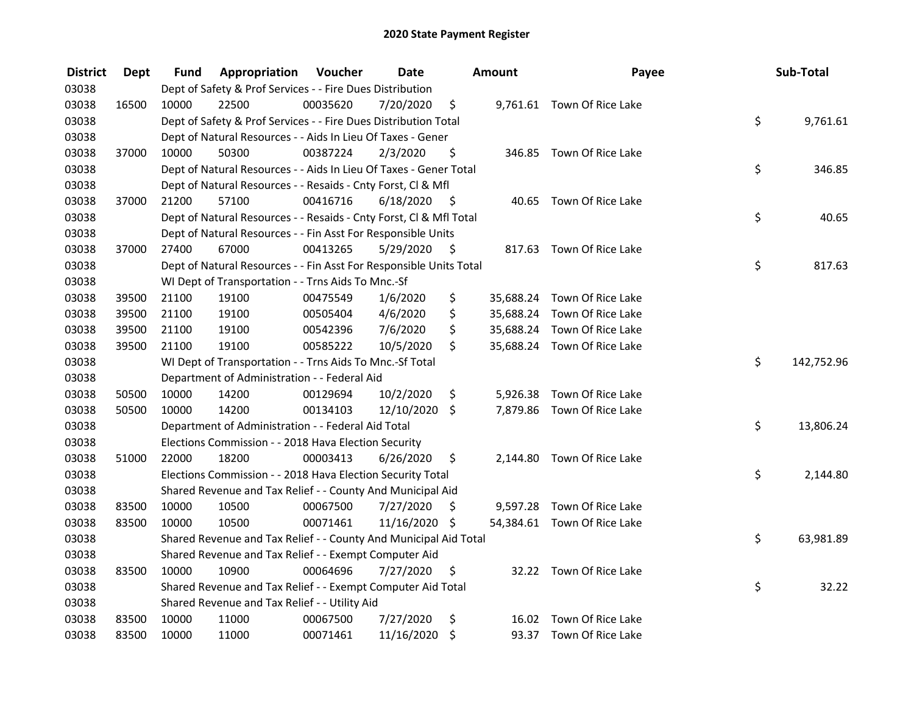| <b>District</b> | <b>Dept</b> | Fund  | Appropriation                                                      | Voucher  | <b>Date</b>   |      | <b>Amount</b> | Payee                       | Sub-Total        |
|-----------------|-------------|-------|--------------------------------------------------------------------|----------|---------------|------|---------------|-----------------------------|------------------|
| 03038           |             |       | Dept of Safety & Prof Services - - Fire Dues Distribution          |          |               |      |               |                             |                  |
| 03038           | 16500       | 10000 | 22500                                                              | 00035620 | 7/20/2020     | \$   |               | 9,761.61 Town Of Rice Lake  |                  |
| 03038           |             |       | Dept of Safety & Prof Services - - Fire Dues Distribution Total    |          |               |      |               |                             | \$<br>9,761.61   |
| 03038           |             |       | Dept of Natural Resources - - Aids In Lieu Of Taxes - Gener        |          |               |      |               |                             |                  |
| 03038           | 37000       | 10000 | 50300                                                              | 00387224 | 2/3/2020      | \$   |               | 346.85 Town Of Rice Lake    |                  |
| 03038           |             |       | Dept of Natural Resources - - Aids In Lieu Of Taxes - Gener Total  |          |               |      |               |                             | \$<br>346.85     |
| 03038           |             |       | Dept of Natural Resources - - Resaids - Cnty Forst, Cl & Mfl       |          |               |      |               |                             |                  |
| 03038           | 37000       | 21200 | 57100                                                              | 00416716 | 6/18/2020     | - \$ |               | 40.65 Town Of Rice Lake     |                  |
| 03038           |             |       | Dept of Natural Resources - - Resaids - Cnty Forst, Cl & Mfl Total |          |               |      |               |                             | \$<br>40.65      |
| 03038           |             |       | Dept of Natural Resources - - Fin Asst For Responsible Units       |          |               |      |               |                             |                  |
| 03038           | 37000       | 27400 | 67000                                                              | 00413265 | 5/29/2020     | - \$ |               | 817.63 Town Of Rice Lake    |                  |
| 03038           |             |       | Dept of Natural Resources - - Fin Asst For Responsible Units Total |          |               |      |               |                             | \$<br>817.63     |
| 03038           |             |       | WI Dept of Transportation - - Trns Aids To Mnc.-Sf                 |          |               |      |               |                             |                  |
| 03038           | 39500       | 21100 | 19100                                                              | 00475549 | 1/6/2020      | \$   | 35,688.24     | Town Of Rice Lake           |                  |
| 03038           | 39500       | 21100 | 19100                                                              | 00505404 | 4/6/2020      | \$   | 35,688.24     | Town Of Rice Lake           |                  |
| 03038           | 39500       | 21100 | 19100                                                              | 00542396 | 7/6/2020      | \$   |               | 35,688.24 Town Of Rice Lake |                  |
| 03038           | 39500       | 21100 | 19100                                                              | 00585222 | 10/5/2020     | \$   |               | 35,688.24 Town Of Rice Lake |                  |
| 03038           |             |       | WI Dept of Transportation - - Trns Aids To Mnc.-Sf Total           |          |               |      |               |                             | \$<br>142,752.96 |
| 03038           |             |       | Department of Administration - - Federal Aid                       |          |               |      |               |                             |                  |
| 03038           | 50500       | 10000 | 14200                                                              | 00129694 | 10/2/2020     | \$   | 5,926.38      | Town Of Rice Lake           |                  |
| 03038           | 50500       | 10000 | 14200                                                              | 00134103 | 12/10/2020 \$ |      |               | 7,879.86 Town Of Rice Lake  |                  |
| 03038           |             |       | Department of Administration - - Federal Aid Total                 |          |               |      |               |                             | \$<br>13,806.24  |
| 03038           |             |       | Elections Commission - - 2018 Hava Election Security               |          |               |      |               |                             |                  |
| 03038           | 51000       | 22000 | 18200                                                              | 00003413 | 6/26/2020     | \$.  |               | 2,144.80 Town Of Rice Lake  |                  |
| 03038           |             |       | Elections Commission - - 2018 Hava Election Security Total         |          |               |      |               |                             | \$<br>2,144.80   |
| 03038           |             |       | Shared Revenue and Tax Relief - - County And Municipal Aid         |          |               |      |               |                             |                  |
| 03038           | 83500       | 10000 | 10500                                                              | 00067500 | 7/27/2020     | \$   |               | 9,597.28 Town Of Rice Lake  |                  |
| 03038           | 83500       | 10000 | 10500                                                              | 00071461 | 11/16/2020 \$ |      |               | 54,384.61 Town Of Rice Lake |                  |
| 03038           |             |       | Shared Revenue and Tax Relief - - County And Municipal Aid Total   |          |               |      |               |                             | \$<br>63,981.89  |
| 03038           |             |       | Shared Revenue and Tax Relief - - Exempt Computer Aid              |          |               |      |               |                             |                  |
| 03038           | 83500       | 10000 | 10900                                                              | 00064696 | 7/27/2020     | \$.  |               | 32.22 Town Of Rice Lake     |                  |
| 03038           |             |       | Shared Revenue and Tax Relief - - Exempt Computer Aid Total        |          |               |      |               |                             | \$<br>32.22      |
| 03038           |             |       | Shared Revenue and Tax Relief - - Utility Aid                      |          |               |      |               |                             |                  |
| 03038           | 83500       | 10000 | 11000                                                              | 00067500 | 7/27/2020     | \$   | 16.02         | Town Of Rice Lake           |                  |
| 03038           | 83500       | 10000 | 11000                                                              | 00071461 | 11/16/2020    | \$   |               | 93.37 Town Of Rice Lake     |                  |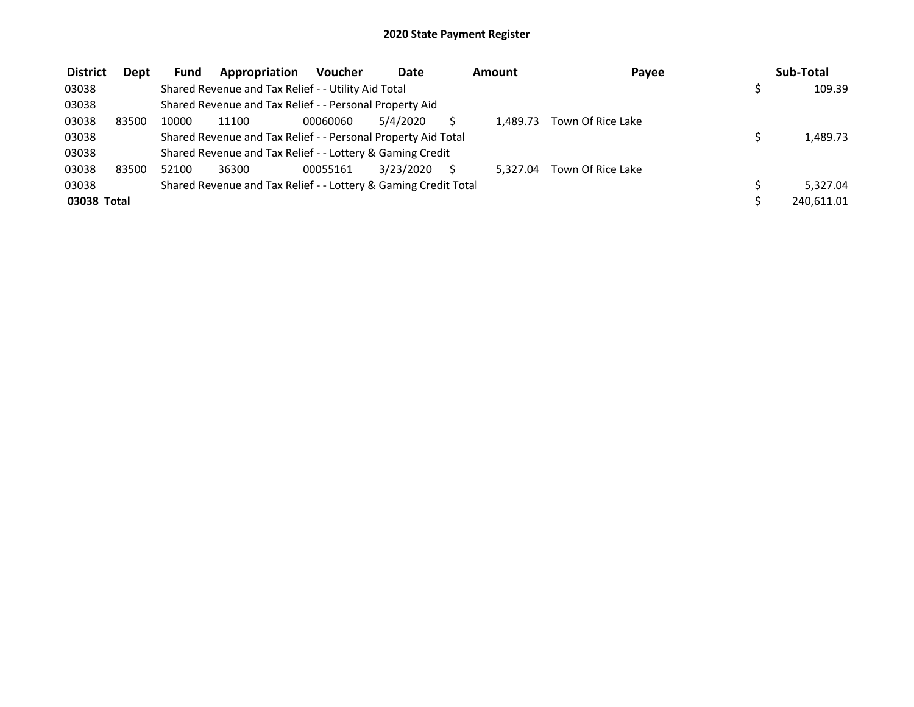| <b>District</b> | Dept  | <b>Fund</b> | Appropriation                                                   | <b>Voucher</b> | Date      | Amount   | Payee             | Sub-Total  |
|-----------------|-------|-------------|-----------------------------------------------------------------|----------------|-----------|----------|-------------------|------------|
| 03038           |       |             | Shared Revenue and Tax Relief - - Utility Aid Total             |                |           |          |                   | 109.39     |
| 03038           |       |             | Shared Revenue and Tax Relief - - Personal Property Aid         |                |           |          |                   |            |
| 03038           | 83500 | 10000       | 11100                                                           | 00060060       | 5/4/2020  | 1.489.73 | Town Of Rice Lake |            |
| 03038           |       |             | Shared Revenue and Tax Relief - - Personal Property Aid Total   |                |           |          |                   | 1,489.73   |
| 03038           |       |             | Shared Revenue and Tax Relief - - Lottery & Gaming Credit       |                |           |          |                   |            |
| 03038           | 83500 | 52100       | 36300                                                           | 00055161       | 3/23/2020 | 5.327.04 | Town Of Rice Lake |            |
| 03038           |       |             | Shared Revenue and Tax Relief - - Lottery & Gaming Credit Total |                |           |          |                   | 5,327.04   |
| 03038 Total     |       |             |                                                                 |                |           |          |                   | 240,611.01 |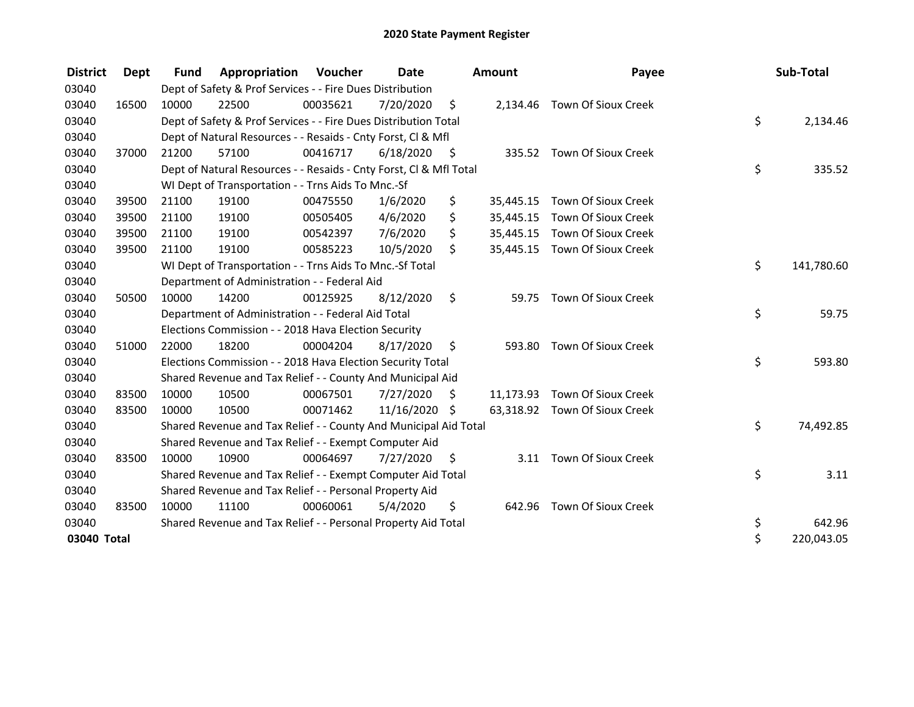| <b>District</b> | <b>Dept</b> | <b>Fund</b> | Appropriation                                                      | Voucher  | Date          |      | <b>Amount</b> | Payee                         | Sub-Total        |
|-----------------|-------------|-------------|--------------------------------------------------------------------|----------|---------------|------|---------------|-------------------------------|------------------|
| 03040           |             |             | Dept of Safety & Prof Services - - Fire Dues Distribution          |          |               |      |               |                               |                  |
| 03040           | 16500       | 10000       | 22500                                                              | 00035621 | 7/20/2020     | \$   |               | 2,134.46 Town Of Sioux Creek  |                  |
| 03040           |             |             | Dept of Safety & Prof Services - - Fire Dues Distribution Total    |          |               |      |               |                               | \$<br>2,134.46   |
| 03040           |             |             | Dept of Natural Resources - - Resaids - Cnty Forst, CI & Mfl       |          |               |      |               |                               |                  |
| 03040           | 37000       | 21200       | 57100                                                              | 00416717 | 6/18/2020     | - \$ |               | 335.52 Town Of Sioux Creek    |                  |
| 03040           |             |             | Dept of Natural Resources - - Resaids - Cnty Forst, Cl & Mfl Total |          |               |      |               |                               | \$<br>335.52     |
| 03040           |             |             | WI Dept of Transportation - - Trns Aids To Mnc.-Sf                 |          |               |      |               |                               |                  |
| 03040           | 39500       | 21100       | 19100                                                              | 00475550 | 1/6/2020      | \$   | 35,445.15     | Town Of Sioux Creek           |                  |
| 03040           | 39500       | 21100       | 19100                                                              | 00505405 | 4/6/2020      | \$   | 35,445.15     | Town Of Sioux Creek           |                  |
| 03040           | 39500       | 21100       | 19100                                                              | 00542397 | 7/6/2020      | \$   | 35,445.15     | Town Of Sioux Creek           |                  |
| 03040           | 39500       | 21100       | 19100                                                              | 00585223 | 10/5/2020     | \$   |               | 35,445.15 Town Of Sioux Creek |                  |
| 03040           |             |             | WI Dept of Transportation - - Trns Aids To Mnc.-Sf Total           |          |               |      |               |                               | \$<br>141,780.60 |
| 03040           |             |             | Department of Administration - - Federal Aid                       |          |               |      |               |                               |                  |
| 03040           | 50500       | 10000       | 14200                                                              | 00125925 | 8/12/2020     | \$   | 59.75         | Town Of Sioux Creek           |                  |
| 03040           |             |             | Department of Administration - - Federal Aid Total                 |          |               |      |               |                               | \$<br>59.75      |
| 03040           |             |             | Elections Commission - - 2018 Hava Election Security               |          |               |      |               |                               |                  |
| 03040           | 51000       | 22000       | 18200                                                              | 00004204 | 8/17/2020     | \$   | 593.80        | <b>Town Of Sioux Creek</b>    |                  |
| 03040           |             |             | Elections Commission - - 2018 Hava Election Security Total         |          |               |      |               |                               | \$<br>593.80     |
| 03040           |             |             | Shared Revenue and Tax Relief - - County And Municipal Aid         |          |               |      |               |                               |                  |
| 03040           | 83500       | 10000       | 10500                                                              | 00067501 | 7/27/2020     | S    |               | 11,173.93 Town Of Sioux Creek |                  |
| 03040           | 83500       | 10000       | 10500                                                              | 00071462 | 11/16/2020 \$ |      |               | 63,318.92 Town Of Sioux Creek |                  |
| 03040           |             |             | Shared Revenue and Tax Relief - - County And Municipal Aid Total   |          |               |      |               |                               | \$<br>74,492.85  |
| 03040           |             |             | Shared Revenue and Tax Relief - - Exempt Computer Aid              |          |               |      |               |                               |                  |
| 03040           | 83500       | 10000       | 10900                                                              | 00064697 | 7/27/2020     | \$   | 3.11          | Town Of Sioux Creek           |                  |
| 03040           |             |             | Shared Revenue and Tax Relief - - Exempt Computer Aid Total        |          |               |      |               |                               | \$<br>3.11       |
| 03040           |             |             | Shared Revenue and Tax Relief - - Personal Property Aid            |          |               |      |               |                               |                  |
| 03040           | 83500       | 10000       | 11100                                                              | 00060061 | 5/4/2020      | \$   | 642.96        | Town Of Sioux Creek           |                  |
| 03040           |             |             | Shared Revenue and Tax Relief - - Personal Property Aid Total      |          |               |      |               |                               | \$<br>642.96     |
| 03040 Total     |             |             |                                                                    |          |               |      |               |                               | \$<br>220,043.05 |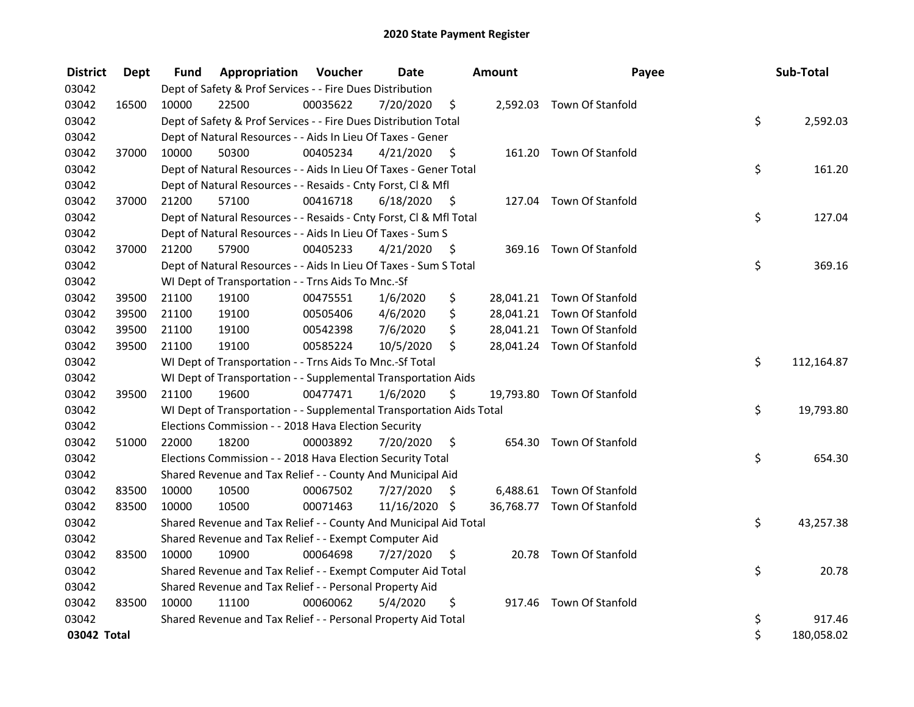| <b>District</b> | <b>Dept</b> | Fund  | Appropriation                                                        | Voucher  | <b>Date</b>   |      | Amount | Payee                      | Sub-Total        |
|-----------------|-------------|-------|----------------------------------------------------------------------|----------|---------------|------|--------|----------------------------|------------------|
| 03042           |             |       | Dept of Safety & Prof Services - - Fire Dues Distribution            |          |               |      |        |                            |                  |
| 03042           | 16500       | 10000 | 22500                                                                | 00035622 | 7/20/2020     | \$   |        | 2,592.03 Town Of Stanfold  |                  |
| 03042           |             |       | Dept of Safety & Prof Services - - Fire Dues Distribution Total      |          |               |      |        |                            | \$<br>2,592.03   |
| 03042           |             |       | Dept of Natural Resources - - Aids In Lieu Of Taxes - Gener          |          |               |      |        |                            |                  |
| 03042           | 37000       | 10000 | 50300                                                                | 00405234 | 4/21/2020     | - \$ |        | 161.20 Town Of Stanfold    |                  |
| 03042           |             |       | Dept of Natural Resources - - Aids In Lieu Of Taxes - Gener Total    |          |               |      |        |                            | \$<br>161.20     |
| 03042           |             |       | Dept of Natural Resources - - Resaids - Cnty Forst, Cl & Mfl         |          |               |      |        |                            |                  |
| 03042           | 37000       | 21200 | 57100                                                                | 00416718 | 6/18/2020     | - \$ |        | 127.04 Town Of Stanfold    |                  |
| 03042           |             |       | Dept of Natural Resources - - Resaids - Cnty Forst, Cl & Mfl Total   |          |               |      |        |                            | \$<br>127.04     |
| 03042           |             |       | Dept of Natural Resources - - Aids In Lieu Of Taxes - Sum S          |          |               |      |        |                            |                  |
| 03042           | 37000       | 21200 | 57900                                                                | 00405233 | 4/21/2020     | - \$ |        | 369.16 Town Of Stanfold    |                  |
| 03042           |             |       | Dept of Natural Resources - - Aids In Lieu Of Taxes - Sum S Total    |          |               |      |        |                            | \$<br>369.16     |
| 03042           |             |       | WI Dept of Transportation - - Trns Aids To Mnc.-Sf                   |          |               |      |        |                            |                  |
| 03042           | 39500       | 21100 | 19100                                                                | 00475551 | 1/6/2020      | \$   |        | 28,041.21 Town Of Stanfold |                  |
| 03042           | 39500       | 21100 | 19100                                                                | 00505406 | 4/6/2020      | \$   |        | 28,041.21 Town Of Stanfold |                  |
| 03042           | 39500       | 21100 | 19100                                                                | 00542398 | 7/6/2020      | \$   |        | 28,041.21 Town Of Stanfold |                  |
| 03042           | 39500       | 21100 | 19100                                                                | 00585224 | 10/5/2020     | \$   |        | 28,041.24 Town Of Stanfold |                  |
| 03042           |             |       | WI Dept of Transportation - - Trns Aids To Mnc.-Sf Total             |          |               |      |        |                            | \$<br>112,164.87 |
| 03042           |             |       | WI Dept of Transportation - - Supplemental Transportation Aids       |          |               |      |        |                            |                  |
| 03042           | 39500       | 21100 | 19600                                                                | 00477471 | 1/6/2020      | \$   |        | 19,793.80 Town Of Stanfold |                  |
| 03042           |             |       | WI Dept of Transportation - - Supplemental Transportation Aids Total |          |               |      |        |                            | \$<br>19,793.80  |
| 03042           |             |       | Elections Commission - - 2018 Hava Election Security                 |          |               |      |        |                            |                  |
| 03042           | 51000       | 22000 | 18200                                                                | 00003892 | 7/20/2020     | \$   |        | 654.30 Town Of Stanfold    |                  |
| 03042           |             |       | Elections Commission - - 2018 Hava Election Security Total           |          |               |      |        |                            | \$<br>654.30     |
| 03042           |             |       | Shared Revenue and Tax Relief - - County And Municipal Aid           |          |               |      |        |                            |                  |
| 03042           | 83500       | 10000 | 10500                                                                | 00067502 | 7/27/2020     | S    |        | 6,488.61 Town Of Stanfold  |                  |
| 03042           | 83500       | 10000 | 10500                                                                | 00071463 | 11/16/2020 \$ |      |        | 36,768.77 Town Of Stanfold |                  |
| 03042           |             |       | Shared Revenue and Tax Relief - - County And Municipal Aid Total     |          |               |      |        |                            | \$<br>43,257.38  |
| 03042           |             |       | Shared Revenue and Tax Relief - - Exempt Computer Aid                |          |               |      |        |                            |                  |
| 03042           | 83500       | 10000 | 10900                                                                | 00064698 | 7/27/2020     | \$   |        | 20.78 Town Of Stanfold     |                  |
| 03042           |             |       | Shared Revenue and Tax Relief - - Exempt Computer Aid Total          |          |               |      |        |                            | \$<br>20.78      |
| 03042           |             |       | Shared Revenue and Tax Relief - - Personal Property Aid              |          |               |      |        |                            |                  |
| 03042           | 83500       | 10000 | 11100                                                                | 00060062 | 5/4/2020      | \$   | 917.46 | Town Of Stanfold           |                  |
| 03042           |             |       | Shared Revenue and Tax Relief - - Personal Property Aid Total        |          |               |      |        |                            | \$<br>917.46     |
| 03042 Total     |             |       |                                                                      |          |               |      |        |                            | \$<br>180,058.02 |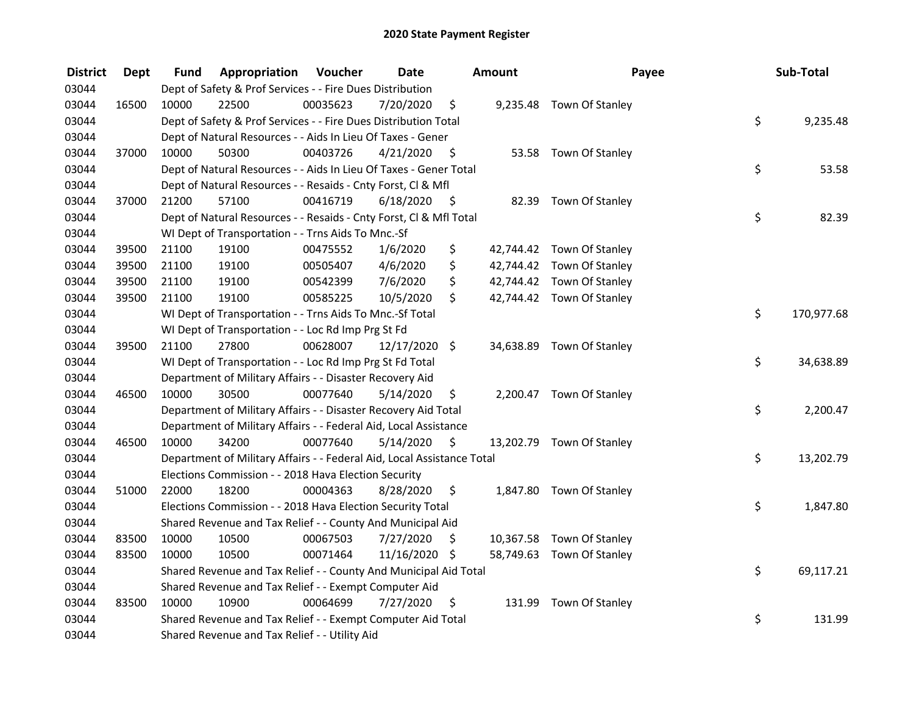| <b>District</b> | <b>Dept</b> | Fund  | Appropriation                                                          | Voucher  | <b>Date</b>   |                     | Amount | Payee                     | Sub-Total        |
|-----------------|-------------|-------|------------------------------------------------------------------------|----------|---------------|---------------------|--------|---------------------------|------------------|
| 03044           |             |       | Dept of Safety & Prof Services - - Fire Dues Distribution              |          |               |                     |        |                           |                  |
| 03044           | 16500       | 10000 | 22500                                                                  | 00035623 | 7/20/2020     | \$                  |        | 9,235.48 Town Of Stanley  |                  |
| 03044           |             |       | Dept of Safety & Prof Services - - Fire Dues Distribution Total        |          |               |                     |        |                           | \$<br>9,235.48   |
| 03044           |             |       | Dept of Natural Resources - - Aids In Lieu Of Taxes - Gener            |          |               |                     |        |                           |                  |
| 03044           | 37000       | 10000 | 50300                                                                  | 00403726 | 4/21/2020     | \$                  |        | 53.58 Town Of Stanley     |                  |
| 03044           |             |       | Dept of Natural Resources - - Aids In Lieu Of Taxes - Gener Total      |          |               |                     |        |                           | \$<br>53.58      |
| 03044           |             |       | Dept of Natural Resources - - Resaids - Cnty Forst, CI & Mfl           |          |               |                     |        |                           |                  |
| 03044           | 37000       | 21200 | 57100                                                                  | 00416719 | 6/18/2020     | - \$                |        | 82.39 Town Of Stanley     |                  |
| 03044           |             |       | Dept of Natural Resources - - Resaids - Cnty Forst, Cl & Mfl Total     |          |               |                     |        |                           | \$<br>82.39      |
| 03044           |             |       | WI Dept of Transportation - - Trns Aids To Mnc.-Sf                     |          |               |                     |        |                           |                  |
| 03044           | 39500       | 21100 | 19100                                                                  | 00475552 | 1/6/2020      | \$                  |        | 42,744.42 Town Of Stanley |                  |
| 03044           | 39500       | 21100 | 19100                                                                  | 00505407 | 4/6/2020      | \$                  |        | 42,744.42 Town Of Stanley |                  |
| 03044           | 39500       | 21100 | 19100                                                                  | 00542399 | 7/6/2020      | \$                  |        | 42,744.42 Town Of Stanley |                  |
| 03044           | 39500       | 21100 | 19100                                                                  | 00585225 | 10/5/2020     | \$                  |        | 42,744.42 Town Of Stanley |                  |
| 03044           |             |       | WI Dept of Transportation - - Trns Aids To Mnc.-Sf Total               |          |               |                     |        |                           | \$<br>170,977.68 |
| 03044           |             |       | WI Dept of Transportation - - Loc Rd Imp Prg St Fd                     |          |               |                     |        |                           |                  |
| 03044           | 39500       | 21100 | 27800                                                                  | 00628007 | 12/17/2020 \$ |                     |        | 34,638.89 Town Of Stanley |                  |
| 03044           |             |       | WI Dept of Transportation - - Loc Rd Imp Prg St Fd Total               |          |               |                     |        |                           | \$<br>34,638.89  |
| 03044           |             |       | Department of Military Affairs - - Disaster Recovery Aid               |          |               |                     |        |                           |                  |
| 03044           | 46500       | 10000 | 30500                                                                  | 00077640 | 5/14/2020     | \$                  |        | 2,200.47 Town Of Stanley  |                  |
| 03044           |             |       | Department of Military Affairs - - Disaster Recovery Aid Total         |          |               |                     |        |                           | \$<br>2,200.47   |
| 03044           |             |       | Department of Military Affairs - - Federal Aid, Local Assistance       |          |               |                     |        |                           |                  |
| 03044           | 46500       | 10000 | 34200                                                                  | 00077640 | 5/14/2020     | $\ddot{\mathsf{s}}$ |        | 13,202.79 Town Of Stanley |                  |
| 03044           |             |       | Department of Military Affairs - - Federal Aid, Local Assistance Total |          |               |                     |        |                           | \$<br>13,202.79  |
| 03044           |             |       | Elections Commission - - 2018 Hava Election Security                   |          |               |                     |        |                           |                  |
| 03044           | 51000       | 22000 | 18200                                                                  | 00004363 | 8/28/2020     | \$                  |        | 1,847.80 Town Of Stanley  |                  |
| 03044           |             |       | Elections Commission - - 2018 Hava Election Security Total             |          |               |                     |        |                           | \$<br>1,847.80   |
| 03044           |             |       | Shared Revenue and Tax Relief - - County And Municipal Aid             |          |               |                     |        |                           |                  |
| 03044           | 83500       | 10000 | 10500                                                                  | 00067503 | 7/27/2020     | \$.                 |        | 10,367.58 Town Of Stanley |                  |
| 03044           | 83500       | 10000 | 10500                                                                  | 00071464 | 11/16/2020 \$ |                     |        | 58,749.63 Town Of Stanley |                  |
| 03044           |             |       | Shared Revenue and Tax Relief - - County And Municipal Aid Total       |          |               |                     |        |                           | \$<br>69,117.21  |
| 03044           |             |       | Shared Revenue and Tax Relief - - Exempt Computer Aid                  |          |               |                     |        |                           |                  |
| 03044           | 83500       | 10000 | 10900                                                                  | 00064699 | 7/27/2020     | \$                  |        | 131.99 Town Of Stanley    |                  |
| 03044           |             |       | Shared Revenue and Tax Relief - - Exempt Computer Aid Total            |          |               |                     |        |                           | \$<br>131.99     |
| 03044           |             |       | Shared Revenue and Tax Relief - - Utility Aid                          |          |               |                     |        |                           |                  |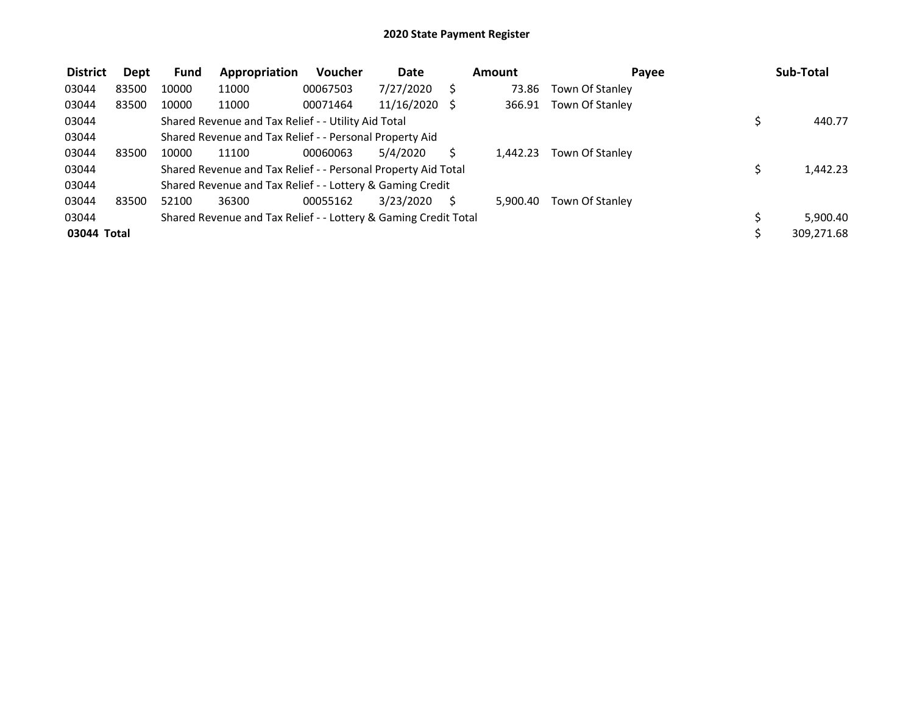| <b>District</b> | Dept  | <b>Fund</b> | Appropriation                                                   | Voucher  | <b>Date</b>   | Amount   | Payee           | Sub-Total  |
|-----------------|-------|-------------|-----------------------------------------------------------------|----------|---------------|----------|-----------------|------------|
| 03044           | 83500 | 10000       | 11000                                                           | 00067503 | 7/27/2020     | 73.86    | Town Of Stanley |            |
| 03044           | 83500 | 10000       | 11000                                                           | 00071464 | 11/16/2020 \$ | 366.91   | Town Of Stanley |            |
| 03044           |       |             | Shared Revenue and Tax Relief - - Utility Aid Total             |          |               |          |                 | 440.77     |
| 03044           |       |             | Shared Revenue and Tax Relief - - Personal Property Aid         |          |               |          |                 |            |
| 03044           | 83500 | 10000       | 11100                                                           | 00060063 | 5/4/2020      | 1.442.23 | Town Of Stanley |            |
| 03044           |       |             | Shared Revenue and Tax Relief - - Personal Property Aid Total   |          |               |          |                 | 1,442.23   |
| 03044           |       |             | Shared Revenue and Tax Relief - - Lottery & Gaming Credit       |          |               |          |                 |            |
| 03044           | 83500 | 52100       | 36300                                                           | 00055162 | 3/23/2020     | 5.900.40 | Town Of Stanley |            |
| 03044           |       |             | Shared Revenue and Tax Relief - - Lottery & Gaming Credit Total |          |               |          |                 | 5,900.40   |
| 03044 Total     |       |             |                                                                 |          |               |          |                 | 309,271.68 |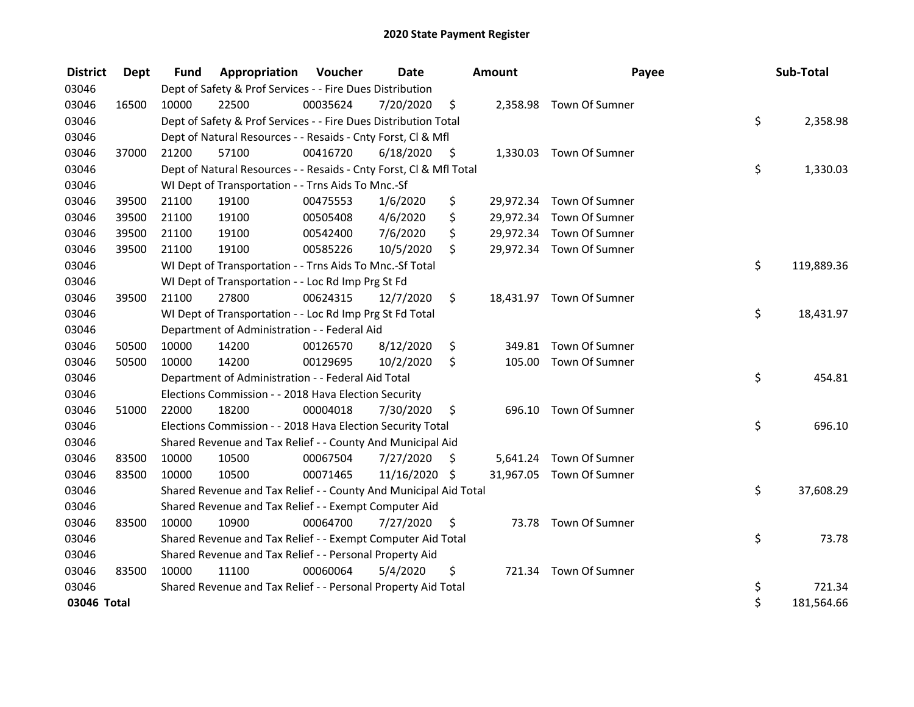| <b>District</b> | Dept  | <b>Fund</b> | <b>Appropriation Voucher</b>                                       |          | Date       |    | <b>Amount</b> | Payee                    | Sub-Total        |
|-----------------|-------|-------------|--------------------------------------------------------------------|----------|------------|----|---------------|--------------------------|------------------|
| 03046           |       |             | Dept of Safety & Prof Services - - Fire Dues Distribution          |          |            |    |               |                          |                  |
| 03046           | 16500 | 10000       | 22500                                                              | 00035624 | 7/20/2020  | \$ |               | 2,358.98 Town Of Sumner  |                  |
| 03046           |       |             | Dept of Safety & Prof Services - - Fire Dues Distribution Total    |          |            |    |               |                          | \$<br>2,358.98   |
| 03046           |       |             | Dept of Natural Resources - - Resaids - Cnty Forst, CI & Mfl       |          |            |    |               |                          |                  |
| 03046           | 37000 | 21200       | 57100                                                              | 00416720 | 6/18/2020  | \$ |               | 1,330.03 Town Of Sumner  |                  |
| 03046           |       |             | Dept of Natural Resources - - Resaids - Cnty Forst, Cl & Mfl Total |          |            |    |               |                          | \$<br>1,330.03   |
| 03046           |       |             | WI Dept of Transportation - - Trns Aids To Mnc.-Sf                 |          |            |    |               |                          |                  |
| 03046           | 39500 | 21100       | 19100                                                              | 00475553 | 1/6/2020   | \$ |               | 29,972.34 Town Of Sumner |                  |
| 03046           | 39500 | 21100       | 19100                                                              | 00505408 | 4/6/2020   | \$ |               | 29,972.34 Town Of Sumner |                  |
| 03046           | 39500 | 21100       | 19100                                                              | 00542400 | 7/6/2020   | \$ |               | 29,972.34 Town Of Sumner |                  |
| 03046           | 39500 | 21100       | 19100                                                              | 00585226 | 10/5/2020  | \$ |               | 29,972.34 Town Of Sumner |                  |
| 03046           |       |             | WI Dept of Transportation - - Trns Aids To Mnc.-Sf Total           |          |            |    |               |                          | \$<br>119,889.36 |
| 03046           |       |             | WI Dept of Transportation - - Loc Rd Imp Prg St Fd                 |          |            |    |               |                          |                  |
| 03046           | 39500 | 21100       | 27800                                                              | 00624315 | 12/7/2020  | \$ |               | 18,431.97 Town Of Sumner |                  |
| 03046           |       |             | WI Dept of Transportation - - Loc Rd Imp Prg St Fd Total           |          |            |    |               |                          | \$<br>18,431.97  |
| 03046           |       |             | Department of Administration - - Federal Aid                       |          |            |    |               |                          |                  |
| 03046           | 50500 | 10000       | 14200                                                              | 00126570 | 8/12/2020  | \$ | 349.81        | Town Of Sumner           |                  |
| 03046           | 50500 | 10000       | 14200                                                              | 00129695 | 10/2/2020  | \$ |               | 105.00 Town Of Sumner    |                  |
| 03046           |       |             | Department of Administration - - Federal Aid Total                 |          |            |    |               |                          | \$<br>454.81     |
| 03046           |       |             | Elections Commission - - 2018 Hava Election Security               |          |            |    |               |                          |                  |
| 03046           | 51000 | 22000       | 18200                                                              | 00004018 | 7/30/2020  | \$ |               | 696.10 Town Of Sumner    |                  |
| 03046           |       |             | Elections Commission - - 2018 Hava Election Security Total         |          |            |    |               |                          | \$<br>696.10     |
| 03046           |       |             | Shared Revenue and Tax Relief - - County And Municipal Aid         |          |            |    |               |                          |                  |
| 03046           | 83500 | 10000       | 10500                                                              | 00067504 | 7/27/2020  | S  |               | 5,641.24 Town Of Sumner  |                  |
| 03046           | 83500 | 10000       | 10500                                                              | 00071465 | 11/16/2020 | \$ |               | 31,967.05 Town Of Sumner |                  |
| 03046           |       |             | Shared Revenue and Tax Relief - - County And Municipal Aid Total   |          |            |    |               |                          | \$<br>37,608.29  |
| 03046           |       |             | Shared Revenue and Tax Relief - - Exempt Computer Aid              |          |            |    |               |                          |                  |
| 03046           | 83500 | 10000       | 10900                                                              | 00064700 | 7/27/2020  | \$ |               | 73.78 Town Of Sumner     |                  |
| 03046           |       |             | Shared Revenue and Tax Relief - - Exempt Computer Aid Total        |          |            |    |               |                          | \$<br>73.78      |
| 03046           |       |             | Shared Revenue and Tax Relief - - Personal Property Aid            |          |            |    |               |                          |                  |
| 03046           | 83500 | 10000       | 11100                                                              | 00060064 | 5/4/2020   | \$ |               | 721.34 Town Of Sumner    |                  |
| 03046           |       |             | Shared Revenue and Tax Relief - - Personal Property Aid Total      |          |            |    |               |                          | \$<br>721.34     |
| 03046 Total     |       |             |                                                                    |          |            |    |               |                          | \$<br>181,564.66 |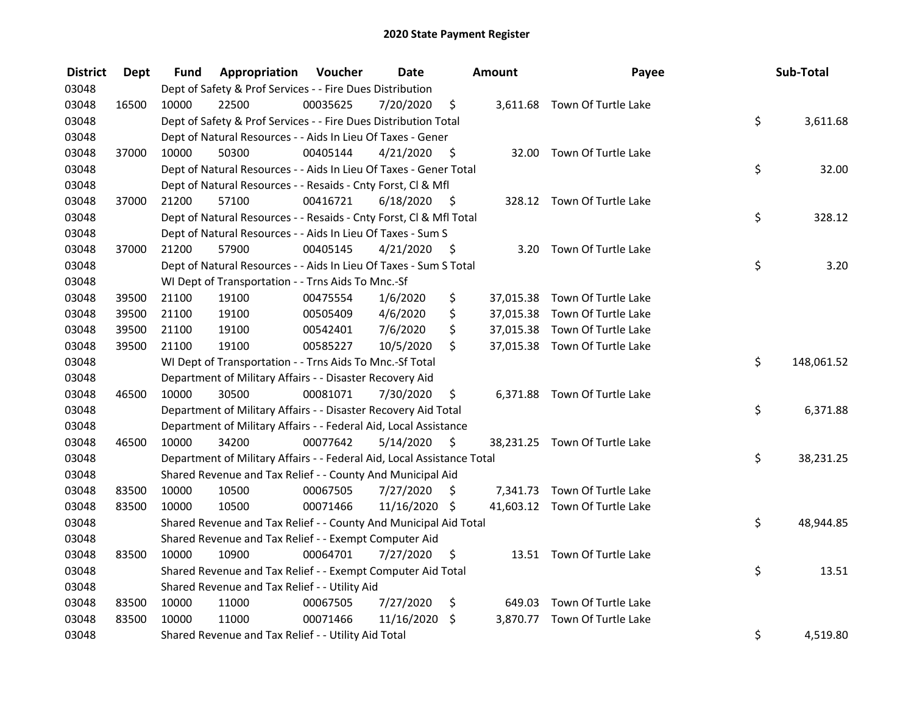| <b>District</b> | <b>Dept</b> | Fund  | <b>Appropriation Voucher</b>                                           |          | <b>Date</b>   |                     | Amount | Payee                         | Sub-Total        |
|-----------------|-------------|-------|------------------------------------------------------------------------|----------|---------------|---------------------|--------|-------------------------------|------------------|
| 03048           |             |       | Dept of Safety & Prof Services - - Fire Dues Distribution              |          |               |                     |        |                               |                  |
| 03048           | 16500       | 10000 | 22500                                                                  | 00035625 | 7/20/2020     | \$                  |        | 3,611.68 Town Of Turtle Lake  |                  |
| 03048           |             |       | Dept of Safety & Prof Services - - Fire Dues Distribution Total        |          |               |                     |        |                               | \$<br>3,611.68   |
| 03048           |             |       | Dept of Natural Resources - - Aids In Lieu Of Taxes - Gener            |          |               |                     |        |                               |                  |
| 03048           | 37000       | 10000 | 50300                                                                  | 00405144 | 4/21/2020     | - \$                |        | 32.00 Town Of Turtle Lake     |                  |
| 03048           |             |       | Dept of Natural Resources - - Aids In Lieu Of Taxes - Gener Total      |          |               |                     |        |                               | \$<br>32.00      |
| 03048           |             |       | Dept of Natural Resources - - Resaids - Cnty Forst, CI & Mfl           |          |               |                     |        |                               |                  |
| 03048           | 37000       | 21200 | 57100                                                                  | 00416721 | 6/18/2020     | - \$                |        | 328.12 Town Of Turtle Lake    |                  |
| 03048           |             |       | Dept of Natural Resources - - Resaids - Cnty Forst, Cl & Mfl Total     |          |               |                     |        |                               | \$<br>328.12     |
| 03048           |             |       | Dept of Natural Resources - - Aids In Lieu Of Taxes - Sum S            |          |               |                     |        |                               |                  |
| 03048           | 37000       | 21200 | 57900                                                                  | 00405145 | 4/21/2020     | - \$                | 3.20   | Town Of Turtle Lake           |                  |
| 03048           |             |       | Dept of Natural Resources - - Aids In Lieu Of Taxes - Sum S Total      |          |               |                     |        |                               | \$<br>3.20       |
| 03048           |             |       | WI Dept of Transportation - - Trns Aids To Mnc.-Sf                     |          |               |                     |        |                               |                  |
| 03048           | 39500       | 21100 | 19100                                                                  | 00475554 | 1/6/2020      | \$                  |        | 37,015.38 Town Of Turtle Lake |                  |
| 03048           | 39500       | 21100 | 19100                                                                  | 00505409 | 4/6/2020      | \$                  |        | 37,015.38 Town Of Turtle Lake |                  |
| 03048           | 39500       | 21100 | 19100                                                                  | 00542401 | 7/6/2020      | \$                  |        | 37,015.38 Town Of Turtle Lake |                  |
| 03048           | 39500       | 21100 | 19100                                                                  | 00585227 | 10/5/2020     | \$                  |        | 37,015.38 Town Of Turtle Lake |                  |
| 03048           |             |       | WI Dept of Transportation - - Trns Aids To Mnc.-Sf Total               |          |               |                     |        |                               | \$<br>148,061.52 |
| 03048           |             |       | Department of Military Affairs - - Disaster Recovery Aid               |          |               |                     |        |                               |                  |
| 03048           | 46500       | 10000 | 30500                                                                  | 00081071 | 7/30/2020     | \$                  |        | 6,371.88 Town Of Turtle Lake  |                  |
| 03048           |             |       | Department of Military Affairs - - Disaster Recovery Aid Total         |          |               |                     |        |                               | \$<br>6,371.88   |
| 03048           |             |       | Department of Military Affairs - - Federal Aid, Local Assistance       |          |               |                     |        |                               |                  |
| 03048           | 46500       | 10000 | 34200                                                                  | 00077642 | 5/14/2020     | $\ddot{\mathsf{s}}$ |        | 38,231.25 Town Of Turtle Lake |                  |
| 03048           |             |       | Department of Military Affairs - - Federal Aid, Local Assistance Total |          |               |                     |        |                               | \$<br>38,231.25  |
| 03048           |             |       | Shared Revenue and Tax Relief - - County And Municipal Aid             |          |               |                     |        |                               |                  |
| 03048           | 83500       | 10000 | 10500                                                                  | 00067505 | 7/27/2020     | S                   |        | 7,341.73 Town Of Turtle Lake  |                  |
| 03048           | 83500       | 10000 | 10500                                                                  | 00071466 | 11/16/2020 \$ |                     |        | 41,603.12 Town Of Turtle Lake |                  |
| 03048           |             |       | Shared Revenue and Tax Relief - - County And Municipal Aid Total       |          |               |                     |        |                               | \$<br>48,944.85  |
| 03048           |             |       | Shared Revenue and Tax Relief - - Exempt Computer Aid                  |          |               |                     |        |                               |                  |
| 03048           | 83500       | 10000 | 10900                                                                  | 00064701 | 7/27/2020     | \$                  |        | 13.51 Town Of Turtle Lake     |                  |
| 03048           |             |       | Shared Revenue and Tax Relief - - Exempt Computer Aid Total            |          |               |                     |        |                               | \$<br>13.51      |
| 03048           |             |       | Shared Revenue and Tax Relief - - Utility Aid                          |          |               |                     |        |                               |                  |
| 03048           | 83500       | 10000 | 11000                                                                  | 00067505 | 7/27/2020     | \$                  |        | 649.03 Town Of Turtle Lake    |                  |
| 03048           | 83500       | 10000 | 11000                                                                  | 00071466 | 11/16/2020    | \$                  |        | 3,870.77 Town Of Turtle Lake  |                  |
| 03048           |             |       | Shared Revenue and Tax Relief - - Utility Aid Total                    |          |               |                     |        |                               | \$<br>4,519.80   |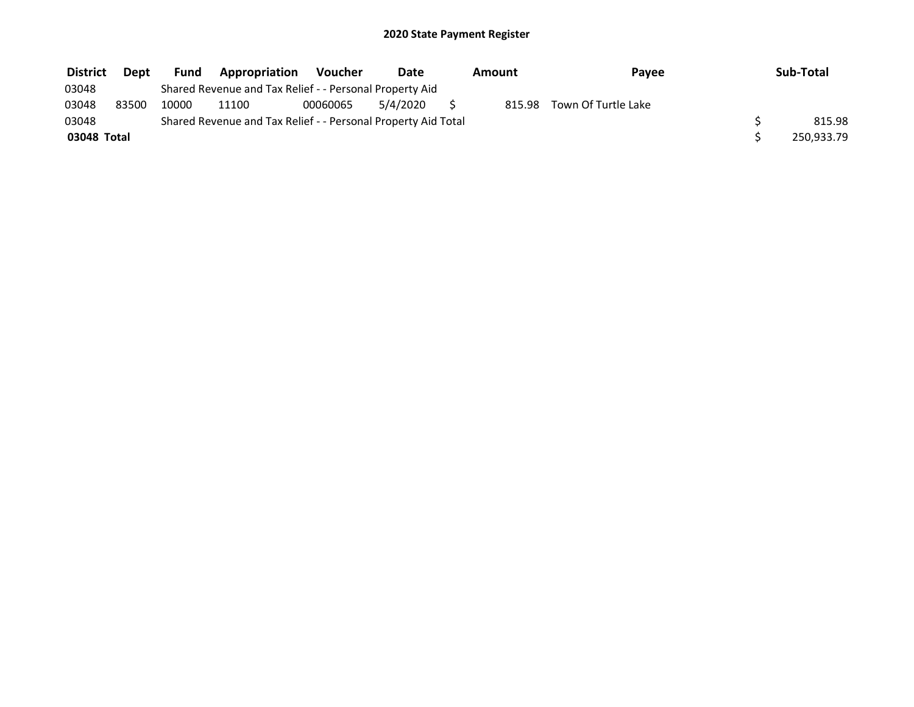| <b>District</b> | Dept  | Fund  | <b>Appropriation</b>                                          | <b>Voucher</b> | Date     | Amount | Payee               | Sub-Total  |
|-----------------|-------|-------|---------------------------------------------------------------|----------------|----------|--------|---------------------|------------|
| 03048           |       |       | Shared Revenue and Tax Relief - - Personal Property Aid       |                |          |        |                     |            |
| 03048           | 83500 | 10000 | 11100                                                         | 00060065       | 5/4/2020 | 815.98 | Town Of Turtle Lake |            |
| 03048           |       |       | Shared Revenue and Tax Relief - - Personal Property Aid Total |                |          |        |                     | 815.98     |
| 03048 Total     |       |       |                                                               |                |          |        |                     | 250,933.79 |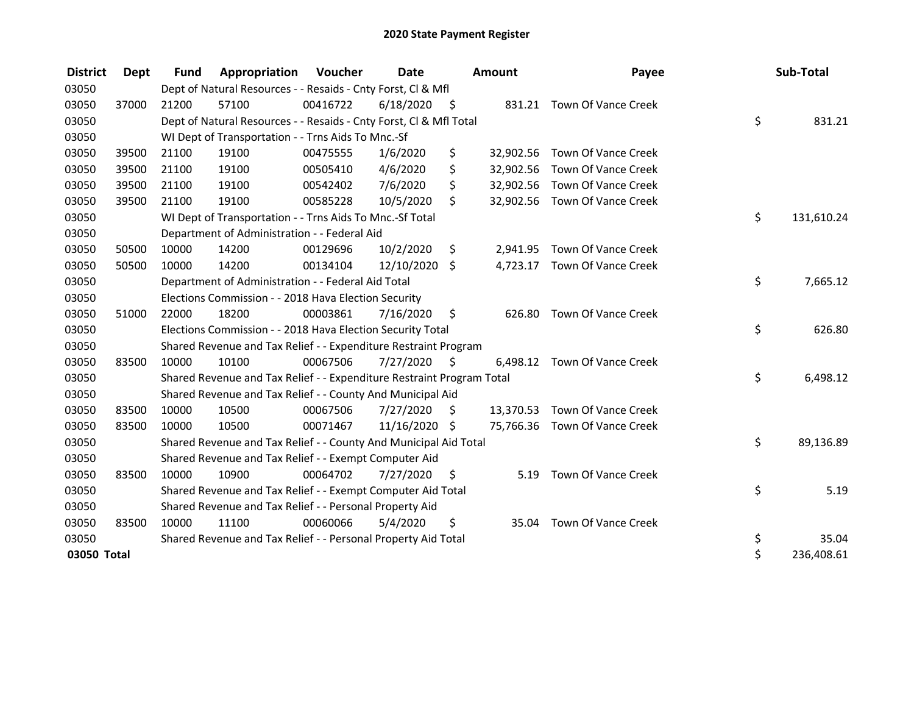| <b>District</b> | Dept  | <b>Fund</b> | Appropriation                                                         | Voucher  | <b>Date</b>   |      | <b>Amount</b> | Payee                         | Sub-Total        |
|-----------------|-------|-------------|-----------------------------------------------------------------------|----------|---------------|------|---------------|-------------------------------|------------------|
| 03050           |       |             | Dept of Natural Resources - - Resaids - Cnty Forst, Cl & Mfl          |          |               |      |               |                               |                  |
| 03050           | 37000 | 21200       | 57100                                                                 | 00416722 | 6/18/2020     | - \$ |               | 831.21 Town Of Vance Creek    |                  |
| 03050           |       |             | Dept of Natural Resources - - Resaids - Cnty Forst, Cl & Mfl Total    |          |               |      |               |                               | \$<br>831.21     |
| 03050           |       |             | WI Dept of Transportation - - Trns Aids To Mnc.-Sf                    |          |               |      |               |                               |                  |
| 03050           | 39500 | 21100       | 19100                                                                 | 00475555 | 1/6/2020      | \$   |               | 32,902.56 Town Of Vance Creek |                  |
| 03050           | 39500 | 21100       | 19100                                                                 | 00505410 | 4/6/2020      | \$   |               | 32,902.56 Town Of Vance Creek |                  |
| 03050           | 39500 | 21100       | 19100                                                                 | 00542402 | 7/6/2020      | \$   |               | 32,902.56 Town Of Vance Creek |                  |
| 03050           | 39500 | 21100       | 19100                                                                 | 00585228 | 10/5/2020     | \$   |               | 32,902.56 Town Of Vance Creek |                  |
| 03050           |       |             | WI Dept of Transportation - - Trns Aids To Mnc .- Sf Total            |          |               |      |               |                               | \$<br>131,610.24 |
| 03050           |       |             | Department of Administration - - Federal Aid                          |          |               |      |               |                               |                  |
| 03050           | 50500 | 10000       | 14200                                                                 | 00129696 | 10/2/2020     | \$   |               | 2,941.95 Town Of Vance Creek  |                  |
| 03050           | 50500 | 10000       | 14200                                                                 | 00134104 | 12/10/2020    | \$   |               | 4,723.17 Town Of Vance Creek  |                  |
| 03050           |       |             | Department of Administration - - Federal Aid Total                    |          |               |      |               |                               | \$<br>7,665.12   |
| 03050           |       |             | Elections Commission - - 2018 Hava Election Security                  |          |               |      |               |                               |                  |
| 03050           | 51000 | 22000       | 18200                                                                 | 00003861 | 7/16/2020     | -\$  |               | 626.80 Town Of Vance Creek    |                  |
| 03050           |       |             | Elections Commission - - 2018 Hava Election Security Total            |          |               |      |               |                               | \$<br>626.80     |
| 03050           |       |             | Shared Revenue and Tax Relief - - Expenditure Restraint Program       |          |               |      |               |                               |                  |
| 03050           | 83500 | 10000       | 10100                                                                 | 00067506 | 7/27/2020     | - \$ |               | 6,498.12 Town Of Vance Creek  |                  |
| 03050           |       |             | Shared Revenue and Tax Relief - - Expenditure Restraint Program Total |          |               |      |               |                               | \$<br>6,498.12   |
| 03050           |       |             | Shared Revenue and Tax Relief - - County And Municipal Aid            |          |               |      |               |                               |                  |
| 03050           | 83500 | 10000       | 10500                                                                 | 00067506 | 7/27/2020     | S    |               | 13,370.53 Town Of Vance Creek |                  |
| 03050           | 83500 | 10000       | 10500                                                                 | 00071467 | 11/16/2020 \$ |      |               | 75,766.36 Town Of Vance Creek |                  |
| 03050           |       |             | Shared Revenue and Tax Relief - - County And Municipal Aid Total      |          |               |      |               |                               | \$<br>89,136.89  |
| 03050           |       |             | Shared Revenue and Tax Relief - - Exempt Computer Aid                 |          |               |      |               |                               |                  |
| 03050           | 83500 | 10000       | 10900                                                                 | 00064702 | 7/27/2020     | \$   | 5.19          | Town Of Vance Creek           |                  |
| 03050           |       |             | Shared Revenue and Tax Relief - - Exempt Computer Aid Total           |          |               |      |               |                               | \$<br>5.19       |
| 03050           |       |             | Shared Revenue and Tax Relief - - Personal Property Aid               |          |               |      |               |                               |                  |
| 03050           | 83500 | 10000       | 11100                                                                 | 00060066 | 5/4/2020      | \$   |               | 35.04 Town Of Vance Creek     |                  |
| 03050           |       |             | Shared Revenue and Tax Relief - - Personal Property Aid Total         |          |               |      |               |                               | \$<br>35.04      |
| 03050 Total     |       |             |                                                                       |          |               |      |               |                               | \$<br>236,408.61 |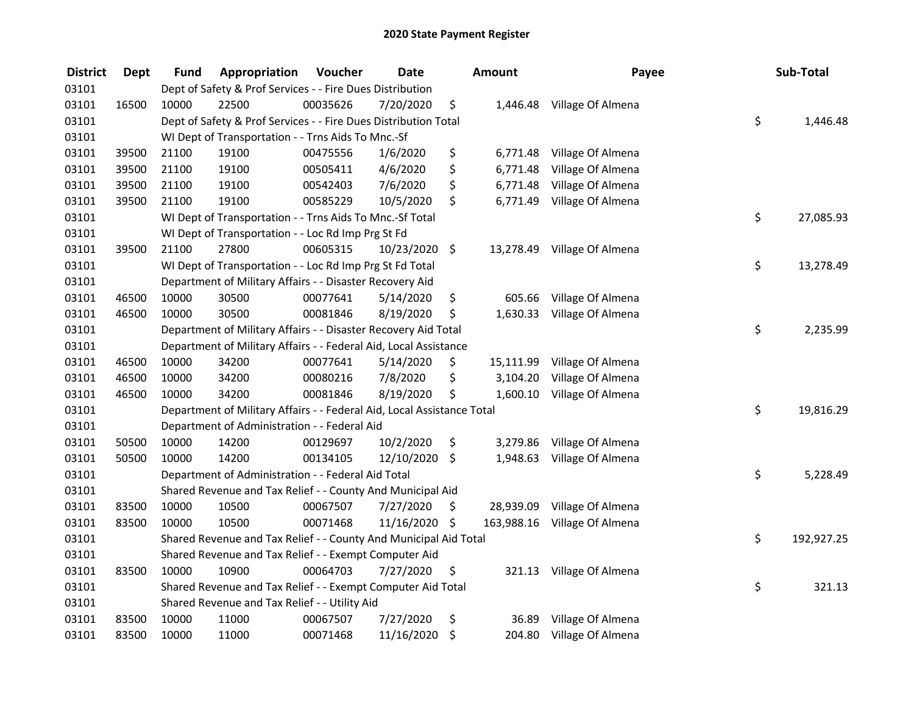| <b>District</b> | <b>Dept</b> | Fund  | Appropriation                                                          | Voucher  | <b>Date</b>   |         | <b>Amount</b> | Payee                       | Sub-Total        |
|-----------------|-------------|-------|------------------------------------------------------------------------|----------|---------------|---------|---------------|-----------------------------|------------------|
| 03101           |             |       | Dept of Safety & Prof Services - - Fire Dues Distribution              |          |               |         |               |                             |                  |
| 03101           | 16500       | 10000 | 22500                                                                  | 00035626 | 7/20/2020     | \$      | 1,446.48      | Village Of Almena           |                  |
| 03101           |             |       | Dept of Safety & Prof Services - - Fire Dues Distribution Total        |          |               |         |               |                             | \$<br>1,446.48   |
| 03101           |             |       | WI Dept of Transportation - - Trns Aids To Mnc.-Sf                     |          |               |         |               |                             |                  |
| 03101           | 39500       | 21100 | 19100                                                                  | 00475556 | 1/6/2020      | \$      | 6,771.48      | Village Of Almena           |                  |
| 03101           | 39500       | 21100 | 19100                                                                  | 00505411 | 4/6/2020      | \$      | 6,771.48      | Village Of Almena           |                  |
| 03101           | 39500       | 21100 | 19100                                                                  | 00542403 | 7/6/2020      | \$      | 6,771.48      | Village Of Almena           |                  |
| 03101           | 39500       | 21100 | 19100                                                                  | 00585229 | 10/5/2020     | \$      | 6,771.49      | Village Of Almena           |                  |
| 03101           |             |       | WI Dept of Transportation - - Trns Aids To Mnc.-Sf Total               |          |               |         |               |                             | \$<br>27,085.93  |
| 03101           |             |       | WI Dept of Transportation - - Loc Rd Imp Prg St Fd                     |          |               |         |               |                             |                  |
| 03101           | 39500       | 21100 | 27800                                                                  | 00605315 | 10/23/2020    | $\zeta$ |               | 13,278.49 Village Of Almena |                  |
| 03101           |             |       | WI Dept of Transportation - - Loc Rd Imp Prg St Fd Total               |          |               |         |               |                             | \$<br>13,278.49  |
| 03101           |             |       | Department of Military Affairs - - Disaster Recovery Aid               |          |               |         |               |                             |                  |
| 03101           | 46500       | 10000 | 30500                                                                  | 00077641 | 5/14/2020     | \$      | 605.66        | Village Of Almena           |                  |
| 03101           | 46500       | 10000 | 30500                                                                  | 00081846 | 8/19/2020     | \$      | 1,630.33      | Village Of Almena           |                  |
| 03101           |             |       | Department of Military Affairs - - Disaster Recovery Aid Total         |          |               |         |               |                             | \$<br>2,235.99   |
| 03101           |             |       | Department of Military Affairs - - Federal Aid, Local Assistance       |          |               |         |               |                             |                  |
| 03101           | 46500       | 10000 | 34200                                                                  | 00077641 | 5/14/2020     | \$      | 15,111.99     | Village Of Almena           |                  |
| 03101           | 46500       | 10000 | 34200                                                                  | 00080216 | 7/8/2020      | \$      | 3,104.20      | Village Of Almena           |                  |
| 03101           | 46500       | 10000 | 34200                                                                  | 00081846 | 8/19/2020     | \$      | 1,600.10      | Village Of Almena           |                  |
| 03101           |             |       | Department of Military Affairs - - Federal Aid, Local Assistance Total |          |               |         |               |                             | \$<br>19,816.29  |
| 03101           |             |       | Department of Administration - - Federal Aid                           |          |               |         |               |                             |                  |
| 03101           | 50500       | 10000 | 14200                                                                  | 00129697 | 10/2/2020     | \$      | 3,279.86      | Village Of Almena           |                  |
| 03101           | 50500       | 10000 | 14200                                                                  | 00134105 | 12/10/2020    | $\zeta$ | 1,948.63      | Village Of Almena           |                  |
| 03101           |             |       | Department of Administration - - Federal Aid Total                     |          |               |         |               |                             | \$<br>5,228.49   |
| 03101           |             |       | Shared Revenue and Tax Relief - - County And Municipal Aid             |          |               |         |               |                             |                  |
| 03101           | 83500       | 10000 | 10500                                                                  | 00067507 | 7/27/2020     | \$      | 28,939.09     | Village Of Almena           |                  |
| 03101           | 83500       | 10000 | 10500                                                                  | 00071468 | 11/16/2020 \$ |         | 163,988.16    | Village Of Almena           |                  |
| 03101           |             |       | Shared Revenue and Tax Relief - - County And Municipal Aid Total       |          |               |         |               |                             | \$<br>192,927.25 |
| 03101           |             |       | Shared Revenue and Tax Relief - - Exempt Computer Aid                  |          |               |         |               |                             |                  |
| 03101           | 83500       | 10000 | 10900                                                                  | 00064703 | 7/27/2020     | \$      | 321.13        | Village Of Almena           |                  |
| 03101           |             |       | Shared Revenue and Tax Relief - - Exempt Computer Aid Total            |          |               |         |               |                             | \$<br>321.13     |
| 03101           |             |       | Shared Revenue and Tax Relief - - Utility Aid                          |          |               |         |               |                             |                  |
| 03101           | 83500       | 10000 | 11000                                                                  | 00067507 | 7/27/2020     | \$      | 36.89         | Village Of Almena           |                  |
| 03101           | 83500       | 10000 | 11000                                                                  | 00071468 | 11/16/2020    | \$      | 204.80        | Village Of Almena           |                  |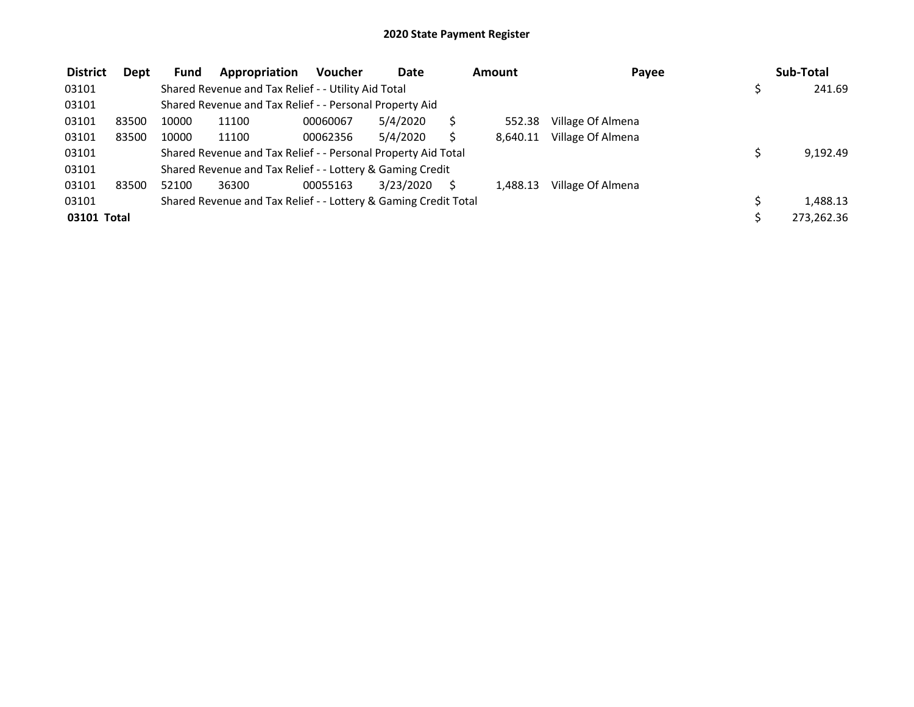| <b>District</b> | Dept  | <b>Fund</b> | Appropriation                                                   | <b>Voucher</b> | <b>Date</b> | <b>Amount</b> | Payee             | Sub-Total  |
|-----------------|-------|-------------|-----------------------------------------------------------------|----------------|-------------|---------------|-------------------|------------|
| 03101           |       |             | Shared Revenue and Tax Relief - - Utility Aid Total             |                |             |               |                   | 241.69     |
| 03101           |       |             | Shared Revenue and Tax Relief - - Personal Property Aid         |                |             |               |                   |            |
| 03101           | 83500 | 10000       | 11100                                                           | 00060067       | 5/4/2020    | 552.38        | Village Of Almena |            |
| 03101           | 83500 | 10000       | 11100                                                           | 00062356       | 5/4/2020    | 8,640.11      | Village Of Almena |            |
| 03101           |       |             | Shared Revenue and Tax Relief - - Personal Property Aid Total   |                |             |               |                   | 9,192.49   |
| 03101           |       |             | Shared Revenue and Tax Relief - - Lottery & Gaming Credit       |                |             |               |                   |            |
| 03101           | 83500 | 52100       | 36300                                                           | 00055163       | 3/23/2020   | 1.488.13      | Village Of Almena |            |
| 03101           |       |             | Shared Revenue and Tax Relief - - Lottery & Gaming Credit Total |                |             |               |                   | 1,488.13   |
| 03101 Total     |       |             |                                                                 |                |             |               |                   | 273,262.36 |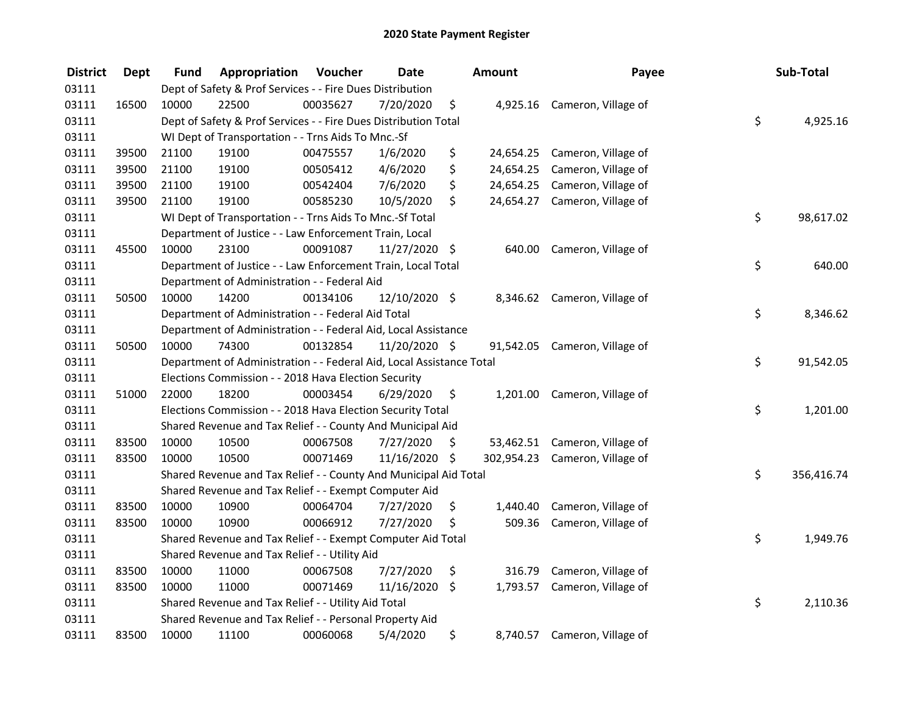| <b>District</b> | <b>Dept</b> | Fund  | Appropriation                                                        | Voucher  | <b>Date</b>   |     | <b>Amount</b> | Payee                          | Sub-Total        |
|-----------------|-------------|-------|----------------------------------------------------------------------|----------|---------------|-----|---------------|--------------------------------|------------------|
| 03111           |             |       | Dept of Safety & Prof Services - - Fire Dues Distribution            |          |               |     |               |                                |                  |
| 03111           | 16500       | 10000 | 22500                                                                | 00035627 | 7/20/2020     | \$  |               | 4,925.16 Cameron, Village of   |                  |
| 03111           |             |       | Dept of Safety & Prof Services - - Fire Dues Distribution Total      |          |               |     |               |                                | \$<br>4,925.16   |
| 03111           |             |       | WI Dept of Transportation - - Trns Aids To Mnc.-Sf                   |          |               |     |               |                                |                  |
| 03111           | 39500       | 21100 | 19100                                                                | 00475557 | 1/6/2020      | \$  | 24,654.25     | Cameron, Village of            |                  |
| 03111           | 39500       | 21100 | 19100                                                                | 00505412 | 4/6/2020      | \$  | 24,654.25     | Cameron, Village of            |                  |
| 03111           | 39500       | 21100 | 19100                                                                | 00542404 | 7/6/2020      | \$  | 24,654.25     | Cameron, Village of            |                  |
| 03111           | 39500       | 21100 | 19100                                                                | 00585230 | 10/5/2020     | \$  |               | 24,654.27 Cameron, Village of  |                  |
| 03111           |             |       | WI Dept of Transportation - - Trns Aids To Mnc.-Sf Total             |          |               |     |               |                                | \$<br>98,617.02  |
| 03111           |             |       | Department of Justice - - Law Enforcement Train, Local               |          |               |     |               |                                |                  |
| 03111           | 45500       | 10000 | 23100                                                                | 00091087 | 11/27/2020 \$ |     | 640.00        | Cameron, Village of            |                  |
| 03111           |             |       | Department of Justice - - Law Enforcement Train, Local Total         |          |               |     |               |                                | \$<br>640.00     |
| 03111           |             |       | Department of Administration - - Federal Aid                         |          |               |     |               |                                |                  |
| 03111           | 50500       | 10000 | 14200                                                                | 00134106 | 12/10/2020 \$ |     |               | 8,346.62 Cameron, Village of   |                  |
| 03111           |             |       | Department of Administration - - Federal Aid Total                   |          |               |     |               |                                | \$<br>8,346.62   |
| 03111           |             |       | Department of Administration - - Federal Aid, Local Assistance       |          |               |     |               |                                |                  |
| 03111           | 50500       | 10000 | 74300                                                                | 00132854 | 11/20/2020 \$ |     |               | 91,542.05 Cameron, Village of  |                  |
| 03111           |             |       | Department of Administration - - Federal Aid, Local Assistance Total |          |               |     |               |                                | \$<br>91,542.05  |
| 03111           |             |       | Elections Commission - - 2018 Hava Election Security                 |          |               |     |               |                                |                  |
| 03111           | 51000       | 22000 | 18200                                                                | 00003454 | 6/29/2020     | \$  |               | 1,201.00 Cameron, Village of   |                  |
| 03111           |             |       | Elections Commission - - 2018 Hava Election Security Total           |          |               |     |               |                                | \$<br>1,201.00   |
| 03111           |             |       | Shared Revenue and Tax Relief - - County And Municipal Aid           |          |               |     |               |                                |                  |
| 03111           | 83500       | 10000 | 10500                                                                | 00067508 | 7/27/2020     | \$. |               | 53,462.51 Cameron, Village of  |                  |
| 03111           | 83500       | 10000 | 10500                                                                | 00071469 | 11/16/2020 \$ |     |               | 302,954.23 Cameron, Village of |                  |
| 03111           |             |       | Shared Revenue and Tax Relief - - County And Municipal Aid Total     |          |               |     |               |                                | \$<br>356,416.74 |
| 03111           |             |       | Shared Revenue and Tax Relief - - Exempt Computer Aid                |          |               |     |               |                                |                  |
| 03111           | 83500       | 10000 | 10900                                                                | 00064704 | 7/27/2020     | \$  | 1,440.40      | Cameron, Village of            |                  |
| 03111           | 83500       | 10000 | 10900                                                                | 00066912 | 7/27/2020     | \$  | 509.36        | Cameron, Village of            |                  |
| 03111           |             |       | Shared Revenue and Tax Relief - - Exempt Computer Aid Total          |          |               |     |               |                                | \$<br>1,949.76   |
| 03111           |             |       | Shared Revenue and Tax Relief - - Utility Aid                        |          |               |     |               |                                |                  |
| 03111           | 83500       | 10000 | 11000                                                                | 00067508 | 7/27/2020     | \$  | 316.79        | Cameron, Village of            |                  |
| 03111           | 83500       | 10000 | 11000                                                                | 00071469 | 11/16/2020    | \$  | 1,793.57      | Cameron, Village of            |                  |
| 03111           |             |       | Shared Revenue and Tax Relief - - Utility Aid Total                  |          |               |     |               |                                | \$<br>2,110.36   |
| 03111           |             |       | Shared Revenue and Tax Relief - - Personal Property Aid              |          |               |     |               |                                |                  |
| 03111           | 83500       | 10000 | 11100                                                                | 00060068 | 5/4/2020      | \$  |               | 8,740.57 Cameron, Village of   |                  |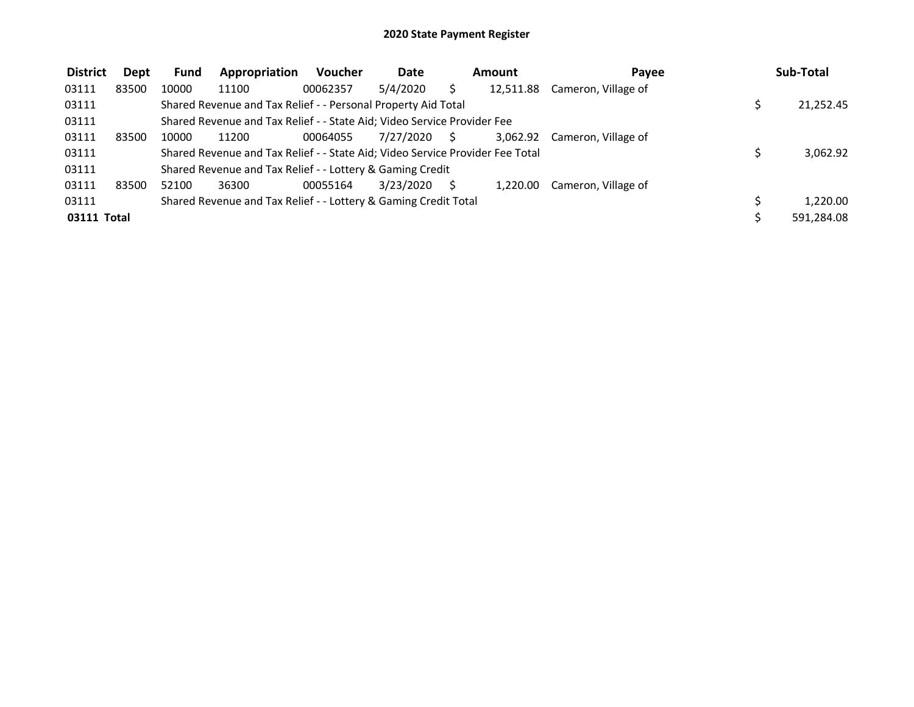| <b>District</b> | Dept  | <b>Fund</b> | Appropriation                                                                 | <b>Voucher</b> | Date         | Amount    | Pavee                        | Sub-Total  |
|-----------------|-------|-------------|-------------------------------------------------------------------------------|----------------|--------------|-----------|------------------------------|------------|
| 03111           | 83500 | 10000       | 11100                                                                         | 00062357       | 5/4/2020     | 12,511.88 | Cameron, Village of          |            |
| 03111           |       |             | Shared Revenue and Tax Relief - - Personal Property Aid Total                 |                |              |           |                              | 21,252.45  |
| 03111           |       |             | Shared Revenue and Tax Relief - - State Aid; Video Service Provider Fee       |                |              |           |                              |            |
| 03111           | 83500 | 10000       | 11200                                                                         | 00064055       | 7/27/2020 \$ |           | 3,062.92 Cameron, Village of |            |
| 03111           |       |             | Shared Revenue and Tax Relief - - State Aid; Video Service Provider Fee Total |                |              |           |                              | 3,062.92   |
| 03111           |       |             | Shared Revenue and Tax Relief - - Lottery & Gaming Credit                     |                |              |           |                              |            |
| 03111           | 83500 | 52100       | 36300                                                                         | 00055164       | 3/23/2020    | 1.220.00  | Cameron, Village of          |            |
| 03111           |       |             | Shared Revenue and Tax Relief - - Lottery & Gaming Credit Total               |                |              |           |                              | 1.220.00   |
| 03111 Total     |       |             |                                                                               |                |              |           |                              | 591,284.08 |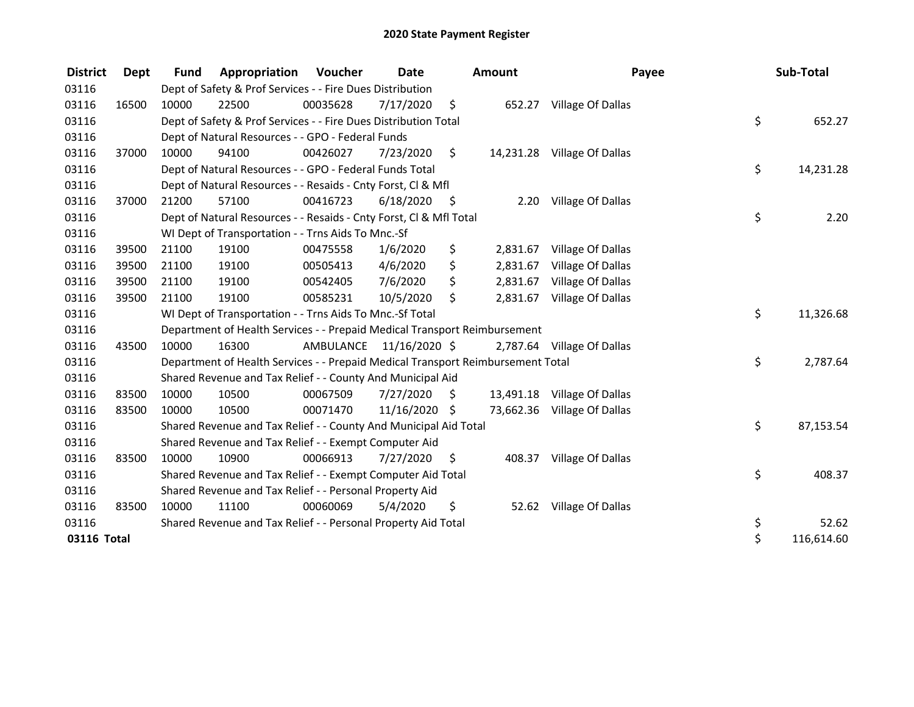| <b>District</b> | Dept  | <b>Fund</b> | <b>Appropriation Voucher</b>                                                    |                         | Date          |      | <b>Amount</b> | Payee                       | Sub-Total        |
|-----------------|-------|-------------|---------------------------------------------------------------------------------|-------------------------|---------------|------|---------------|-----------------------------|------------------|
| 03116           |       |             | Dept of Safety & Prof Services - - Fire Dues Distribution                       |                         |               |      |               |                             |                  |
| 03116           | 16500 | 10000       | 22500                                                                           | 00035628                | 7/17/2020     | \$   |               | 652.27 Village Of Dallas    |                  |
| 03116           |       |             | Dept of Safety & Prof Services - - Fire Dues Distribution Total                 |                         |               |      |               |                             | \$<br>652.27     |
| 03116           |       |             | Dept of Natural Resources - - GPO - Federal Funds                               |                         |               |      |               |                             |                  |
| 03116           | 37000 | 10000       | 94100                                                                           | 00426027                | 7/23/2020     | \$   |               | 14,231.28 Village Of Dallas |                  |
| 03116           |       |             | Dept of Natural Resources - - GPO - Federal Funds Total                         |                         |               |      |               |                             | \$<br>14,231.28  |
| 03116           |       |             | Dept of Natural Resources - - Resaids - Cnty Forst, Cl & Mfl                    |                         |               |      |               |                             |                  |
| 03116           | 37000 | 21200       | 57100                                                                           | 00416723                | 6/18/2020     | - \$ |               | 2.20 Village Of Dallas      |                  |
| 03116           |       |             | Dept of Natural Resources - - Resaids - Cnty Forst, CI & Mfl Total              |                         |               |      |               |                             | \$<br>2.20       |
| 03116           |       |             | WI Dept of Transportation - - Trns Aids To Mnc.-Sf                              |                         |               |      |               |                             |                  |
| 03116           | 39500 | 21100       | 19100                                                                           | 00475558                | 1/6/2020      | \$   | 2,831.67      | Village Of Dallas           |                  |
| 03116           | 39500 | 21100       | 19100                                                                           | 00505413                | 4/6/2020      | \$   | 2,831.67      | Village Of Dallas           |                  |
| 03116           | 39500 | 21100       | 19100                                                                           | 00542405                | 7/6/2020      | \$   | 2,831.67      | Village Of Dallas           |                  |
| 03116           | 39500 | 21100       | 19100                                                                           | 00585231                | 10/5/2020     | \$   | 2,831.67      | Village Of Dallas           |                  |
| 03116           |       |             | WI Dept of Transportation - - Trns Aids To Mnc.-Sf Total                        |                         |               |      |               |                             | \$<br>11,326.68  |
| 03116           |       |             | Department of Health Services - - Prepaid Medical Transport Reimbursement       |                         |               |      |               |                             |                  |
| 03116           | 43500 | 10000       | 16300                                                                           | AMBULANCE 11/16/2020 \$ |               |      |               | 2,787.64 Village Of Dallas  |                  |
| 03116           |       |             | Department of Health Services - - Prepaid Medical Transport Reimbursement Total |                         |               |      |               |                             | \$<br>2,787.64   |
| 03116           |       |             | Shared Revenue and Tax Relief - - County And Municipal Aid                      |                         |               |      |               |                             |                  |
| 03116           | 83500 | 10000       | 10500                                                                           | 00067509                | 7/27/2020     | \$   |               | 13,491.18 Village Of Dallas |                  |
| 03116           | 83500 | 10000       | 10500                                                                           | 00071470                | 11/16/2020 \$ |      |               | 73,662.36 Village Of Dallas |                  |
| 03116           |       |             | Shared Revenue and Tax Relief - - County And Municipal Aid Total                |                         |               |      |               |                             | \$<br>87,153.54  |
| 03116           |       |             | Shared Revenue and Tax Relief - - Exempt Computer Aid                           |                         |               |      |               |                             |                  |
| 03116           | 83500 | 10000       | 10900                                                                           | 00066913                | 7/27/2020     | S.   |               | 408.37 Village Of Dallas    |                  |
| 03116           |       |             | Shared Revenue and Tax Relief - - Exempt Computer Aid Total                     |                         |               |      |               |                             | \$<br>408.37     |
| 03116           |       |             | Shared Revenue and Tax Relief - - Personal Property Aid                         |                         |               |      |               |                             |                  |
| 03116           | 83500 | 10000       | 11100                                                                           | 00060069                | 5/4/2020      | \$   | 52.62         | Village Of Dallas           |                  |
| 03116           |       |             | Shared Revenue and Tax Relief - - Personal Property Aid Total                   |                         |               |      |               |                             | \$<br>52.62      |
| 03116 Total     |       |             |                                                                                 |                         |               |      |               |                             | \$<br>116,614.60 |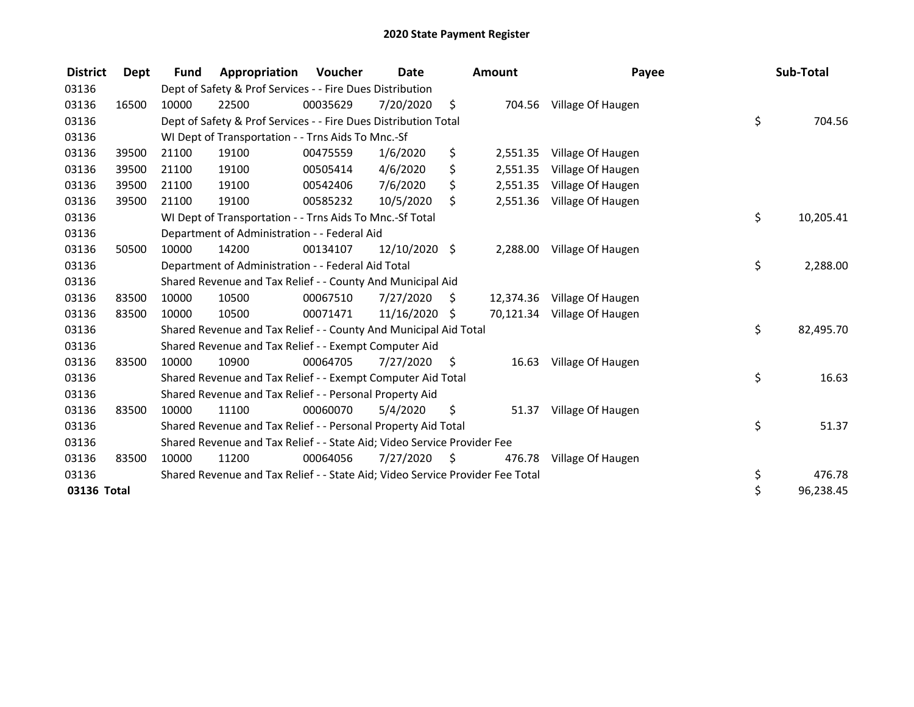| <b>District</b> | Dept  | <b>Fund</b> | Appropriation                                                                 | <b>Voucher</b> | Date            |    | Amount   | Payee                       | Sub-Total       |
|-----------------|-------|-------------|-------------------------------------------------------------------------------|----------------|-----------------|----|----------|-----------------------------|-----------------|
| 03136           |       |             | Dept of Safety & Prof Services - - Fire Dues Distribution                     |                |                 |    |          |                             |                 |
| 03136           | 16500 | 10000       | 22500                                                                         | 00035629       | 7/20/2020       | \$ |          | 704.56 Village Of Haugen    |                 |
| 03136           |       |             | Dept of Safety & Prof Services - - Fire Dues Distribution Total               |                |                 |    |          |                             | \$<br>704.56    |
| 03136           |       |             | WI Dept of Transportation - - Trns Aids To Mnc.-Sf                            |                |                 |    |          |                             |                 |
| 03136           | 39500 | 21100       | 19100                                                                         | 00475559       | 1/6/2020        | \$ | 2,551.35 | Village Of Haugen           |                 |
| 03136           | 39500 | 21100       | 19100                                                                         | 00505414       | 4/6/2020        | \$ | 2,551.35 | Village Of Haugen           |                 |
| 03136           | 39500 | 21100       | 19100                                                                         | 00542406       | 7/6/2020        | \$ | 2,551.35 | Village Of Haugen           |                 |
| 03136           | 39500 | 21100       | 19100                                                                         | 00585232       | 10/5/2020       | \$ |          | 2,551.36 Village Of Haugen  |                 |
| 03136           |       |             | WI Dept of Transportation - - Trns Aids To Mnc.-Sf Total                      |                |                 |    |          |                             | \$<br>10,205.41 |
| 03136           |       |             | Department of Administration - - Federal Aid                                  |                |                 |    |          |                             |                 |
| 03136           | 50500 | 10000       | 14200                                                                         | 00134107       | $12/10/2020$ \$ |    | 2,288.00 | Village Of Haugen           |                 |
| 03136           |       |             | Department of Administration - - Federal Aid Total                            |                |                 |    |          |                             | \$<br>2,288.00  |
| 03136           |       |             | Shared Revenue and Tax Relief - - County And Municipal Aid                    |                |                 |    |          |                             |                 |
| 03136           | 83500 | 10000       | 10500                                                                         | 00067510       | 7/27/2020       | S  |          | 12,374.36 Village Of Haugen |                 |
| 03136           | 83500 | 10000       | 10500                                                                         | 00071471       | 11/16/2020      | Ŝ. |          | 70,121.34 Village Of Haugen |                 |
| 03136           |       |             | Shared Revenue and Tax Relief - - County And Municipal Aid Total              |                |                 |    |          |                             | \$<br>82,495.70 |
| 03136           |       |             | Shared Revenue and Tax Relief - - Exempt Computer Aid                         |                |                 |    |          |                             |                 |
| 03136           | 83500 | 10000       | 10900                                                                         | 00064705       | 7/27/2020       | S  | 16.63    | Village Of Haugen           |                 |
| 03136           |       |             | Shared Revenue and Tax Relief - - Exempt Computer Aid Total                   |                |                 |    |          |                             | \$<br>16.63     |
| 03136           |       |             | Shared Revenue and Tax Relief - - Personal Property Aid                       |                |                 |    |          |                             |                 |
| 03136           | 83500 | 10000       | 11100                                                                         | 00060070       | 5/4/2020        | \$ | 51.37    | Village Of Haugen           |                 |
| 03136           |       |             | Shared Revenue and Tax Relief - - Personal Property Aid Total                 |                |                 |    |          |                             | \$<br>51.37     |
| 03136           |       |             | Shared Revenue and Tax Relief - - State Aid; Video Service Provider Fee       |                |                 |    |          |                             |                 |
| 03136           | 83500 | 10000       | 11200                                                                         | 00064056       | 7/27/2020       | Ŝ. | 476.78   | Village Of Haugen           |                 |
| 03136           |       |             | Shared Revenue and Tax Relief - - State Aid; Video Service Provider Fee Total |                |                 |    |          |                             | \$<br>476.78    |
| 03136 Total     |       |             |                                                                               |                |                 |    |          |                             | \$<br>96,238.45 |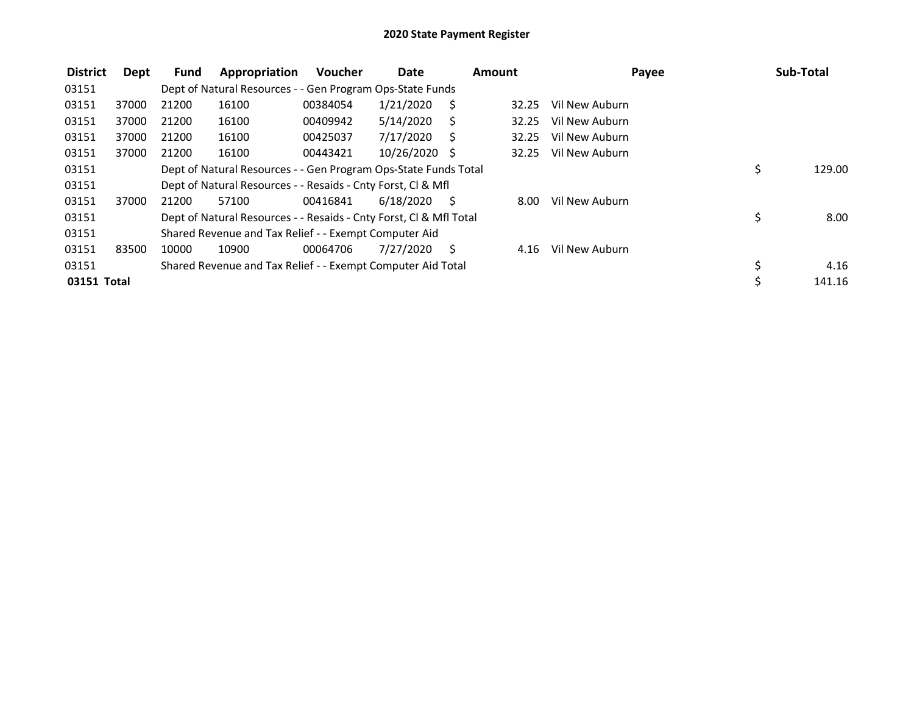| <b>District</b> | Dept  | Fund  | Appropriation                                                      | <b>Voucher</b> | Date           |     | <b>Amount</b> | Payee          | Sub-Total    |
|-----------------|-------|-------|--------------------------------------------------------------------|----------------|----------------|-----|---------------|----------------|--------------|
| 03151           |       |       | Dept of Natural Resources - - Gen Program Ops-State Funds          |                |                |     |               |                |              |
| 03151           | 37000 | 21200 | 16100                                                              | 00384054       | 1/21/2020      | - S | 32.25         | Vil New Auburn |              |
| 03151           | 37000 | 21200 | 16100                                                              | 00409942       | 5/14/2020      |     | 32.25         | Vil New Auburn |              |
| 03151           | 37000 | 21200 | 16100                                                              | 00425037       | 7/17/2020      | - S | 32.25         | Vil New Auburn |              |
| 03151           | 37000 | 21200 | 16100                                                              | 00443421       | 10/26/2020 \$  |     | 32.25         | Vil New Auburn |              |
| 03151           |       |       | Dept of Natural Resources - - Gen Program Ops-State Funds Total    |                |                |     |               |                | \$<br>129.00 |
| 03151           |       |       | Dept of Natural Resources - - Resaids - Cnty Forst, CI & Mfl       |                |                |     |               |                |              |
| 03151           | 37000 | 21200 | 57100                                                              | 00416841       | $6/18/2020$ \$ |     | 8.00          | Vil New Auburn |              |
| 03151           |       |       | Dept of Natural Resources - - Resaids - Cnty Forst, CI & Mfl Total |                |                |     |               |                | \$<br>8.00   |
| 03151           |       |       | Shared Revenue and Tax Relief - - Exempt Computer Aid              |                |                |     |               |                |              |
| 03151           | 83500 | 10000 | 10900                                                              | 00064706       | 7/27/2020      | - S | 4.16          | Vil New Auburn |              |
| 03151           |       |       | Shared Revenue and Tax Relief - - Exempt Computer Aid Total        |                |                |     |               |                | \$<br>4.16   |
| 03151 Total     |       |       |                                                                    |                |                |     |               |                | 141.16       |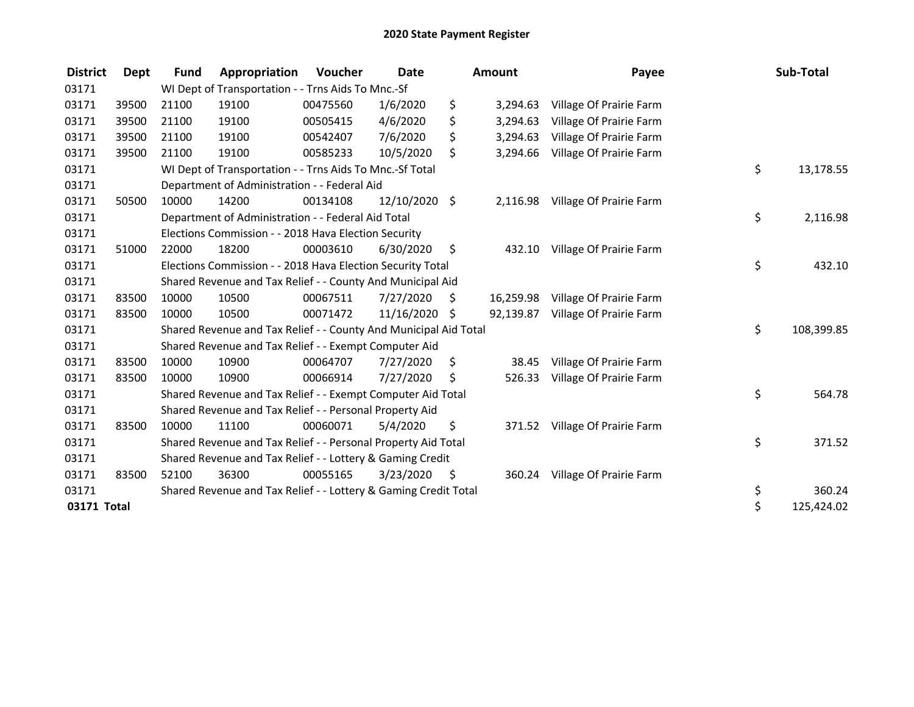| <b>District</b> | Dept  | <b>Fund</b> | Appropriation                                                    | <b>Voucher</b> | <b>Date</b>     |     | <b>Amount</b> | Payee                   | Sub-Total        |
|-----------------|-------|-------------|------------------------------------------------------------------|----------------|-----------------|-----|---------------|-------------------------|------------------|
| 03171           |       |             | WI Dept of Transportation - - Trns Aids To Mnc.-Sf               |                |                 |     |               |                         |                  |
| 03171           | 39500 | 21100       | 19100                                                            | 00475560       | 1/6/2020        | \$  | 3,294.63      | Village Of Prairie Farm |                  |
| 03171           | 39500 | 21100       | 19100                                                            | 00505415       | 4/6/2020        | \$  | 3,294.63      | Village Of Prairie Farm |                  |
| 03171           | 39500 | 21100       | 19100                                                            | 00542407       | 7/6/2020        | \$  | 3,294.63      | Village Of Prairie Farm |                  |
| 03171           | 39500 | 21100       | 19100                                                            | 00585233       | 10/5/2020       | \$  | 3,294.66      | Village Of Prairie Farm |                  |
| 03171           |       |             | WI Dept of Transportation - - Trns Aids To Mnc.-Sf Total         |                |                 |     |               |                         | \$<br>13,178.55  |
| 03171           |       |             | Department of Administration - - Federal Aid                     |                |                 |     |               |                         |                  |
| 03171           | 50500 | 10000       | 14200                                                            | 00134108       | $12/10/2020$ \$ |     | 2,116.98      | Village Of Prairie Farm |                  |
| 03171           |       |             | Department of Administration - - Federal Aid Total               |                |                 |     |               |                         | \$<br>2,116.98   |
| 03171           |       |             | Elections Commission - - 2018 Hava Election Security             |                |                 |     |               |                         |                  |
| 03171           | 51000 | 22000       | 18200                                                            | 00003610       | 6/30/2020       | \$  | 432.10        | Village Of Prairie Farm |                  |
| 03171           |       |             | Elections Commission - - 2018 Hava Election Security Total       |                |                 |     |               |                         | \$<br>432.10     |
| 03171           |       |             | Shared Revenue and Tax Relief - - County And Municipal Aid       |                |                 |     |               |                         |                  |
| 03171           | 83500 | 10000       | 10500                                                            | 00067511       | 7/27/2020       | \$  | 16,259.98     | Village Of Prairie Farm |                  |
| 03171           | 83500 | 10000       | 10500                                                            | 00071472       | 11/16/2020 \$   |     | 92,139.87     | Village Of Prairie Farm |                  |
| 03171           |       |             | Shared Revenue and Tax Relief - - County And Municipal Aid Total |                |                 |     |               |                         | \$<br>108,399.85 |
| 03171           |       |             | Shared Revenue and Tax Relief - - Exempt Computer Aid            |                |                 |     |               |                         |                  |
| 03171           | 83500 | 10000       | 10900                                                            | 00064707       | 7/27/2020       | \$. | 38.45         | Village Of Prairie Farm |                  |
| 03171           | 83500 | 10000       | 10900                                                            | 00066914       | 7/27/2020       | \$  | 526.33        | Village Of Prairie Farm |                  |
| 03171           |       |             | Shared Revenue and Tax Relief - - Exempt Computer Aid Total      |                |                 |     |               |                         | \$<br>564.78     |
| 03171           |       |             | Shared Revenue and Tax Relief - - Personal Property Aid          |                |                 |     |               |                         |                  |
| 03171           | 83500 | 10000       | 11100                                                            | 00060071       | 5/4/2020        | \$  | 371.52        | Village Of Prairie Farm |                  |
| 03171           |       |             | Shared Revenue and Tax Relief - - Personal Property Aid Total    |                |                 |     |               |                         | \$<br>371.52     |
| 03171           |       |             | Shared Revenue and Tax Relief - - Lottery & Gaming Credit        |                |                 |     |               |                         |                  |
| 03171           | 83500 | 52100       | 36300                                                            | 00055165       | 3/23/2020       | \$  | 360.24        | Village Of Prairie Farm |                  |
| 03171           |       |             | Shared Revenue and Tax Relief - - Lottery & Gaming Credit Total  |                |                 |     |               |                         | \$<br>360.24     |
| 03171 Total     |       |             |                                                                  |                |                 |     |               |                         | \$<br>125,424.02 |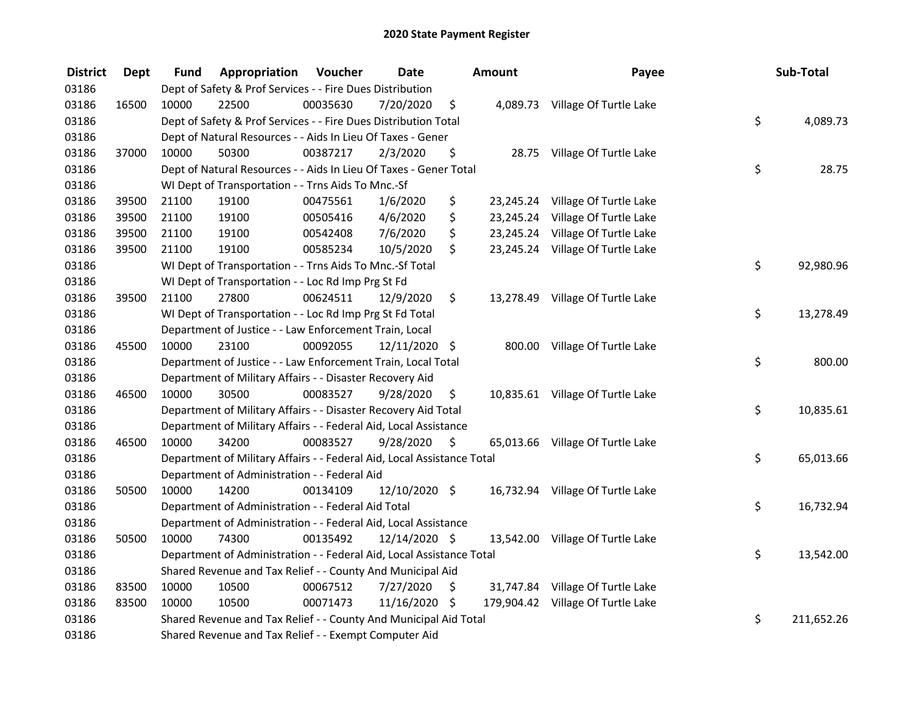| <b>District</b> | <b>Dept</b> | Fund  | Appropriation                                                          | Voucher  | <b>Date</b>   |                     | Amount | Payee                             | Sub-Total        |
|-----------------|-------------|-------|------------------------------------------------------------------------|----------|---------------|---------------------|--------|-----------------------------------|------------------|
| 03186           |             |       | Dept of Safety & Prof Services - - Fire Dues Distribution              |          |               |                     |        |                                   |                  |
| 03186           | 16500       | 10000 | 22500                                                                  | 00035630 | 7/20/2020     | \$                  |        | 4,089.73 Village Of Turtle Lake   |                  |
| 03186           |             |       | Dept of Safety & Prof Services - - Fire Dues Distribution Total        |          |               |                     |        |                                   | \$<br>4,089.73   |
| 03186           |             |       | Dept of Natural Resources - - Aids In Lieu Of Taxes - Gener            |          |               |                     |        |                                   |                  |
| 03186           | 37000       | 10000 | 50300                                                                  | 00387217 | 2/3/2020      | \$                  |        | 28.75 Village Of Turtle Lake      |                  |
| 03186           |             |       | Dept of Natural Resources - - Aids In Lieu Of Taxes - Gener Total      |          |               |                     |        |                                   | \$<br>28.75      |
| 03186           |             |       | WI Dept of Transportation - - Trns Aids To Mnc.-Sf                     |          |               |                     |        |                                   |                  |
| 03186           | 39500       | 21100 | 19100                                                                  | 00475561 | 1/6/2020      | \$                  |        | 23,245.24 Village Of Turtle Lake  |                  |
| 03186           | 39500       | 21100 | 19100                                                                  | 00505416 | 4/6/2020      | \$                  |        | 23,245.24 Village Of Turtle Lake  |                  |
| 03186           | 39500       | 21100 | 19100                                                                  | 00542408 | 7/6/2020      | \$                  |        | 23,245.24 Village Of Turtle Lake  |                  |
| 03186           | 39500       | 21100 | 19100                                                                  | 00585234 | 10/5/2020     | \$                  |        | 23,245.24 Village Of Turtle Lake  |                  |
| 03186           |             |       | WI Dept of Transportation - - Trns Aids To Mnc.-Sf Total               |          |               |                     |        |                                   | \$<br>92,980.96  |
| 03186           |             |       | WI Dept of Transportation - - Loc Rd Imp Prg St Fd                     |          |               |                     |        |                                   |                  |
| 03186           | 39500       | 21100 | 27800                                                                  | 00624511 | 12/9/2020     | \$                  |        | 13,278.49 Village Of Turtle Lake  |                  |
| 03186           |             |       | WI Dept of Transportation - - Loc Rd Imp Prg St Fd Total               |          |               |                     |        |                                   | \$<br>13,278.49  |
| 03186           |             |       | Department of Justice - - Law Enforcement Train, Local                 |          |               |                     |        |                                   |                  |
| 03186           | 45500       | 10000 | 23100                                                                  | 00092055 | 12/11/2020 \$ |                     | 800.00 | Village Of Turtle Lake            |                  |
| 03186           |             |       | Department of Justice - - Law Enforcement Train, Local Total           |          |               |                     |        |                                   | \$<br>800.00     |
| 03186           |             |       | Department of Military Affairs - - Disaster Recovery Aid               |          |               |                     |        |                                   |                  |
| 03186           | 46500       | 10000 | 30500                                                                  | 00083527 | 9/28/2020     | \$                  |        | 10,835.61 Village Of Turtle Lake  |                  |
| 03186           |             |       | Department of Military Affairs - - Disaster Recovery Aid Total         |          |               |                     |        |                                   | \$<br>10,835.61  |
| 03186           |             |       | Department of Military Affairs - - Federal Aid, Local Assistance       |          |               |                     |        |                                   |                  |
| 03186           | 46500       | 10000 | 34200                                                                  | 00083527 | 9/28/2020     | $\ddot{\mathsf{s}}$ |        | 65,013.66 Village Of Turtle Lake  |                  |
| 03186           |             |       | Department of Military Affairs - - Federal Aid, Local Assistance Total |          |               |                     |        |                                   | \$<br>65,013.66  |
| 03186           |             |       | Department of Administration - - Federal Aid                           |          |               |                     |        |                                   |                  |
| 03186           | 50500       | 10000 | 14200                                                                  | 00134109 | 12/10/2020 \$ |                     |        | 16,732.94 Village Of Turtle Lake  |                  |
| 03186           |             |       | Department of Administration - - Federal Aid Total                     |          |               |                     |        |                                   | \$<br>16,732.94  |
| 03186           |             |       | Department of Administration - - Federal Aid, Local Assistance         |          |               |                     |        |                                   |                  |
| 03186           | 50500       | 10000 | 74300                                                                  | 00135492 | 12/14/2020 \$ |                     |        | 13,542.00 Village Of Turtle Lake  |                  |
| 03186           |             |       | Department of Administration - - Federal Aid, Local Assistance Total   |          |               |                     |        |                                   | \$<br>13,542.00  |
| 03186           |             |       | Shared Revenue and Tax Relief - - County And Municipal Aid             |          |               |                     |        |                                   |                  |
| 03186           | 83500       | 10000 | 10500                                                                  | 00067512 | 7/27/2020     | \$                  |        | 31,747.84 Village Of Turtle Lake  |                  |
| 03186           | 83500       | 10000 | 10500                                                                  | 00071473 | 11/16/2020    | - \$                |        | 179,904.42 Village Of Turtle Lake |                  |
| 03186           |             |       | Shared Revenue and Tax Relief - - County And Municipal Aid Total       |          |               |                     |        |                                   | \$<br>211,652.26 |
| 03186           |             |       | Shared Revenue and Tax Relief - - Exempt Computer Aid                  |          |               |                     |        |                                   |                  |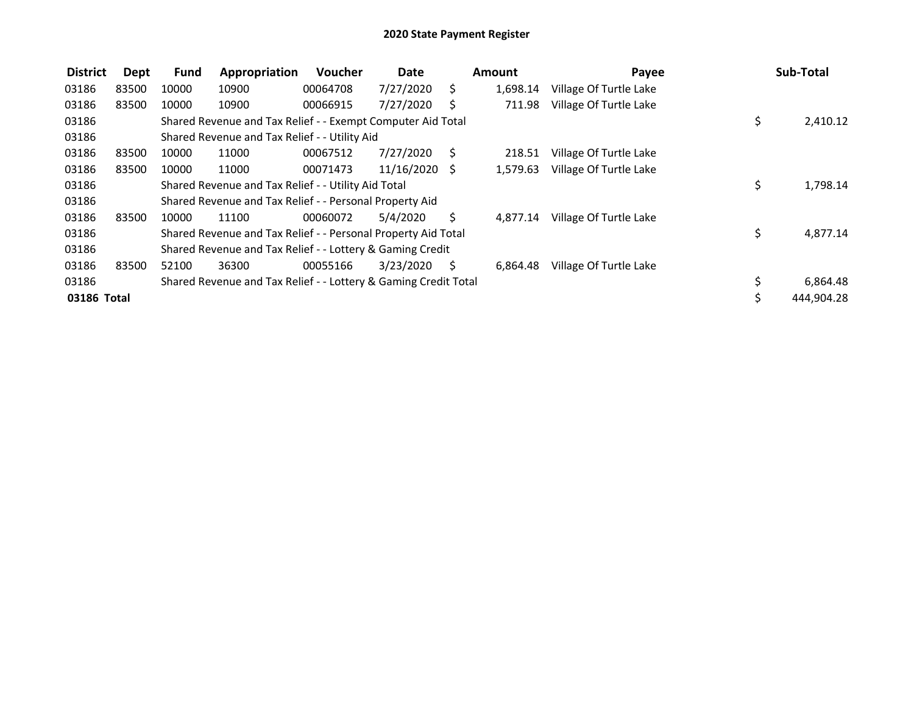| <b>District</b> | Dept  | <b>Fund</b> | Appropriation                                                   | Voucher  | Date            |      | Amount   | Payee                  |     | Sub-Total  |
|-----------------|-------|-------------|-----------------------------------------------------------------|----------|-----------------|------|----------|------------------------|-----|------------|
| 03186           | 83500 | 10000       | 10900                                                           | 00064708 | 7/27/2020       | S.   | 1,698.14 | Village Of Turtle Lake |     |            |
| 03186           | 83500 | 10000       | 10900                                                           | 00066915 | 7/27/2020       | S    | 711.98   | Village Of Turtle Lake |     |            |
| 03186           |       |             | Shared Revenue and Tax Relief - - Exempt Computer Aid Total     |          |                 |      |          |                        | \$  | 2,410.12   |
| 03186           |       |             | Shared Revenue and Tax Relief - - Utility Aid                   |          |                 |      |          |                        |     |            |
| 03186           | 83500 | 10000       | 11000                                                           | 00067512 | 7/27/2020       | - \$ | 218.51   | Village Of Turtle Lake |     |            |
| 03186           | 83500 | 10000       | 11000                                                           | 00071473 | $11/16/2020$ \$ |      | 1,579.63 | Village Of Turtle Lake |     |            |
| 03186           |       |             | Shared Revenue and Tax Relief - - Utility Aid Total             |          |                 |      |          |                        | \$. | 1,798.14   |
| 03186           |       |             | Shared Revenue and Tax Relief - - Personal Property Aid         |          |                 |      |          |                        |     |            |
| 03186           | 83500 | 10000       | 11100                                                           | 00060072 | 5/4/2020        | S.   | 4,877.14 | Village Of Turtle Lake |     |            |
| 03186           |       |             | Shared Revenue and Tax Relief - - Personal Property Aid Total   |          |                 |      |          |                        | \$  | 4,877.14   |
| 03186           |       |             | Shared Revenue and Tax Relief - - Lottery & Gaming Credit       |          |                 |      |          |                        |     |            |
| 03186           | 83500 | 52100       | 36300                                                           | 00055166 | 3/23/2020       | S.   | 6.864.48 | Village Of Turtle Lake |     |            |
| 03186           |       |             | Shared Revenue and Tax Relief - - Lottery & Gaming Credit Total |          |                 |      |          |                        | \$  | 6,864.48   |
| 03186 Total     |       |             |                                                                 |          |                 |      |          |                        | \$  | 444,904.28 |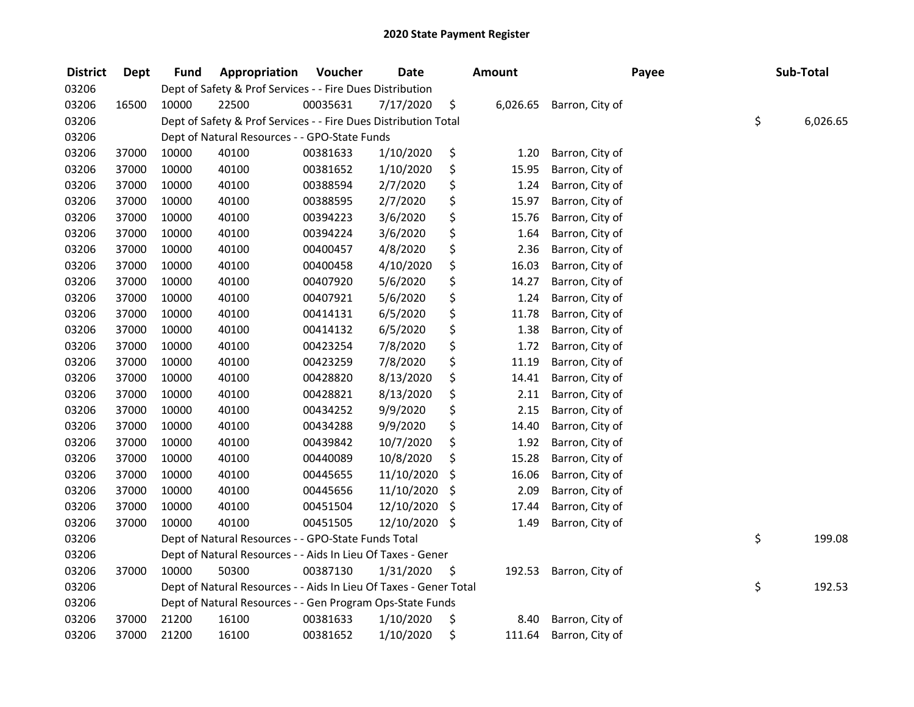| <b>District</b> | Dept  | Fund  | Appropriation                                                     | Voucher  | <b>Date</b>   | <b>Amount</b>  |                 | Payee | Sub-Total      |
|-----------------|-------|-------|-------------------------------------------------------------------|----------|---------------|----------------|-----------------|-------|----------------|
| 03206           |       |       | Dept of Safety & Prof Services - - Fire Dues Distribution         |          |               |                |                 |       |                |
| 03206           | 16500 | 10000 | 22500                                                             | 00035631 | 7/17/2020     | \$<br>6,026.65 | Barron, City of |       |                |
| 03206           |       |       | Dept of Safety & Prof Services - - Fire Dues Distribution Total   |          |               |                |                 |       | \$<br>6,026.65 |
| 03206           |       |       | Dept of Natural Resources - - GPO-State Funds                     |          |               |                |                 |       |                |
| 03206           | 37000 | 10000 | 40100                                                             | 00381633 | 1/10/2020     | \$<br>1.20     | Barron, City of |       |                |
| 03206           | 37000 | 10000 | 40100                                                             | 00381652 | 1/10/2020     | \$<br>15.95    | Barron, City of |       |                |
| 03206           | 37000 | 10000 | 40100                                                             | 00388594 | 2/7/2020      | \$<br>1.24     | Barron, City of |       |                |
| 03206           | 37000 | 10000 | 40100                                                             | 00388595 | 2/7/2020      | \$<br>15.97    | Barron, City of |       |                |
| 03206           | 37000 | 10000 | 40100                                                             | 00394223 | 3/6/2020      | \$<br>15.76    | Barron, City of |       |                |
| 03206           | 37000 | 10000 | 40100                                                             | 00394224 | 3/6/2020      | \$<br>1.64     | Barron, City of |       |                |
| 03206           | 37000 | 10000 | 40100                                                             | 00400457 | 4/8/2020      | \$<br>2.36     | Barron, City of |       |                |
| 03206           | 37000 | 10000 | 40100                                                             | 00400458 | 4/10/2020     | \$<br>16.03    | Barron, City of |       |                |
| 03206           | 37000 | 10000 | 40100                                                             | 00407920 | 5/6/2020      | \$<br>14.27    | Barron, City of |       |                |
| 03206           | 37000 | 10000 | 40100                                                             | 00407921 | 5/6/2020      | \$<br>1.24     | Barron, City of |       |                |
| 03206           | 37000 | 10000 | 40100                                                             | 00414131 | 6/5/2020      | \$<br>11.78    | Barron, City of |       |                |
| 03206           | 37000 | 10000 | 40100                                                             | 00414132 | 6/5/2020      | \$<br>1.38     | Barron, City of |       |                |
| 03206           | 37000 | 10000 | 40100                                                             | 00423254 | 7/8/2020      | \$<br>1.72     | Barron, City of |       |                |
| 03206           | 37000 | 10000 | 40100                                                             | 00423259 | 7/8/2020      | \$<br>11.19    | Barron, City of |       |                |
| 03206           | 37000 | 10000 | 40100                                                             | 00428820 | 8/13/2020     | \$<br>14.41    | Barron, City of |       |                |
| 03206           | 37000 | 10000 | 40100                                                             | 00428821 | 8/13/2020     | \$<br>2.11     | Barron, City of |       |                |
| 03206           | 37000 | 10000 | 40100                                                             | 00434252 | 9/9/2020      | \$<br>2.15     | Barron, City of |       |                |
| 03206           | 37000 | 10000 | 40100                                                             | 00434288 | 9/9/2020      | \$<br>14.40    | Barron, City of |       |                |
| 03206           | 37000 | 10000 | 40100                                                             | 00439842 | 10/7/2020     | \$<br>1.92     | Barron, City of |       |                |
| 03206           | 37000 | 10000 | 40100                                                             | 00440089 | 10/8/2020     | \$<br>15.28    | Barron, City of |       |                |
| 03206           | 37000 | 10000 | 40100                                                             | 00445655 | 11/10/2020    | \$<br>16.06    | Barron, City of |       |                |
| 03206           | 37000 | 10000 | 40100                                                             | 00445656 | 11/10/2020    | \$<br>2.09     | Barron, City of |       |                |
| 03206           | 37000 | 10000 | 40100                                                             | 00451504 | 12/10/2020    | \$<br>17.44    | Barron, City of |       |                |
| 03206           | 37000 | 10000 | 40100                                                             | 00451505 | 12/10/2020 \$ | 1.49           | Barron, City of |       |                |
| 03206           |       |       | Dept of Natural Resources - - GPO-State Funds Total               |          |               |                |                 |       | \$<br>199.08   |
| 03206           |       |       | Dept of Natural Resources - - Aids In Lieu Of Taxes - Gener       |          |               |                |                 |       |                |
| 03206           | 37000 | 10000 | 50300                                                             | 00387130 | 1/31/2020     | \$<br>192.53   | Barron, City of |       |                |
| 03206           |       |       | Dept of Natural Resources - - Aids In Lieu Of Taxes - Gener Total |          |               |                |                 |       | \$<br>192.53   |
| 03206           |       |       | Dept of Natural Resources - - Gen Program Ops-State Funds         |          |               |                |                 |       |                |
| 03206           | 37000 | 21200 | 16100                                                             | 00381633 | 1/10/2020     | \$<br>8.40     | Barron, City of |       |                |
| 03206           | 37000 | 21200 | 16100                                                             | 00381652 | 1/10/2020     | \$<br>111.64   | Barron, City of |       |                |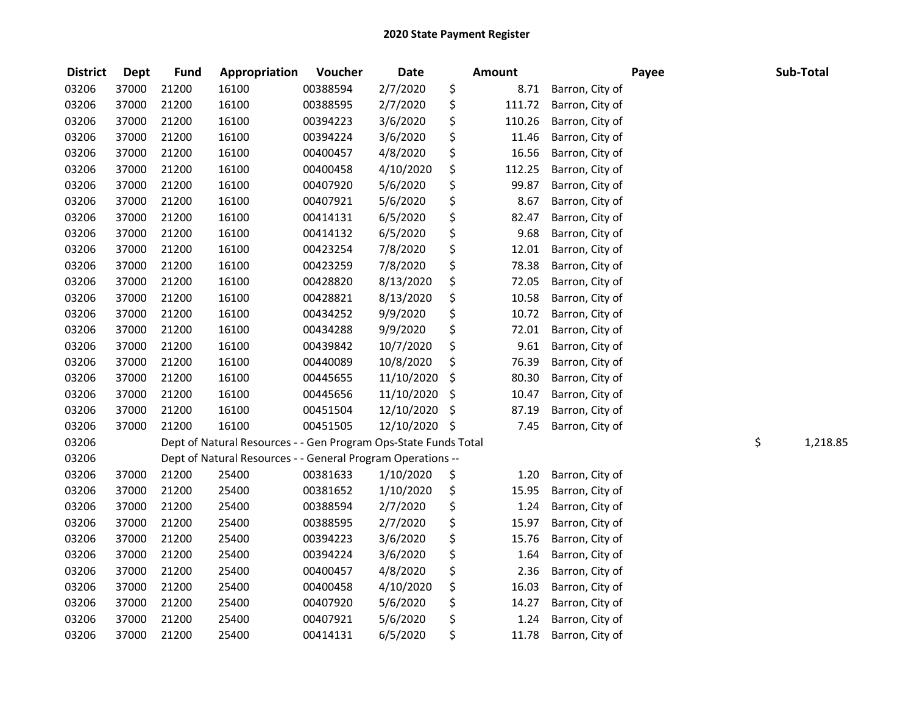| <b>District</b> | <b>Dept</b> | <b>Fund</b> | Appropriation                                                   | Voucher  | <b>Date</b> | <b>Amount</b> |                 | Payee | Sub-Total      |
|-----------------|-------------|-------------|-----------------------------------------------------------------|----------|-------------|---------------|-----------------|-------|----------------|
| 03206           | 37000       | 21200       | 16100                                                           | 00388594 | 2/7/2020    | \$<br>8.71    | Barron, City of |       |                |
| 03206           | 37000       | 21200       | 16100                                                           | 00388595 | 2/7/2020    | \$<br>111.72  | Barron, City of |       |                |
| 03206           | 37000       | 21200       | 16100                                                           | 00394223 | 3/6/2020    | \$<br>110.26  | Barron, City of |       |                |
| 03206           | 37000       | 21200       | 16100                                                           | 00394224 | 3/6/2020    | \$<br>11.46   | Barron, City of |       |                |
| 03206           | 37000       | 21200       | 16100                                                           | 00400457 | 4/8/2020    | \$<br>16.56   | Barron, City of |       |                |
| 03206           | 37000       | 21200       | 16100                                                           | 00400458 | 4/10/2020   | \$<br>112.25  | Barron, City of |       |                |
| 03206           | 37000       | 21200       | 16100                                                           | 00407920 | 5/6/2020    | \$<br>99.87   | Barron, City of |       |                |
| 03206           | 37000       | 21200       | 16100                                                           | 00407921 | 5/6/2020    | \$<br>8.67    | Barron, City of |       |                |
| 03206           | 37000       | 21200       | 16100                                                           | 00414131 | 6/5/2020    | \$<br>82.47   | Barron, City of |       |                |
| 03206           | 37000       | 21200       | 16100                                                           | 00414132 | 6/5/2020    | \$<br>9.68    | Barron, City of |       |                |
| 03206           | 37000       | 21200       | 16100                                                           | 00423254 | 7/8/2020    | \$<br>12.01   | Barron, City of |       |                |
| 03206           | 37000       | 21200       | 16100                                                           | 00423259 | 7/8/2020    | \$<br>78.38   | Barron, City of |       |                |
| 03206           | 37000       | 21200       | 16100                                                           | 00428820 | 8/13/2020   | \$<br>72.05   | Barron, City of |       |                |
| 03206           | 37000       | 21200       | 16100                                                           | 00428821 | 8/13/2020   | \$<br>10.58   | Barron, City of |       |                |
| 03206           | 37000       | 21200       | 16100                                                           | 00434252 | 9/9/2020    | \$<br>10.72   | Barron, City of |       |                |
| 03206           | 37000       | 21200       | 16100                                                           | 00434288 | 9/9/2020    | \$<br>72.01   | Barron, City of |       |                |
| 03206           | 37000       | 21200       | 16100                                                           | 00439842 | 10/7/2020   | \$<br>9.61    | Barron, City of |       |                |
| 03206           | 37000       | 21200       | 16100                                                           | 00440089 | 10/8/2020   | \$<br>76.39   | Barron, City of |       |                |
| 03206           | 37000       | 21200       | 16100                                                           | 00445655 | 11/10/2020  | \$<br>80.30   | Barron, City of |       |                |
| 03206           | 37000       | 21200       | 16100                                                           | 00445656 | 11/10/2020  | \$<br>10.47   | Barron, City of |       |                |
| 03206           | 37000       | 21200       | 16100                                                           | 00451504 | 12/10/2020  | \$<br>87.19   | Barron, City of |       |                |
| 03206           | 37000       | 21200       | 16100                                                           | 00451505 | 12/10/2020  | \$<br>7.45    | Barron, City of |       |                |
| 03206           |             |             | Dept of Natural Resources - - Gen Program Ops-State Funds Total |          |             |               |                 |       | \$<br>1,218.85 |
| 03206           |             |             | Dept of Natural Resources - - General Program Operations --     |          |             |               |                 |       |                |
| 03206           | 37000       | 21200       | 25400                                                           | 00381633 | 1/10/2020   | \$<br>1.20    | Barron, City of |       |                |
| 03206           | 37000       | 21200       | 25400                                                           | 00381652 | 1/10/2020   | \$<br>15.95   | Barron, City of |       |                |
| 03206           | 37000       | 21200       | 25400                                                           | 00388594 | 2/7/2020    | \$<br>1.24    | Barron, City of |       |                |
| 03206           | 37000       | 21200       | 25400                                                           | 00388595 | 2/7/2020    | \$<br>15.97   | Barron, City of |       |                |
| 03206           | 37000       | 21200       | 25400                                                           | 00394223 | 3/6/2020    | \$<br>15.76   | Barron, City of |       |                |
| 03206           | 37000       | 21200       | 25400                                                           | 00394224 | 3/6/2020    | \$<br>1.64    | Barron, City of |       |                |
| 03206           | 37000       | 21200       | 25400                                                           | 00400457 | 4/8/2020    | \$<br>2.36    | Barron, City of |       |                |
| 03206           | 37000       | 21200       | 25400                                                           | 00400458 | 4/10/2020   | \$<br>16.03   | Barron, City of |       |                |
| 03206           | 37000       | 21200       | 25400                                                           | 00407920 | 5/6/2020    | \$<br>14.27   | Barron, City of |       |                |
| 03206           | 37000       | 21200       | 25400                                                           | 00407921 | 5/6/2020    | \$<br>1.24    | Barron, City of |       |                |
| 03206           | 37000       | 21200       | 25400                                                           | 00414131 | 6/5/2020    | \$<br>11.78   | Barron, City of |       |                |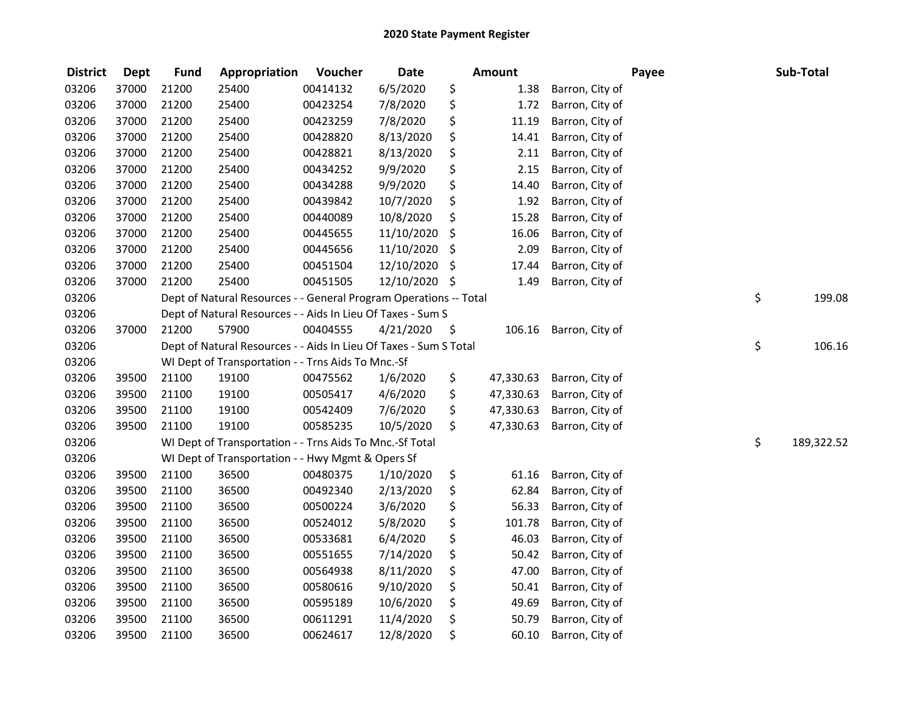| <b>District</b> | <b>Dept</b> | <b>Fund</b> | Appropriation                                                     | Voucher  | <b>Date</b> |     | <b>Amount</b> |                 | Payee | Sub-Total        |
|-----------------|-------------|-------------|-------------------------------------------------------------------|----------|-------------|-----|---------------|-----------------|-------|------------------|
| 03206           | 37000       | 21200       | 25400                                                             | 00414132 | 6/5/2020    | \$  | 1.38          | Barron, City of |       |                  |
| 03206           | 37000       | 21200       | 25400                                                             | 00423254 | 7/8/2020    | \$  | 1.72          | Barron, City of |       |                  |
| 03206           | 37000       | 21200       | 25400                                                             | 00423259 | 7/8/2020    | \$  | 11.19         | Barron, City of |       |                  |
| 03206           | 37000       | 21200       | 25400                                                             | 00428820 | 8/13/2020   | \$  | 14.41         | Barron, City of |       |                  |
| 03206           | 37000       | 21200       | 25400                                                             | 00428821 | 8/13/2020   | \$  | 2.11          | Barron, City of |       |                  |
| 03206           | 37000       | 21200       | 25400                                                             | 00434252 | 9/9/2020    | \$  | 2.15          | Barron, City of |       |                  |
| 03206           | 37000       | 21200       | 25400                                                             | 00434288 | 9/9/2020    | \$  | 14.40         | Barron, City of |       |                  |
| 03206           | 37000       | 21200       | 25400                                                             | 00439842 | 10/7/2020   | \$  | 1.92          | Barron, City of |       |                  |
| 03206           | 37000       | 21200       | 25400                                                             | 00440089 | 10/8/2020   | \$  | 15.28         | Barron, City of |       |                  |
| 03206           | 37000       | 21200       | 25400                                                             | 00445655 | 11/10/2020  | \$  | 16.06         | Barron, City of |       |                  |
| 03206           | 37000       | 21200       | 25400                                                             | 00445656 | 11/10/2020  | \$  | 2.09          | Barron, City of |       |                  |
| 03206           | 37000       | 21200       | 25400                                                             | 00451504 | 12/10/2020  | \$  | 17.44         | Barron, City of |       |                  |
| 03206           | 37000       | 21200       | 25400                                                             | 00451505 | 12/10/2020  | -\$ | 1.49          | Barron, City of |       |                  |
| 03206           |             |             | Dept of Natural Resources - - General Program Operations -- Total |          |             |     |               |                 |       | \$<br>199.08     |
| 03206           |             |             | Dept of Natural Resources - - Aids In Lieu Of Taxes - Sum S       |          |             |     |               |                 |       |                  |
| 03206           | 37000       | 21200       | 57900                                                             | 00404555 | 4/21/2020   | \$  | 106.16        | Barron, City of |       |                  |
| 03206           |             |             | Dept of Natural Resources - - Aids In Lieu Of Taxes - Sum S Total |          |             |     |               |                 |       | \$<br>106.16     |
| 03206           |             |             | WI Dept of Transportation - - Trns Aids To Mnc.-Sf                |          |             |     |               |                 |       |                  |
| 03206           | 39500       | 21100       | 19100                                                             | 00475562 | 1/6/2020    | \$  | 47,330.63     | Barron, City of |       |                  |
| 03206           | 39500       | 21100       | 19100                                                             | 00505417 | 4/6/2020    | \$  | 47,330.63     | Barron, City of |       |                  |
| 03206           | 39500       | 21100       | 19100                                                             | 00542409 | 7/6/2020    | \$  | 47,330.63     | Barron, City of |       |                  |
| 03206           | 39500       | 21100       | 19100                                                             | 00585235 | 10/5/2020   | \$  | 47,330.63     | Barron, City of |       |                  |
| 03206           |             |             | WI Dept of Transportation - - Trns Aids To Mnc.-Sf Total          |          |             |     |               |                 |       | \$<br>189,322.52 |
| 03206           |             |             | WI Dept of Transportation - - Hwy Mgmt & Opers Sf                 |          |             |     |               |                 |       |                  |
| 03206           | 39500       | 21100       | 36500                                                             | 00480375 | 1/10/2020   | \$  | 61.16         | Barron, City of |       |                  |
| 03206           | 39500       | 21100       | 36500                                                             | 00492340 | 2/13/2020   | \$  | 62.84         | Barron, City of |       |                  |
| 03206           | 39500       | 21100       | 36500                                                             | 00500224 | 3/6/2020    | \$  | 56.33         | Barron, City of |       |                  |
| 03206           | 39500       | 21100       | 36500                                                             | 00524012 | 5/8/2020    | \$  | 101.78        | Barron, City of |       |                  |
| 03206           | 39500       | 21100       | 36500                                                             | 00533681 | 6/4/2020    | \$  | 46.03         | Barron, City of |       |                  |
| 03206           | 39500       | 21100       | 36500                                                             | 00551655 | 7/14/2020   | \$  | 50.42         | Barron, City of |       |                  |
| 03206           | 39500       | 21100       | 36500                                                             | 00564938 | 8/11/2020   | \$  | 47.00         | Barron, City of |       |                  |
| 03206           | 39500       | 21100       | 36500                                                             | 00580616 | 9/10/2020   | \$  | 50.41         | Barron, City of |       |                  |
| 03206           | 39500       | 21100       | 36500                                                             | 00595189 | 10/6/2020   | \$  | 49.69         | Barron, City of |       |                  |
| 03206           | 39500       | 21100       | 36500                                                             | 00611291 | 11/4/2020   | \$  | 50.79         | Barron, City of |       |                  |
| 03206           | 39500       | 21100       | 36500                                                             | 00624617 | 12/8/2020   | \$  | 60.10         | Barron, City of |       |                  |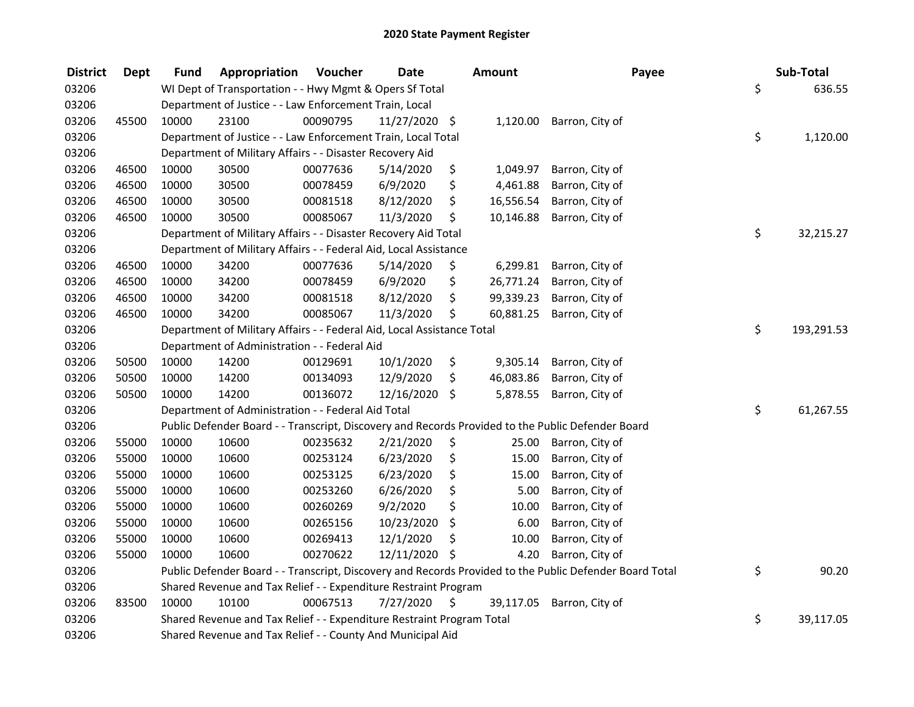| <b>District</b> | <b>Dept</b> | Fund  | Appropriation                                                          | Voucher  | <b>Date</b>   |      | Amount    | Payee                                                                                                   | Sub-Total        |
|-----------------|-------------|-------|------------------------------------------------------------------------|----------|---------------|------|-----------|---------------------------------------------------------------------------------------------------------|------------------|
| 03206           |             |       | WI Dept of Transportation - - Hwy Mgmt & Opers Sf Total                |          |               |      |           |                                                                                                         | \$<br>636.55     |
| 03206           |             |       | Department of Justice - - Law Enforcement Train, Local                 |          |               |      |           |                                                                                                         |                  |
| 03206           | 45500       | 10000 | 23100                                                                  | 00090795 | 11/27/2020 \$ |      |           | 1,120.00 Barron, City of                                                                                |                  |
| 03206           |             |       | Department of Justice - - Law Enforcement Train, Local Total           |          |               |      |           |                                                                                                         | \$<br>1,120.00   |
| 03206           |             |       | Department of Military Affairs - - Disaster Recovery Aid               |          |               |      |           |                                                                                                         |                  |
| 03206           | 46500       | 10000 | 30500                                                                  | 00077636 | 5/14/2020     | \$   | 1,049.97  | Barron, City of                                                                                         |                  |
| 03206           | 46500       | 10000 | 30500                                                                  | 00078459 | 6/9/2020      | \$   | 4,461.88  | Barron, City of                                                                                         |                  |
| 03206           | 46500       | 10000 | 30500                                                                  | 00081518 | 8/12/2020     | \$   | 16,556.54 | Barron, City of                                                                                         |                  |
| 03206           | 46500       | 10000 | 30500                                                                  | 00085067 | 11/3/2020     | \$   | 10,146.88 | Barron, City of                                                                                         |                  |
| 03206           |             |       | Department of Military Affairs - - Disaster Recovery Aid Total         |          |               |      |           |                                                                                                         | \$<br>32,215.27  |
| 03206           |             |       | Department of Military Affairs - - Federal Aid, Local Assistance       |          |               |      |           |                                                                                                         |                  |
| 03206           | 46500       | 10000 | 34200                                                                  | 00077636 | 5/14/2020     | \$   | 6,299.81  | Barron, City of                                                                                         |                  |
| 03206           | 46500       | 10000 | 34200                                                                  | 00078459 | 6/9/2020      | \$   | 26,771.24 | Barron, City of                                                                                         |                  |
| 03206           | 46500       | 10000 | 34200                                                                  | 00081518 | 8/12/2020     | \$   | 99,339.23 | Barron, City of                                                                                         |                  |
| 03206           | 46500       | 10000 | 34200                                                                  | 00085067 | 11/3/2020     | \$   | 60,881.25 | Barron, City of                                                                                         |                  |
| 03206           |             |       | Department of Military Affairs - - Federal Aid, Local Assistance Total |          |               |      |           |                                                                                                         | \$<br>193,291.53 |
| 03206           |             |       | Department of Administration - - Federal Aid                           |          |               |      |           |                                                                                                         |                  |
| 03206           | 50500       | 10000 | 14200                                                                  | 00129691 | 10/1/2020     | \$   | 9,305.14  | Barron, City of                                                                                         |                  |
| 03206           | 50500       | 10000 | 14200                                                                  | 00134093 | 12/9/2020     | \$   | 46,083.86 | Barron, City of                                                                                         |                  |
| 03206           | 50500       | 10000 | 14200                                                                  | 00136072 | 12/16/2020 \$ |      | 5,878.55  | Barron, City of                                                                                         |                  |
| 03206           |             |       | Department of Administration - - Federal Aid Total                     |          |               |      |           |                                                                                                         | \$<br>61,267.55  |
| 03206           |             |       |                                                                        |          |               |      |           | Public Defender Board - - Transcript, Discovery and Records Provided to the Public Defender Board       |                  |
| 03206           | 55000       | 10000 | 10600                                                                  | 00235632 | 2/21/2020     | \$   | 25.00     | Barron, City of                                                                                         |                  |
| 03206           | 55000       | 10000 | 10600                                                                  | 00253124 | 6/23/2020     | \$   | 15.00     | Barron, City of                                                                                         |                  |
| 03206           | 55000       | 10000 | 10600                                                                  | 00253125 | 6/23/2020     | \$   | 15.00     | Barron, City of                                                                                         |                  |
| 03206           | 55000       | 10000 | 10600                                                                  | 00253260 | 6/26/2020     | \$   | 5.00      | Barron, City of                                                                                         |                  |
| 03206           | 55000       | 10000 | 10600                                                                  | 00260269 | 9/2/2020      | \$   | 10.00     | Barron, City of                                                                                         |                  |
| 03206           | 55000       | 10000 | 10600                                                                  | 00265156 | 10/23/2020    | \$   | 6.00      | Barron, City of                                                                                         |                  |
| 03206           | 55000       | 10000 | 10600                                                                  | 00269413 | 12/1/2020     | \$   | 10.00     | Barron, City of                                                                                         |                  |
| 03206           | 55000       | 10000 | 10600                                                                  | 00270622 | 12/11/2020 \$ |      | 4.20      | Barron, City of                                                                                         |                  |
| 03206           |             |       |                                                                        |          |               |      |           | Public Defender Board - - Transcript, Discovery and Records Provided to the Public Defender Board Total | \$<br>90.20      |
| 03206           |             |       | Shared Revenue and Tax Relief - - Expenditure Restraint Program        |          |               |      |           |                                                                                                         |                  |
| 03206           | 83500       | 10000 | 10100                                                                  | 00067513 | 7/27/2020     | - \$ | 39,117.05 | Barron, City of                                                                                         |                  |
| 03206           |             |       | Shared Revenue and Tax Relief - - Expenditure Restraint Program Total  |          |               |      |           |                                                                                                         | \$<br>39,117.05  |
| 03206           |             |       | Shared Revenue and Tax Relief - - County And Municipal Aid             |          |               |      |           |                                                                                                         |                  |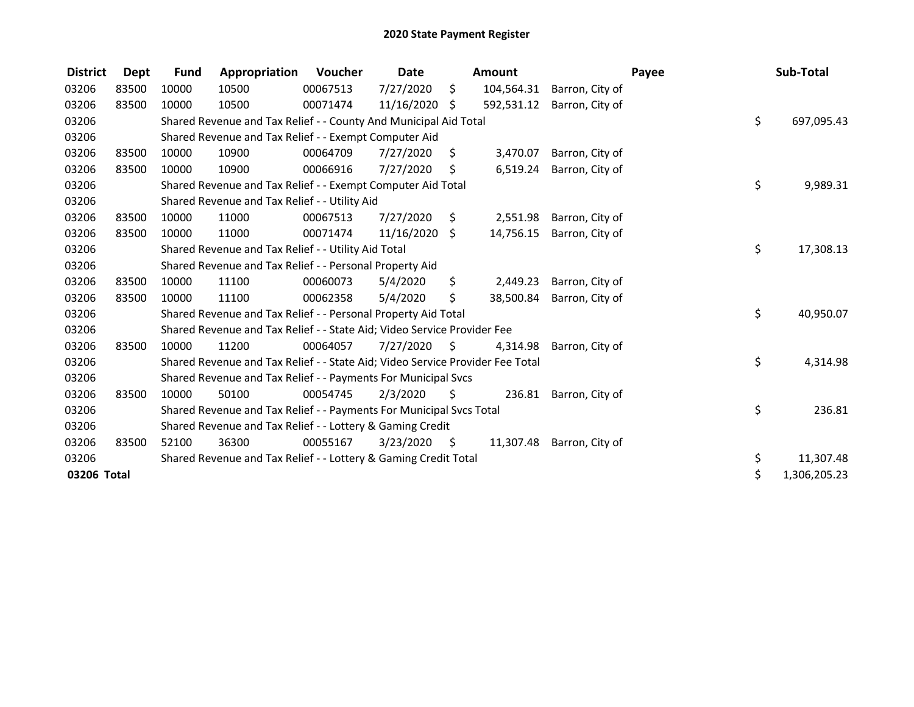| <b>District</b> | Dept  | <b>Fund</b> | Appropriation                                                                 | Voucher  | <b>Date</b> |      | <b>Amount</b> |                 | Payee | Sub-Total          |
|-----------------|-------|-------------|-------------------------------------------------------------------------------|----------|-------------|------|---------------|-----------------|-------|--------------------|
| 03206           | 83500 | 10000       | 10500                                                                         | 00067513 | 7/27/2020   | \$.  | 104,564.31    | Barron, City of |       |                    |
| 03206           | 83500 | 10000       | 10500                                                                         | 00071474 | 11/16/2020  | \$   | 592,531.12    | Barron, City of |       |                    |
| 03206           |       |             | Shared Revenue and Tax Relief - - County And Municipal Aid Total              |          |             |      |               |                 |       | \$<br>697,095.43   |
| 03206           |       |             | Shared Revenue and Tax Relief - - Exempt Computer Aid                         |          |             |      |               |                 |       |                    |
| 03206           | 83500 | 10000       | 10900                                                                         | 00064709 | 7/27/2020   | \$   | 3,470.07      | Barron, City of |       |                    |
| 03206           | 83500 | 10000       | 10900                                                                         | 00066916 | 7/27/2020   | Ś.   | 6,519.24      | Barron, City of |       |                    |
| 03206           |       |             | Shared Revenue and Tax Relief - - Exempt Computer Aid Total                   |          |             |      |               |                 |       | \$<br>9,989.31     |
| 03206           |       |             | Shared Revenue and Tax Relief - - Utility Aid                                 |          |             |      |               |                 |       |                    |
| 03206           | 83500 | 10000       | 11000                                                                         | 00067513 | 7/27/2020   | S.   | 2,551.98      | Barron, City of |       |                    |
| 03206           | 83500 | 10000       | 11000                                                                         | 00071474 | 11/16/2020  | \$   | 14,756.15     | Barron, City of |       |                    |
| 03206           |       |             | Shared Revenue and Tax Relief - - Utility Aid Total                           |          |             |      |               |                 |       | \$<br>17,308.13    |
| 03206           |       |             | Shared Revenue and Tax Relief - - Personal Property Aid                       |          |             |      |               |                 |       |                    |
| 03206           | 83500 | 10000       | 11100                                                                         | 00060073 | 5/4/2020    | \$   | 2,449.23      | Barron, City of |       |                    |
| 03206           | 83500 | 10000       | 11100                                                                         | 00062358 | 5/4/2020    | \$   | 38,500.84     | Barron, City of |       |                    |
| 03206           |       |             | Shared Revenue and Tax Relief - - Personal Property Aid Total                 |          |             |      |               |                 |       | \$<br>40,950.07    |
| 03206           |       |             | Shared Revenue and Tax Relief - - State Aid; Video Service Provider Fee       |          |             |      |               |                 |       |                    |
| 03206           | 83500 | 10000       | 11200                                                                         | 00064057 | 7/27/2020   | \$   | 4,314.98      | Barron, City of |       |                    |
| 03206           |       |             | Shared Revenue and Tax Relief - - State Aid; Video Service Provider Fee Total |          |             |      |               |                 |       | \$<br>4,314.98     |
| 03206           |       |             | Shared Revenue and Tax Relief - - Payments For Municipal Svcs                 |          |             |      |               |                 |       |                    |
| 03206           | 83500 | 10000       | 50100                                                                         | 00054745 | 2/3/2020    | Ŝ.   | 236.81        | Barron, City of |       |                    |
| 03206           |       |             | Shared Revenue and Tax Relief - - Payments For Municipal Svcs Total           |          |             |      |               |                 |       | \$<br>236.81       |
| 03206           |       |             | Shared Revenue and Tax Relief - - Lottery & Gaming Credit                     |          |             |      |               |                 |       |                    |
| 03206           | 83500 | 52100       | 36300                                                                         | 00055167 | 3/23/2020   | - \$ | 11,307.48     | Barron, City of |       |                    |
| 03206           |       |             | Shared Revenue and Tax Relief - - Lottery & Gaming Credit Total               |          |             |      |               |                 |       | \$<br>11,307.48    |
| 03206 Total     |       |             |                                                                               |          |             |      |               |                 |       | \$<br>1,306,205.23 |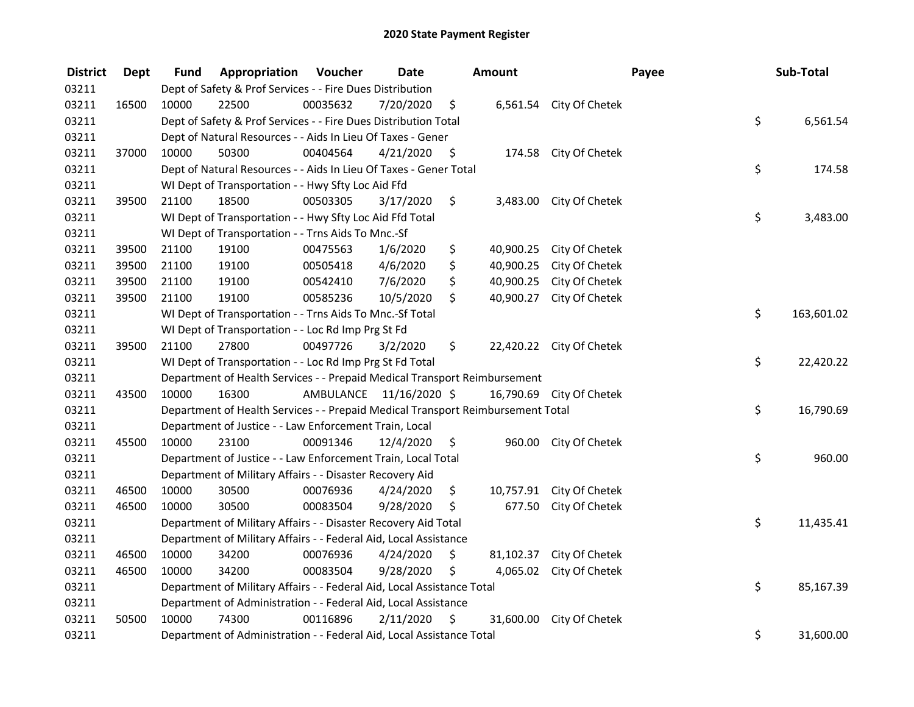| <b>District</b> | <b>Dept</b> | Fund  | Appropriation                                                                   | Voucher  | <b>Date</b>             |    | Amount    |                          | Payee | Sub-Total  |  |
|-----------------|-------------|-------|---------------------------------------------------------------------------------|----------|-------------------------|----|-----------|--------------------------|-------|------------|--|
| 03211           |             |       | Dept of Safety & Prof Services - - Fire Dues Distribution                       |          |                         |    |           |                          |       |            |  |
| 03211           | 16500       | 10000 | 22500                                                                           | 00035632 | 7/20/2020               | \$ |           | 6,561.54 City Of Chetek  |       |            |  |
| 03211           |             |       | Dept of Safety & Prof Services - - Fire Dues Distribution Total                 |          |                         |    |           |                          | \$    | 6,561.54   |  |
| 03211           |             |       | Dept of Natural Resources - - Aids In Lieu Of Taxes - Gener                     |          |                         |    |           |                          |       |            |  |
| 03211           | 37000       | 10000 | 50300                                                                           | 00404564 | 4/21/2020               | \$ |           | 174.58 City Of Chetek    |       |            |  |
| 03211           |             |       | Dept of Natural Resources - - Aids In Lieu Of Taxes - Gener Total               |          |                         |    |           |                          | \$    | 174.58     |  |
| 03211           |             |       | WI Dept of Transportation - - Hwy Sfty Loc Aid Ffd                              |          |                         |    |           |                          |       |            |  |
| 03211           | 39500       | 21100 | 18500                                                                           | 00503305 | 3/17/2020               | \$ |           | 3,483.00 City Of Chetek  |       |            |  |
| 03211           |             |       | WI Dept of Transportation - - Hwy Sfty Loc Aid Ffd Total                        |          |                         |    |           |                          | \$    | 3,483.00   |  |
| 03211           |             |       | WI Dept of Transportation - - Trns Aids To Mnc.-Sf                              |          |                         |    |           |                          |       |            |  |
| 03211           | 39500       | 21100 | 19100                                                                           | 00475563 | 1/6/2020                | \$ | 40,900.25 | City Of Chetek           |       |            |  |
| 03211           | 39500       | 21100 | 19100                                                                           | 00505418 | 4/6/2020                | \$ | 40,900.25 | City Of Chetek           |       |            |  |
| 03211           | 39500       | 21100 | 19100                                                                           | 00542410 | 7/6/2020                | \$ | 40,900.25 | City Of Chetek           |       |            |  |
| 03211           | 39500       | 21100 | 19100                                                                           | 00585236 | 10/5/2020               | \$ | 40,900.27 | City Of Chetek           |       |            |  |
| 03211           |             |       | WI Dept of Transportation - - Trns Aids To Mnc.-Sf Total                        |          |                         |    |           |                          | \$    | 163,601.02 |  |
| 03211           |             |       | WI Dept of Transportation - - Loc Rd Imp Prg St Fd                              |          |                         |    |           |                          |       |            |  |
| 03211           | 39500       | 21100 | 27800                                                                           | 00497726 | 3/2/2020                | \$ |           | 22,420.22 City Of Chetek |       |            |  |
| 03211           |             |       | WI Dept of Transportation - - Loc Rd Imp Prg St Fd Total                        |          |                         |    |           |                          | \$    | 22,420.22  |  |
| 03211           |             |       | Department of Health Services - - Prepaid Medical Transport Reimbursement       |          |                         |    |           |                          |       |            |  |
| 03211           | 43500       | 10000 | 16300                                                                           |          | AMBULANCE 11/16/2020 \$ |    |           | 16,790.69 City Of Chetek |       |            |  |
| 03211           |             |       | Department of Health Services - - Prepaid Medical Transport Reimbursement Total |          |                         |    |           |                          | \$    | 16,790.69  |  |
| 03211           |             |       | Department of Justice - - Law Enforcement Train, Local                          |          |                         |    |           |                          |       |            |  |
| 03211           | 45500       | 10000 | 23100                                                                           | 00091346 | 12/4/2020               | \$ |           | 960.00 City Of Chetek    |       |            |  |
| 03211           |             |       | Department of Justice - - Law Enforcement Train, Local Total                    |          |                         |    |           |                          | \$    | 960.00     |  |
| 03211           |             |       | Department of Military Affairs - - Disaster Recovery Aid                        |          |                         |    |           |                          |       |            |  |
| 03211           | 46500       | 10000 | 30500                                                                           | 00076936 | 4/24/2020               | \$ | 10,757.91 | City Of Chetek           |       |            |  |
| 03211           | 46500       | 10000 | 30500                                                                           | 00083504 | 9/28/2020               | \$ | 677.50    | City Of Chetek           |       |            |  |
| 03211           |             |       | Department of Military Affairs - - Disaster Recovery Aid Total                  |          |                         |    |           |                          | \$    | 11,435.41  |  |
| 03211           |             |       | Department of Military Affairs - - Federal Aid, Local Assistance                |          |                         |    |           |                          |       |            |  |
| 03211           | 46500       | 10000 | 34200                                                                           | 00076936 | 4/24/2020               | \$ |           | 81,102.37 City Of Chetek |       |            |  |
| 03211           | 46500       | 10000 | 34200                                                                           | 00083504 | 9/28/2020               | \$ | 4,065.02  | City Of Chetek           |       |            |  |
| 03211           |             |       | Department of Military Affairs - - Federal Aid, Local Assistance Total          |          |                         |    |           |                          | \$    | 85,167.39  |  |
| 03211           |             |       | Department of Administration - - Federal Aid, Local Assistance                  |          |                         |    |           |                          |       |            |  |
| 03211           | 50500       | 10000 | 74300                                                                           | 00116896 | 2/11/2020               | \$ |           | 31,600.00 City Of Chetek |       |            |  |
| 03211           |             |       | Department of Administration - - Federal Aid, Local Assistance Total            |          |                         |    |           |                          | \$    | 31,600.00  |  |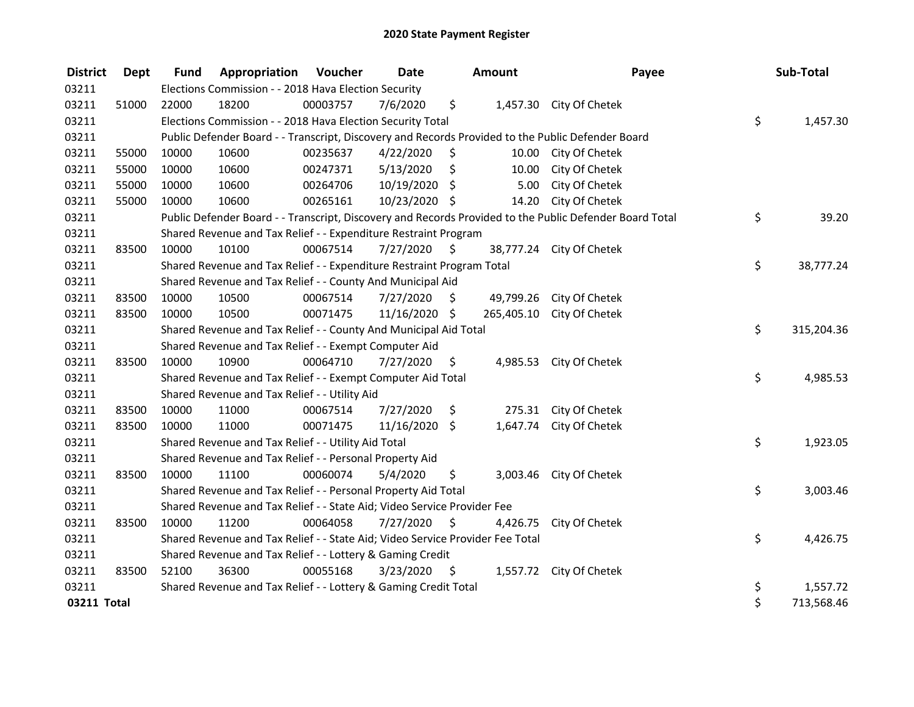| <b>District</b> | Dept  | <b>Fund</b> | Appropriation                                                                                           | Voucher  | Date          |         | Amount   |                           | Payee | Sub-Total        |
|-----------------|-------|-------------|---------------------------------------------------------------------------------------------------------|----------|---------------|---------|----------|---------------------------|-------|------------------|
| 03211           |       |             | Elections Commission - - 2018 Hava Election Security                                                    |          |               |         |          |                           |       |                  |
| 03211           | 51000 | 22000       | 18200                                                                                                   | 00003757 | 7/6/2020      | \$      |          | 1,457.30 City Of Chetek   |       |                  |
| 03211           |       |             | Elections Commission - - 2018 Hava Election Security Total                                              |          |               |         |          |                           |       | \$<br>1,457.30   |
| 03211           |       |             | Public Defender Board - - Transcript, Discovery and Records Provided to the Public Defender Board       |          |               |         |          |                           |       |                  |
| 03211           | 55000 | 10000       | 10600                                                                                                   | 00235637 | 4/22/2020     | \$      | 10.00    | City Of Chetek            |       |                  |
| 03211           | 55000 | 10000       | 10600                                                                                                   | 00247371 | 5/13/2020     | \$      | 10.00    | City Of Chetek            |       |                  |
| 03211           | 55000 | 10000       | 10600                                                                                                   | 00264706 | 10/19/2020    | \$      | 5.00     | City Of Chetek            |       |                  |
| 03211           | 55000 | 10000       | 10600                                                                                                   | 00265161 | 10/23/2020 \$ |         | 14.20    | City Of Chetek            |       |                  |
| 03211           |       |             | Public Defender Board - - Transcript, Discovery and Records Provided to the Public Defender Board Total |          |               |         |          |                           |       | \$<br>39.20      |
| 03211           |       |             | Shared Revenue and Tax Relief - - Expenditure Restraint Program                                         |          |               |         |          |                           |       |                  |
| 03211           | 83500 | 10000       | 10100                                                                                                   | 00067514 | 7/27/2020     | - \$    |          | 38,777.24 City Of Chetek  |       |                  |
| 03211           |       |             | Shared Revenue and Tax Relief - - Expenditure Restraint Program Total                                   |          |               |         |          |                           |       | \$<br>38,777.24  |
| 03211           |       |             | Shared Revenue and Tax Relief - - County And Municipal Aid                                              |          |               |         |          |                           |       |                  |
| 03211           | 83500 | 10000       | 10500                                                                                                   | 00067514 | 7/27/2020     | $\zeta$ |          | 49,799.26 City Of Chetek  |       |                  |
| 03211           | 83500 | 10000       | 10500                                                                                                   | 00071475 | 11/16/2020    | $\zeta$ |          | 265,405.10 City Of Chetek |       |                  |
| 03211           |       |             | Shared Revenue and Tax Relief - - County And Municipal Aid Total                                        |          |               |         |          |                           |       | \$<br>315,204.36 |
| 03211           |       |             | Shared Revenue and Tax Relief - - Exempt Computer Aid                                                   |          |               |         |          |                           |       |                  |
| 03211           | 83500 | 10000       | 10900                                                                                                   | 00064710 | 7/27/2020     | \$      |          | 4,985.53 City Of Chetek   |       |                  |
| 03211           |       |             | Shared Revenue and Tax Relief - - Exempt Computer Aid Total                                             |          |               |         |          |                           |       | \$<br>4,985.53   |
| 03211           |       |             | Shared Revenue and Tax Relief - - Utility Aid                                                           |          |               |         |          |                           |       |                  |
| 03211           | 83500 | 10000       | 11000                                                                                                   | 00067514 | 7/27/2020     | \$      |          | 275.31 City Of Chetek     |       |                  |
| 03211           | 83500 | 10000       | 11000                                                                                                   | 00071475 | 11/16/2020 \$ |         |          | 1,647.74 City Of Chetek   |       |                  |
| 03211           |       |             | Shared Revenue and Tax Relief - - Utility Aid Total                                                     |          |               |         |          |                           |       | \$<br>1,923.05   |
| 03211           |       |             | Shared Revenue and Tax Relief - - Personal Property Aid                                                 |          |               |         |          |                           |       |                  |
| 03211           | 83500 | 10000       | 11100                                                                                                   | 00060074 | 5/4/2020      | \$      |          | 3,003.46 City Of Chetek   |       |                  |
| 03211           |       |             | Shared Revenue and Tax Relief - - Personal Property Aid Total                                           |          |               |         |          |                           |       | \$<br>3,003.46   |
| 03211           |       |             | Shared Revenue and Tax Relief - - State Aid; Video Service Provider Fee                                 |          |               |         |          |                           |       |                  |
| 03211           | 83500 | 10000       | 11200                                                                                                   | 00064058 | 7/27/2020     | - \$    | 4,426.75 | City Of Chetek            |       |                  |
| 03211           |       |             | Shared Revenue and Tax Relief - - State Aid; Video Service Provider Fee Total                           |          |               |         |          |                           |       | \$<br>4,426.75   |
| 03211           |       |             | Shared Revenue and Tax Relief - - Lottery & Gaming Credit                                               |          |               |         |          |                           |       |                  |
| 03211           | 83500 | 52100       | 36300                                                                                                   | 00055168 | 3/23/2020     | - \$    |          | 1,557.72 City Of Chetek   |       |                  |
| 03211           |       |             | Shared Revenue and Tax Relief - - Lottery & Gaming Credit Total                                         |          |               |         |          |                           |       | \$<br>1,557.72   |
| 03211 Total     |       |             |                                                                                                         |          |               |         |          |                           |       | \$<br>713,568.46 |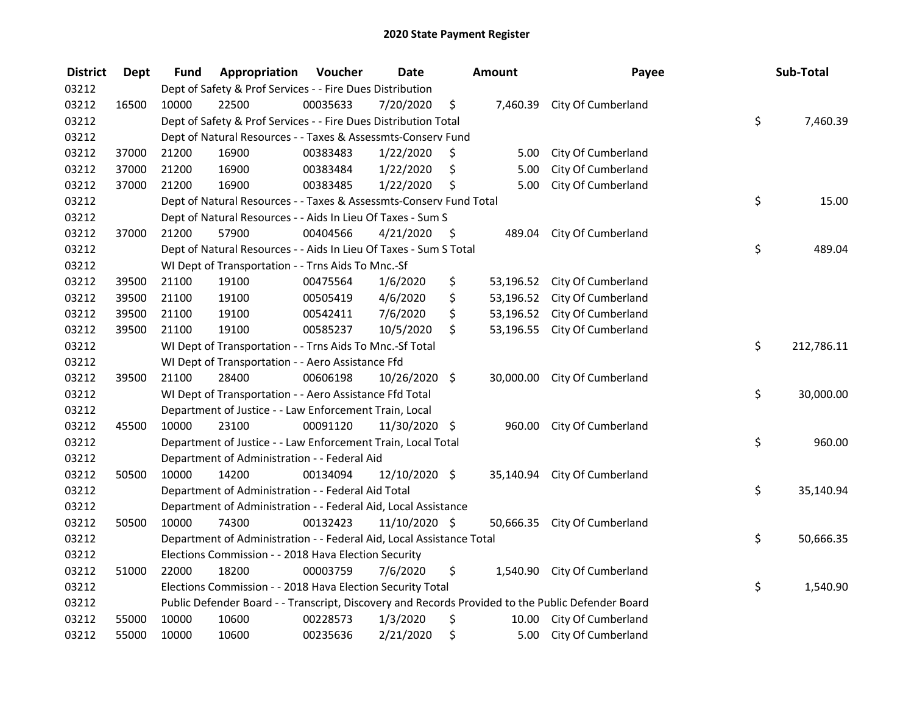| <b>District</b> | <b>Dept</b> | Fund  | Appropriation                                                        | Voucher  | <b>Date</b>   |      | <b>Amount</b> | Payee                                                                                             | Sub-Total        |
|-----------------|-------------|-------|----------------------------------------------------------------------|----------|---------------|------|---------------|---------------------------------------------------------------------------------------------------|------------------|
| 03212           |             |       | Dept of Safety & Prof Services - - Fire Dues Distribution            |          |               |      |               |                                                                                                   |                  |
| 03212           | 16500       | 10000 | 22500                                                                | 00035633 | 7/20/2020     | \$   | 7,460.39      | City Of Cumberland                                                                                |                  |
| 03212           |             |       | Dept of Safety & Prof Services - - Fire Dues Distribution Total      |          |               |      |               |                                                                                                   | \$<br>7,460.39   |
| 03212           |             |       | Dept of Natural Resources - - Taxes & Assessmts-Conserv Fund         |          |               |      |               |                                                                                                   |                  |
| 03212           | 37000       | 21200 | 16900                                                                | 00383483 | 1/22/2020     | \$   | 5.00          | City Of Cumberland                                                                                |                  |
| 03212           | 37000       | 21200 | 16900                                                                | 00383484 | 1/22/2020     | \$   | 5.00          | City Of Cumberland                                                                                |                  |
| 03212           | 37000       | 21200 | 16900                                                                | 00383485 | 1/22/2020     | \$   | 5.00          | City Of Cumberland                                                                                |                  |
| 03212           |             |       | Dept of Natural Resources - - Taxes & Assessmts-Conserv Fund Total   |          |               |      |               |                                                                                                   | \$<br>15.00      |
| 03212           |             |       | Dept of Natural Resources - - Aids In Lieu Of Taxes - Sum S          |          |               |      |               |                                                                                                   |                  |
| 03212           | 37000       | 21200 | 57900                                                                | 00404566 | 4/21/2020     | - \$ | 489.04        | City Of Cumberland                                                                                |                  |
| 03212           |             |       | Dept of Natural Resources - - Aids In Lieu Of Taxes - Sum S Total    |          |               |      |               |                                                                                                   | \$<br>489.04     |
| 03212           |             |       | WI Dept of Transportation - - Trns Aids To Mnc.-Sf                   |          |               |      |               |                                                                                                   |                  |
| 03212           | 39500       | 21100 | 19100                                                                | 00475564 | 1/6/2020      | \$   | 53,196.52     | City Of Cumberland                                                                                |                  |
| 03212           | 39500       | 21100 | 19100                                                                | 00505419 | 4/6/2020      | \$   | 53,196.52     | City Of Cumberland                                                                                |                  |
| 03212           | 39500       | 21100 | 19100                                                                | 00542411 | 7/6/2020      | \$   | 53,196.52     | City Of Cumberland                                                                                |                  |
| 03212           | 39500       | 21100 | 19100                                                                | 00585237 | 10/5/2020     | \$   | 53,196.55     | City Of Cumberland                                                                                |                  |
| 03212           |             |       | WI Dept of Transportation - - Trns Aids To Mnc.-Sf Total             |          |               |      |               |                                                                                                   | \$<br>212,786.11 |
| 03212           |             |       | WI Dept of Transportation - - Aero Assistance Ffd                    |          |               |      |               |                                                                                                   |                  |
| 03212           | 39500       | 21100 | 28400                                                                | 00606198 | 10/26/2020 \$ |      | 30,000.00     | City Of Cumberland                                                                                |                  |
| 03212           |             |       | WI Dept of Transportation - - Aero Assistance Ffd Total              |          |               |      |               |                                                                                                   | \$<br>30,000.00  |
| 03212           |             |       | Department of Justice - - Law Enforcement Train, Local               |          |               |      |               |                                                                                                   |                  |
| 03212           | 45500       | 10000 | 23100                                                                | 00091120 | 11/30/2020 \$ |      | 960.00        | City Of Cumberland                                                                                |                  |
| 03212           |             |       | Department of Justice - - Law Enforcement Train, Local Total         |          |               |      |               |                                                                                                   | \$<br>960.00     |
| 03212           |             |       | Department of Administration - - Federal Aid                         |          |               |      |               |                                                                                                   |                  |
| 03212           | 50500       | 10000 | 14200                                                                | 00134094 | 12/10/2020 \$ |      | 35,140.94     | City Of Cumberland                                                                                |                  |
| 03212           |             |       | Department of Administration - - Federal Aid Total                   |          |               |      |               |                                                                                                   | \$<br>35,140.94  |
| 03212           |             |       | Department of Administration - - Federal Aid, Local Assistance       |          |               |      |               |                                                                                                   |                  |
| 03212           | 50500       | 10000 | 74300                                                                | 00132423 | 11/10/2020 \$ |      |               | 50,666.35 City Of Cumberland                                                                      |                  |
| 03212           |             |       | Department of Administration - - Federal Aid, Local Assistance Total |          |               |      |               |                                                                                                   | \$<br>50,666.35  |
| 03212           |             |       | Elections Commission - - 2018 Hava Election Security                 |          |               |      |               |                                                                                                   |                  |
| 03212           | 51000       | 22000 | 18200                                                                | 00003759 | 7/6/2020      | \$   |               | 1,540.90 City Of Cumberland                                                                       |                  |
| 03212           |             |       | Elections Commission - - 2018 Hava Election Security Total           |          |               |      |               |                                                                                                   | \$<br>1,540.90   |
| 03212           |             |       |                                                                      |          |               |      |               | Public Defender Board - - Transcript, Discovery and Records Provided to the Public Defender Board |                  |
| 03212           | 55000       | 10000 | 10600                                                                | 00228573 | 1/3/2020      | \$   |               | 10.00 City Of Cumberland                                                                          |                  |
| 03212           | 55000       | 10000 | 10600                                                                | 00235636 | 2/21/2020     | \$   | 5.00          | City Of Cumberland                                                                                |                  |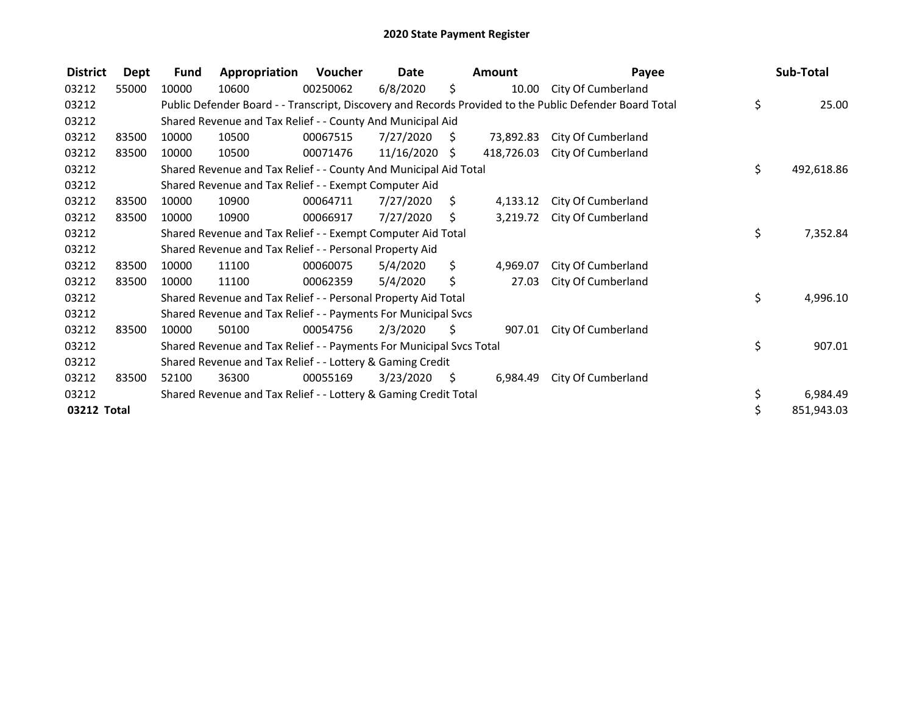| <b>District</b> | Dept  | <b>Fund</b> | Appropriation                                                       | Voucher  | Date            |      | <b>Amount</b> | Payee                                                                                                   | Sub-Total        |
|-----------------|-------|-------------|---------------------------------------------------------------------|----------|-----------------|------|---------------|---------------------------------------------------------------------------------------------------------|------------------|
| 03212           | 55000 | 10000       | 10600                                                               | 00250062 | 6/8/2020        | \$   | 10.00         | City Of Cumberland                                                                                      |                  |
| 03212           |       |             |                                                                     |          |                 |      |               | Public Defender Board - - Transcript, Discovery and Records Provided to the Public Defender Board Total | \$<br>25.00      |
| 03212           |       |             | Shared Revenue and Tax Relief - - County And Municipal Aid          |          |                 |      |               |                                                                                                         |                  |
| 03212           | 83500 | 10000       | 10500                                                               | 00067515 | 7/27/2020       | - \$ | 73,892.83     | City Of Cumberland                                                                                      |                  |
| 03212           | 83500 | 10000       | 10500                                                               | 00071476 | $11/16/2020$ \$ |      | 418,726.03    | City Of Cumberland                                                                                      |                  |
| 03212           |       |             | Shared Revenue and Tax Relief - - County And Municipal Aid Total    |          |                 |      |               |                                                                                                         | \$<br>492,618.86 |
| 03212           |       |             | Shared Revenue and Tax Relief - - Exempt Computer Aid               |          |                 |      |               |                                                                                                         |                  |
| 03212           | 83500 | 10000       | 10900                                                               | 00064711 | 7/27/2020       | Ŝ.   | 4,133.12      | City Of Cumberland                                                                                      |                  |
| 03212           | 83500 | 10000       | 10900                                                               | 00066917 | 7/27/2020       | S.   | 3,219.72      | City Of Cumberland                                                                                      |                  |
| 03212           |       |             | Shared Revenue and Tax Relief - - Exempt Computer Aid Total         |          |                 |      |               |                                                                                                         | \$<br>7,352.84   |
| 03212           |       |             | Shared Revenue and Tax Relief - - Personal Property Aid             |          |                 |      |               |                                                                                                         |                  |
| 03212           | 83500 | 10000       | 11100                                                               | 00060075 | 5/4/2020        | \$   | 4,969.07      | City Of Cumberland                                                                                      |                  |
| 03212           | 83500 | 10000       | 11100                                                               | 00062359 | 5/4/2020        | \$   | 27.03         | City Of Cumberland                                                                                      |                  |
| 03212           |       |             | Shared Revenue and Tax Relief - - Personal Property Aid Total       |          |                 |      |               |                                                                                                         | \$<br>4,996.10   |
| 03212           |       |             | Shared Revenue and Tax Relief - - Payments For Municipal Svcs       |          |                 |      |               |                                                                                                         |                  |
| 03212           | 83500 | 10000       | 50100                                                               | 00054756 | 2/3/2020        | S    | 907.01        | City Of Cumberland                                                                                      |                  |
| 03212           |       |             | Shared Revenue and Tax Relief - - Payments For Municipal Svcs Total |          |                 |      |               |                                                                                                         | \$<br>907.01     |
| 03212           |       |             | Shared Revenue and Tax Relief - - Lottery & Gaming Credit           |          |                 |      |               |                                                                                                         |                  |
| 03212           | 83500 | 52100       | 36300                                                               | 00055169 | 3/23/2020       | \$   | 6,984.49      | City Of Cumberland                                                                                      |                  |
| 03212           |       |             | Shared Revenue and Tax Relief - - Lottery & Gaming Credit Total     |          |                 |      |               |                                                                                                         | \$<br>6,984.49   |
| 03212 Total     |       |             |                                                                     |          |                 |      |               |                                                                                                         | \$<br>851,943.03 |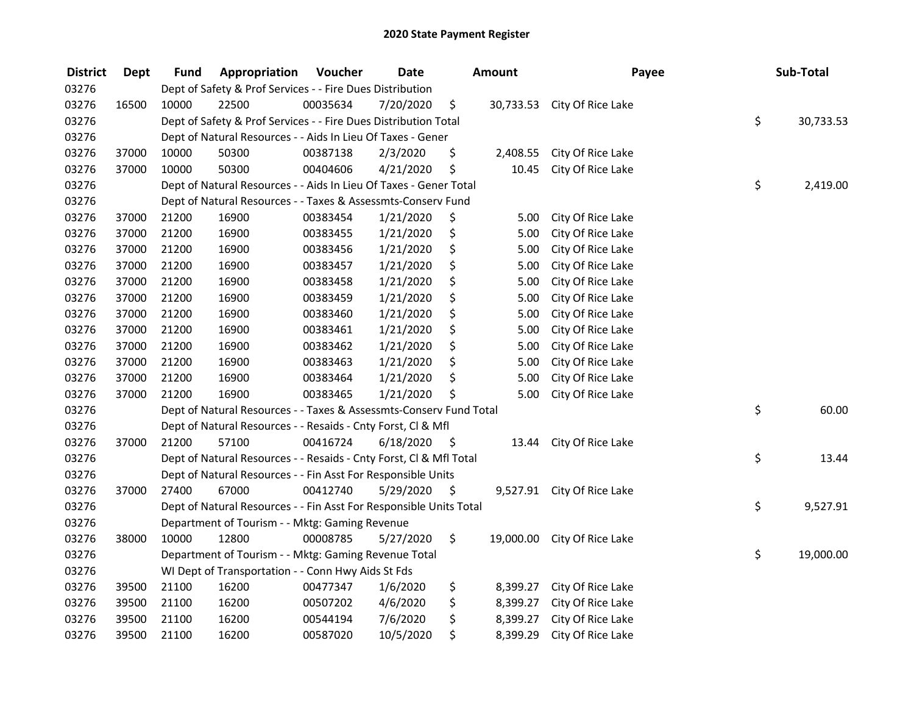| <b>District</b> | <b>Dept</b> | Fund  | Appropriation                                                      | Voucher  | <b>Date</b> |      | <b>Amount</b> | Payee                       | Sub-Total       |
|-----------------|-------------|-------|--------------------------------------------------------------------|----------|-------------|------|---------------|-----------------------------|-----------------|
| 03276           |             |       | Dept of Safety & Prof Services - - Fire Dues Distribution          |          |             |      |               |                             |                 |
| 03276           | 16500       | 10000 | 22500                                                              | 00035634 | 7/20/2020   | \$   |               | 30,733.53 City Of Rice Lake |                 |
| 03276           |             |       | Dept of Safety & Prof Services - - Fire Dues Distribution Total    |          |             |      |               |                             | \$<br>30,733.53 |
| 03276           |             |       | Dept of Natural Resources - - Aids In Lieu Of Taxes - Gener        |          |             |      |               |                             |                 |
| 03276           | 37000       | 10000 | 50300                                                              | 00387138 | 2/3/2020    | \$   | 2,408.55      | City Of Rice Lake           |                 |
| 03276           | 37000       | 10000 | 50300                                                              | 00404606 | 4/21/2020   | \$   | 10.45         | City Of Rice Lake           |                 |
| 03276           |             |       | Dept of Natural Resources - - Aids In Lieu Of Taxes - Gener Total  |          |             |      |               |                             | \$<br>2,419.00  |
| 03276           |             |       | Dept of Natural Resources - - Taxes & Assessmts-Conserv Fund       |          |             |      |               |                             |                 |
| 03276           | 37000       | 21200 | 16900                                                              | 00383454 | 1/21/2020   | \$   | 5.00          | City Of Rice Lake           |                 |
| 03276           | 37000       | 21200 | 16900                                                              | 00383455 | 1/21/2020   | \$   | 5.00          | City Of Rice Lake           |                 |
| 03276           | 37000       | 21200 | 16900                                                              | 00383456 | 1/21/2020   | \$   | 5.00          | City Of Rice Lake           |                 |
| 03276           | 37000       | 21200 | 16900                                                              | 00383457 | 1/21/2020   | \$   | 5.00          | City Of Rice Lake           |                 |
| 03276           | 37000       | 21200 | 16900                                                              | 00383458 | 1/21/2020   | \$   | 5.00          | City Of Rice Lake           |                 |
| 03276           | 37000       | 21200 | 16900                                                              | 00383459 | 1/21/2020   | \$   | 5.00          | City Of Rice Lake           |                 |
| 03276           | 37000       | 21200 | 16900                                                              | 00383460 | 1/21/2020   | \$   | 5.00          | City Of Rice Lake           |                 |
| 03276           | 37000       | 21200 | 16900                                                              | 00383461 | 1/21/2020   | \$   | 5.00          | City Of Rice Lake           |                 |
| 03276           | 37000       | 21200 | 16900                                                              | 00383462 | 1/21/2020   | \$   | 5.00          | City Of Rice Lake           |                 |
| 03276           | 37000       | 21200 | 16900                                                              | 00383463 | 1/21/2020   | \$   | 5.00          | City Of Rice Lake           |                 |
| 03276           | 37000       | 21200 | 16900                                                              | 00383464 | 1/21/2020   | \$   | 5.00          | City Of Rice Lake           |                 |
| 03276           | 37000       | 21200 | 16900                                                              | 00383465 | 1/21/2020   | \$   | 5.00          | City Of Rice Lake           |                 |
| 03276           |             |       | Dept of Natural Resources - - Taxes & Assessmts-Conserv Fund Total |          |             |      |               |                             | \$<br>60.00     |
| 03276           |             |       | Dept of Natural Resources - - Resaids - Cnty Forst, Cl & Mfl       |          |             |      |               |                             |                 |
| 03276           | 37000       | 21200 | 57100                                                              | 00416724 | 6/18/2020   | - \$ | 13.44         | City Of Rice Lake           |                 |
| 03276           |             |       | Dept of Natural Resources - - Resaids - Cnty Forst, Cl & Mfl Total |          |             |      |               |                             | \$<br>13.44     |
| 03276           |             |       | Dept of Natural Resources - - Fin Asst For Responsible Units       |          |             |      |               |                             |                 |
| 03276           | 37000       | 27400 | 67000                                                              | 00412740 | 5/29/2020   | - \$ |               | 9,527.91 City Of Rice Lake  |                 |
| 03276           |             |       | Dept of Natural Resources - - Fin Asst For Responsible Units Total |          |             |      |               |                             | \$<br>9,527.91  |
| 03276           |             |       | Department of Tourism - - Mktg: Gaming Revenue                     |          |             |      |               |                             |                 |
| 03276           | 38000       | 10000 | 12800                                                              | 00008785 | 5/27/2020   | \$   |               | 19,000.00 City Of Rice Lake |                 |
| 03276           |             |       | Department of Tourism - - Mktg: Gaming Revenue Total               |          |             |      |               |                             | \$<br>19,000.00 |
| 03276           |             |       | WI Dept of Transportation - - Conn Hwy Aids St Fds                 |          |             |      |               |                             |                 |
| 03276           | 39500       | 21100 | 16200                                                              | 00477347 | 1/6/2020    | \$   | 8,399.27      | City Of Rice Lake           |                 |
| 03276           | 39500       | 21100 | 16200                                                              | 00507202 | 4/6/2020    | \$   | 8,399.27      | City Of Rice Lake           |                 |
| 03276           | 39500       | 21100 | 16200                                                              | 00544194 | 7/6/2020    | \$   | 8,399.27      | City Of Rice Lake           |                 |
| 03276           | 39500       | 21100 | 16200                                                              | 00587020 | 10/5/2020   | \$   | 8,399.29      | City Of Rice Lake           |                 |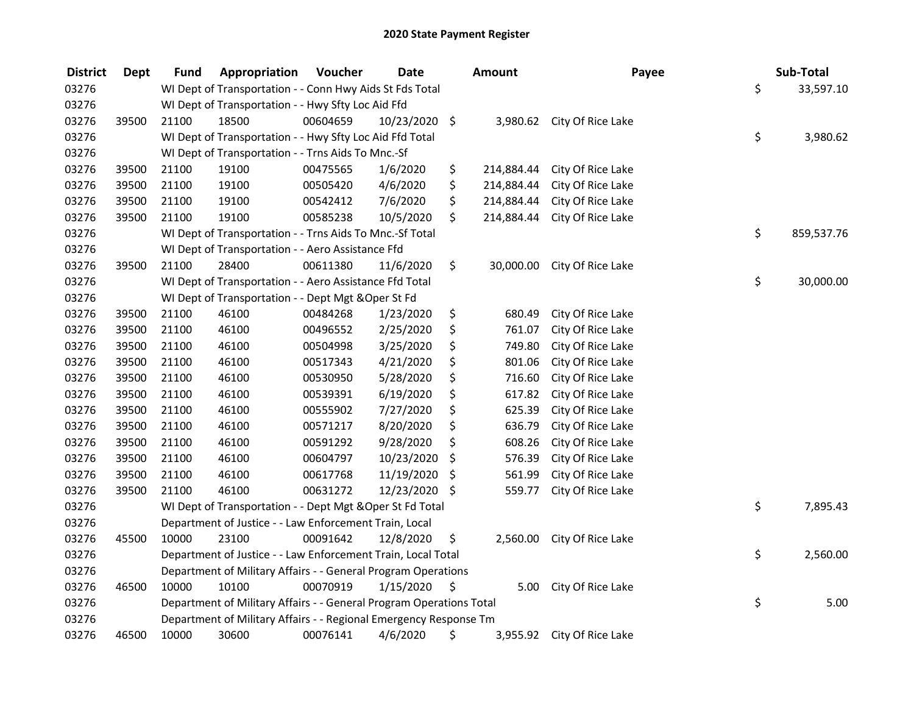| <b>District</b> | Dept  | Fund                                                     | Appropriation                                                       | Voucher          | <b>Date</b>   | Amount           | Payee             | Sub-Total       |
|-----------------|-------|----------------------------------------------------------|---------------------------------------------------------------------|------------------|---------------|------------------|-------------------|-----------------|
| 03276           |       |                                                          | WI Dept of Transportation - - Conn Hwy Aids St Fds Total            |                  |               |                  |                   | \$<br>33,597.10 |
| 03276           |       |                                                          | WI Dept of Transportation - - Hwy Sfty Loc Aid Ffd                  |                  |               |                  |                   |                 |
| 03276           | 39500 | 21100                                                    | 18500                                                               | 00604659         | 10/23/2020 \$ | 3,980.62         | City Of Rice Lake |                 |
| 03276           |       |                                                          | WI Dept of Transportation - - Hwy Sfty Loc Aid Ffd Total            |                  |               |                  |                   | \$<br>3,980.62  |
| 03276           |       |                                                          | WI Dept of Transportation - - Trns Aids To Mnc.-Sf                  |                  |               |                  |                   |                 |
| 03276           | 39500 | 21100                                                    | 19100                                                               | 00475565         | 1/6/2020      | \$<br>214,884.44 | City Of Rice Lake |                 |
| 03276           | 39500 | 21100                                                    | 19100                                                               | 00505420         | 4/6/2020      | \$<br>214,884.44 | City Of Rice Lake |                 |
| 03276           | 39500 | 21100                                                    | 19100                                                               | 00542412         | 7/6/2020      | \$<br>214,884.44 | City Of Rice Lake |                 |
| 03276           | 39500 | 21100                                                    | 19100                                                               | 00585238         | 10/5/2020     | \$<br>214,884.44 | City Of Rice Lake |                 |
| 03276           |       | WI Dept of Transportation - - Trns Aids To Mnc.-Sf Total |                                                                     | \$<br>859,537.76 |               |                  |                   |                 |
| 03276           |       |                                                          | WI Dept of Transportation - - Aero Assistance Ffd                   |                  |               |                  |                   |                 |
| 03276           | 39500 | 21100                                                    | 28400                                                               | 00611380         | 11/6/2020     | \$<br>30,000.00  | City Of Rice Lake |                 |
| 03276           |       |                                                          | WI Dept of Transportation - - Aero Assistance Ffd Total             |                  |               |                  |                   | \$<br>30,000.00 |
| 03276           |       |                                                          | WI Dept of Transportation - - Dept Mgt & Oper St Fd                 |                  |               |                  |                   |                 |
| 03276           | 39500 | 21100                                                    | 46100                                                               | 00484268         | 1/23/2020     | \$<br>680.49     | City Of Rice Lake |                 |
| 03276           | 39500 | 21100                                                    | 46100                                                               | 00496552         | 2/25/2020     | \$<br>761.07     | City Of Rice Lake |                 |
| 03276           | 39500 | 21100                                                    | 46100                                                               | 00504998         | 3/25/2020     | \$<br>749.80     | City Of Rice Lake |                 |
| 03276           | 39500 | 21100                                                    | 46100                                                               | 00517343         | 4/21/2020     | \$<br>801.06     | City Of Rice Lake |                 |
| 03276           | 39500 | 21100                                                    | 46100                                                               | 00530950         | 5/28/2020     | \$<br>716.60     | City Of Rice Lake |                 |
| 03276           | 39500 | 21100                                                    | 46100                                                               | 00539391         | 6/19/2020     | \$<br>617.82     | City Of Rice Lake |                 |
| 03276           | 39500 | 21100                                                    | 46100                                                               | 00555902         | 7/27/2020     | \$<br>625.39     | City Of Rice Lake |                 |
| 03276           | 39500 | 21100                                                    | 46100                                                               | 00571217         | 8/20/2020     | \$<br>636.79     | City Of Rice Lake |                 |
| 03276           | 39500 | 21100                                                    | 46100                                                               | 00591292         | 9/28/2020     | \$<br>608.26     | City Of Rice Lake |                 |
| 03276           | 39500 | 21100                                                    | 46100                                                               | 00604797         | 10/23/2020    | \$<br>576.39     | City Of Rice Lake |                 |
| 03276           | 39500 | 21100                                                    | 46100                                                               | 00617768         | 11/19/2020    | \$<br>561.99     | City Of Rice Lake |                 |
| 03276           | 39500 | 21100                                                    | 46100                                                               | 00631272         | 12/23/2020 \$ | 559.77           | City Of Rice Lake |                 |
| 03276           |       |                                                          | WI Dept of Transportation - - Dept Mgt & Oper St Fd Total           |                  |               |                  |                   | \$<br>7,895.43  |
| 03276           |       |                                                          | Department of Justice - - Law Enforcement Train, Local              |                  |               |                  |                   |                 |
| 03276           | 45500 | 10000                                                    | 23100                                                               | 00091642         | 12/8/2020     | \$<br>2,560.00   | City Of Rice Lake |                 |
| 03276           |       |                                                          | Department of Justice - - Law Enforcement Train, Local Total        |                  |               |                  |                   | \$<br>2,560.00  |
| 03276           |       |                                                          | Department of Military Affairs - - General Program Operations       |                  |               |                  |                   |                 |
| 03276           | 46500 | 10000                                                    | 10100                                                               | 00070919         | 1/15/2020     | \$<br>5.00       | City Of Rice Lake |                 |
| 03276           |       |                                                          | Department of Military Affairs - - General Program Operations Total |                  |               |                  |                   | \$<br>5.00      |
| 03276           |       |                                                          | Department of Military Affairs - - Regional Emergency Response Tm   |                  |               |                  |                   |                 |
| 03276           | 46500 | 10000                                                    | 30600                                                               | 00076141         | 4/6/2020      | \$<br>3,955.92   | City Of Rice Lake |                 |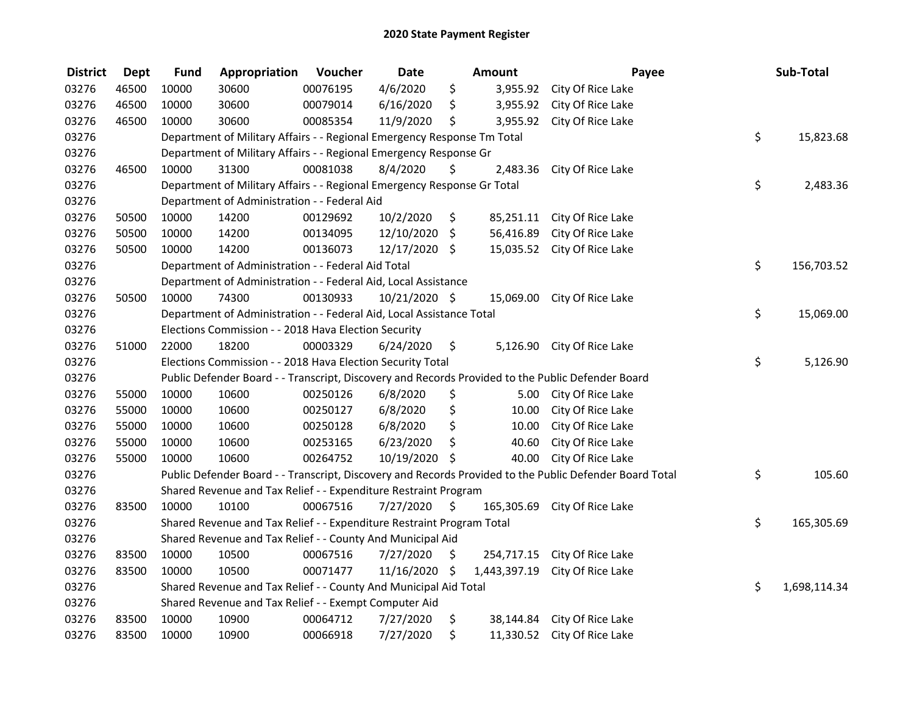| <b>District</b> | <b>Dept</b> | <b>Fund</b> | Appropriation                                                           | Voucher  | <b>Date</b>   |                    | <b>Amount</b> | Payee                                                                                                   | Sub-Total          |
|-----------------|-------------|-------------|-------------------------------------------------------------------------|----------|---------------|--------------------|---------------|---------------------------------------------------------------------------------------------------------|--------------------|
| 03276           | 46500       | 10000       | 30600                                                                   | 00076195 | 4/6/2020      | \$                 | 3,955.92      | City Of Rice Lake                                                                                       |                    |
| 03276           | 46500       | 10000       | 30600                                                                   | 00079014 | 6/16/2020     | \$                 | 3,955.92      | City Of Rice Lake                                                                                       |                    |
| 03276           | 46500       | 10000       | 30600                                                                   | 00085354 | 11/9/2020     | \$                 | 3,955.92      | City Of Rice Lake                                                                                       |                    |
| 03276           |             |             | Department of Military Affairs - - Regional Emergency Response Tm Total |          |               |                    |               |                                                                                                         | \$<br>15,823.68    |
| 03276           |             |             | Department of Military Affairs - - Regional Emergency Response Gr       |          |               |                    |               |                                                                                                         |                    |
| 03276           | 46500       | 10000       | 31300                                                                   | 00081038 | 8/4/2020      | \$                 | 2,483.36      | City Of Rice Lake                                                                                       |                    |
| 03276           |             |             | Department of Military Affairs - - Regional Emergency Response Gr Total |          |               |                    |               |                                                                                                         | \$<br>2,483.36     |
| 03276           |             |             | Department of Administration - - Federal Aid                            |          |               |                    |               |                                                                                                         |                    |
| 03276           | 50500       | 10000       | 14200                                                                   | 00129692 | 10/2/2020     | \$                 |               | 85,251.11 City Of Rice Lake                                                                             |                    |
| 03276           | 50500       | 10000       | 14200                                                                   | 00134095 | 12/10/2020    | $\zeta$            | 56,416.89     | City Of Rice Lake                                                                                       |                    |
| 03276           | 50500       | 10000       | 14200                                                                   | 00136073 | 12/17/2020 \$ |                    | 15,035.52     | City Of Rice Lake                                                                                       |                    |
| 03276           |             |             | Department of Administration - - Federal Aid Total                      |          |               |                    |               |                                                                                                         | \$<br>156,703.52   |
| 03276           |             |             | Department of Administration - - Federal Aid, Local Assistance          |          |               |                    |               |                                                                                                         |                    |
| 03276           | 50500       | 10000       | 74300                                                                   | 00130933 | 10/21/2020 \$ |                    | 15,069.00     | City Of Rice Lake                                                                                       |                    |
| 03276           |             |             | Department of Administration - - Federal Aid, Local Assistance Total    |          |               |                    |               |                                                                                                         | \$<br>15,069.00    |
| 03276           |             |             | Elections Commission - - 2018 Hava Election Security                    |          |               |                    |               |                                                                                                         |                    |
| 03276           | 51000       | 22000       | 18200                                                                   | 00003329 | 6/24/2020     | \$                 | 5,126.90      | City Of Rice Lake                                                                                       |                    |
| 03276           |             |             | Elections Commission - - 2018 Hava Election Security Total              |          |               |                    |               |                                                                                                         | \$<br>5,126.90     |
| 03276           |             |             |                                                                         |          |               |                    |               | Public Defender Board - - Transcript, Discovery and Records Provided to the Public Defender Board       |                    |
| 03276           | 55000       | 10000       | 10600                                                                   | 00250126 | 6/8/2020      | \$                 |               | 5.00 City Of Rice Lake                                                                                  |                    |
| 03276           | 55000       | 10000       | 10600                                                                   | 00250127 | 6/8/2020      | \$                 | 10.00         | City Of Rice Lake                                                                                       |                    |
| 03276           | 55000       | 10000       | 10600                                                                   | 00250128 | 6/8/2020      | \$                 | 10.00         | City Of Rice Lake                                                                                       |                    |
| 03276           | 55000       | 10000       | 10600                                                                   | 00253165 | 6/23/2020     | \$                 | 40.60         | City Of Rice Lake                                                                                       |                    |
| 03276           | 55000       | 10000       | 10600                                                                   | 00264752 | 10/19/2020 \$ |                    | 40.00         | City Of Rice Lake                                                                                       |                    |
| 03276           |             |             |                                                                         |          |               |                    |               | Public Defender Board - - Transcript, Discovery and Records Provided to the Public Defender Board Total | \$<br>105.60       |
| 03276           |             |             | Shared Revenue and Tax Relief - - Expenditure Restraint Program         |          |               |                    |               |                                                                                                         |                    |
| 03276           | 83500       | 10000       | 10100                                                                   | 00067516 | 7/27/2020     | \$                 | 165,305.69    | City Of Rice Lake                                                                                       |                    |
| 03276           |             |             | Shared Revenue and Tax Relief - - Expenditure Restraint Program Total   |          |               |                    |               |                                                                                                         | \$<br>165,305.69   |
| 03276           |             |             | Shared Revenue and Tax Relief - - County And Municipal Aid              |          |               |                    |               |                                                                                                         |                    |
| 03276           | 83500       | 10000       | 10500                                                                   | 00067516 | 7/27/2020     | \$                 | 254,717.15    | City Of Rice Lake                                                                                       |                    |
| 03276           | 83500       | 10000       | 10500                                                                   | 00071477 | 11/16/2020    | $\ddot{\varsigma}$ | 1,443,397.19  | City Of Rice Lake                                                                                       |                    |
| 03276           |             |             | Shared Revenue and Tax Relief - - County And Municipal Aid Total        |          |               |                    |               |                                                                                                         | \$<br>1,698,114.34 |
| 03276           |             |             | Shared Revenue and Tax Relief - - Exempt Computer Aid                   |          |               |                    |               |                                                                                                         |                    |
| 03276           | 83500       | 10000       | 10900                                                                   | 00064712 | 7/27/2020     | \$                 |               | 38,144.84 City Of Rice Lake                                                                             |                    |
| 03276           | 83500       | 10000       | 10900                                                                   | 00066918 | 7/27/2020     | \$                 | 11,330.52     | City Of Rice Lake                                                                                       |                    |